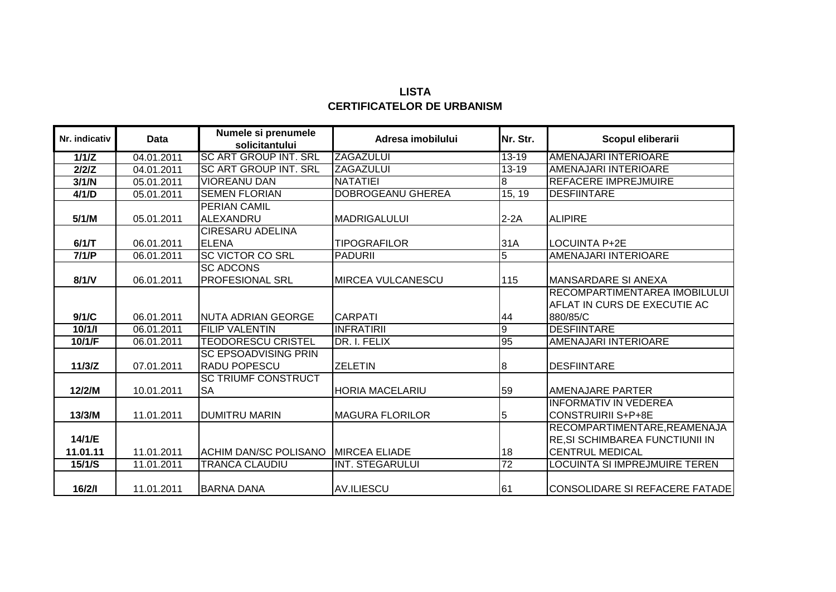## **LISTA CERTIFICATELOR DE URBANISM**

| Nr. indicativ | Data       | Numele si prenumele<br>solicitantului | Adresa imobilului        | Nr. Str.        | Scopul eliberarii               |
|---------------|------------|---------------------------------------|--------------------------|-----------------|---------------------------------|
| 1/1/Z         | 04.01.2011 | <b>SC ART GROUP INT, SRL</b>          | <b>ZAGAZULUI</b>         | $13 - 19$       | AMENAJARI INTERIOARE            |
| 2/2/Z         | 04.01.2011 | <b>SC ART GROUP INT. SRL</b>          | <b>ZAGAZULUI</b>         | $13 - 19$       | AMENAJARI INTERIOARE            |
| 3/1/N         | 05.01.2011 | <b>VIOREANU DAN</b>                   | <b>NATATIEI</b>          | 8               | <b>REFACERE IMPREJMUIRE</b>     |
| 4/1/D         | 05.01.2011 | <b>SEMEN FLORIAN</b>                  | <b>DOBROGEANU GHEREA</b> | 15, 19          | <b>DESFIINTARE</b>              |
|               |            | <b>PERIAN CAMIL</b>                   |                          |                 |                                 |
| 5/1/M         | 05.01.2011 | ALEXANDRU                             | <b>MADRIGALULUI</b>      | $2-2A$          | <b>ALIPIRE</b>                  |
|               |            | <b>CIRESARU ADELINA</b>               |                          |                 |                                 |
| 6/1/T         | 06.01.2011 | <b>ELENA</b>                          | <b>TIPOGRAFILOR</b>      | 31A             | <b>LOCUINTA P+2E</b>            |
| 7/1/P         | 06.01.2011 | <b>SC VICTOR CO SRL</b>               | <b>PADURII</b>           | $\overline{5}$  | AMENAJARI INTERIOARE            |
|               |            | <b>SC ADCONS</b>                      |                          |                 |                                 |
| 8/1/N         | 06.01.2011 | <b>PROFESIONAL SRL</b>                | MIRCEA VULCANESCU        | 115             | <b>MANSARDARE SI ANEXA</b>      |
|               |            |                                       |                          |                 | RECOMPARTIMENTAREA IMOBILULUI   |
|               |            |                                       |                          |                 | AFLAT IN CURS DE EXECUTIE AC    |
| 9/1/C         | 06.01.2011 | <b>INUTA ADRIAN GEORGE</b>            | <b>CARPATI</b>           | 44              | 880/85/C                        |
| 10/1/1        | 06.01.2011 | <b>FILIP VALENTIN</b>                 | <b>INFRATIRII</b>        | Θ               | <b>DESFIINTARE</b>              |
| 10/1/F        | 06.01.2011 | <b>TEODORESCU CRISTEL</b>             | DR. I. FELIX             | 95              | AMENAJARI INTERIOARE            |
|               |            | <b>SC EPSOADVISING PRIN</b>           |                          |                 |                                 |
| 11/3/Z        | 07.01.2011 | <b>RADU POPESCU</b>                   | <b>ZELETIN</b>           | 8               | <b>DESFIINTARE</b>              |
|               |            | <b>SC TRIUMF CONSTRUCT</b>            |                          |                 |                                 |
| 12/2/M        | 10.01.2011 | <b>SA</b>                             | <b>HORIA MACELARIU</b>   | 59              | AMENAJARE PARTER                |
|               |            |                                       |                          |                 | <b>INFORMATIV IN VEDEREA</b>    |
| 13/3/M        | 11.01.2011 | <b>DUMITRU MARIN</b>                  | <b>MAGURA FLORILOR</b>   | 5               | <b>CONSTRUIRII S+P+8E</b>       |
|               |            |                                       |                          |                 | RECOMPARTIMENTARE, REAMENAJA    |
| 14/1/E        |            |                                       |                          |                 | RE, SI SCHIMBAREA FUNCTIUNII IN |
| 11.01.11      | 11.01.2011 | <b>ACHIM DAN/SC POLISANO</b>          | <b>IMIRCEA ELIADE</b>    | 18              | <b>CENTRUL MEDICAL</b>          |
| 15/1/S        | 11.01.2011 | <b>TRANCA CLAUDIU</b>                 | <b>INT. STEGARULUI</b>   | $\overline{72}$ | LOCUINTA SI IMPREJMUIRE TEREN   |
|               |            |                                       |                          |                 |                                 |
| 16/2/1        | 11.01.2011 | <b>BARNA DANA</b>                     | <b>AV.ILIESCU</b>        | 61              | CONSOLIDARE SI REFACERE FATADE  |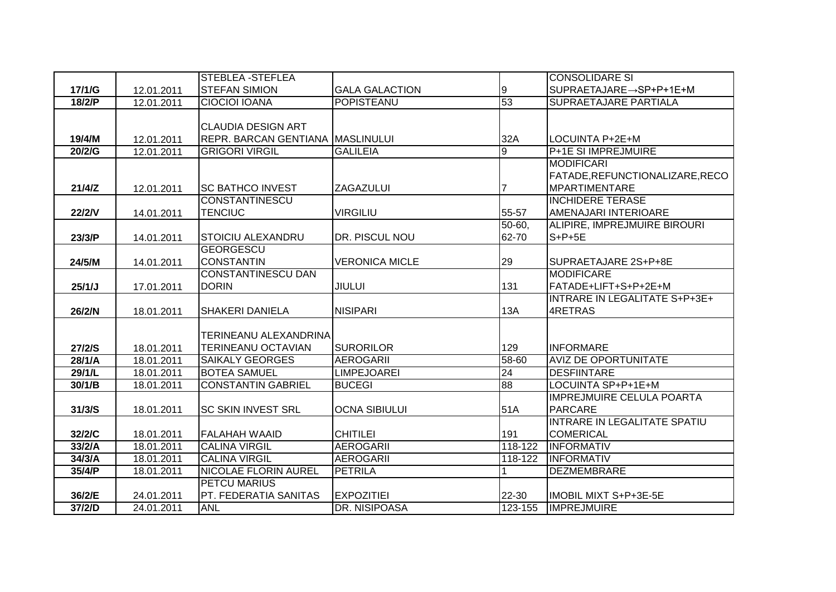|               |            | <b>STEBLEA-STEFLEA</b>       |                       |          | <b>CONSOLIDARE SI</b>               |
|---------------|------------|------------------------------|-----------------------|----------|-------------------------------------|
| 17/1/G        | 12.01.2011 | <b>STEFAN SIMION</b>         | <b>GALA GALACTION</b> | 9        | SUPRAETAJARE→SP+P+1E+M              |
| 18/2/P        | 12.01.2011 | <b>CIOCIOI IOANA</b>         | POPISTEANU            | 53       | <b>SUPRAETAJARE PARTIALA</b>        |
|               |            |                              |                       |          |                                     |
|               |            | <b>CLAUDIA DESIGN ART</b>    |                       |          |                                     |
| 19/4/M        | 12.01.2011 | <b>REPR. BARCAN GENTIANA</b> | <b>MASLINULUI</b>     | 32A      | LOCUINTA P+2E+M                     |
| 20/2/G        | 12.01.2011 | <b>GRIGORI VIRGIL</b>        | <b>GALILEIA</b>       | g        | <b>P+1E SI IMPREJMUIRE</b>          |
|               |            |                              |                       |          | MODIFICARI                          |
|               |            |                              |                       |          | FATADE, REFUNCTIONALIZARE, RECO     |
| 21/4/Z        | 12.01.2011 | <b>SC BATHCO INVEST</b>      | <b>ZAGAZULUI</b>      | 7        | <b>MPARTIMENTARE</b>                |
|               |            | <b>CONSTANTINESCU</b>        |                       |          | <b>INCHIDERE TERASE</b>             |
| <b>22/2/V</b> | 14.01.2011 | <b>TENCIUC</b>               | <b>VIRGILIU</b>       | 55-57    | AMENAJARI INTERIOARE                |
|               |            |                              |                       | $50-60,$ | ALIPIRE, IMPREJMUIRE BIROURI        |
| 23/3/P        | 14.01.2011 | <b>STOICIU ALEXANDRU</b>     | DR. PISCUL NOU        | 62-70    | $S+P+5E$                            |
|               |            | <b>GEORGESCU</b>             |                       |          |                                     |
| 24/5/M        | 14.01.2011 | <b>CONSTANTIN</b>            | <b>VERONICA MICLE</b> | 29       | SUPRAETAJARE 2S+P+8E                |
|               |            | <b>CONSTANTINESCU DAN</b>    |                       |          | MODIFICARE                          |
| 25/1/J        | 17.01.2011 | <b>DORIN</b>                 | <b>JIULUI</b>         | 131      | FATADE+LIFT+S+P+2E+M                |
|               |            |                              |                       |          | INTRARE IN LEGALITATE S+P+3E+       |
| 26/2/N        | 18.01.2011 | <b>SHAKERI DANIELA</b>       | <b>NISIPARI</b>       | 13A      | 4RETRAS                             |
|               |            |                              |                       |          |                                     |
|               |            | <b>TERINEANU ALEXANDRINA</b> |                       |          |                                     |
| 27/2/S        | 18.01.2011 | <b>TERINEANU OCTAVIAN</b>    | <b>SURORILOR</b>      | 129      | <b>INFORMARE</b>                    |
| 28/1/A        | 18.01.2011 | <b>SAIKALY GEORGES</b>       | <b>AEROGARII</b>      | 58-60    | <b>AVIZ DE OPORTUNITATE</b>         |
| 29/1/L        | 18.01.2011 | <b>BOTEA SAMUEL</b>          | <b>LIMPEJOAREI</b>    | 24       | <b>DESFIINTARE</b>                  |
| 30/1/B        | 18.01.2011 | <b>CONSTANTIN GABRIEL</b>    | <b>BUCEGI</b>         | 88       | LOCUINTA SP+P+1E+M                  |
|               |            |                              |                       |          | <b>IMPREJMUIRE CELULA POARTA</b>    |
| 31/3/S        | 18.01.2011 | <b>SC SKIN INVEST SRL</b>    | <b>OCNA SIBIULUI</b>  | 51A      | <b>PARCARE</b>                      |
|               |            |                              |                       |          | <b>INTRARE IN LEGALITATE SPATIU</b> |
| 32/2/C        | 18.01.2011 | <b>FALAHAH WAAID</b>         | <b>CHITILEI</b>       | 191      | <b>COMERICAL</b>                    |
| 33/2/A        | 18.01.2011 | <b>CALINA VIRGIL</b>         | <b>AEROGARII</b>      | 118-122  | <b>INFORMATIV</b>                   |
| 34/3/A        | 18.01.2011 | <b>CALINA VIRGIL</b>         | <b>AEROGARII</b>      | 118-122  | <b>INFORMATIV</b>                   |
| 35/4/P        | 18.01.2011 | <b>NICOLAE FLORIN AUREL</b>  | <b>PETRILA</b>        |          | <b>DEZMEMBRARE</b>                  |
|               |            | <b>PETCU MARIUS</b>          |                       |          |                                     |
| 36/2/E        | 24.01.2011 | PT. FEDERATIA SANITAS        | <b>EXPOZITIEI</b>     | 22-30    | IMOBIL MIXT S+P+3E-5E               |
| 37/2/D        | 24.01.2011 | <b>ANL</b>                   | DR. NISIPOASA         | 123-155  | <b>IMPREJMUIRE</b>                  |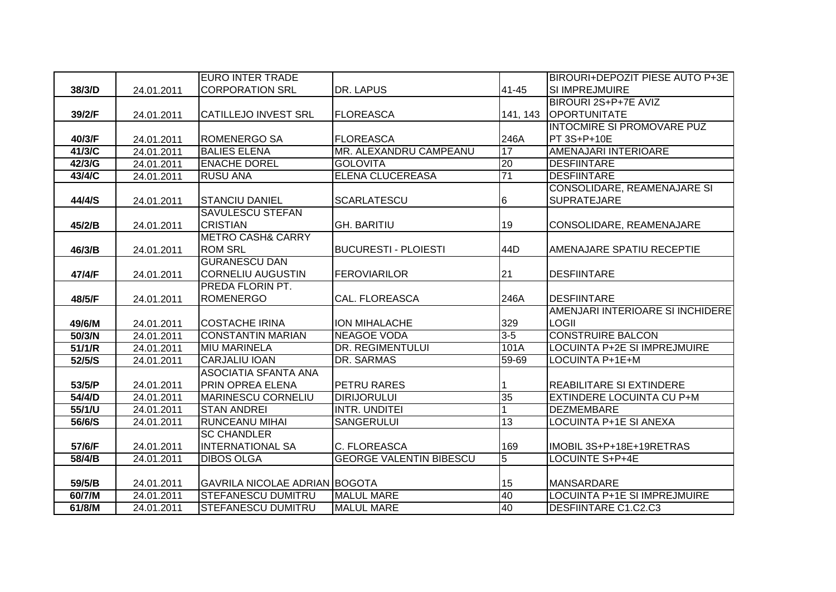|        |            | <b>EURO INTER TRADE</b>              |                                |                 | BIROURI+DEPOZIT PIESE AUTO P+3E     |
|--------|------------|--------------------------------------|--------------------------------|-----------------|-------------------------------------|
| 38/3/D | 24.01.2011 | <b>CORPORATION SRL</b>               | DR. LAPUS                      | 41-45           | <b>SI IMPREJMUIRE</b>               |
|        |            |                                      |                                |                 | BIROURI 2S+P+7E AVIZ                |
| 39/2/F | 24.01.2011 | <b>CATILLEJO INVEST SRL</b>          | <b>FLOREASCA</b>               | 141, 143        | <b>OPORTUNITATE</b>                 |
|        |            |                                      |                                |                 | INTOCMIRE SI PROMOVARE PUZ          |
| 40/3/F | 24.01.2011 | <b>ROMENERGO SA</b>                  | <b>FLOREASCA</b>               | 246A            | PT 3S+P+10E                         |
| 41/3/C | 24.01.2011 | <b>BALIES ELENA</b>                  | MR. ALEXANDRU CAMPEANU         | 17              | AMENAJARI INTERIOARE                |
| 42/3/G | 24.01.2011 | <b>ENACHE DOREL</b>                  | <b>GOLOVITA</b>                | 20              | <b>DESFIINTARE</b>                  |
| 43/4/C | 24.01.2011 | <b>RUSU ANA</b>                      | <b>ELENA CLUCEREASA</b>        | $\overline{71}$ | <b>DESFIINTARE</b>                  |
|        |            |                                      |                                |                 | <b>CONSOLIDARE, REAMENAJARE SI</b>  |
| 44/4/S | 24.01.2011 | <b>STANCIU DANIEL</b>                | <b>SCARLATESCU</b>             | 6               | <b>SUPRATEJARE</b>                  |
|        |            | <b>SAVULESCU STEFAN</b>              |                                |                 |                                     |
| 45/2/B | 24.01.2011 | <b>CRISTIAN</b>                      | <b>GH. BARITIU</b>             | 19              | CONSOLIDARE, REAMENAJARE            |
|        |            | <b>METRO CASH&amp; CARRY</b>         |                                |                 |                                     |
| 46/3/B | 24.01.2011 | <b>ROM SRL</b>                       | <b>BUCURESTI - PLOIESTI</b>    | 44D             | AMENAJARE SPATIU RECEPTIE           |
|        |            | <b>GURANESCU DAN</b>                 |                                |                 |                                     |
| 47/4/F | 24.01.2011 | <b>CORNELIU AUGUSTIN</b>             | <b>FEROVIARILOR</b>            | 21              | <b>DESFIINTARE</b>                  |
|        |            | PREDA FLORIN PT.                     |                                |                 |                                     |
| 48/5/F | 24.01.2011 | <b>ROMENERGO</b>                     | <b>CAL. FLOREASCA</b>          | 246A            | <b>DESFIINTARE</b>                  |
|        |            |                                      |                                |                 | AMENJARI INTERIOARE SI INCHIDERE    |
| 49/6/M | 24.01.2011 | <b>COSTACHE IRINA</b>                | <b>ION MIHALACHE</b>           | 329             | <b>LOGII</b>                        |
| 50/3/N | 24.01.2011 | <b>CONSTANTIN MARIAN</b>             | <b>NEAGOE VODA</b>             | $3-5$           | <b>CONSTRUIRE BALCON</b>            |
| 51/1/R | 24.01.2011 | <b>MIU MARINELA</b>                  | <b>DR. REGIMENTULUI</b>        | 101A            | <b>LOCUINTA P+2E SI IMPREJMUIRE</b> |
| 52/5/S | 24.01.2011 | <b>CARJALIU IOAN</b>                 | DR. SARMAS                     | 59-69           | LOCUINTA P+1E+M                     |
|        |            | <b>ASOCIATIA SFANTA ANA</b>          |                                |                 |                                     |
| 53/5/P | 24.01.2011 | <b>PRIN OPREA ELENA</b>              | <b>PETRU RARES</b>             |                 | <b>REABILITARE SI EXTINDERE</b>     |
| 54/4/D | 24.01.2011 | <b>MARINESCU CORNELIU</b>            | <b>DIRIJORULUI</b>             | 35              | <b>EXTINDERE LOCUINTA CU P+M</b>    |
| 55/1/U | 24.01.2011 | <b>STAN ANDREI</b>                   | <b>INTR. UNDITEI</b>           |                 | <b>DEZMEMBARE</b>                   |
| 56/6/S | 24.01.2011 | <b>RUNCEANU MIHAI</b>                | SANGERULUI                     | 13              | <b>LOCUINTA P+1E SI ANEXA</b>       |
|        |            | <b>SC CHANDLER</b>                   |                                |                 |                                     |
| 57/6/F | 24.01.2011 | <b>INTERNATIONAL SA</b>              | C. FLOREASCA                   | 169             | IMOBIL 3S+P+18E+19RETRAS            |
| 58/4/B | 24.01.2011 | <b>DIBOS OLGA</b>                    | <b>GEORGE VALENTIN BIBESCU</b> | $\overline{5}$  | LOCUINTE S+P+4E                     |
|        |            |                                      |                                |                 |                                     |
| 59/5/B | 24.01.2011 | <b>GAVRILA NICOLAE ADRIAN BOGOTA</b> |                                | 15              | <b>MANSARDARE</b>                   |
| 60/7/M | 24.01.2011 | <b>STEFANESCU DUMITRU</b>            | <b>MALUL MARE</b>              | 40              | <b>LOCUINTA P+1E SI IMPREJMUIRE</b> |
| 61/8/M | 24.01.2011 | <b>STEFANESCU DUMITRU</b>            | <b>MALUL MARE</b>              | 40              | <b>DESFIINTARE C1.C2.C3</b>         |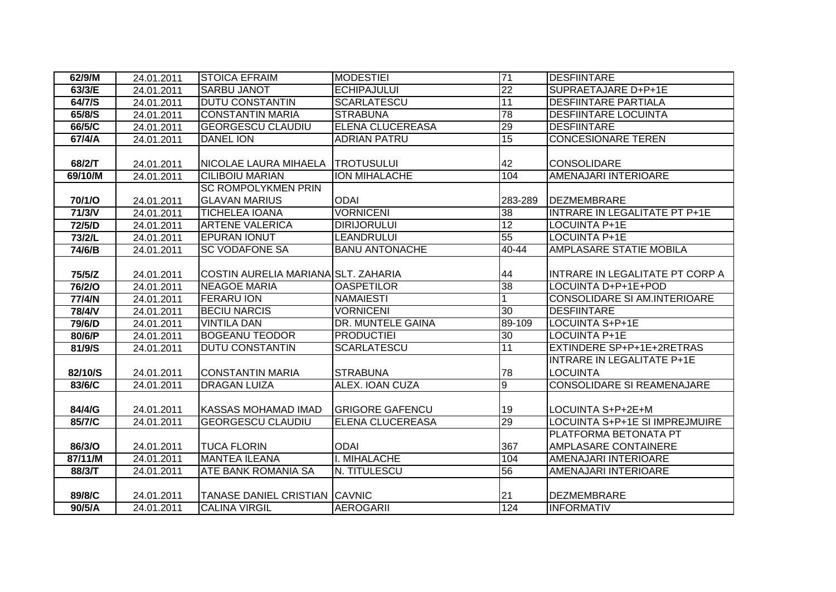| 62/9/M        | 24.01.2011 | <b>STOICA EFRAIM</b>                 | <b>MODESTIEI</b>        | 71           | <b>DESFIINTARE</b>                    |
|---------------|------------|--------------------------------------|-------------------------|--------------|---------------------------------------|
| 63/3/E        | 24.01.2011 | <b>SARBU JANOT</b>                   | <b>ECHIPAJULUI</b>      | 22           | SUPRAETAJARE D+P+1E                   |
| 64/7/S        | 24.01.2011 | <b>DUTU CONSTANTIN</b>               | <b>SCARLATESCU</b>      | 11           | <b>DESFIINTARE PARTIALA</b>           |
| 65/8/S        | 24.01.2011 | <b>CONSTANTIN MARIA</b>              | <b>STRABUNA</b>         | 78           | <b>DESFIINTARE LOCUINTA</b>           |
| 66/5/C        | 24.01.2011 | <b>GEORGESCU CLAUDIU</b>             | <b>ELENA CLUCEREASA</b> | 29           | <b>DESFIINTARE</b>                    |
| 67/4/A        | 24.01.2011 | <b>DANEL ION</b>                     | <b>ADRIAN PATRU</b>     | 15           | <b>CONCESIONARE TEREN</b>             |
|               |            |                                      |                         |              |                                       |
| 68/2/T        | 24.01.2011 | NICOLAE LAURA MIHAELA                | <b>TROTUSULUI</b>       | 42           | <b>CONSOLIDARE</b>                    |
| 69/10/M       | 24.01.2011 | <b>CILIBOIU MARIAN</b>               | <b>ION MIHALACHE</b>    | 104          | AMENAJARI INTERIOARE                  |
|               |            | <b>SC ROMPOLYKMEN PRIN</b>           |                         |              |                                       |
| 70/1/O        | 24.01.2011 | <b>GLAVAN MARIUS</b>                 | <b>ODAI</b>             | 283-289      | DEZMEMBRARE                           |
| 71/3/N        | 24.01.2011 | <b>TICHELEA IOANA</b>                | <b>VORNICENI</b>        | 38           | <b>INTRARE IN LEGALITATE PT P+1E</b>  |
| 72/5/D        | 24.01.2011 | <b>ARTENE VALERICA</b>               | <b>DIRIJORULUI</b>      | 12           | <b>LOCUINTA P+1E</b>                  |
| 73/2/L        | 24.01.2011 | <b>EPURAN IONUT</b>                  | LEANDRULUI              | 55           | <b>LOCUINTA P+1E</b>                  |
| 74/6/B        | 24.01.2011 | <b>SC VODAFONE SA</b>                | <b>BANU ANTONACHE</b>   | 40-44        | <b>AMPLASARE STATIE MOBILA</b>        |
|               |            |                                      |                         |              |                                       |
| 75/5/Z        | 24.01.2011 | COSTIN AURELIA MARIANA SLT. ZAHARIA  |                         | 44           | INTRARE IN LEGALITATE PT CORP A       |
| <b>76/2/O</b> | 24.01.2011 | <b>NEAGOE MARIA</b>                  | <b>OASPETILOR</b>       | 38           | LOCUINTA D+P+1E+POD                   |
| 77/4/N        | 24.01.2011 | <b>FERARU ION</b>                    | <b>NAMAIESTI</b>        | $\mathbf{1}$ | CONSOLIDARE SI AM.INTERIOARE          |
| 78/4/V        | 24.01.2011 | <b>BECIU NARCIS</b>                  | <b>VORNICENI</b>        | 30           | <b>DESFIINTARE</b>                    |
| 79/6/D        | 24.01.2011 | <b>VINTILA DAN</b>                   | DR. MUNTELE GAINA       | 89-109       | LOCUINTA S+P+1E                       |
| 80/6/P        | 24.01.2011 | <b>BOGEANU TEODOR</b>                | <b>PRODUCTIEI</b>       | 30           | <b>LOCUINTA P+1E</b>                  |
| 81/9/S        | 24.01.2011 | <b>DUTU CONSTANTIN</b>               | <b>SCARLATESCU</b>      | 11           | EXTINDERE SP+P+1E+2RETRAS             |
|               |            |                                      |                         |              | <b>INTRARE IN LEGALITATE P+1E</b>     |
| 82/10/S       | 24.01.2011 | <b>CONSTANTIN MARIA</b>              | <b>STRABUNA</b>         | 78           | <b>LOCUINTA</b>                       |
| 83/6/C        | 24.01.2011 | <b>DRAGAN LUIZA</b>                  | <b>ALEX. IOAN CUZA</b>  | g            | <b>CONSOLIDARE SI REAMENAJARE</b>     |
|               |            |                                      |                         |              |                                       |
| 84/4/G        | 24.01.2011 | <b>KASSAS MOHAMAD IMAD</b>           | <b>GRIGORE GAFENCU</b>  | 19           | LOCUINTA S+P+2E+M                     |
| 85/7/C        | 24.01.2011 | <b>GEORGESCU CLAUDIU</b>             | ELENA CLUCEREASA        | 29           | <b>LOCUINTA S+P+1E SI IMPREJMUIRE</b> |
|               |            |                                      |                         |              | PLATFORMA BETONATA PT                 |
| 86/3/O        | 24.01.2011 | <b>TUCA FLORIN</b>                   | <b>ODAI</b>             | 367          | AMPLASARE CONTAINERE                  |
| 87/11/M       | 24.01.2011 | <b>MANTEA ILEANA</b>                 | I. MIHALACHE            | 104          | AMENAJARI INTERIOARE                  |
| 88/3/T        | 24.01.2011 | <b>ATE BANK ROMANIA SA</b>           | N. TITULESCU            | 56           | AMENAJARI INTERIOARE                  |
|               |            |                                      |                         |              |                                       |
| 89/8/C        | 24.01.2011 | <b>TANASE DANIEL CRISTIAN CAVNIC</b> |                         | 21           | <b>DEZMEMBRARE</b>                    |
| 90/5/A        | 24.01.2011 | <b>CALINA VIRGIL</b>                 | <b>AEROGARII</b>        | 124          | <b>INFORMATIV</b>                     |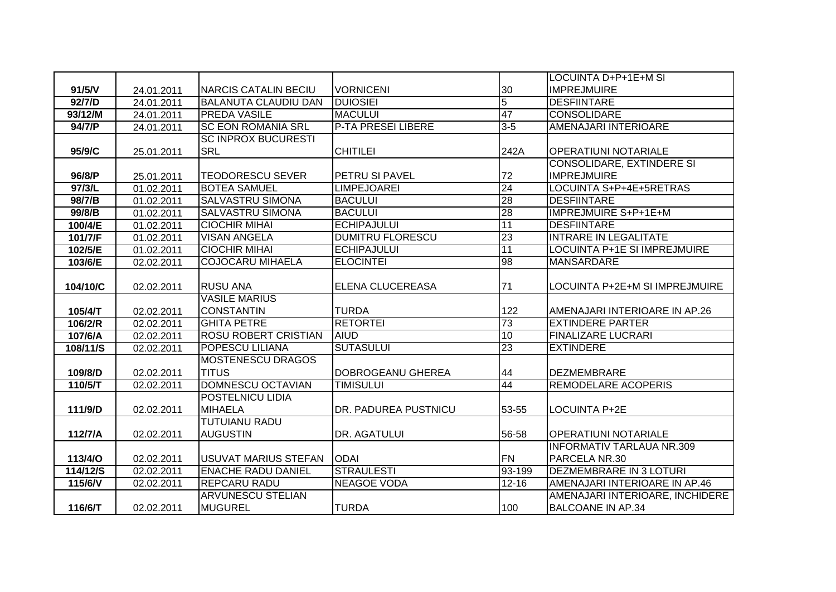|          |            |                             |                           |                 | LOCUINTA D+P+1E+M SI             |
|----------|------------|-----------------------------|---------------------------|-----------------|----------------------------------|
| 91/5/V   | 24.01.2011 | <b>NARCIS CATALIN BECIU</b> | <b>VORNICENI</b>          | 30              | <b>IMPREJMUIRE</b>               |
| 92/7/D   | 24.01.2011 | <b>BALANUTA CLAUDIU DAN</b> | <b>DUIOSIEI</b>           | $\overline{5}$  | <b>DESFIINTARE</b>               |
| 93/12/M  | 24.01.2011 | <b>PREDA VASILE</b>         | <b>MACULUI</b>            | 47              | <b>CONSOLIDARE</b>               |
| 94/7/P   | 24.01.2011 | <b>SC EON ROMANIA SRL</b>   | <b>P-TA PRESEI LIBERE</b> | $3 - 5$         | AMENAJARI INTERIOARE             |
|          |            | <b>SC INPROX BUCURESTI</b>  |                           |                 |                                  |
| 95/9/C   | 25.01.2011 | <b>SRL</b>                  | <b>CHITILEI</b>           | 242A            | <b>OPERATIUNI NOTARIALE</b>      |
|          |            |                             |                           |                 | <b>CONSOLIDARE, EXTINDERE SI</b> |
| 96/8/P   | 25.01.2011 | <b>TEODORESCU SEVER</b>     | PETRU SI PAVEL            | 72              | <b>IMPREJMUIRE</b>               |
| 97/3/L   | 01.02.2011 | <b>BOTEA SAMUEL</b>         | <b>LIMPEJOAREI</b>        | $\overline{24}$ | LOCUINTA S+P+4E+5RETRAS          |
| 98/7/B   | 01.02.2011 | <b>SALVASTRU SIMONA</b>     | <b>BACULUI</b>            | 28              | <b>DESFIINTARE</b>               |
| 99/8/B   | 01.02.2011 | <b>SALVASTRU SIMONA</b>     | <b>BACULUI</b>            | 28              | <b>IMPREJMUIRE S+P+1E+M</b>      |
| 100/4/E  | 01.02.2011 | <b>CIOCHIR MIHAI</b>        | <b>ECHIPAJULUI</b>        | 11              | <b>DESFIINTARE</b>               |
| 101/7/F  | 01.02.2011 | <b>VISAN ANGELA</b>         | <b>DUMITRU FLORESCU</b>   | 23              | <b>INTRARE IN LEGALITATE</b>     |
| 102/5/E  | 01.02.2011 | <b>CIOCHIR MIHAI</b>        | <b>ECHIPAJULUI</b>        | 11              | LOCUINTA P+1E SI IMPREJMUIRE     |
| 103/6/E  | 02.02.2011 | <b>COJOCARU MIHAELA</b>     | <b>ELOCINTEI</b>          | 98              | <b>MANSARDARE</b>                |
|          |            |                             |                           |                 |                                  |
| 104/10/C | 02.02.2011 | <b>RUSU ANA</b>             | ELENA CLUCEREASA          | 71              | LOCUINTA P+2E+M SI IMPREJMUIRE   |
|          |            |                             |                           |                 |                                  |
|          |            | <b>VASILE MARIUS</b>        |                           |                 |                                  |
| 105/4/T  | 02.02.2011 | <b>CONSTANTIN</b>           | <b>TURDA</b>              | 122             | AMENAJARI INTERIOARE IN AP.26    |
| 106/2/R  | 02.02.2011 | <b>GHITA PETRE</b>          | <b>RETORTEI</b>           | 73              | <b>EXTINDERE PARTER</b>          |
| 107/6/A  | 02.02.2011 | <b>ROSU ROBERT CRISTIAN</b> | <b>AIUD</b>               | 10              | <b>FINALIZARE LUCRARI</b>        |
| 108/11/S | 02.02.2011 | POPESCU LILIANA             | <b>SUTASULUI</b>          | 23              | <b>EXTINDERE</b>                 |
|          |            | <b>MOSTENESCU DRAGOS</b>    |                           |                 |                                  |
| 109/8/D  | 02.02.2011 | <b>TITUS</b>                | DOBROGEANU GHEREA         | 44              | <b>DEZMEMBRARE</b>               |
| 110/5/T  | 02.02.2011 | <b>DOMNESCU OCTAVIAN</b>    | <b>TIMISULUI</b>          | 44              | <b>REMODELARE ACOPERIS</b>       |
|          |            | <b>POSTELNICU LIDIA</b>     |                           |                 |                                  |
| 111/9/D  | 02.02.2011 | <b>MIHAELA</b>              | DR. PADUREA PUSTNICU      | 53-55           | <b>LOCUINTA P+2E</b>             |
|          |            | <b>TUTUIANU RADU</b>        |                           |                 |                                  |
| 112/7/A  | 02.02.2011 | <b>AUGUSTIN</b>             | DR. AGATULUI              | 56-58           | <b>OPERATIUNI NOTARIALE</b>      |
|          |            |                             |                           |                 | <b>INFORMATIV TARLAUA NR.309</b> |
| 113/4/O  | 02.02.2011 | USUVAT MARIUS STEFAN        | <b>ODAI</b>               | <b>FN</b>       | PARCELA NR.30                    |
| 114/12/S | 02.02.2011 | <b>ENACHE RADU DANIEL</b>   | <b>STRAULESTI</b>         | $93 - 199$      | <b>DEZMEMBRARE IN 3 LOTURI</b>   |
| 115/6/V  | 02.02.2011 | <b>REPCARU RADU</b>         | <b>NEAGOE VODA</b>        | $12 - 16$       | AMENAJARI INTERIOARE IN AP.46    |
|          |            | <b>ARVUNESCU STELIAN</b>    |                           |                 | AMENAJARI INTERIOARE, INCHIDERE  |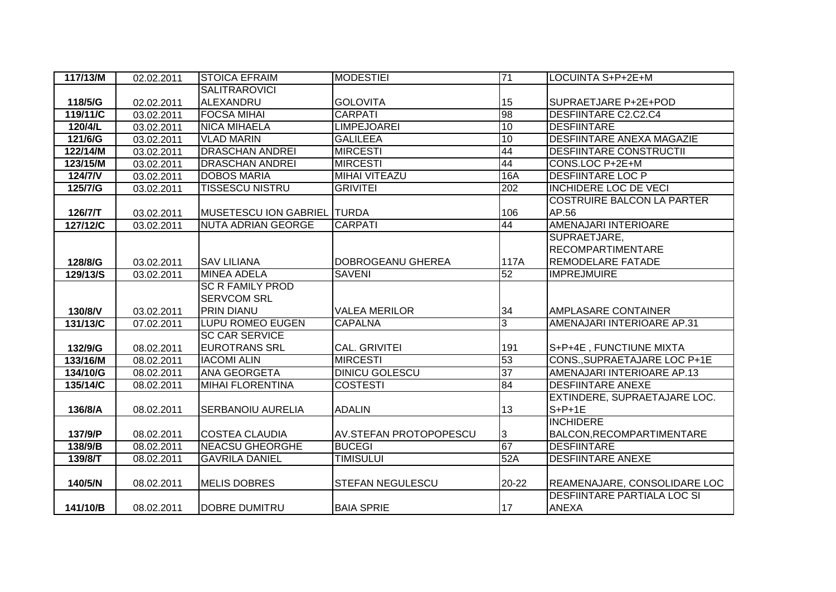| 117/13/M | 02.02.2011 | <b>STOICA EFRAIM</b>               | <b>MODESTIEI</b>              | $\overline{71}$  | LOCUINTA S+P+2E+M                 |
|----------|------------|------------------------------------|-------------------------------|------------------|-----------------------------------|
|          |            | <b>SALITRAROVICI</b>               |                               |                  |                                   |
| 118/5/G  | 02.02.2011 | ALEXANDRU                          | <b>GOLOVITA</b>               | 15               | SUPRAETJARE P+2E+POD              |
| 119/11/C | 03.02.2011 | <b>FOCSA MIHAI</b>                 | <b>CARPATI</b>                | 98               | DESFIINTARE C2.C2.C4              |
| 120/4/L  | 03.02.2011 | <b>NICA MIHAELA</b>                | <b>LIMPEJOAREI</b>            | $\overline{10}$  | <b>DESFIINTARE</b>                |
| 121/6/G  | 03.02.2011 | <b>VLAD MARIN</b>                  | <b>GALILEEA</b>               | 10               | <b>DESFIINTARE ANEXA MAGAZIE</b>  |
| 122/14/M | 03.02.2011 | <b>DRASCHAN ANDREI</b>             | <b>MIRCESTI</b>               | 44               | <b>DESFIINTARE CONSTRUCTII</b>    |
| 123/15/M | 03.02.2011 | <b>DRASCHAN ANDREI</b>             | <b>MIRCESTI</b>               | 44               | CONS.LOC P+2E+M                   |
| $124/7N$ | 03.02.2011 | <b>DOBOS MARIA</b>                 | <b>MIHAI VITEAZU</b>          | 16A              | <b>DESFIINTARE LOC P</b>          |
| 125/7/G  | 03.02.2011 | <b>TISSESCU NISTRU</b>             | <b>GRIVITEI</b>               | $\overline{202}$ | <b>INCHIDERE LOC DE VECI</b>      |
|          |            |                                    |                               |                  | <b>COSTRUIRE BALCON LA PARTER</b> |
| 126/7/T  | 03.02.2011 | <b>MUSETESCU ION GABRIEL TURDA</b> |                               | 106              | AP.56                             |
| 127/12/C | 03.02.2011 | <b>NUTA ADRIAN GEORGE</b>          | <b>CARPATI</b>                | 44               | AMENAJARI INTERIOARE              |
|          |            |                                    |                               |                  | SUPRAETJARE,                      |
|          |            |                                    |                               |                  | <b>RECOMPARTIMENTARE</b>          |
| 128/8/G  | 03.02.2011 | <b>SAV LILIANA</b>                 | DOBROGEANU GHEREA             | 117A             | REMODELARE FATADE                 |
| 129/13/S | 03.02.2011 | <b>MINEA ADELA</b>                 | <b>SAVENI</b>                 | 52               | <b>IMPREJMUIRE</b>                |
|          |            | <b>SC R FAMILY PROD</b>            |                               |                  |                                   |
|          |            | <b>SERVCOM SRL</b>                 |                               |                  |                                   |
| 130/8/V  | 03.02.2011 | <b>PRIN DIANU</b>                  | <b>VALEA MERILOR</b>          | 34               | <b>AMPLASARE CONTAINER</b>        |
| 131/13/C | 07.02.2011 | <b>LUPU ROMEO EUGEN</b>            | <b>CAPALNA</b>                | 3                | AMENAJARI INTERIOARE AP.31        |
|          |            | <b>SC CAR SERVICE</b>              |                               |                  |                                   |
| 132/9/G  | 08.02.2011 | <b>EUROTRANS SRL</b>               | <b>CAL. GRIVITEI</b>          | 191              | S+P+4E, FUNCTIUNE MIXTA           |
| 133/16/M | 08.02.2011 | <b>IACOMI ALIN</b>                 | <b>MIRCESTI</b>               | 53               | CONS., SUPRAETAJARE LOC P+1E      |
| 134/10/G | 08.02.2011 | <b>ANA GEORGETA</b>                | <b>DINICU GOLESCU</b>         | $\overline{37}$  | AMENAJARI INTERIOARE AP.13        |
| 135/14/C | 08.02.2011 | <b>MIHAI FLORENTINA</b>            | <b>COSTESTI</b>               | 84               | <b>DESFIINTARE ANEXE</b>          |
|          |            |                                    |                               |                  | EXTINDERE, SUPRAETAJARE LOC.      |
| 136/8/A  | 08.02.2011 | <b>SERBANOIU AURELIA</b>           | <b>ADALIN</b>                 | 13               | $S+P+1E$                          |
|          |            |                                    |                               |                  | <b>INCHIDERE</b>                  |
| 137/9/P  | 08.02.2011 | <b>COSTEA CLAUDIA</b>              | <b>AV.STEFAN PROTOPOPESCU</b> | 3                | BALCON, RECOMPARTIMENTARE         |
| 138/9/B  | 08.02.2011 | <b>NEACSU GHEORGHE</b>             | <b>BUCEGI</b>                 | 67               | <b>DESFIINTARE</b>                |
| 139/8/T  | 08.02.2011 | <b>GAVRILA DANIEL</b>              | <b>TIMISULUI</b>              | 52A              | <b>DESFIINTARE ANEXE</b>          |
|          |            |                                    |                               |                  |                                   |
| 140/5/N  | 08.02.2011 | <b>MELIS DOBRES</b>                | <b>STEFAN NEGULESCU</b>       | 20-22            | REAMENAJARE, CONSOLIDARE LOC      |
|          |            |                                    |                               |                  | DESFIINTARE PARTIALA LOC SI       |
| 141/10/B | 08.02.2011 | <b>DOBRE DUMITRU</b>               | <b>BAIA SPRIE</b>             | 17               | ANEXA                             |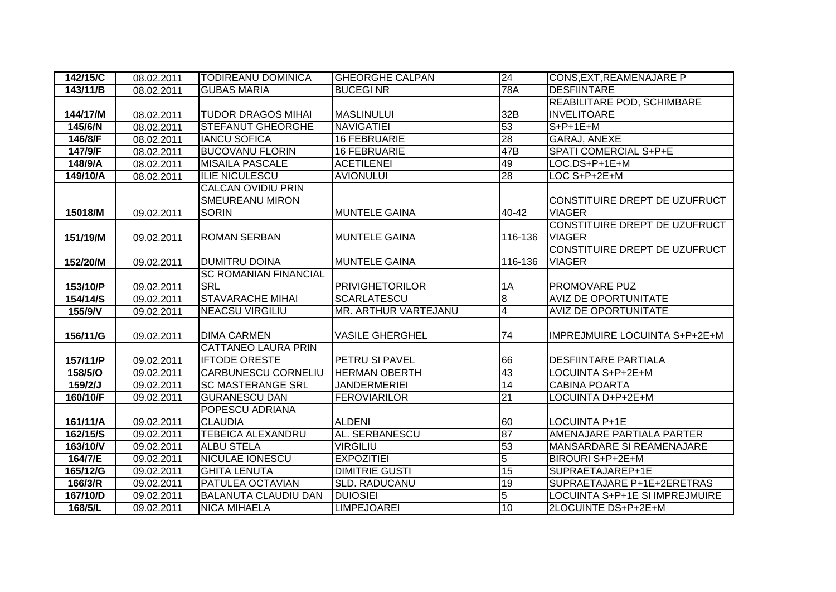| 142/15/C | 08.02.2011 | <b>TODIREANU DOMINICA</b>    | <b>GHEORGHE CALPAN</b> | 24             | <b>CONS, EXT, REAMENAJARE P</b> |
|----------|------------|------------------------------|------------------------|----------------|---------------------------------|
| 143/11/B | 08.02.2011 | <b>GUBAS MARIA</b>           | <b>BUCEGINR</b>        | <b>78A</b>     | <b>DESFIINTARE</b>              |
|          |            |                              |                        |                | REABILITARE POD, SCHIMBARE      |
| 144/17/M | 08.02.2011 | <b>TUDOR DRAGOS MIHAI</b>    | <b>MASLINULUI</b>      | 32B            | <b>INVELITOARE</b>              |
| 145/6/N  | 08.02.2011 | <b>STEFANUT GHEORGHE</b>     | <b>NAVIGATIEI</b>      | 53             | $S+P+1E+M$                      |
| 146/8/F  | 08.02.2011 | <b>IANCU SOFICA</b>          | <b>16 FEBRUARIE</b>    | 28             | <b>GARAJ, ANEXE</b>             |
| 147/9/F  | 08.02.2011 | <b>BUCOVANU FLORIN</b>       | <b>16 FEBRUARIE</b>    | 47B            | <b>SPATI COMERCIAL S+P+E</b>    |
| 148/9/A  | 08.02.2011 | <b>MISAILA PASCALE</b>       | <b>ACETILENEI</b>      | 49             | LOC.DS+P+1E+M                   |
| 149/10/A | 08.02.2011 | <b>ILIE NICULESCU</b>        | <b>AVIONULUI</b>       | 28             | LOC S+P+2E+M                    |
|          |            | <b>CALCAN OVIDIU PRIN</b>    |                        |                |                                 |
|          |            | <b>SMEUREANU MIRON</b>       |                        |                | CONSTITUIRE DREPT DE UZUFRUCT   |
| 15018/M  | 09.02.2011 | <b>SORIN</b>                 | <b>MUNTELE GAINA</b>   | 40-42          | <b>VIAGER</b>                   |
|          |            |                              |                        |                | CONSTITUIRE DREPT DE UZUFRUCT   |
| 151/19/M | 09.02.2011 | <b>ROMAN SERBAN</b>          | <b>MUNTELE GAINA</b>   | 116-136        | <b>VIAGER</b>                   |
|          |            |                              |                        |                | CONSTITUIRE DREPT DE UZUFRUCT   |
| 152/20/M | 09.02.2011 | <b>DUMITRU DOINA</b>         | <b>MUNTELE GAINA</b>   | 116-136        | <b>VIAGER</b>                   |
|          |            | <b>SC ROMANIAN FINANCIAL</b> |                        |                |                                 |
| 153/10/P | 09.02.2011 | <b>SRL</b>                   | <b>PRIVIGHETORILOR</b> | 1A             | <b>PROMOVARE PUZ</b>            |
|          |            |                              |                        |                |                                 |
| 154/14/S | 09.02.2011 | <b>STAVARACHE MIHAI</b>      | <b>SCARLATESCU</b>     | $\bf{8}$       | <b>AVIZ DE OPORTUNITATE</b>     |
| 155/9/V  | 09.02.2011 | <b>NEACSU VIRGILIU</b>       | MR. ARTHUR VARTEJANU   | $\overline{4}$ | <b>AVIZ DE OPORTUNITATE</b>     |
|          |            |                              |                        |                |                                 |
| 156/11/G | 09.02.2011 | <b>DIMA CARMEN</b>           | <b>VASILE GHERGHEL</b> | 74             | IMPREJMUIRE LOCUINTA S+P+2E+M   |
|          |            | CATTANEO LAURA PRIN          |                        |                |                                 |
| 157/11/P | 09.02.2011 | <b>IFTODE ORESTE</b>         | PETRU SI PAVEL         | 66             | <b>DESFIINTARE PARTIALA</b>     |
| 158/5/O  | 09.02.2011 | <b>CARBUNESCU CORNELIU</b>   | <b>HERMAN OBERTH</b>   | 43             | LOCUINTA S+P+2E+M               |
| 159/2/J  | 09.02.2011 | <b>SC MASTERANGE SRL</b>     | <b>JANDERMERIEI</b>    | 14             | <b>CABINA POARTA</b>            |
| 160/10/F | 09.02.2011 | <b>GURANESCU DAN</b>         | <b>FEROVIARILOR</b>    | 21             | LOCUINTA D+P+2E+M               |
|          |            | POPESCU ADRIANA              |                        |                |                                 |
| 161/11/A | 09.02.2011 | <b>CLAUDIA</b>               | <b>ALDENI</b>          | 60             | <b>LOCUINTA P+1E</b>            |
| 162/15/S | 09.02.2011 | <b>TEBEICA ALEXANDRU</b>     | <b>AL. SERBANESCU</b>  | 87             | AMENAJARE PARTIALA PARTER       |
| 163/10/V | 09.02.2011 | <b>ALBU STELA</b>            | <b>VIRGILIU</b>        | 53             | MANSARDARE SI REAMENAJARE       |
| 164/7/E  | 09.02.2011 | <b>NICULAE IONESCU</b>       | <b>EXPOZITIEI</b>      | $\overline{5}$ | BIROURI S+P+2E+M                |
| 165/12/G | 09.02.2011 | <b>GHITA LENUTA</b>          | <b>DIMITRIE GUSTI</b>  | 15             | SUPRAETAJAREP+1E                |
| 166/3/R  | 09.02.2011 | <b>PATULEA OCTAVIAN</b>      | <b>SLD. RADUCANU</b>   | 19             | SUPRAETAJARE P+1E+2ERETRAS      |
| 167/10/D | 09.02.2011 | <b>BALANUTA CLAUDIU DAN</b>  | <b>DUIOSIEI</b>        | $\overline{5}$ | LOCUINTA S+P+1E SI IMPREJMUIRE  |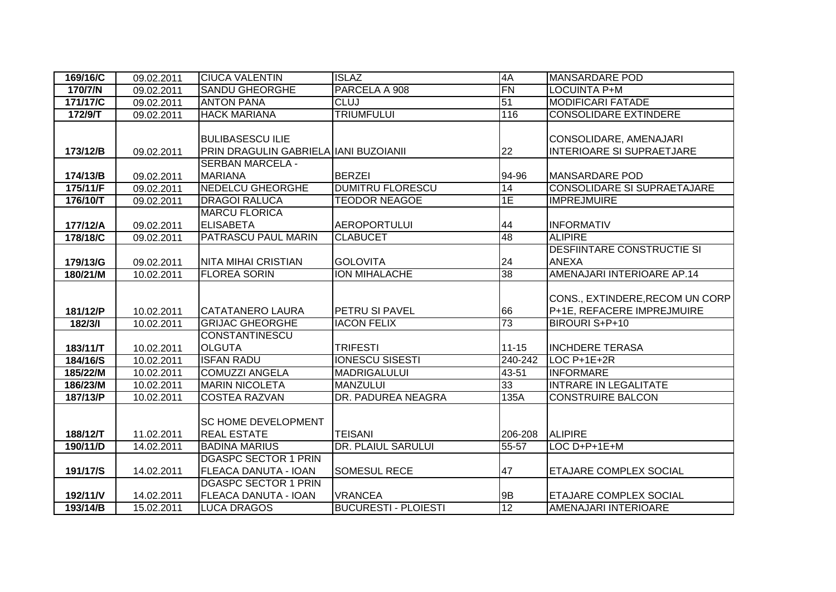| 169/16/C | 09.02.2011 | <b>CIUCA VALENTIN</b>                 | <b>ISLAZ</b>                | 4A        | <b>MANSARDARE POD</b>              |
|----------|------------|---------------------------------------|-----------------------------|-----------|------------------------------------|
| 170/7/N  | 09.02.2011 | <b>SANDU GHEORGHE</b>                 | PARCELA A 908               | <b>FN</b> | LOCUINTA P+M                       |
| 171/17/C | 09.02.2011 | <b>ANTON PANA</b>                     | <b>CLUJ</b>                 | 51        | <b>MODIFICARI FATADE</b>           |
| 172/9/T  | 09.02.2011 | <b>HACK MARIANA</b>                   | <b>TRIUMFULUI</b>           | 116       | <b>CONSOLIDARE EXTINDERE</b>       |
|          |            |                                       |                             |           |                                    |
|          |            | <b>BULIBASESCU ILIE</b>               |                             |           | CONSOLIDARE, AMENAJARI             |
| 173/12/B | 09.02.2011 | PRIN DRAGULIN GABRIELA IANI BUZOIANII |                             | 22        | <b>INTERIOARE SI SUPRAETJARE</b>   |
|          |            | <b>SERBAN MARCELA -</b>               |                             |           |                                    |
| 174/13/B | 09.02.2011 | <b>MARIANA</b>                        | <b>BERZEI</b>               | 94-96     | <b>MANSARDARE POD</b>              |
| 175/11/F | 09.02.2011 | <b>NEDELCU GHEORGHE</b>               | <b>DUMITRU FLORESCU</b>     | 14        | <b>CONSOLIDARE SI SUPRAETAJARE</b> |
| 176/10/T | 09.02.2011 | <b>DRAGOI RALUCA</b>                  | <b>TEODOR NEAGOE</b>        | 1E        | <b>IMPREJMUIRE</b>                 |
|          |            | <b>MARCU FLORICA</b>                  |                             |           |                                    |
| 177/12/A | 09.02.2011 | <b>ELISABETA</b>                      | <b>AEROPORTULUI</b>         | 44        | <b>INFORMATIV</b>                  |
| 178/18/C | 09.02.2011 | PATRASCU PAUL MARIN                   | <b>CLABUCET</b>             | 48        | <b>ALIPIRE</b>                     |
|          |            |                                       |                             |           | <b>DESFIINTARE CONSTRUCTIE SI</b>  |
| 179/13/G | 09.02.2011 | <b>NITA MIHAI CRISTIAN</b>            | <b>GOLOVITA</b>             | 24        | <b>ANEXA</b>                       |
| 180/21/M | 10.02.2011 | <b>FLOREA SORIN</b>                   | <b>ION MIHALACHE</b>        | 38        | AMENAJARI INTERIOARE AP.14         |
|          |            |                                       |                             |           |                                    |
|          |            |                                       |                             |           | CONS., EXTINDERE, RECOM UN CORP    |
| 181/12/P | 10.02.2011 | <b>CATATANERO LAURA</b>               | PETRU SI PAVEL              | 66        | P+1E, REFACERE IMPREJMUIRE         |
| 182/3/1  | 10.02.2011 | <b>GRIJAC GHEORGHE</b>                | <b>IACON FELIX</b>          | 73        | BIROURI S+P+10                     |
|          |            | CONSTANTINESCU                        |                             |           |                                    |
| 183/11/T | 10.02.2011 | <b>OLGUTA</b>                         | <b>TRIFESTI</b>             | $11 - 15$ | <b>INCHDERE TERASA</b>             |
| 184/16/S | 10.02.2011 | <b>ISFAN RADU</b>                     | <b>IONESCU SISESTI</b>      | 240-242   | LOC P+1E+2R                        |
| 185/22/M | 10.02.2011 | <b>COMUZZI ANGELA</b>                 | <b>MADRIGALULUI</b>         | 43-51     | <b>INFORMARE</b>                   |
| 186/23/M | 10.02.2011 | <b>MARIN NICOLETA</b>                 | <b>MANZULUI</b>             | 33        | <b>INTRARE IN LEGALITATE</b>       |
| 187/13/P | 10.02.2011 | <b>COSTEA RAZVAN</b>                  | DR. PADUREA NEAGRA          | 135A      | <b>CONSTRUIRE BALCON</b>           |
|          |            |                                       |                             |           |                                    |
|          |            | <b>SC HOME DEVELOPMENT</b>            |                             |           |                                    |
| 188/12/T | 11.02.2011 | <b>REAL ESTATE</b>                    | <b>TEISANI</b>              | 206-208   | <b>ALIPIRE</b>                     |
| 190/11/D | 14.02.2011 | <b>BADINA MARIUS</b>                  | <b>DR. PLAIUL SARULUI</b>   | 55-57     | LOC D+P+1E+M                       |
|          |            | <b>DGASPC SECTOR 1 PRIN</b>           |                             |           |                                    |
| 191/17/S | 14.02.2011 | <b>FLEACA DANUTA - IOAN</b>           | <b>SOMESUL RECE</b>         | 47        | <b>ETAJARE COMPLEX SOCIAL</b>      |
|          |            | <b>DGASPC SECTOR 1 PRIN</b>           |                             |           |                                    |
| 192/11/V | 14.02.2011 | <b>FLEACA DANUTA - IOAN</b>           | <b>VRANCEA</b>              | 9B        | ETAJARE COMPLEX SOCIAL             |
| 193/14/B | 15.02.2011 | <b>LUCA DRAGOS</b>                    | <b>BUCURESTI - PLOIESTI</b> | 12        | AMENAJARI INTERIOARE               |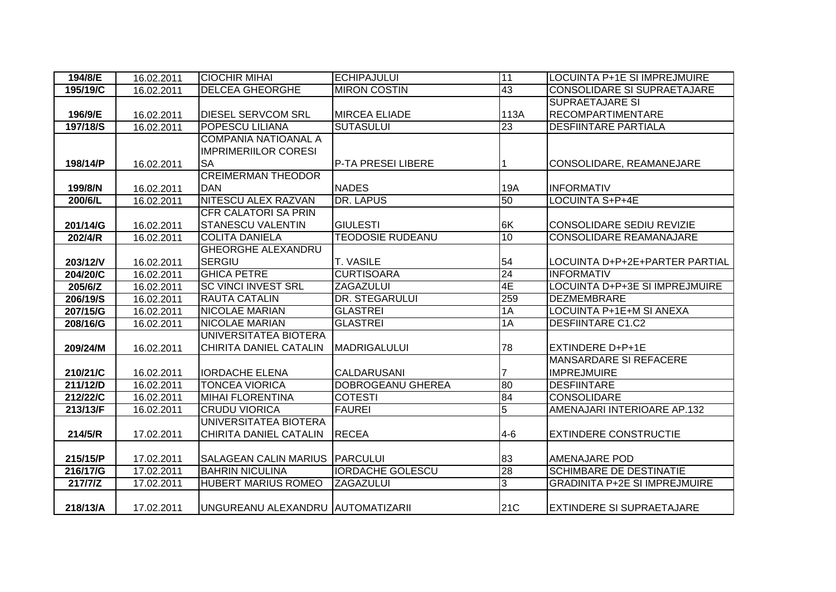| 194/8/E  | 16.02.2011 | <b>CIOCHIR MIHAI</b>              | <b>ECHIPAJULUI</b>       | 11             | LOCUINTA P+1E SI IMPREJMUIRE         |
|----------|------------|-----------------------------------|--------------------------|----------------|--------------------------------------|
| 195/19/C | 16.02.2011 | <b>DELCEA GHEORGHE</b>            | <b>MIRON COSTIN</b>      | 43             | <b>CONSOLIDARE SI SUPRAETAJARE</b>   |
|          |            |                                   |                          |                | <b>SUPRAETAJARE SI</b>               |
| 196/9/E  | 16.02.2011 | <b>DIESEL SERVCOM SRL</b>         | <b>MIRCEA ELIADE</b>     | 113A           | <b>RECOMPARTIMENTARE</b>             |
| 197/18/S | 16.02.2011 | <b>POPESCU LILIANA</b>            | <b>SUTASULUI</b>         | 23             | <b>DESFIINTARE PARTIALA</b>          |
|          |            | <b>COMPANIA NATIOANAL A</b>       |                          |                |                                      |
|          |            | <b>IMPRIMERIILOR CORESI</b>       |                          |                |                                      |
| 198/14/P | 16.02.2011 | <b>SA</b>                         | P-TA PRESEI LIBERE       |                | CONSOLIDARE, REAMANEJARE             |
|          |            | <b>CREIMERMAN THEODOR</b>         |                          |                |                                      |
| 199/8/N  | 16.02.2011 | <b>DAN</b>                        | <b>NADES</b>             | 19A            | <b>INFORMATIV</b>                    |
| 200/6/L  | 16.02.2011 | NITESCU ALEX RAZVAN               | <b>DR. LAPUS</b>         | 50             | <b>LOCUINTA S+P+4E</b>               |
|          |            | <b>CFR CALATORI SA PRIN</b>       |                          |                |                                      |
| 201/14/G | 16.02.2011 | <b>STANESCU VALENTIN</b>          | <b>GIULESTI</b>          | 6K             | <b>CONSOLIDARE SEDIU REVIZIE</b>     |
| 202/4/R  | 16.02.2011 | <b>COLITA DANIELA</b>             | <b>TEODOSIE RUDEANU</b>  | 10             | <b>CONSOLIDARE REAMANAJARE</b>       |
|          |            | <b>GHEORGHE ALEXANDRU</b>         |                          |                |                                      |
| 203/12/V | 16.02.2011 | <b>SERGIU</b>                     | T. VASILE                | 54             | LOCUINTA D+P+2E+PARTER PARTIAL       |
| 204/20/C | 16.02.2011 | <b>GHICA PETRE</b>                | <b>CURTISOARA</b>        | 24             | <b>INFORMATIV</b>                    |
| 205/6/Z  | 16.02.2011 | <b>SC VINCI INVEST SRL</b>        | ZAGAZULUI                | 4E             | LOCUINTA D+P+3E SI IMPREJMUIRE       |
| 206/19/S | 16.02.2011 | <b>RAUTA CATALIN</b>              | DR. STEGARULUI           | 259            | <b>DEZMEMBRARE</b>                   |
| 207/15/G | 16.02.2011 | <b>NICOLAE MARIAN</b>             | <b>GLASTREI</b>          | 1A             | LOCUINTA P+1E+M SI ANEXA             |
| 208/16/G | 16.02.2011 | <b>NICOLAE MARIAN</b>             | <b>GLASTREI</b>          | 1A             | <b>DESFIINTARE C1.C2</b>             |
|          |            | UNIVERSITATEA BIOTERA             |                          |                |                                      |
| 209/24/M | 16.02.2011 | CHIRITA DANIEL CATALIN            | <b>MADRIGALULUI</b>      | 78             | <b>EXTINDERE D+P+1E</b>              |
|          |            |                                   |                          |                | <b>MANSARDARE SI REFACERE</b>        |
| 210/21/C | 16.02.2011 | <b>IORDACHE ELENA</b>             | CALDARUSANI              | $\overline{7}$ | <b>IMPREJMUIRE</b>                   |
| 211/12/D | 16.02.2011 | <b>TONCEA VIORICA</b>             | <b>DOBROGEANU GHEREA</b> | 80             | DESFIINTARE                          |
| 212/22/C | 16.02.2011 | <b>MIHAI FLORENTINA</b>           | <b>COTESTI</b>           | 84             | <b>CONSOLIDARE</b>                   |
| 213/13/F | 16.02.2011 | <b>CRUDU VIORICA</b>              | <b>FAUREI</b>            | 5              | AMENAJARI INTERIOARE AP.132          |
|          |            | UNIVERSITATEA BIOTERA             |                          |                |                                      |
| 214/5/R  | 17.02.2011 | CHIRITA DANIEL CATALIN            | <b>RECEA</b>             | $4 - 6$        | <b>EXTINDERE CONSTRUCTIE</b>         |
|          |            |                                   |                          |                |                                      |
| 215/15/P | 17.02.2011 | <b>SALAGEAN CALIN MARIUS</b>      | PARCULUI                 | 83             | <b>AMENAJARE POD</b>                 |
| 216/17/G | 17.02.2011 | <b>BAHRIN NICULINA</b>            | <b>IORDACHE GOLESCU</b>  | 28             | <b>SCHIMBARE DE DESTINATIE</b>       |
| 217/7/Z  | 17.02.2011 | <b>HUBERT MARIUS ROMEO</b>        | <b>ZAGAZULUI</b>         | بن             | <b>GRADINITA P+2E SI IMPREJMUIRE</b> |
| 218/13/A | 17.02.2011 | UNGUREANU ALEXANDRU AUTOMATIZARII |                          | 21C            | <b>EXTINDERE SI SUPRAETAJARE</b>     |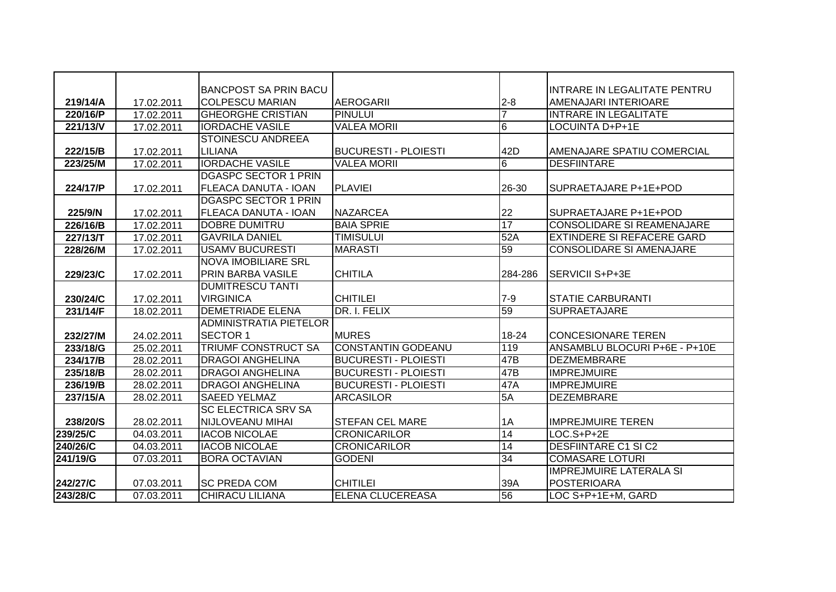|          |            | <b>BANCPOST SA PRIN BACU</b> |                             |                 | INTRARE IN LEGALITATE PENTRU      |
|----------|------------|------------------------------|-----------------------------|-----------------|-----------------------------------|
| 219/14/A | 17.02.2011 | <b>COLPESCU MARIAN</b>       | <b>AEROGARII</b>            | $2 - 8$         | AMENAJARI INTERIOARE              |
| 220/16/P | 17.02.2011 | <b>GHEORGHE CRISTIAN</b>     | <b>PINULUI</b>              |                 | <b>INTRARE IN LEGALITATE</b>      |
| 221/13/V | 17.02.2011 | <b>IORDACHE VASILE</b>       | <b>VALEA MORIL</b>          | 6               | LOCUINTA D+P+1E                   |
|          |            | <b>STOINESCU ANDREEA</b>     |                             |                 |                                   |
| 222/15/B | 17.02.2011 | LILIANA                      | <b>BUCURESTI - PLOIESTI</b> | 42D             | AMENAJARE SPATIU COMERCIAL        |
| 223/25/M | 17.02.2011 | <b>IORDACHE VASILE</b>       | <b>VALEA MORII</b>          | 6               | <b>DESFIINTARE</b>                |
|          |            | <b>DGASPC SECTOR 1 PRIN</b>  |                             |                 |                                   |
| 224/17/P | 17.02.2011 | FLEACA DANUTA - IOAN         | <b>PLAVIEI</b>              | 26-30           | SUPRAETAJARE P+1E+POD             |
|          |            | <b>DGASPC SECTOR 1 PRIN</b>  |                             |                 |                                   |
| 225/9/N  | 17.02.2011 | FLEACA DANUTA - IOAN         | <b>NAZARCEA</b>             | 22              | SUPRAETAJARE P+1E+POD             |
| 226/16/B | 17.02.2011 | <b>DOBRE DUMITRU</b>         | <b>BAIA SPRIE</b>           | 17              | <b>CONSOLIDARE SI REAMENAJARE</b> |
| 227/13/T | 17.02.2011 | <b>GAVRILA DANIEL</b>        | <b>TIMISULUI</b>            | 52A             | <b>EXTINDERE SI REFACERE GARD</b> |
| 228/26/M | 17.02.2011 | <b>USAMV BUCURESTI</b>       | <b>MARASTI</b>              | 59              | <b>CONSOLIDARE SI AMENAJARE</b>   |
|          |            | <b>NOVA IMOBILIARE SRL</b>   |                             |                 |                                   |
| 229/23/C | 17.02.2011 | <b>PRIN BARBA VASILE</b>     | <b>CHITILA</b>              | 284-286         | SERVICII S+P+3E                   |
|          |            | <b>DUMITRESCU TANTI</b>      |                             |                 |                                   |
| 230/24/C | 17.02.2011 | <b>VIRGINICA</b>             | <b>CHITILEI</b>             | $7-9$           | <b>STATIE CARBURANTI</b>          |
| 231/14/F | 18.02.2011 | <b>DEMETRIADE ELENA</b>      | DR. I. FELIX                | 59              | <b>SUPRAETAJARE</b>               |
|          |            | ADMINISTRATIA PIETELOR       |                             |                 |                                   |
| 232/27/M | 24.02.2011 | <b>SECTOR 1</b>              | <b>MURES</b>                | 18-24           | <b>CONCESIONARE TEREN</b>         |
| 233/18/G | 25.02.2011 | <b>TRIUMF CONSTRUCT SA</b>   | <b>CONSTANTIN GODEANU</b>   | 119             | ANSAMBLU BLOCURI P+6E - P+10E     |
| 234/17/B | 28.02.2011 | <b>DRAGOI ANGHELINA</b>      | <b>BUCURESTI - PLOIESTI</b> | 47B             | <b>DEZMEMBRARE</b>                |
| 235/18/B | 28.02.2011 | <b>DRAGOI ANGHELINA</b>      | <b>BUCURESTI - PLOIESTI</b> | 47B             | <b>IMPREJMUIRE</b>                |
| 236/19/B | 28.02.2011 | <b>DRAGOI ANGHELINA</b>      | <b>BUCURESTI - PLOIESTI</b> | 47A             | <b>IMPREJMUIRE</b>                |
| 237/15/A | 28.02.2011 | <b>SAEED YELMAZ</b>          | <b>ARCASILOR</b>            | 5A              | <b>DEZEMBRARE</b>                 |
|          |            | <b>SC ELECTRICA SRV SA</b>   |                             |                 |                                   |
| 238/20/S | 28.02.2011 | NIJLOVEANU MIHAI             | <b>STEFAN CEL MARE</b>      | 1A              | <b>IMPREJMUIRE TEREN</b>          |
| 239/25/C | 04.03.2011 | <b>IACOB NICOLAE</b>         | <b>CRONICARILOR</b>         | 14              | $LOG. S+P+2E$                     |
| 240/26/C | 04.03.2011 | <b>IACOB NICOLAE</b>         | <b>CRONICARILOR</b>         | $\overline{14}$ | <b>DESFIINTARE C1 SI C2</b>       |
| 241/19/G | 07.03.2011 | <b>BORA OCTAVIAN</b>         | <b>GODENI</b>               | $\overline{34}$ | <b>COMASARE LOTURI</b>            |
|          |            |                              |                             |                 | <b>IMPREJMUIRE LATERALA SI</b>    |
| 242/27/C | 07.03.2011 | <b>SC PREDA COM</b>          | <b>CHITILEI</b>             | 39A             | <b>POSTERIOARA</b>                |
| 243/28/C | 07.03.2011 | <b>CHIRACU LILIANA</b>       | <b>ELENA CLUCEREASA</b>     | 56              | LOC S+P+1E+M, GARD                |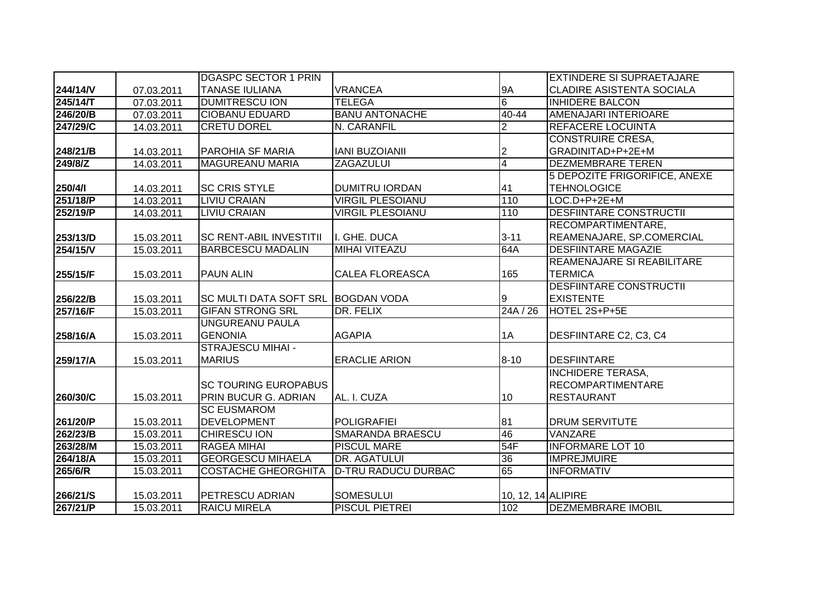|          |            | <b>DGASPC SECTOR 1 PRIN</b>        |                            |                    | <b>EXTINDERE SI SUPRAETAJARE</b> |
|----------|------------|------------------------------------|----------------------------|--------------------|----------------------------------|
| 244/14/V | 07.03.2011 | <b>TANASE IULIANA</b>              | <b>VRANCEA</b>             | <b>9A</b>          | <b>CLADIRE ASISTENTA SOCIALA</b> |
| 245/14/T | 07.03.2011 | <b>DUMITRESCU ION</b>              | <b>TELEGA</b>              | 6                  | <b>INHIDERE BALCON</b>           |
| 246/20/B | 07.03.2011 | <b>CIOBANU EDUARD</b>              | <b>BANU ANTONACHE</b>      | 40-44              | AMENAJARI INTERIOARE             |
| 247/29/C | 14.03.2011 | <b>CRETU DOREL</b>                 | N. CARANFIL                | $\overline{2}$     | <b>REFACERE LOCUINTA</b>         |
|          |            |                                    |                            |                    | <b>CONSTRUIRE CRESA,</b>         |
| 248/21/B | 14.03.2011 | <b>PAROHIA SF MARIA</b>            | <b>IANI BUZOIANII</b>      | $\overline{2}$     | GRADINITAD+P+2E+M                |
| 249/8/Z  | 14.03.2011 | <b>MAGUREANU MARIA</b>             | <b>ZAGAZULUI</b>           | $\overline{4}$     | <b>DEZMEMBRARE TEREN</b>         |
|          |            |                                    |                            |                    | 5 DEPOZITE FRIGORIFICE, ANEXE    |
| 250/4/1  | 14.03.2011 | <b>SC CRIS STYLE</b>               | <b>DUMITRU IORDAN</b>      | 41                 | <b>TEHNOLOGICE</b>               |
| 251/18/P | 14.03.2011 | <b>LIVIU CRAIAN</b>                | <b>VIRGIL PLESOIANU</b>    | 110                | LOC.D+P+2E+M                     |
| 252/19/P | 14.03.2011 | <b>LIVIU CRAIAN</b>                | <b>VIRGIL PLESOIANU</b>    | 110                | <b>DESFIINTARE CONSTRUCTII</b>   |
|          |            |                                    |                            |                    | RECOMPARTIMENTARE,               |
| 253/13/D | 15.03.2011 | <b>SC RENT-ABIL INVESTITII</b>     | I. GHE. DUCA               | $3 - 11$           | REAMENAJARE, SP.COMERCIAL        |
| 254/15/V | 15.03.2011 | <b>BARBCESCU MADALIN</b>           | <b>MIHAI VITEAZU</b>       | 64A                | <b>DESFIINTARE MAGAZIE</b>       |
|          |            |                                    |                            |                    | REAMENAJARE SI REABILITARE       |
| 255/15/F | 15.03.2011 | <b>PAUN ALIN</b>                   | <b>CALEA FLOREASCA</b>     | 165                | <b>TERMICA</b>                   |
|          |            |                                    |                            |                    | <b>DESFIINTARE CONSTRUCTII</b>   |
| 256/22/B | 15.03.2011 | SC MULTI DATA SOFT SRL BOGDAN VODA |                            | 19                 | <b>EXISTENTE</b>                 |
| 257/16/F | 15.03.2011 | <b>GIFAN STRONG SRL</b>            | DR. FELIX                  | 24A/26             | HOTEL 2S+P+5E                    |
|          |            | <b>UNGUREANU PAULA</b>             |                            |                    |                                  |
| 258/16/A | 15.03.2011 | <b>GENONIA</b>                     | <b>AGAPIA</b>              | 1A                 | DESFIINTARE C2, C3, C4           |
|          |            | <b>STRAJESCU MIHAI -</b>           |                            |                    |                                  |
| 259/17/A | 15.03.2011 | <b>MARIUS</b>                      | <b>ERACLIE ARION</b>       | $8 - 10$           | <b>DESFIINTARE</b>               |
|          |            |                                    |                            |                    | <b>INCHIDERE TERASA,</b>         |
|          |            | <b>SC TOURING EUROPABUS</b>        |                            |                    | <b>RECOMPARTIMENTARE</b>         |
| 260/30/C | 15.03.2011 | PRIN BUCUR G. ADRIAN               | AL. I. CUZA                | 10                 | <b>RESTAURANT</b>                |
|          |            | <b>SC EUSMAROM</b>                 |                            |                    |                                  |
| 261/20/P | 15.03.2011 | <b>DEVELOPMENT</b>                 | <b>POLIGRAFIEI</b>         | 81                 | <b>DRUM SERVITUTE</b>            |
| 262/23/B | 15.03.2011 | <b>CHIRESCU ION</b>                | <b>SMARANDA BRAESCU</b>    | 46                 | <b>VANZARE</b>                   |
| 263/28/M | 15.03.2011 | <b>RAGEA MIHAI</b>                 | <b>PISCUL MARE</b>         | 54F                | <b>INFORMARE LOT 10</b>          |
| 264/18/A | 15.03.2011 | <b>GEORGESCU MIHAELA</b>           | DR. AGATULUI               | 36                 | <b>IMPREJMUIRE</b>               |
| 265/6/R  | 15.03.2011 | <b>COSTACHE GHEORGHITA</b>         | <b>D-TRU RADUCU DURBAC</b> | 65                 | <b>INFORMATIV</b>                |
|          |            |                                    |                            |                    |                                  |
| 266/21/S | 15.03.2011 | PETRESCU ADRIAN                    | <b>SOMESULUI</b>           | 10, 12, 14 ALIPIRE |                                  |
| 267/21/P | 15.03.2011 | <b>RAICU MIRELA</b>                | <b>PISCUL PIETREI</b>      | 102                | <b>DEZMEMBRARE IMOBIL</b>        |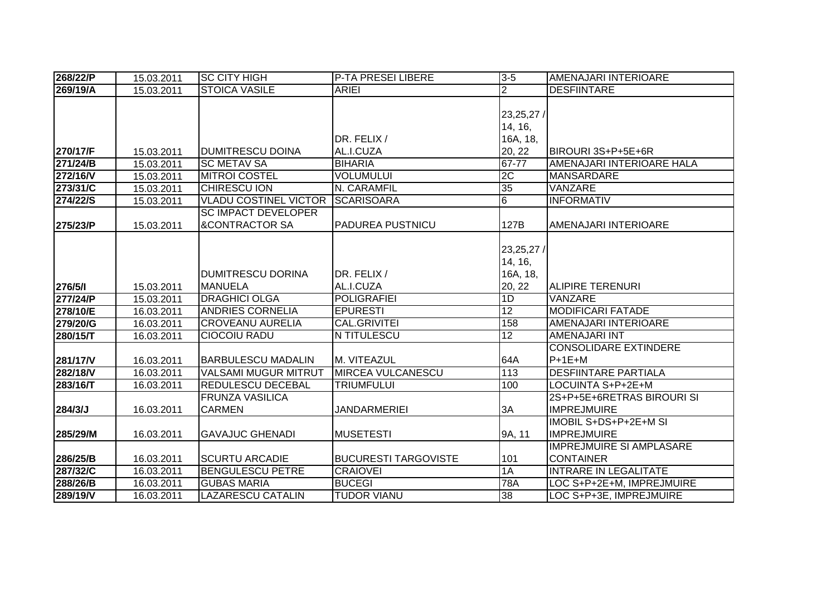| 268/22/P | 15.03.2011 | <b>SC CITY HIGH</b>          | P-TA PRESEI LIBERE          | $3 - 5$        | AMENAJARI INTERIOARE            |
|----------|------------|------------------------------|-----------------------------|----------------|---------------------------------|
| 269/19/A | 15.03.2011 | <b>STOICA VASILE</b>         | <b>ARIEI</b>                | $\overline{2}$ | <b>DESFIINTARE</b>              |
|          |            |                              |                             |                |                                 |
|          |            |                              |                             | 23,25,27/      |                                 |
|          |            |                              |                             | 14, 16,        |                                 |
|          |            |                              | DR. FELIX /                 | 16A, 18,       |                                 |
| 270/17/F | 15.03.2011 | <b>DUMITRESCU DOINA</b>      | AL.I.CUZA                   | 20, 22         | BIROURI 3S+P+5E+6R              |
| 271/24/B | 15.03.2011 | <b>SC METAV SA</b>           | <b>BIHARIA</b>              | 67-77          | AMENAJARI INTERIOARE HALA       |
| 272/16/V | 15.03.2011 | <b>MITROI COSTEL</b>         | <b>VOLUMULUI</b>            | 2C             | <b>MANSARDARE</b>               |
| 273/31/C | 15.03.2011 | <b>CHIRESCU ION</b>          | N. CARAMFIL                 | 35             | VANZARE                         |
| 274/22/S | 15.03.2011 | <b>VLADU COSTINEL VICTOR</b> | <b>SCARISOARA</b>           | 6              | <b>INFORMATIV</b>               |
|          |            | <b>SC IMPACT DEVELOPER</b>   |                             |                |                                 |
| 275/23/P | 15.03.2011 | <b>&amp;CONTRACTOR SA</b>    | <b>PADUREA PUSTNICU</b>     | 127B           | AMENAJARI INTERIOARE            |
|          |            |                              |                             |                |                                 |
|          |            |                              |                             | 23,25,27/      |                                 |
|          |            |                              |                             | 14, 16,        |                                 |
|          |            | <b>DUMITRESCU DORINA</b>     | DR. FELIX /                 | 16A, 18,       |                                 |
| 276/5/1  | 15.03.2011 | <b>MANUELA</b>               | AL.I.CUZA                   | 20, 22         | ALIPIRE TERENURI                |
| 277/24/P | 15.03.2011 | <b>DRAGHICI OLGA</b>         | <b>POLIGRAFIEI</b>          | 1D             | VANZARE                         |
| 278/10/E | 16.03.2011 | <b>ANDRIES CORNELIA</b>      | <b>EPURESTI</b>             | 12             | <b>MODIFICARI FATADE</b>        |
| 279/20/G | 16.03.2011 | <b>CROVEANU AURELIA</b>      | CAL.GRIVITEI                | 158            | AMENAJARI INTERIOARE            |
| 280/15/T | 16.03.2011 | <b>CIOCOIU RADU</b>          | N TITULESCU                 | 12             | <b>AMENAJARI INT</b>            |
|          |            |                              |                             |                | <b>CONSOLIDARE EXTINDERE</b>    |
| 281/17/V | 16.03.2011 | <b>BARBULESCU MADALIN</b>    | M. VITEAZUL                 | 64A            | $P+1E+M$                        |
| 282/18/V | 16.03.2011 | <b>VALSAMI MUGUR MITRUT</b>  | <b>MIRCEA VULCANESCU</b>    | 113            | <b>DESFIINTARE PARTIALA</b>     |
| 283/16/T | 16.03.2011 | <b>REDULESCU DECEBAL</b>     | <b>TRIUMFULUI</b>           | 100            | LOCUINTA S+P+2E+M               |
|          |            | <b>FRUNZA VASILICA</b>       |                             |                | 2S+P+5E+6RETRAS BIROURI SI      |
| 284/3/J  | 16.03.2011 | <b>CARMEN</b>                | <b>JANDARMERIEI</b>         | 3A             | <b>IMPREJMUIRE</b>              |
|          |            |                              |                             |                | <b>IMOBIL S+DS+P+2E+M SI</b>    |
| 285/29/M | 16.03.2011 | <b>GAVAJUC GHENADI</b>       | <b>MUSETESTI</b>            | 9A, 11         | <b>IMPREJMUIRE</b>              |
|          |            |                              |                             |                | <b>IMPREJMUIRE SI AMPLASARE</b> |
| 286/25/B | 16.03.2011 | <b>SCURTU ARCADIE</b>        | <b>BUCURESTI TARGOVISTE</b> | 101            | <b>CONTAINER</b>                |
| 287/32/C | 16.03.2011 | <b>BENGULESCU PETRE</b>      | <b>CRAIOVEI</b>             | 1A             | <b>INTRARE IN LEGALITATE</b>    |
| 288/26/B | 16.03.2011 | <b>GUBAS MARIA</b>           | <b>BUCEGI</b>               | 78A            | LOC S+P+2E+M, IMPREJMUIRE       |
| 289/19/V | 16.03.2011 | <b>LAZARESCU CATALIN</b>     | <b>TUDOR VIANU</b>          | 38             | LOC S+P+3E, IMPREJMUIRE         |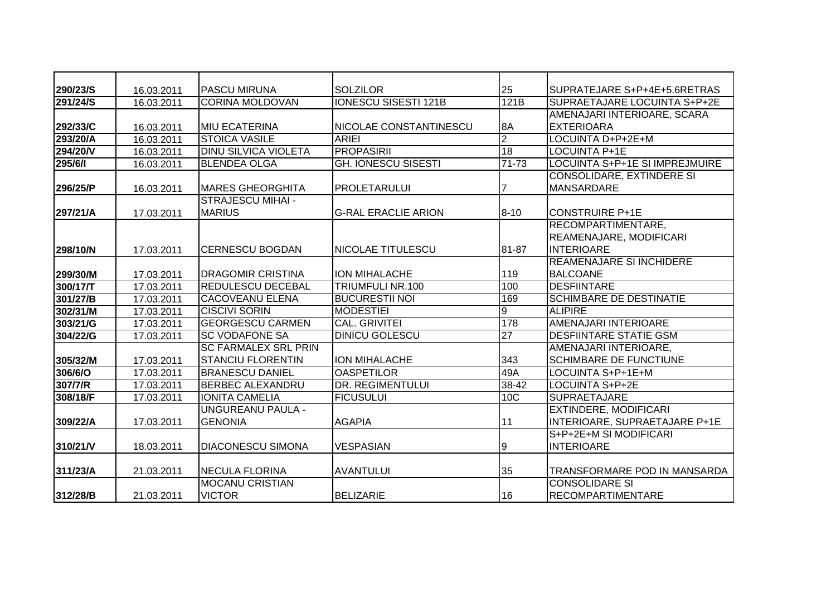| 290/23/S | 16.03.2011 | <b>PASCU MIRUNA</b>         | <b>SOLZILOR</b>             | 25             | SUPRATEJARE S+P+4E+5.6RETRAS     |
|----------|------------|-----------------------------|-----------------------------|----------------|----------------------------------|
| 291/24/S | 16.03.2011 | <b>CORINA MOLDOVAN</b>      | <b>IONESCU SISESTI 121B</b> | 121B           | SUPRAETAJARE LOCUINTA S+P+2E     |
|          |            |                             |                             |                | AMENAJARI INTERIOARE, SCARA      |
| 292/33/C | 16.03.2011 | <b>MIU ECATERINA</b>        | NICOLAE CONSTANTINESCU      | 8A             | <b>EXTERIOARA</b>                |
| 293/20/A | 16.03.2011 | <b>STOICA VASILE</b>        | <b>ARIEI</b>                | $\overline{2}$ | LOCUINTA D+P+2E+M                |
| 294/20/V | 16.03.2011 | <b>DINU SILVICA VIOLETA</b> | <b>PROPASIRII</b>           | 18             | <b>LOCUINTA P+1E</b>             |
| 295/6/1  | 16.03.2011 | <b>BLENDEA OLGA</b>         | <b>GH. IONESCU SISESTI</b>  | $71 - 73$      | LOCUINTA S+P+1E SI IMPREJMUIRE   |
|          |            |                             |                             |                | <b>CONSOLIDARE, EXTINDERE SI</b> |
| 296/25/P | 16.03.2011 | <b>MARES GHEORGHITA</b>     | <b>PROLETARULUI</b>         | 7              | <b>MANSARDARE</b>                |
|          |            | <b>STRAJESCU MIHAI -</b>    |                             |                |                                  |
| 297/21/A | 17.03.2011 | <b>MARIUS</b>               | <b>G-RAL ERACLIE ARION</b>  | $8 - 10$       | <b>CONSTRUIRE P+1E</b>           |
|          |            |                             |                             |                | RECOMPARTIMENTARE,               |
|          |            |                             |                             |                | REAMENAJARE, MODIFICARI          |
| 298/10/N | 17.03.2011 | <b>CERNESCU BOGDAN</b>      | NICOLAE TITULESCU           | 81-87          | <b>INTERIOARE</b>                |
|          |            |                             |                             |                | <b>REAMENAJARE SI INCHIDERE</b>  |
| 299/30/M | 17.03.2011 | <b>DRAGOMIR CRISTINA</b>    | <b>ION MIHALACHE</b>        | 119            | <b>BALCOANE</b>                  |
| 300/17/T | 17.03.2011 | <b>REDULESCU DECEBAL</b>    | TRIUMFULI NR.100            | 100            | <b>DESFIINTARE</b>               |
| 301/27/B | 17.03.2011 | <b>CACOVEANU ELENA</b>      | <b>BUCURESTII NOI</b>       | 169            | <b>SCHIMBARE DE DESTINATIE</b>   |
| 302/31/M | 17.03.2011 | <b>CISCIVI SORIN</b>        | <b>MODESTIEI</b>            | 9              | <b>ALIPIRE</b>                   |
| 303/21/G | 17.03.2011 | <b>GEORGESCU CARMEN</b>     | <b>CAL. GRIVITEI</b>        | 178            | <b>AMENAJARI INTERIOARE</b>      |
| 304/22/G | 17.03.2011 | <b>SC VODAFONE SA</b>       | <b>DINICU GOLESCU</b>       | 27             | <b>DESFIINTARE STATIE GSM</b>    |
|          |            | <b>SC FARMALEX SRL PRIN</b> |                             |                | AMENAJARI INTERIOARE,            |
| 305/32/M | 17.03.2011 | <b>STANCIU FLORENTIN</b>    | ION MIHALACHE               | 343            | <b>SCHIMBARE DE FUNCTIUNE</b>    |
| 306/6/O  | 17.03.2011 | <b>BRANESCU DANIEL</b>      | <b>OASPETILOR</b>           | 49A            | LOCUINTA S+P+1E+M                |
| 307/7/R  | 17.03.2011 | <b>BERBEC ALEXANDRU</b>     | <b>DR. REGIMENTULUI</b>     | 38-42          | LOCUINTA S+P+2E                  |
| 308/18/F | 17.03.2011 | <b>IONITA CAMELIA</b>       | <b>FICUSULUI</b>            | 10C            | <b>SUPRAETAJARE</b>              |
|          |            | <b>UNGUREANU PAULA -</b>    |                             |                | <b>EXTINDERE, MODIFICARI</b>     |
| 309/22/A | 17.03.2011 | <b>GENONIA</b>              | <b>AGAPIA</b>               | 11             | INTERIOARE, SUPRAETAJARE P+1E    |
|          |            |                             |                             |                | S+P+2E+M SI MODIFICARI           |
| 310/21/V | 18.03.2011 | <b>DIACONESCU SIMONA</b>    | <b>VESPASIAN</b>            | 9              | <b>INTERIOARE</b>                |
|          |            |                             |                             |                |                                  |
| 311/23/A | 21.03.2011 | <b>INECULA FLORINA</b>      | <b>AVANTULUI</b>            | 35             | TRANSFORMARE POD IN MANSARDA     |
|          |            | <b>MOCANU CRISTIAN</b>      |                             |                | <b>CONSOLIDARE SI</b>            |
| 312/28/B | 21.03.2011 | <b>VICTOR</b>               | <b>BELIZARIE</b>            | 16             | <b>RECOMPARTIMENTARE</b>         |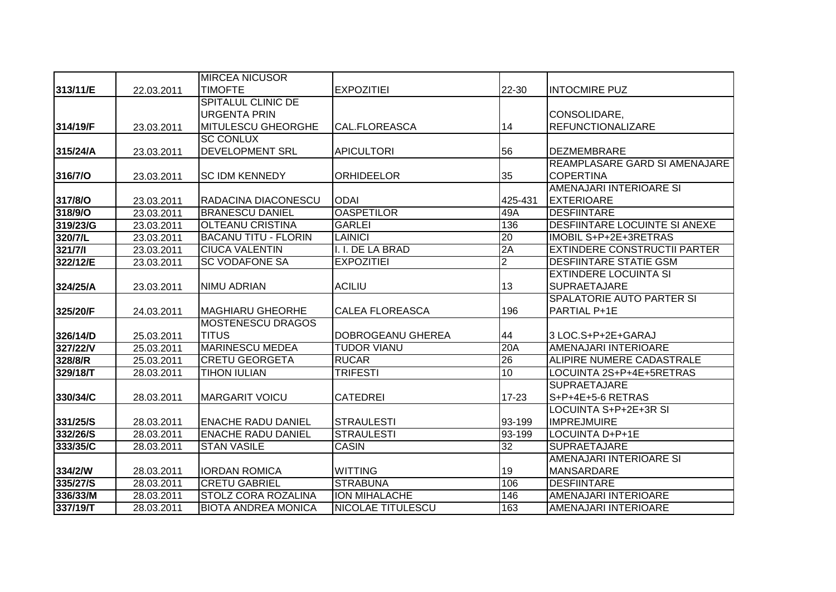|          |            | <b>MIRCEA NICUSOR</b>       |                          |                 |                                     |
|----------|------------|-----------------------------|--------------------------|-----------------|-------------------------------------|
| 313/11/E | 22.03.2011 | <b>TIMOFTE</b>              | <b>EXPOZITIEI</b>        | 22-30           | <b>INTOCMIRE PUZ</b>                |
|          |            | <b>SPITALUL CLINIC DE</b>   |                          |                 |                                     |
|          |            | <b>URGENTA PRIN</b>         |                          |                 | CONSOLIDARE,                        |
| 314/19/F | 23.03.2011 | <b>MITULESCU GHEORGHE</b>   | <b>CAL.FLOREASCA</b>     | 14              | <b>REFUNCTIONALIZARE</b>            |
|          |            | <b>SC CONLUX</b>            |                          |                 |                                     |
| 315/24/A | 23.03.2011 | <b>DEVELOPMENT SRL</b>      | <b>APICULTORI</b>        | 56              | <b>DEZMEMBRARE</b>                  |
|          |            |                             |                          |                 | REAMPLASARE GARD SI AMENAJARE       |
| 316/7/O  | 23.03.2011 | <b>SC IDM KENNEDY</b>       | <b>ORHIDEELOR</b>        | 35              | <b>COPERTINA</b>                    |
|          |            |                             |                          |                 | AMENAJARI INTERIOARE SI             |
| 317/8/O  | 23.03.2011 | RADACINA DIACONESCU         | <b>ODAI</b>              | 425-431         | <b>EXTERIOARE</b>                   |
| 318/9/O  | 23.03.2011 | <b>BRANESCU DANIEL</b>      | <b>OASPETILOR</b>        | 49A             | <b>DESFIINTARE</b>                  |
| 319/23/G | 23.03.2011 | <b>OLTEANU CRISTINA</b>     | <b>GARLEI</b>            | 136             | DESFIINTARE LOCUINTE SI ANEXE       |
| 320/7/L  | 23.03.2011 | <b>BACANU TITU - FLORIN</b> | <b>LAINICI</b>           | 20              | IMOBIL S+P+2E+3RETRAS               |
| 321/7/1  | 23.03.2011 | <b>CIUCA VALENTIN</b>       | I. I. DE LA BRAD         | 2A              | <b>EXTINDERE CONSTRUCTII PARTER</b> |
| 322/12/E | 23.03.2011 | <b>SC VODAFONE SA</b>       | <b>EXPOZITIEI</b>        | $\overline{2}$  | DESFIINTARE STATIE GSM              |
|          |            |                             |                          |                 | <b>EXTINDERE LOCUINTA SI</b>        |
| 324/25/A | 23.03.2011 | <b>NIMU ADRIAN</b>          | <b>ACILIU</b>            | 13              | <b>SUPRAETAJARE</b>                 |
|          |            |                             |                          |                 | SPALATORIE AUTO PARTER SI           |
| 325/20/F | 24.03.2011 | <b>MAGHIARU GHEORHE</b>     | <b>CALEA FLOREASCA</b>   | 196             | PARTIAL P+1E                        |
|          |            | <b>MOSTENESCU DRAGOS</b>    |                          |                 |                                     |
| 326/14/D | 25.03.2011 | <b>TITUS</b>                | DOBROGEANU GHEREA        | 44              | 3 LOC.S+P+2E+GARAJ                  |
| 327/22/V | 25.03.2011 | <b>MARINESCU MEDEA</b>      | <b>TUDOR VIANU</b>       | 20A             | <b>AMENAJARI INTERIOARE</b>         |
| 328/8/R  | 25.03.2011 | <b>CRETU GEORGETA</b>       | <b>RUCAR</b>             | 26              | ALIPIRE NUMERE CADASTRALE           |
| 329/18/T | 28.03.2011 | <b>TIHON IULIAN</b>         | <b>TRIFESTI</b>          | 10              | LOCUINTA 2S+P+4E+5RETRAS            |
|          |            |                             |                          |                 | <b>SUPRAETAJARE</b>                 |
| 330/34/C | 28.03.2011 | <b>MARGARIT VOICU</b>       | <b>CATEDREI</b>          | $17 - 23$       | S+P+4E+5-6 RETRAS                   |
|          |            |                             |                          |                 | LOCUINTA S+P+2E+3R SI               |
| 331/25/S | 28.03.2011 | <b>ENACHE RADU DANIEL</b>   | <b>STRAULESTI</b>        | 93-199          | <b>IMPREJMUIRE</b>                  |
| 332/26/S | 28.03.2011 | <b>ENACHE RADU DANIEL</b>   | <b>STRAULESTI</b>        | 93-199          | LOCUINTA D+P+1E                     |
| 333/35/C | 28.03.2011 | <b>STAN VASILE</b>          | <b>CASIN</b>             | $\overline{32}$ | <b>SUPRAETAJARE</b>                 |
|          |            |                             |                          |                 | AMENAJARI INTERIOARE SI             |
| 334/2/W  | 28.03.2011 | <b>IORDAN ROMICA</b>        | <b>WITTING</b>           | 19              | <b>MANSARDARE</b>                   |
| 335/27/S | 28.03.2011 | <b>CRETU GABRIEL</b>        | <b>STRABUNA</b>          | 106             | <b>DESFIINTARE</b>                  |
| 336/33/M | 28.03.2011 | STOLZ CORA ROZALINA         | ION MIHALACHE            | 146             | AMENAJARI INTERIOARE                |
| 337/19/T | 28.03.2011 | <b>BIOTA ANDREA MONICA</b>  | <b>NICOLAE TITULESCU</b> | 163             | AMENAJARI INTERIOARE                |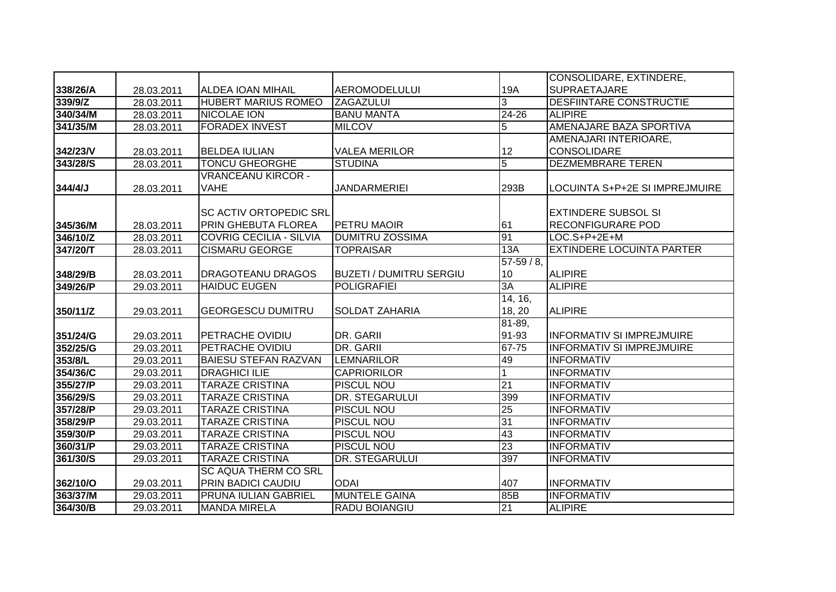|          |            |                                |                                |                | CONSOLIDARE, EXTINDERE,          |
|----------|------------|--------------------------------|--------------------------------|----------------|----------------------------------|
| 338/26/A | 28.03.2011 | <b>ALDEA IOAN MIHAIL</b>       | <b>AEROMODELULUI</b>           | 19A            | <b>SUPRAETAJARE</b>              |
| 339/9/Z  | 28.03.2011 | <b>HUBERT MARIUS ROMEO</b>     | <b>ZAGAZULUI</b>               | 3              | <b>DESFIINTARE CONSTRUCTIE</b>   |
| 340/34/M | 28.03.2011 | <b>NICOLAE ION</b>             | <b>BANU MANTA</b>              | 24-26          | <b>ALIPIRE</b>                   |
| 341/35/M | 28.03.2011 | <b>FORADEX INVEST</b>          | <b>MILCOV</b>                  | 5              | <b>AMENAJARE BAZA SPORTIVA</b>   |
|          |            |                                |                                |                | AMENAJARI INTERIOARE,            |
| 342/23/V | 28.03.2011 | <b>BELDEA IULIAN</b>           | <b>VALEA MERILOR</b>           | 12             | <b>CONSOLIDARE</b>               |
| 343/28/S | 28.03.2011 | <b>TONCU GHEORGHE</b>          | <b>STUDINA</b>                 | $\overline{5}$ | <b>DEZMEMBRARE TEREN</b>         |
|          |            | <b>VRANCEANU KIRCOR -</b>      |                                |                |                                  |
| 344/4/J  | 28.03.2011 | <b>VAHE</b>                    | <b>JANDARMERIEI</b>            | 293B           | LOCUINTA S+P+2E SI IMPREJMUIRE   |
|          |            |                                |                                |                |                                  |
|          |            | <b>SC ACTIV ORTOPEDIC SRL</b>  |                                |                | <b>EXTINDERE SUBSOL SI</b>       |
| 345/36/M | 28.03.2011 | PRIN GHEBUTA FLOREA            | PETRU MAOIR                    | 61             | <b>RECONFIGURARE POD</b>         |
| 346/10/Z | 28.03.2011 | <b>COVRIG CECILIA - SILVIA</b> | <b>DUMITRU ZOSSIMA</b>         | 91             | LOC.S+P+2E+M                     |
| 347/20/T | 28.03.2011 | <b>CISMARU GEORGE</b>          | <b>TOPRAISAR</b>               | 13A            | <b>EXTINDERE LOCUINTA PARTER</b> |
|          |            |                                |                                | $57-59/8,$     |                                  |
| 348/29/B | 28.03.2011 | DRAGOTEANU DRAGOS              | <b>BUZETI / DUMITRU SERGIU</b> | 10             | <b>ALIPIRE</b>                   |
| 349/26/P | 29.03.2011 | <b>HAIDUC EUGEN</b>            | <b>POLIGRAFIEI</b>             | 3A             | <b>ALIPIRE</b>                   |
|          |            |                                |                                | 14, 16,        |                                  |
| 350/11/Z | 29.03.2011 | <b>GEORGESCU DUMITRU</b>       | <b>SOLDAT ZAHARIA</b>          | 18, 20         | <b>ALIPIRE</b>                   |
|          |            |                                |                                | 81-89,         |                                  |
| 351/24/G | 29.03.2011 | PETRACHE OVIDIU                | DR. GARII                      | 91-93          | <b>INFORMATIV SI IMPREJMUIRE</b> |
| 352/25/G | 29.03.2011 | PETRACHE OVIDIU                | DR. GARII                      | 67-75          | <b>INFORMATIV SI IMPREJMUIRE</b> |
| 353/8/L  | 29.03.2011 | <b>BAIESU STEFAN RAZVAN</b>    | <b>LEMNARILOR</b>              | 49             | <b>INFORMATIV</b>                |
| 354/36/C | 29.03.2011 | <b>DRAGHICI ILIE</b>           | <b>CAPRIORILOR</b>             |                | <b>INFORMATIV</b>                |
| 355/27/P | 29.03.2011 | <b>TARAZE CRISTINA</b>         | <b>PISCUL NOU</b>              | 21             | <b>INFORMATIV</b>                |
| 356/29/S | 29.03.2011 | <b>TARAZE CRISTINA</b>         | <b>DR. STEGARULUI</b>          | 399            | <b>INFORMATIV</b>                |
| 357/28/P | 29.03.2011 | <b>TARAZE CRISTINA</b>         | <b>PISCUL NOU</b>              | 25             | <b>INFORMATIV</b>                |
| 358/29/P | 29.03.2011 | <b>TARAZE CRISTINA</b>         | <b>PISCUL NOU</b>              | 31             | <b>INFORMATIV</b>                |
| 359/30/P | 29.03.2011 | <b>TARAZE CRISTINA</b>         | PISCUL NOU                     | 43             | <b>INFORMATIV</b>                |
| 360/31/P | 29.03.2011 | <b>TARAZE CRISTINA</b>         | <b>PISCUL NOU</b>              | 23             | <b>INFORMATIV</b>                |
| 361/30/S | 29.03.2011 | <b>TARAZE CRISTINA</b>         | <b>DR. STEGARULUI</b>          | 397            | <b>INFORMATIV</b>                |
|          |            | <b>SC AQUA THERM CO SRL</b>    |                                |                |                                  |
| 362/10/O | 29.03.2011 | <b>PRIN BADICI CAUDIU</b>      | <b>ODAI</b>                    | 407            | <b>INFORMATIV</b>                |
| 363/37/M | 29.03.2011 | <b>PRUNA IULIAN GABRIEL</b>    | <b>MUNTELE GAINA</b>           | 85B            | <b>INFORMATIV</b>                |
| 364/30/B | 29.03.2011 | <b>MANDA MIRELA</b>            | RADU BOIANGIU                  | 21             | <b>ALIPIRE</b>                   |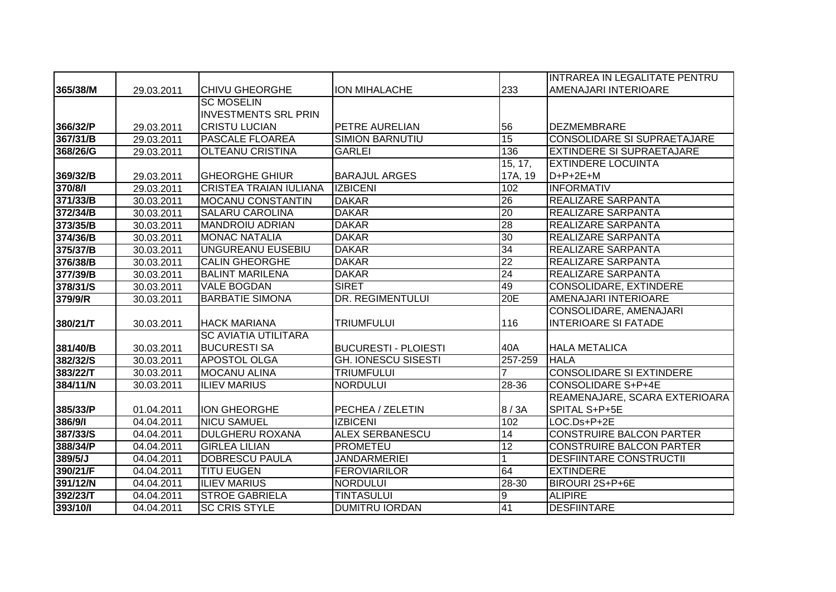|          |            |                               |                             |                 | INTRAREA IN LEGALITATE PENTRU      |
|----------|------------|-------------------------------|-----------------------------|-----------------|------------------------------------|
| 365/38/M | 29.03.2011 | <b>CHIVU GHEORGHE</b>         | <b>ION MIHALACHE</b>        | 233             | AMENAJARI INTERIOARE               |
|          |            | <b>SC MOSELIN</b>             |                             |                 |                                    |
|          |            | <b>INVESTMENTS SRL PRIN</b>   |                             |                 |                                    |
| 366/32/P | 29.03.2011 | <b>CRISTU LUCIAN</b>          | PETRE AURELIAN              | 56              | <b>DEZMEMBRARE</b>                 |
| 367/31/B | 29.03.2011 | <b>PASCALE FLOAREA</b>        | <b>SIMION BARNUTIU</b>      | 15              | <b>CONSOLIDARE SI SUPRAETAJARE</b> |
| 368/26/G | 29.03.2011 | <b>OLTEANU CRISTINA</b>       | <b>GARLEI</b>               | 136             | <b>EXTINDERE SI SUPRAETAJARE</b>   |
|          |            |                               |                             | 15, 17,         | <b>EXTINDERE LOCUINTA</b>          |
| 369/32/B | 29.03.2011 | <b>GHEORGHE GHIUR</b>         | <b>BARAJUL ARGES</b>        | 17A, 19         | $D+P+2E+M$                         |
| 370/8/1  | 29.03.2011 | <b>CRISTEA TRAIAN IULIANA</b> | <b>IZBICENI</b>             | 102             | <b>INFORMATIV</b>                  |
| 371/33/B | 30.03.2011 | <b>MOCANU CONSTANTIN</b>      | <b>DAKAR</b>                | 26              | <b>REALIZARE SARPANTA</b>          |
| 372/34/B | 30.03.2011 | <b>SALARU CAROLINA</b>        | <b>DAKAR</b>                | 20              | <b>REALIZARE SARPANTA</b>          |
| 373/35/B | 30.03.2011 | <b>MANDROIU ADRIAN</b>        | <b>DAKAR</b>                | 28              | <b>REALIZARE SARPANTA</b>          |
| 374/36/B | 30.03.2011 | <b>MONAC NATALIA</b>          | <b>DAKAR</b>                | 30              | REALIZARE SARPANTA                 |
| 375/37/B | 30.03.2011 | UNGUREANU EUSEBIU             | <b>DAKAR</b>                | 34              | REALIZARE SARPANTA                 |
| 376/38/B | 30.03.2011 | <b>CALIN GHEORGHE</b>         | <b>DAKAR</b>                | $\overline{22}$ | REALIZARE SARPANTA                 |
| 377/39/B | 30.03.2011 | <b>BALINT MARILENA</b>        | <b>DAKAR</b>                | $\overline{24}$ | <b>REALIZARE SARPANTA</b>          |
| 378/31/S | 30.03.2011 | <b>VALE BOGDAN</b>            | <b>SIRET</b>                | 49              | CONSOLIDARE, EXTINDERE             |
| 379/9/R  | 30.03.2011 | <b>BARBATIE SIMONA</b>        | <b>DR. REGIMENTULUI</b>     | 20E             | AMENAJARI INTERIOARE               |
|          |            |                               |                             |                 | CONSOLIDARE, AMENAJARI             |
| 380/21/T | 30.03.2011 | <b>HACK MARIANA</b>           | TRIUMFULUI                  | 116             | <b>INTERIOARE SI FATADE</b>        |
|          |            | <b>SC AVIATIA UTILITARA</b>   |                             |                 |                                    |
| 381/40/B | 30.03.2011 | <b>BUCURESTI SA</b>           | <b>BUCURESTI - PLOIESTI</b> | 40A             | <b>HALA METALICA</b>               |
| 382/32/S | 30.03.2011 | <b>APOSTOL OLGA</b>           | <b>GH. IONESCU SISESTI</b>  | $257 - 259$     | <b>HALA</b>                        |
| 383/22/T | 30.03.2011 | <b>MOCANU ALINA</b>           | <b>TRIUMFULUI</b>           |                 | <b>CONSOLIDARE SI EXTINDERE</b>    |
| 384/11/N | 30.03.2011 | <b>ILIEV MARIUS</b>           | <b>NORDULUI</b>             | 28-36           | <b>CONSOLIDARE S+P+4E</b>          |
|          |            |                               |                             |                 | REAMENAJARE, SCARA EXTERIOARA      |
| 385/33/P | 01.04.2011 | <b>ION GHEORGHE</b>           | PECHEA / ZELETIN            | 8/3A            | SPITAL S+P+5E                      |
| 386/9/1  | 04.04.2011 | <b>NICU SAMUEL</b>            | <b>IZBICENI</b>             | 102             | LOC.Ds+P+2E                        |
| 387/33/S | 04.04.2011 | <b>DULGHERU ROXANA</b>        | <b>ALEX SERBANESCU</b>      | 14              | <b>CONSTRUIRE BALCON PARTER</b>    |
| 388/34/P | 04.04.2011 | <b>GIRLEA LILIAN</b>          | <b>PROMETEU</b>             | $\overline{12}$ | <b>CONSTRUIRE BALCON PARTER</b>    |
| 389/5/J  | 04.04.2011 | <b>DOBRESCU PAULA</b>         | <b>JANDARMERIEI</b>         | 1               | <b>DESFIINTARE CONSTRUCTII</b>     |
| 390/21/F | 04.04.2011 | <b>TITU EUGEN</b>             | <b>FEROVIARILOR</b>         | 64              | <b>EXTINDERE</b>                   |
| 391/12/N | 04.04.2011 | <b>ILIEV MARIUS</b>           | <b>NORDULUI</b>             | 28-30           | BIROURI 2S+P+6E                    |
| 392/23/T | 04.04.2011 | <b>STROE GABRIELA</b>         | <b>TINTASULUI</b>           | 9               | <b>ALIPIRE</b>                     |
| 393/10/1 | 04.04.2011 | <b>SC CRIS STYLE</b>          | <b>DUMITRU IORDAN</b>       | 41              | <b>DESFIINTARE</b>                 |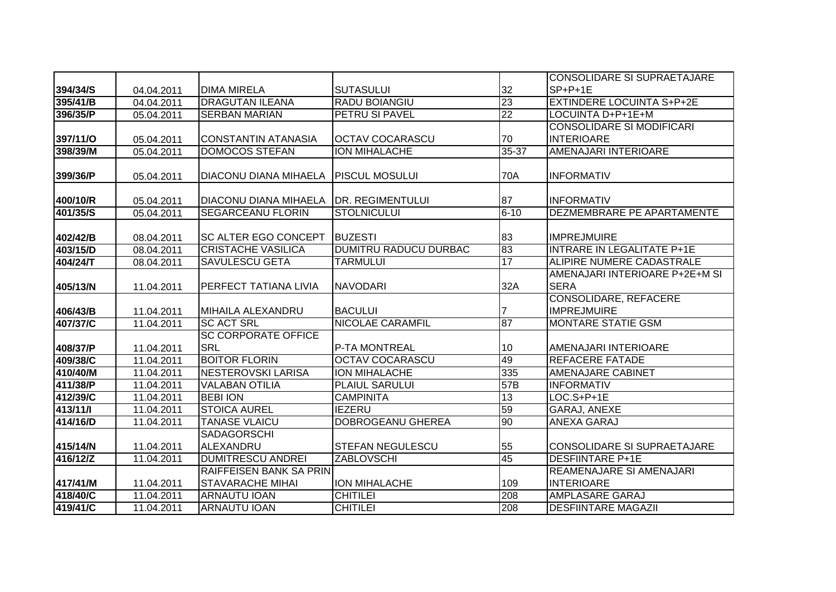|            |            |                                |                              |                 | <b>CONSOLIDARE SI SUPRAETAJARE</b> |
|------------|------------|--------------------------------|------------------------------|-----------------|------------------------------------|
| 394/34/S   | 04.04.2011 | <b>DIMA MIRELA</b>             | <b>SUTASULUI</b>             | 32              | $SP+P+1E$                          |
| 395/41/B   | 04.04.2011 | <b>DRAGUTAN ILEANA</b>         | RADU BOIANGIU                | 23              | <b>EXTINDERE LOCUINTA S+P+2E</b>   |
| 396/35/P   | 05.04.2011 | <b>SERBAN MARIAN</b>           | PETRU SI PAVEL               | $\overline{22}$ | LOCUINTA D+P+1E+M                  |
|            |            |                                |                              |                 | <b>CONSOLIDARE SI MODIFICARI</b>   |
| 397/11/0   | 05.04.2011 | <b>CONSTANTIN ATANASIA</b>     | <b>OCTAV COCARASCU</b>       | 70              | <b>INTERIOARE</b>                  |
| 398/39/M   | 05.04.2011 | <b>DOMOCOS STEFAN</b>          | <b>ION MIHALACHE</b>         | $35 - 37$       | <b>AMENAJARI INTERIOARE</b>        |
|            |            |                                |                              |                 |                                    |
| 399/36/P   | 05.04.2011 | <b>DIACONU DIANA MIHAELA</b>   | <b>PISCUL MOSULUI</b>        | 70A             | <b>INFORMATIV</b>                  |
|            |            |                                |                              |                 |                                    |
| 400/10/R   | 05.04.2011 | <b>DIACONU DIANA MIHAELA</b>   | <b>DR. REGIMENTULUI</b>      | 87              | <b>INFORMATIV</b>                  |
| 401/35/S   | 05.04.2011 | <b>SEGARCEANU FLORIN</b>       | <b>STOLNICULUI</b>           | $6 - 10$        | <b>DEZMEMBRARE PE APARTAMENTE</b>  |
|            |            |                                |                              |                 |                                    |
| 402/42/B   | 08.04.2011 | <b>SC ALTER EGO CONCEPT</b>    | <b>BUZESTI</b>               | 83              | <b>IMPREJMUIRE</b>                 |
| 403/15/D   | 08.04.2011 | <b>CRISTACHE VASILICA</b>      | <b>DUMITRU RADUCU DURBAC</b> | 83              | <b>INTRARE IN LEGALITATE P+1E</b>  |
| 404/24/T   | 08.04.2011 | SAVULESCU GETA                 | <b>TARMULUI</b>              | 17              | ALIPIRE NUMERE CADASTRALE          |
|            |            |                                |                              |                 | AMENAJARI INTERIOARE P+2E+M SI     |
| 405/13/N   | 11.04.2011 | <b>PERFECT TATIANA LIVIA</b>   | <b>NAVODARI</b>              | 32A             | <b>SERA</b>                        |
|            |            |                                |                              |                 | <b>CONSOLIDARE, REFACERE</b>       |
| 406/43/B   | 11.04.2011 | MIHAILA ALEXANDRU              | <b>BACULUI</b>               | 7               | <b>IMPREJMUIRE</b>                 |
| 407/37/C   | 11.04.2011 | <b>SC ACT SRL</b>              | <b>NICOLAE CARAMFIL</b>      | 87              | <b>MONTARE STATIE GSM</b>          |
|            |            | <b>SC CORPORATE OFFICE</b>     |                              |                 |                                    |
| 408/37/P   | 11.04.2011 | <b>SRL</b>                     | <b>P-TA MONTREAL</b>         | 10              | AMENAJARI INTERIOARE               |
| 409/38/C   | 11.04.2011 | <b>BOITOR FLORIN</b>           | <b>OCTAV COCARASCU</b>       | 49              | <b>REFACERE FATADE</b>             |
| 410/40/M   | 11.04.2011 | <b>NESTEROVSKI LARISA</b>      | <b>ION MIHALACHE</b>         | 335             | <b>AMENAJARE CABINET</b>           |
| 411/38/P   | 11.04.2011 | <b>VALABAN OTILIA</b>          | <b>PLAIUL SARULUI</b>        | 57B             | <b>INFORMATIV</b>                  |
| 412/39/C   | 11.04.2011 | <b>BEBI ION</b>                | <b>CAMPINITA</b>             | 13              | $LOC.S+P+1E$                       |
| 413/11/1   | 11.04.2011 | <b>STOICA AUREL</b>            | <b>IEZERU</b>                | 59              | GARAJ, ANEXE                       |
| 414/16/D   | 11.04.2011 | <b>TANASE VLAICU</b>           | <b>DOBROGEANU GHEREA</b>     | 90              | <b>ANEXA GARAJ</b>                 |
|            |            | <b>SADAGORSCHI</b>             |                              |                 |                                    |
| 415/14/N   | 11.04.2011 | ALEXANDRU                      | <b>STEFAN NEGULESCU</b>      | 55              | CONSOLIDARE SI SUPRAETAJARE        |
| $416/12/Z$ | 11.04.2011 | <b>DUMITRESCU ANDREI</b>       | <b>ZABLOVSCHI</b>            | 45              | <b>DESFIINTARE P+1E</b>            |
|            |            | <b>RAIFFEISEN BANK SA PRIN</b> |                              |                 | REAMENAJARE SI AMENAJARI           |
| 417/41/M   | 11.04.2011 | <b>STAVARACHE MIHAI</b>        | ION MIHALACHE                | 109             | <b>INTERIOARE</b>                  |
| 418/40/C   | 11.04.2011 | <b>ARNAUTU IOAN</b>            | <b>CHITILEI</b>              | 208             | <b>AMPLASARE GARAJ</b>             |
| 419/41/C   | 11.04.2011 | <b>ARNAUTU IOAN</b>            | <b>CHITILEI</b>              | 208             | <b>DESFIINTARE MAGAZII</b>         |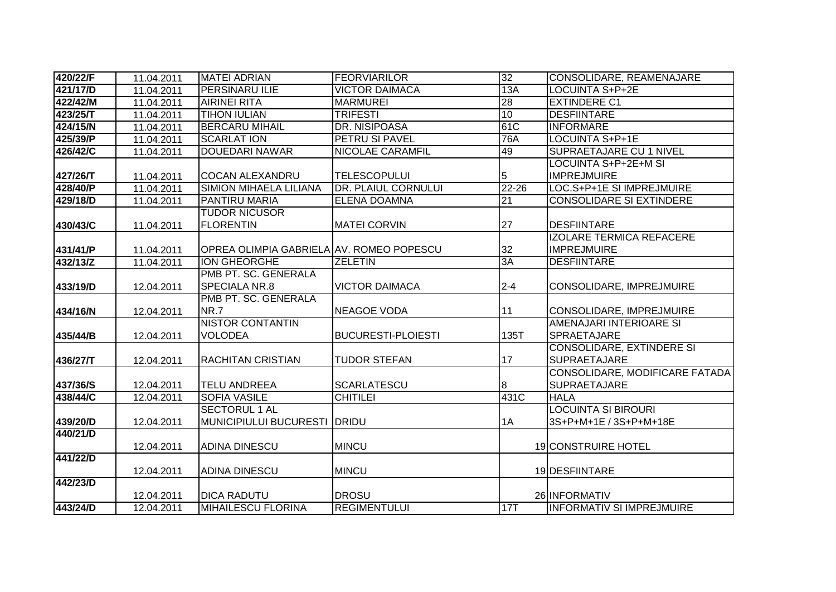| 420/22/F | 11.04.2011 | <b>MATEI ADRIAN</b>                      | <b>FEORVIARILOR</b>       | 32        | CONSOLIDARE, REAMENAJARE         |
|----------|------------|------------------------------------------|---------------------------|-----------|----------------------------------|
| 421/17/D | 11.04.2011 | <b>PERSINARU ILIE</b>                    | <b>VICTOR DAIMACA</b>     | 13A       | <b>LOCUINTA S+P+2E</b>           |
| 422/42/M | 11.04.2011 | <b>AIRINEI RITA</b>                      | <b>MARMUREI</b>           | 28        | <b>EXTINDERE C1</b>              |
| 423/25/T | 11.04.2011 | <b>TIHON IULIAN</b>                      | <b>TRIFESTI</b>           | 10        | <b>DESFIINTARE</b>               |
| 424/15/N | 11.04.2011 | <b>BERCARU MIHAIL</b>                    | <b>DR. NISIPOASA</b>      | 61C       | <b>INFORMARE</b>                 |
| 425/39/P | 11.04.2011 | <b>SCARLAT ION</b>                       | PETRU SI PAVEL            | 76A       | <b>LOCUINTA S+P+1E</b>           |
| 426/42/C | 11.04.2011 | <b>DOUEDARI NAWAR</b>                    | NICOLAE CARAMFIL          | 49        | <b>SUPRAETAJARE CU 1 NIVEL</b>   |
|          |            |                                          |                           |           | LOCUINTA S+P+2E+M SI             |
| 427/26/T | 11.04.2011 | <b>COCAN ALEXANDRU</b>                   | <b>TELESCOPULUI</b>       | 5         | <b>IMPREJMUIRE</b>               |
| 428/40/P | 11.04.2011 | <b>SIMION MIHAELA LILIANA</b>            | DR. PLAIUL CORNULUI       | $22 - 26$ | LOC.S+P+1E SI IMPREJMUIRE        |
| 429/18/D | 11.04.2011 | PANTIRU MARIA                            | <b>ELENA DOAMNA</b>       | 21        | <b>CONSOLIDARE SI EXTINDERE</b>  |
|          |            | <b>TUDOR NICUSOR</b>                     |                           |           |                                  |
| 430/43/C | 11.04.2011 | <b>FLORENTIN</b>                         | <b>MATEI CORVIN</b>       | 27        | <b>DESFIINTARE</b>               |
|          |            |                                          |                           |           | <b>IZOLARE TERMICA REFACERE</b>  |
| 431/41/P | 11.04.2011 | OPREA OLIMPIA GABRIELA AV. ROMEO POPESCU |                           | 32        | <b>IMPREJMUIRE</b>               |
| 432/13/Z | 11.04.2011 | <b>ION GHEORGHE</b>                      | <b>ZELETIN</b>            | 3A        | <b>DESFIINTARE</b>               |
|          |            | PMB PT. SC. GENERALA                     |                           |           |                                  |
| 433/19/D | 12.04.2011 | SPECIALA NR.8                            | <b>VICTOR DAIMACA</b>     | $2 - 4$   | CONSOLIDARE, IMPREJMUIRE         |
|          |            | PMB PT. SC. GENERALA                     |                           |           |                                  |
| 434/16/N | 12.04.2011 | <b>NR.7</b>                              | <b>NEAGOE VODA</b>        | 11        | CONSOLIDARE, IMPREJMUIRE         |
|          |            | <b>NISTOR CONTANTIN</b>                  |                           |           | AMENAJARI INTERIOARE SI          |
| 435/44/B | 12.04.2011 | <b>VOLODEA</b>                           | <b>BUCURESTI-PLOIESTI</b> | 135T      | SPRAETAJARE                      |
|          |            |                                          |                           |           | CONSOLIDARE, EXTINDERE SI        |
| 436/27/T | 12.04.2011 | <b>RACHITAN CRISTIAN</b>                 | <b>TUDOR STEFAN</b>       | 17        | <b>SUPRAETAJARE</b>              |
|          |            |                                          |                           |           | CONSOLIDARE, MODIFICARE FATADA   |
| 437/36/S | 12.04.2011 | <b>TELU ANDREEA</b>                      | <b>SCARLATESCU</b>        | 8         | <b>SUPRAETAJARE</b>              |
| 438/44/C | 12.04.2011 | <b>SOFIA VASILE</b>                      | <b>CHITILEI</b>           | 431C      | <b>HALA</b>                      |
|          |            | <b>SECTORUL 1 AL</b>                     |                           |           | <b>LOCUINTA SI BIROURI</b>       |
| 439/20/D | 12.04.2011 | MUNICIPIULUI BUCURESTI                   | <b>IDRIDU</b>             | 1A        | 3S+P+M+1E / 3S+P+M+18E           |
| 440/21/D |            |                                          |                           |           |                                  |
|          | 12.04.2011 | <b>ADINA DINESCU</b>                     | <b>MINCU</b>              |           | <b>19 CONSTRUIRE HOTEL</b>       |
| 441/22/D |            |                                          |                           |           |                                  |
|          | 12.04.2011 | <b>ADINA DINESCU</b>                     | <b>MINCU</b>              |           | 19 DESFIINTARE                   |
| 442/23/D |            |                                          |                           |           |                                  |
|          | 12.04.2011 | <b>DICA RADUTU</b>                       | <b>DROSU</b>              |           | 26 INFORMATIV                    |
| 443/24/D | 12.04.2011 | <b>MIHAILESCU FLORINA</b>                | <b>REGIMENTULUI</b>       | 17T       | <b>INFORMATIV SI IMPREJMUIRE</b> |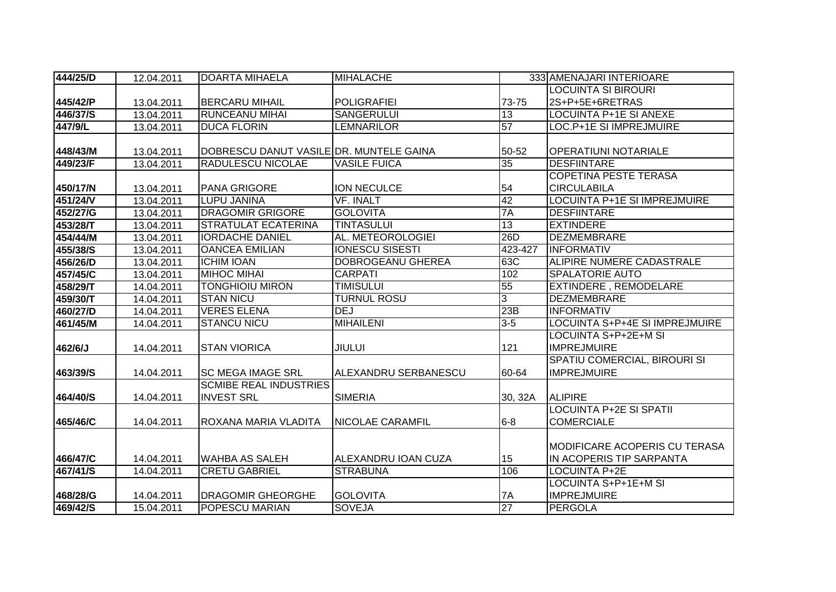| 444/25/D | 12.04.2011 | <b>DOARTA MIHAELA</b>                   | <b>MIHALACHE</b>        |                | 333 AMENAJARI INTERIOARE             |
|----------|------------|-----------------------------------------|-------------------------|----------------|--------------------------------------|
|          |            |                                         |                         |                | <b>LOCUINTA SI BIROURI</b>           |
| 445/42/P | 13.04.2011 | <b>BERCARU MIHAIL</b>                   | <b>POLIGRAFIEI</b>      | 73-75          | 2S+P+5E+6RETRAS                      |
| 446/37/S | 13.04.2011 | <b>RUNCEANU MIHAI</b>                   | <b>SANGERULUI</b>       | 13             | LOCUINTA P+1E SI ANEXE               |
| 447/9/L  | 13.04.2011 | <b>DUCA FLORIN</b>                      | <b>LEMNARILOR</b>       | 57             | LOC.P+1E SI IMPREJMUIRE              |
|          |            |                                         |                         |                |                                      |
| 448/43/M | 13.04.2011 | DOBRESCU DANUT VASILE DR. MUNTELE GAINA |                         | 50-52          | <b>OPERATIUNI NOTARIALE</b>          |
| 449/23/F | 13.04.2011 | RADULESCU NICOLAE                       | <b>VASILE FUICA</b>     | 35             | <b>DESFIINTARE</b>                   |
|          |            |                                         |                         |                | <b>COPETINA PESTE TERASA</b>         |
| 450/17/N | 13.04.2011 | PANA GRIGORE                            | <b>ION NECULCE</b>      | 54             | <b>CIRCULABILA</b>                   |
| 451/24/V | 13.04.2011 | <b>LUPU JANINA</b>                      | <b>VF. INALT</b>        | 42             | <b>LOCUINTA P+1E SI IMPREJMUIRE</b>  |
| 452/27/G | 13.04.2011 | <b>DRAGOMIR GRIGORE</b>                 | <b>GOLOVITA</b>         | 7A             | <b>DESFIINTARE</b>                   |
| 453/28/T | 13.04.2011 | <b>STRATULAT ECATERINA</b>              | <b>TINTASULUI</b>       | 13             | <b>EXTINDERE</b>                     |
| 454/44/M | 13.04.2011 | <b>IORDACHE DANIEL</b>                  | AL. METEOROLOGIEI       | 26D            | <b>DEZMEMBRARE</b>                   |
| 455/38/S | 13.04.2011 | <b>OANCEA EMILIAN</b>                   | <b>IONESCU SISESTI</b>  | 423-427        | <b>INFORMATIV</b>                    |
| 456/26/D | 13.04.2011 | <b>ICHIM IOAN</b>                       | DOBROGEANU GHEREA       | 63C            | ALIPIRE NUMERE CADASTRALE            |
| 457/45/C | 13.04.2011 | <b>MIHOC MIHAI</b>                      | <b>CARPATI</b>          | 102            | <b>SPALATORIE AUTO</b>               |
| 458/29/T | 14.04.2011 | <b>TONGHIOIU MIRON</b>                  | <b>TIMISULUI</b>        | 55             | <b>EXTINDERE, REMODELARE</b>         |
| 459/30/T | 14.04.2011 | <b>STAN NICU</b>                        | <b>TURNUL ROSU</b>      | $\overline{3}$ | <b>DEZMEMBRARE</b>                   |
| 460/27/D | 14.04.2011 | <b>VERES ELENA</b>                      | <b>DEJ</b>              | 23B            | <b>INFORMATIV</b>                    |
| 461/45/M | 14.04.2011 | <b>STANCU NICU</b>                      | <b>MIHAILENI</b>        | $3-5$          | LOCUINTA S+P+4E SI IMPREJMUIRE       |
|          |            |                                         |                         |                | LOCUINTA S+P+2E+M SI                 |
| 462/6/J  | 14.04.2011 | <b>STAN VIORICA</b>                     | <b>JIULUI</b>           | 121            | <b>IMPREJMUIRE</b>                   |
|          |            |                                         |                         |                | SPATIU COMERCIAL, BIROURI SI         |
| 463/39/S | 14.04.2011 | <b>SC MEGA IMAGE SRL</b>                | ALEXANDRU SERBANESCU    | 60-64          | <b>IMPREJMUIRE</b>                   |
|          |            | <b>SCMIBE REAL INDUSTRIES</b>           |                         |                |                                      |
| 464/40/S | 14.04.2011 | <b>INVEST SRL</b>                       | <b>SIMERIA</b>          | 30, 32A        | <b>ALIPIRE</b>                       |
|          |            |                                         |                         |                | <b>LOCUINTA P+2E SI SPATII</b>       |
| 465/46/C | 14.04.2011 | ROXANA MARIA VLADITA                    | <b>NICOLAE CARAMFIL</b> | $6 - 8$        | <b>COMERCIALE</b>                    |
|          |            |                                         |                         |                |                                      |
|          |            |                                         |                         |                | <b>MODIFICARE ACOPERIS CU TERASA</b> |
| 466/47/C | 14.04.2011 | <b>WAHBA AS SALEH</b>                   | ALEXANDRU IOAN CUZA     | 15             | IN ACOPERIS TIP SARPANTA             |
| 467/41/S | 14.04.2011 | <b>CRETU GABRIEL</b>                    | <b>STRABUNA</b>         | 106            | <b>LOCUINTA P+2E</b>                 |
|          |            |                                         |                         |                | LOCUINTA S+P+1E+M SI                 |
| 468/28/G | 14.04.2011 | <b>DRAGOMIR GHEORGHE</b>                | <b>GOLOVITA</b>         | 7A             | <b>IMPREJMUIRE</b>                   |
| 469/42/S | 15.04.2011 | POPESCU MARIAN                          | <b>SOVEJA</b>           | 27             | <b>PERGOLA</b>                       |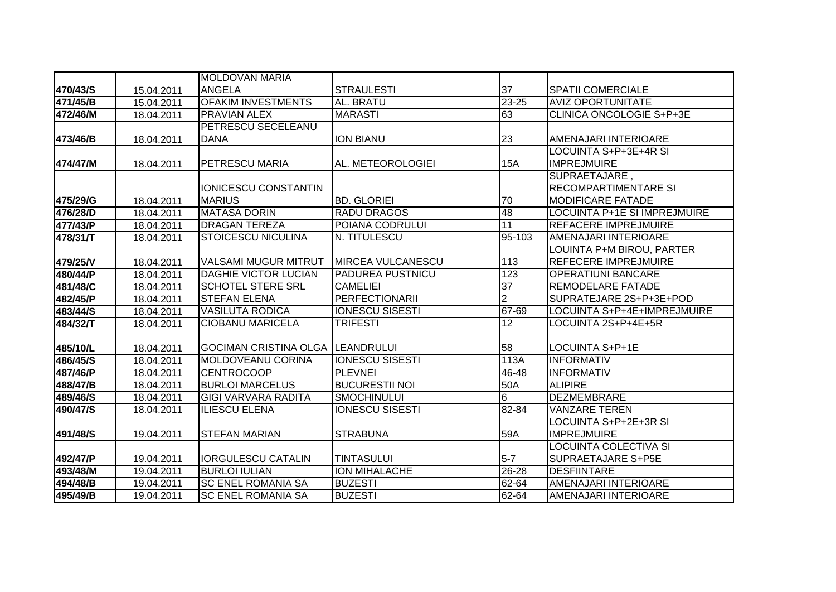|          |            | <b>MOLDOVAN MARIA</b>                   |                          |                  |                                 |
|----------|------------|-----------------------------------------|--------------------------|------------------|---------------------------------|
| 470/43/S | 15.04.2011 | <b>ANGELA</b>                           | <b>STRAULESTI</b>        | 37               | <b>SPATII COMERCIALE</b>        |
| 471/45/B | 15.04.2011 | <b>OFAKIM INVESTMENTS</b>               | AL. BRATU                | $23 - 25$        | <b>AVIZ OPORTUNITATE</b>        |
| 472/46/M | 18.04.2011 | <b>PRAVIAN ALEX</b>                     | <b>MARASTI</b>           | 63               | <b>CLINICA ONCOLOGIE S+P+3E</b> |
|          |            | PETRESCU SECELEANU                      |                          |                  |                                 |
| 473/46/B | 18.04.2011 | <b>DANA</b>                             | <b>ION BIANU</b>         | 23               | AMENAJARI INTERIOARE            |
|          |            |                                         |                          |                  | LOCUINTA S+P+3E+4R SI           |
| 474/47/M | 18.04.2011 | <b>PETRESCU MARIA</b>                   | AL. METEOROLOGIEI        | 15A              | <b>IMPREJMUIRE</b>              |
|          |            |                                         |                          |                  | SUPRAETAJARE,                   |
|          |            | <b>IONICESCU CONSTANTIN</b>             |                          |                  | <b>RECOMPARTIMENTARE SI</b>     |
| 475/29/G | 18.04.2011 | <b>MARIUS</b>                           | <b>BD. GLORIEI</b>       | 70               | <b>MODIFICARE FATADE</b>        |
| 476/28/D | 18.04.2011 | <b>MATASA DORIN</b>                     | <b>RADU DRAGOS</b>       | 48               | LOCUINTA P+1E SI IMPREJMUIRE    |
| 477/43/P | 18.04.2011 | <b>DRAGAN TEREZA</b>                    | POIANA CODRULUI          | 11               | <b>REFACERE IMPREJMUIRE</b>     |
| 478/31/T | 18.04.2011 | <b>STOICESCU NICULINA</b>               | N. TITULESCU             | 95-103           | AMENAJARI INTERIOARE            |
|          |            |                                         |                          |                  | LOUINTA P+M BIROU, PARTER       |
| 479/25/V | 18.04.2011 | VALSAMI MUGUR MITRUT                    | <b>MIRCEA VULCANESCU</b> | 113              | REFECERE IMPREJMUIRE            |
| 480/44/P | 18.04.2011 | <b>DAGHIE VICTOR LUCIAN</b>             | <b>PADUREA PUSTNICU</b>  | $\overline{123}$ | <b>OPERATIUNI BANCARE</b>       |
| 481/48/C | 18.04.2011 | <b>SCHOTEL STERE SRL</b>                | <b>CAMELIEI</b>          | 37               | REMODELARE FATADE               |
| 482/45/P | 18.04.2011 | <b>STEFAN ELENA</b>                     | <b>PERFECTIONARII</b>    | $\overline{2}$   | SUPRATEJARE 2S+P+3E+POD         |
| 483/44/S | 18.04.2011 | <b>VASILUTA RODICA</b>                  | <b>IONESCU SISESTI</b>   | 67-69            | LOCUINTA S+P+4E+IMPREJMUIRE     |
| 484/32/T | 18.04.2011 | <b>CIOBANU MARICELA</b>                 | <b>TRIFESTI</b>          | 12               | LOCUINTA 2S+P+4E+5R             |
|          |            |                                         |                          |                  |                                 |
| 485/10/L | 18.04.2011 | <b>GOCIMAN CRISTINA OLGA LEANDRULUI</b> |                          | 58               | LOCUINTA S+P+1E                 |
| 486/45/S | 18.04.2011 | <b>MOLDOVEANU CORINA</b>                | <b>IONESCU SISESTI</b>   | 113A             | <b>INFORMATIV</b>               |
| 487/46/P | 18.04.2011 | <b>CENTROCOOP</b>                       | <b>PLEVNEI</b>           | 46-48            | <b>INFORMATIV</b>               |
| 488/47/B | 18.04.2011 | <b>BURLOI MARCELUS</b>                  | <b>BUCURESTII NOI</b>    | 50A              | <b>ALIPIRE</b>                  |
| 489/46/S | 18.04.2011 | <b>GIGI VARVARA RADITA</b>              | <b>SMOCHINULUI</b>       | $\overline{6}$   | <b>DEZMEMBRARE</b>              |
| 490/47/S | 18.04.2011 | <b>ILIESCU ELENA</b>                    | <b>IONESCU SISESTI</b>   | 82-84            | <b>VANZARE TEREN</b>            |
|          |            |                                         |                          |                  | LOCUINTA S+P+2E+3R SI           |
| 491/48/S | 19.04.2011 | <b>STEFAN MARIAN</b>                    | <b>STRABUNA</b>          | 59A              | <b>IMPREJMUIRE</b>              |
|          |            |                                         |                          |                  | LOCUINTA COLECTIVA SI           |
| 492/47/P | 19.04.2011 | <b>IORGULESCU CATALIN</b>               | <b>TINTASULUI</b>        | $5 - 7$          | <b>SUPRAETAJARE S+P5E</b>       |
| 493/48/M | 19.04.2011 | <b>BURLOI IULIAN</b>                    | <b>ION MIHALACHE</b>     | 26-28            | <b>DESFIINTARE</b>              |
| 494/48/B | 19.04.2011 | <b>SC ENEL ROMANIA SA</b>               | <b>BUZESTI</b>           | 62-64            | AMENAJARI INTERIOARE            |
| 495/49/B | 19.04.2011 | <b>SC ENEL ROMANIA SA</b>               | <b>BUZESTI</b>           | 62-64            | AMENAJARI INTERIOARE            |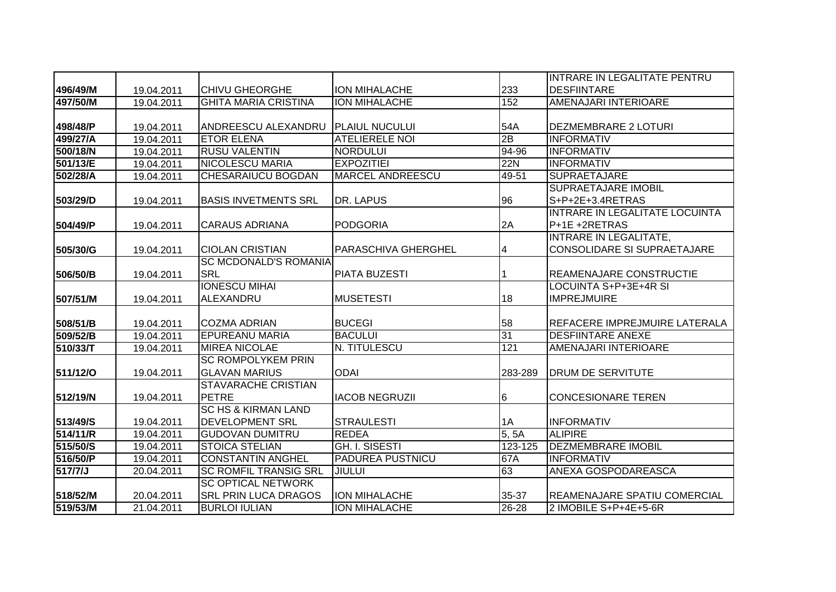|          |            |                                |                         |         | INTRARE IN LEGALITATE PENTRU   |
|----------|------------|--------------------------------|-------------------------|---------|--------------------------------|
| 496/49/M | 19.04.2011 | <b>CHIVU GHEORGHE</b>          | <b>ION MIHALACHE</b>    | 233     | <b>DESFIINTARE</b>             |
| 497/50/M | 19.04.2011 | <b>GHITA MARIA CRISTINA</b>    | <b>ION MIHALACHE</b>    | 152     | AMENAJARI INTERIOARE           |
|          |            |                                |                         |         |                                |
| 498/48/P | 19.04.2011 | ANDREESCU ALEXANDRU            | <b>PLAIUL NUCULUI</b>   | 54A     | <b>DEZMEMBRARE 2 LOTURI</b>    |
| 499/27/A | 19.04.2011 | <b>ETOR ELENA</b>              | <b>ATELIERELE NOI</b>   | 2B      | <b>INFORMATIV</b>              |
| 500/18/N | 19.04.2011 | <b>RUSU VALENTIN</b>           | <b>NORDULUI</b>         | 94-96   | <b>INFORMATIV</b>              |
| 501/13/E | 19.04.2011 | <b>NICOLESCU MARIA</b>         | <b>EXPOZITIEI</b>       | 22N     | <b>INFORMATIV</b>              |
| 502/28/A | 19.04.2011 | <b>CHESARAIUCU BOGDAN</b>      | <b>MARCEL ANDREESCU</b> | 49-51   | <b>SUPRAETAJARE</b>            |
|          |            |                                |                         |         | <b>SUPRAETAJARE IMOBIL</b>     |
| 503/29/D | 19.04.2011 | <b>BASIS INVETMENTS SRL</b>    | DR. LAPUS               | 96      | S+P+2E+3.4RETRAS               |
|          |            |                                |                         |         | INTRARE IN LEGALITATE LOCUINTA |
| 504/49/P | 19.04.2011 | <b>CARAUS ADRIANA</b>          | <b>PODGORIA</b>         | 2A      | P+1E +2RETRAS                  |
|          |            |                                |                         |         | <b>INTRARE IN LEGALITATE,</b>  |
| 505/30/G | 19.04.2011 | <b>CIOLAN CRISTIAN</b>         | PARASCHIVA GHERGHEL     | 4       | CONSOLIDARE SI SUPRAETAJARE    |
|          |            | <b>SC MCDONALD'S ROMANIA</b>   |                         |         |                                |
| 506/50/B | 19.04.2011 | <b>SRL</b>                     | PIATA BUZESTI           |         | REAMENAJARE CONSTRUCTIE        |
|          |            | <b>IONESCU MIHAI</b>           |                         |         | LOCUINTA S+P+3E+4R SI          |
| 507/51/M | 19.04.2011 | ALEXANDRU                      | <b>MUSETESTI</b>        | 18      | <b>IMPREJMUIRE</b>             |
|          |            |                                |                         |         |                                |
| 508/51/B | 19.04.2011 | <b>COZMA ADRIAN</b>            | <b>BUCEGI</b>           | 58      | REFACERE IMPREJMUIRE LATERALA  |
| 509/52/B | 19.04.2011 | <b>EPUREANU MARIA</b>          | <b>BACULUI</b>          | 31      | <b>DESFIINTARE ANEXE</b>       |
| 510/33/T | 19.04.2011 | <b>MIREA NICOLAE</b>           | N. TITULESCU            | 121     | <b>AMENAJARI INTERIOARE</b>    |
|          |            | <b>SC ROMPOLYKEM PRIN</b>      |                         |         |                                |
| 511/12/0 | 19.04.2011 | <b>GLAVAN MARIUS</b>           | <b>ODAI</b>             | 283-289 | <b>DRUM DE SERVITUTE</b>       |
|          |            | <b>STAVARACHE CRISTIAN</b>     |                         |         |                                |
| 512/19/N | 19.04.2011 | <b>PETRE</b>                   | <b>IACOB NEGRUZII</b>   | 6       | <b>CONCESIONARE TEREN</b>      |
|          |            | <b>SC HS &amp; KIRMAN LAND</b> |                         |         |                                |
| 513/49/S | 19.04.2011 | <b>DEVELOPMENT SRL</b>         | <b>STRAULESTI</b>       | 1A      | <b>INFORMATIV</b>              |
| 514/11/R | 19.04.2011 | <b>GUDOVAN DUMITRU</b>         | <b>REDEA</b>            | 5, 5A   | <b>ALIPIRE</b>                 |
| 515/50/S | 19.04.2011 | <b>STOICA STELIAN</b>          | <b>GH. I. SISESTI</b>   | 123-125 | <b>DEZMEMBRARE IMOBIL</b>      |
| 516/50/P | 19.04.2011 | <b>CONSTANTIN ANGHEL</b>       | PADUREA PUSTNICU        | 67A     | <b>INFORMATIV</b>              |
| 517/7/J  | 20.04.2011 | <b>SC ROMFIL TRANSIG SRL</b>   | <b>JIULUI</b>           | 63      | <b>ANEXA GOSPODAREASCA</b>     |
|          |            | <b>SC OPTICAL NETWORK</b>      |                         |         |                                |
| 518/52/M | 20.04.2011 | <b>SRL PRIN LUCA DRAGOS</b>    | ION MIHALACHE           | 35-37   | REAMENAJARE SPATIU COMERCIAL   |
| 519/53/M | 21.04.2011 | <b>BURLOI IULIAN</b>           | ION MIHALACHE           | 26-28   | 2 IMOBILE S+P+4E+5-6R          |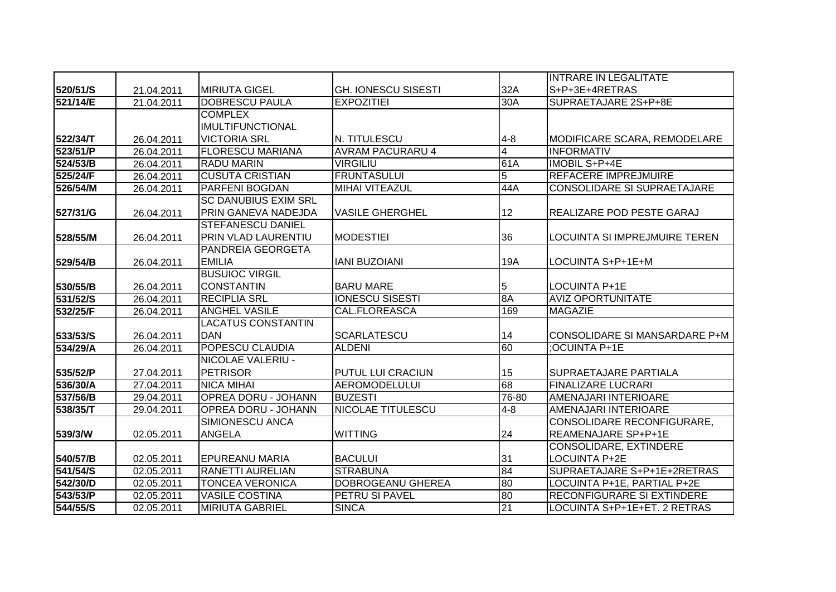|          |            |                             |                            |                | <b>INTRARE IN LEGALITATE</b>       |
|----------|------------|-----------------------------|----------------------------|----------------|------------------------------------|
| 520/51/S | 21.04.2011 | <b>MIRIUTA GIGEL</b>        | <b>GH. IONESCU SISESTI</b> | 32A            | S+P+3E+4RETRAS                     |
| 521/14/E | 21.04.2011 | <b>DOBRESCU PAULA</b>       | <b>EXPOZITIEI</b>          | 30A            | SUPRAETAJARE 2S+P+8E               |
|          |            | <b>COMPLEX</b>              |                            |                |                                    |
|          |            | <b>IMULTIFUNCTIONAL</b>     |                            |                |                                    |
| 522/34/T | 26.04.2011 | <b>VICTORIA SRL</b>         | N. TITULESCU               | $4 - 8$        | MODIFICARE SCARA, REMODELARE       |
| 523/51/P | 26.04.2011 | <b>FLORESCU MARIANA</b>     | <b>AVRAM PACURARU 4</b>    | $\overline{4}$ | <b>INFORMATIV</b>                  |
| 524/53/B | 26.04.2011 | <b>RADU MARIN</b>           | <b>VIRGILIU</b>            | 61A            | <b>IMOBIL S+P+4E</b>               |
| 525/24/F | 26.04.2011 | <b>CUSUTA CRISTIAN</b>      | <b>FRUNTASULUI</b>         | $\overline{5}$ | <b>REFACERE IMPREJMUIRE</b>        |
| 526/54/M | 26.04.2011 | <b>PARFENI BOGDAN</b>       | <b>MIHAI VITEAZUL</b>      | 44A            | <b>CONSOLIDARE SI SUPRAETAJARE</b> |
|          |            | <b>SC DANUBIUS EXIM SRL</b> |                            |                |                                    |
| 527/31/G | 26.04.2011 | PRIN GANEVA NADEJDA         | <b>VASILE GHERGHEL</b>     | 12             | REALIZARE POD PESTE GARAJ          |
|          |            | <b>STEFANESCU DANIEL</b>    |                            |                |                                    |
| 528/55/M | 26.04.2011 | PRIN VLAD LAURENTIU         | <b>MODESTIEI</b>           | 36             | LOCUINTA SI IMPREJMUIRE TEREN      |
|          |            | PANDREIA GEORGETA           |                            |                |                                    |
| 529/54/B | 26.04.2011 | <b>EMILIA</b>               | <b>JANI BUZOJANI</b>       | 19A            | LOCUINTA S+P+1E+M                  |
|          |            | <b>BUSUIOC VIRGIL</b>       |                            |                |                                    |
| 530/55/B | 26.04.2011 | <b>CONSTANTIN</b>           | <b>BARU MARE</b>           | 5              | <b>LOCUINTA P+1E</b>               |
| 531/52/S | 26.04.2011 | <b>RECIPLIA SRL</b>         | <b>IONESCU SISESTI</b>     | 8A             | <b>AVIZ OPORTUNITATE</b>           |
| 532/25/F | 26.04.2011 | <b>ANGHEL VASILE</b>        | CAL.FLOREASCA              | 169            | <b>MAGAZIE</b>                     |
|          |            | <b>LACATUS CONSTANTIN</b>   |                            |                |                                    |
| 533/53/S | 26.04.2011 | <b>DAN</b>                  | <b>SCARLATESCU</b>         | 14             | CONSOLIDARE SI MANSARDARE P+M      |
| 534/29/A | 26.04.2011 | <b>POPESCU CLAUDIA</b>      | <b>ALDENI</b>              | 60             | :OCUINTA P+1E                      |
|          |            | <b>NICOLAE VALERIU -</b>    |                            |                |                                    |
| 535/52/P | 27.04.2011 | <b>PETRISOR</b>             | <b>PUTUL LUI CRACIUN</b>   | 15             | SUPRAETAJARE PARTIALA              |
| 536/30/A | 27.04.2011 | <b>NICA MIHAI</b>           | <b>AEROMODELULUI</b>       | 68             | <b>FINALIZARE LUCRARI</b>          |
| 537/56/B | 29.04.2011 | <b>OPREA DORU - JOHANN</b>  | <b>BUZESTI</b>             | 76-80          | AMENAJARI INTERIOARE               |
| 538/35/T | 29.04.2011 | <b>OPREA DORU - JOHANN</b>  | <b>NICOLAE TITULESCU</b>   | $4 - 8$        | AMENAJARI INTERIOARE               |
|          |            | SIMIONESCU ANCA             |                            |                | CONSOLIDARE RECONFIGURARE,         |
| 539/3/W  | 02.05.2011 | <b>ANGELA</b>               | <b>WITTING</b>             | 24             | REAMENAJARE SP+P+1E                |
|          |            |                             |                            |                | CONSOLIDARE, EXTINDERE             |
| 540/57/B | 02.05.2011 | <b>EPUREANU MARIA</b>       | <b>BACULUI</b>             | 31             | <b>LOCUINTA P+2E</b>               |
| 541/54/S | 02.05.2011 | <b>RANETTI AURELIAN</b>     | <b>STRABUNA</b>            | 84             | SUPRAETAJARE S+P+1E+2RETRAS        |
| 542/30/D | 02.05.2011 | <b>TONCEA VERONICA</b>      | <b>DOBROGEANU GHEREA</b>   | 80             | LOCUINTA P+1E, PARTIAL P+2E        |
| 543/53/P | 02.05.2011 | <b>VASILE COSTINA</b>       | PETRU SI PAVEL             | 80             | <b>RECONFIGURARE SI EXTINDERE</b>  |
| 544/55/S | 02.05.2011 | <b>MIRIUTA GABRIEL</b>      | <b>SINCA</b>               | 21             | LOCUINTA S+P+1E+ET. 2 RETRAS       |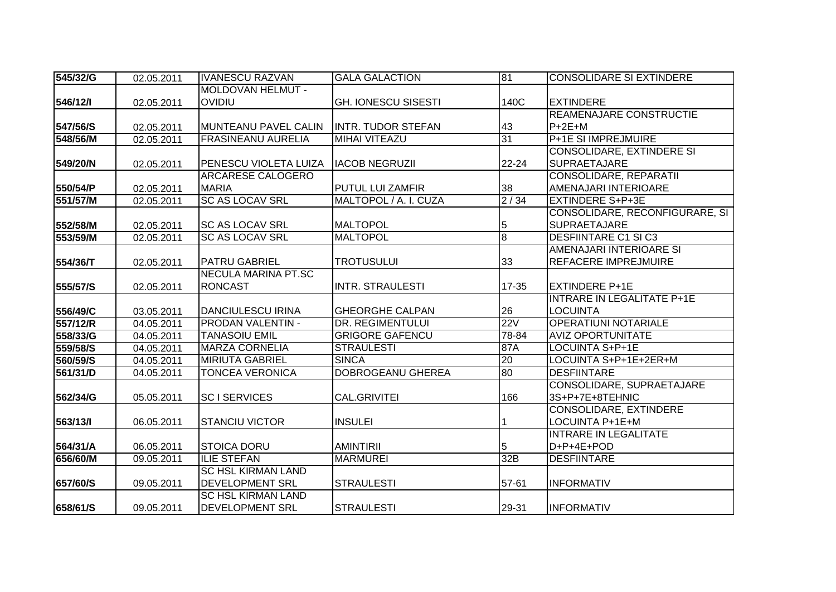| 545/32/G | 02.05.2011 | <b>IVANESCU RAZVAN</b>    | <b>GALA GALACTION</b>      | 81             | <b>CONSOLIDARE SI EXTINDERE</b>   |
|----------|------------|---------------------------|----------------------------|----------------|-----------------------------------|
|          |            | <b>MOLDOVAN HELMUT -</b>  |                            |                |                                   |
| 546/12/1 | 02.05.2011 | <b>OVIDIU</b>             | <b>GH. IONESCU SISESTI</b> | 140C           | <b>EXTINDERE</b>                  |
|          |            |                           |                            |                | REAMENAJARE CONSTRUCTIE           |
| 547/56/S | 02.05.2011 | MUNTEANU PAVEL CALIN      | IINTR. TUDOR STEFAN        | 43             | $P+2E+M$                          |
| 548/56/M | 02.05.2011 | <b>FRASINEANU AURELIA</b> | <b>MIHAI VITEAZU</b>       | 31             | <b>P+1E SI IMPREJMUIRE</b>        |
|          |            |                           |                            |                | <b>CONSOLIDARE, EXTINDERE SI</b>  |
| 549/20/N | 02.05.2011 | PENESCU VIOLETA LUIZA     | <b>IACOB NEGRUZII</b>      | 22-24          | <b>SUPRAETAJARE</b>               |
|          |            | ARCARESE CALOGERO         |                            |                | <b>CONSOLIDARE, REPARATII</b>     |
| 550/54/P | 02.05.2011 | <b>MARIA</b>              | PUTUL LUI ZAMFIR           | 38             | AMENAJARI INTERIOARE              |
| 551/57/M | 02.05.2011 | <b>SC AS LOCAV SRL</b>    | MALTOPOL / A. I. CUZA      | 2/34           | <b>EXTINDERE S+P+3E</b>           |
|          |            |                           |                            |                | CONSOLIDARE, RECONFIGURARE, SI    |
| 552/58/M | 02.05.2011 | <b>SC AS LOCAV SRL</b>    | <b>MALTOPOL</b>            | 5              | <b>SUPRAETAJARE</b>               |
| 553/59/M | 02.05.2011 | <b>SC AS LOCAV SRL</b>    | <b>MALTOPOL</b>            | $\overline{8}$ | <b>DESFIINTARE C1 SI C3</b>       |
|          |            |                           |                            |                | AMENAJARI INTERIOARE SI           |
| 554/36/T | 02.05.2011 | <b>PATRU GABRIEL</b>      | <b>TROTUSULUI</b>          | 33             | REFACERE IMPREJMUIRE              |
|          |            | NECULA MARINA PT.SC       |                            |                |                                   |
| 555/57/S | 02.05.2011 | <b>RONCAST</b>            | <b>INTR. STRAULESTI</b>    | 17-35          | <b>EXTINDERE P+1E</b>             |
|          |            |                           |                            |                | <b>INTRARE IN LEGALITATE P+1E</b> |
| 556/49/C | 03.05.2011 | <b>DANCIULESCU IRINA</b>  | <b>GHEORGHE CALPAN</b>     | 26             | <b>LOCUINTA</b>                   |
| 557/12/R | 04.05.2011 | <b>PRODAN VALENTIN -</b>  | DR. REGIMENTULUI           | 22V            | <b>OPERATIUNI NOTARIALE</b>       |
| 558/33/G | 04.05.2011 | <b>TANASOIU EMIL</b>      | <b>GRIGORE GAFENCU</b>     | 78-84          | <b>AVIZ OPORTUNITATE</b>          |
| 559/58/S | 04.05.2011 | <b>MARZA CORNELIA</b>     | <b>STRAULESTI</b>          | 87A            | LOCUINTA S+P+1E                   |
| 560/59/S | 04.05.2011 | <b>MIRIUTA GABRIEL</b>    | <b>SINCA</b>               | 20             | LOCUINTA S+P+1E+2ER+M             |
| 561/31/D | 04.05.2011 | <b>TONCEA VERONICA</b>    | <b>DOBROGEANU GHEREA</b>   | 80             | <b>DESFIINTARE</b>                |
|          |            |                           |                            |                | CONSOLIDARE, SUPRAETAJARE         |
| 562/34/G | 05.05.2011 | <b>SCISERVICES</b>        | CAL.GRIVITEI               | 166            | 3S+P+7E+8TEHNIC                   |
|          |            |                           |                            |                | <b>CONSOLIDARE, EXTINDERE</b>     |
| 563/13/1 | 06.05.2011 | <b>STANCIU VICTOR</b>     | <b>INSULEI</b>             |                | LOCUINTA P+1E+M                   |
|          |            |                           |                            |                | <b>INTRARE IN LEGALITATE</b>      |
| 564/31/A | 06.05.2011 | <b>STOICA DORU</b>        | <b>AMINTIRII</b>           | 5              | D+P+4E+POD                        |
| 656/60/M | 09.05.2011 | <b>ILIE STEFAN</b>        | <b>MARMUREI</b>            | 32B            | <b>DESFIINTARE</b>                |
|          |            | <b>SC HSL KIRMAN LAND</b> |                            |                |                                   |
| 657/60/S | 09.05.2011 | <b>DEVELOPMENT SRL</b>    | <b>STRAULESTI</b>          | 57-61          | <b>INFORMATIV</b>                 |
|          |            | <b>SC HSL KIRMAN LAND</b> |                            |                |                                   |
| 658/61/S | 09.05.2011 | <b>DEVELOPMENT SRL</b>    | <b>STRAULESTI</b>          | 29-31          | <b>INFORMATIV</b>                 |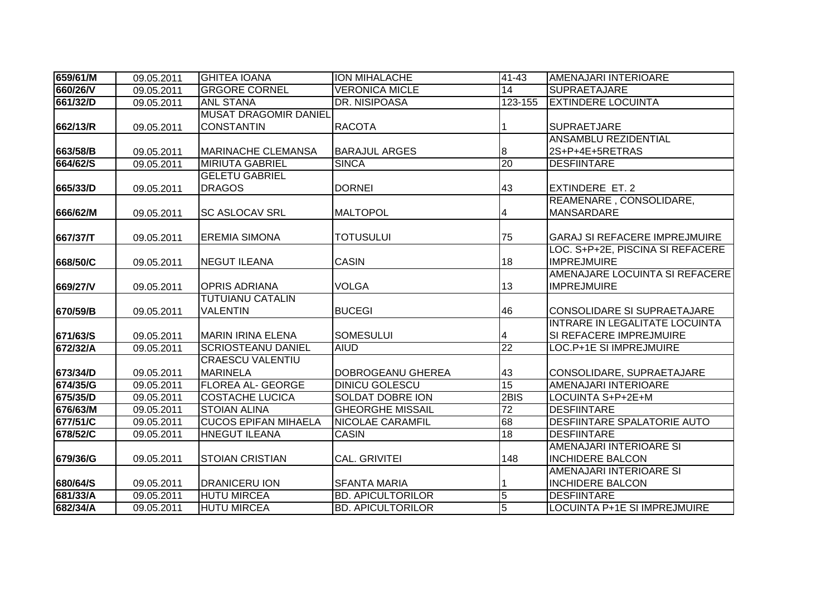| 659/61/M | 09.05.2011 | <b>GHITEA IOANA</b>          | <b>ION MIHALACHE</b>     | $41 - 43$                | <b>AMENAJARI INTERIOARE</b>          |
|----------|------------|------------------------------|--------------------------|--------------------------|--------------------------------------|
| 660/26/V | 09.05.2011 | <b>GRGORE CORNEL</b>         | <b>VERONICA MICLE</b>    | 14                       | <b>SUPRAETAJARE</b>                  |
| 661/32/D | 09.05.2011 | <b>ANL STANA</b>             | DR. NISIPOASA            | 123-155                  | <b>EXTINDERE LOCUINTA</b>            |
|          |            | <b>MUSAT DRAGOMIR DANIEL</b> |                          |                          |                                      |
| 662/13/R | 09.05.2011 | <b>CONSTANTIN</b>            | <b>RACOTA</b>            |                          | <b>SUPRAETJARE</b>                   |
|          |            |                              |                          |                          | <b>ANSAMBLU REZIDENTIAL</b>          |
| 663/58/B | 09.05.2011 | <b>MARINACHE CLEMANSA</b>    | <b>BARAJUL ARGES</b>     | 8                        | 2S+P+4E+5RETRAS                      |
| 664/62/S | 09.05.2011 | <b>MIRIUTA GABRIEL</b>       | <b>SINCA</b>             | 20                       | <b>DESFIINTARE</b>                   |
|          |            | <b>GELETU GABRIEL</b>        |                          |                          |                                      |
| 665/33/D | 09.05.2011 | <b>DRAGOS</b>                | <b>DORNEI</b>            | 43                       | <b>EXTINDERE ET. 2</b>               |
|          |            |                              |                          |                          | REAMENARE, CONSOLIDARE,              |
| 666/62/M | 09.05.2011 | <b>SC ASLOCAV SRL</b>        | <b>MALTOPOL</b>          | 4                        | <b>MANSARDARE</b>                    |
|          |            |                              |                          |                          |                                      |
| 667/37/T | 09.05.2011 | <b>EREMIA SIMONA</b>         | <b>TOTUSULUI</b>         | 75                       | <b>GARAJ SI REFACERE IMPREJMUIRE</b> |
|          |            |                              |                          |                          | LOC. S+P+2E, PISCINA SI REFACERE     |
| 668/50/C | 09.05.2011 | <b>NEGUT ILEANA</b>          | <b>CASIN</b>             | 18                       | <b>IMPREJMUIRE</b>                   |
|          |            |                              |                          |                          | AMENAJARE LOCUINTA SI REFACERE       |
| 669/27/V | 09.05.2011 | <b>OPRIS ADRIANA</b>         | <b>VOLGA</b>             | 13                       | <b>IMPREJMUIRE</b>                   |
|          |            | <b>TUTUIANU CATALIN</b>      |                          |                          |                                      |
| 670/59/B | 09.05.2011 | <b>VALENTIN</b>              | <b>BUCEGI</b>            | 46                       | CONSOLIDARE SI SUPRAETAJARE          |
|          |            |                              |                          |                          | INTRARE IN LEGALITATE LOCUINTA       |
| 671/63/S | 09.05.2011 | <b>MARIN IRINA ELENA</b>     | <b>SOMESULUI</b>         | $\overline{\mathcal{A}}$ | SI REFACERE IMPREJMUIRE              |
| 672/32/A | 09.05.2011 | <b>SCRIOSTEANU DANIEL</b>    | <b>AIUD</b>              | 22                       | LOC.P+1E SI IMPREJMUIRE              |
|          |            | <b>CRAESCU VALENTIU</b>      |                          |                          |                                      |
| 673/34/D | 09.05.2011 | <b>MARINELA</b>              | DOBROGEANU GHEREA        | 43<br>15                 | CONSOLIDARE, SUPRAETAJARE            |
| 674/35/G | 09.05.2011 | <b>FLOREA AL- GEORGE</b>     | <b>DINICU GOLESCU</b>    |                          | <b>AMENAJARI INTERIOARE</b>          |
| 675/35/D | 09.05.2011 | <b>COSTACHE LUCICA</b>       | <b>SOLDAT DOBRE ION</b>  | 2BIS                     | LOCUINTA S+P+2E+M                    |
| 676/63/M | 09.05.2011 | <b>STOIAN ALINA</b>          | <b>GHEORGHE MISSAIL</b>  | 72                       | <b>DESFIINTARE</b>                   |
| 677/51/C | 09.05.2011 | <b>CUCOS EPIFAN MIHAELA</b>  | <b>NICOLAE CARAMFIL</b>  | 68                       | <b>DESFIINTARE SPALATORIE AUTO</b>   |
| 678/52/C | 09.05.2011 | <b>HNEGUT ILEANA</b>         | <b>CASIN</b>             | 18                       | <b>DESFIINTARE</b>                   |
|          |            |                              |                          |                          | AMENAJARI INTERIOARE SI              |
| 679/36/G | 09.05.2011 | <b>STOIAN CRISTIAN</b>       | <b>CAL. GRIVITEI</b>     | 148                      | <b>INCHIDERE BALCON</b>              |
|          |            |                              |                          |                          | AMENAJARI INTERIOARE SI              |
| 680/64/S | 09.05.2011 | <b>DRANICERU ION</b>         | <b>SFANTA MARIA</b>      |                          | <b>INCHIDERE BALCON</b>              |
| 681/33/A | 09.05.2011 | <b>HUTU MIRCEA</b>           | <b>BD. APICULTORILOR</b> | $\overline{5}$           | <b>DESFIINTARE</b>                   |
| 682/34/A | 09.05.2011 | <b>HUTU MIRCEA</b>           | <b>BD. APICULTORILOR</b> | $\overline{5}$           | <b>LOCUINTA P+1E SI IMPREJMUIRE</b>  |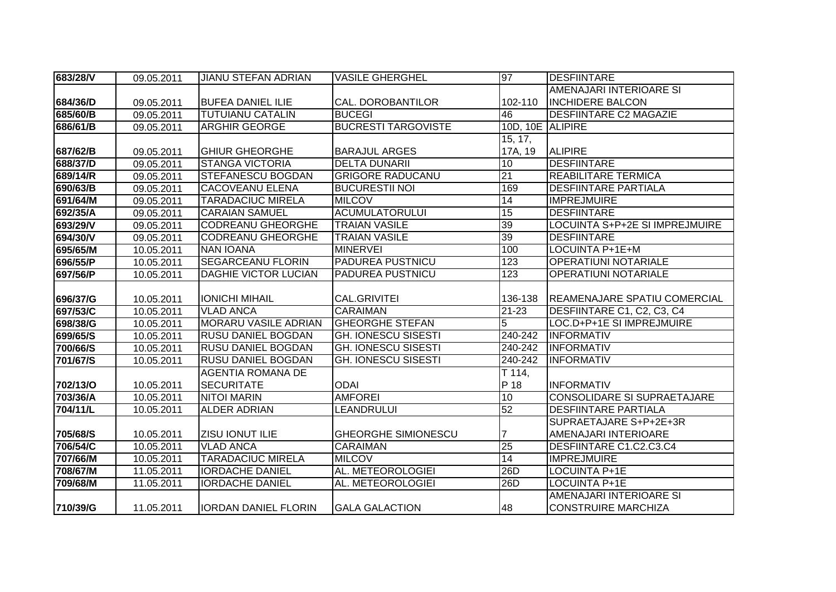| 683/28/V | 09.05.2011 | <b>JIANU STEFAN ADRIAN</b>  | <b>VASILE GHERGHEL</b>     | 97               | DESFIINTARE                           |
|----------|------------|-----------------------------|----------------------------|------------------|---------------------------------------|
|          |            |                             |                            |                  | AMENAJARI INTERIOARE SI               |
| 684/36/D | 09.05.2011 | <b>BUFEA DANIEL ILIE</b>    | CAL. DOROBANTILOR          | 102-110          | <b>INCHIDERE BALCON</b>               |
| 685/60/B | 09.05.2011 | <b>TUTUIANU CATALIN</b>     | <b>BUCEGI</b>              | 46               | <b>DESFIINTARE C2 MAGAZIE</b>         |
| 686/61/B | 09.05.2011 | <b>ARGHIR GEORGE</b>        | <b>BUCRESTI TARGOVISTE</b> | 10D, 10E ALIPIRE |                                       |
|          |            |                             |                            | 15, 17,          |                                       |
| 687/62/B | 09.05.2011 | <b>GHIUR GHEORGHE</b>       | <b>BARAJUL ARGES</b>       | 17A, 19          | <b>ALIPIRE</b>                        |
| 688/37/D | 09.05.2011 | <b>STANGA VICTORIA</b>      | <b>DELTA DUNARII</b>       | 10               | <b>DESFIINTARE</b>                    |
| 689/14/R | 09.05.2011 | <b>STEFANESCU BOGDAN</b>    | <b>GRIGORE RADUCANU</b>    | 21               | <b>REABILITARE TERMICA</b>            |
| 690/63/B | 09.05.2011 | <b>CACOVEANU ELENA</b>      | <b>BUCURESTII NOI</b>      | 169              | <b>DESFIINTARE PARTIALA</b>           |
| 691/64/M | 09.05.2011 | <b>TARADACIUC MIRELA</b>    | <b>MILCOV</b>              | $\overline{14}$  | <b>IMPREJMUIRE</b>                    |
| 692/35/A | 09.05.2011 | <b>CARAIAN SAMUEL</b>       | <b>ACUMULATORULUI</b>      | 15               | <b>DESFIINTARE</b>                    |
| 693/29/V | 09.05.2011 | <b>CODREANU GHEORGHE</b>    | <b>TRAIAN VASILE</b>       | 39               | <b>LOCUINTA S+P+2E SI IMPREJMUIRE</b> |
| 694/30/V | 09.05.2011 | <b>CODREANU GHEORGHE</b>    | <b>TRAIAN VASILE</b>       | 39               | <b>DESFIINTARE</b>                    |
| 695/65/M | 10.05.2011 | <b>NAN IOANA</b>            | <b>MINERVEI</b>            | 100              | LOCUINTA P+1E+M                       |
| 696/55/P | 10.05.2011 | <b>SEGARCEANU FLORIN</b>    | <b>PADUREA PUSTNICU</b>    | 123              | <b>OPERATIUNI NOTARIALE</b>           |
| 697/56/P | 10.05.2011 | <b>DAGHIE VICTOR LUCIAN</b> | <b>PADUREA PUSTNICU</b>    | $\overline{123}$ | <b>OPERATIUNI NOTARIALE</b>           |
|          |            |                             |                            |                  |                                       |
| 696/37/G | 10.05.2011 | <b>IONICHI MIHAIL</b>       | <b>CAL.GRIVITEI</b>        | 136-138          | <b>REAMENAJARE SPATIU COMERCIAL</b>   |
| 697/53/C | 10.05.2011 | <b>VLAD ANCA</b>            | <b>CARAIMAN</b>            | $21 - 23$        | DESFIINTARE C1, C2, C3, C4            |
| 698/38/G | 10.05.2011 | <b>MORARU VASILE ADRIAN</b> | <b>GHEORGHE STEFAN</b>     | 5                | LOC.D+P+1E SI IMPREJMUIRE             |
| 699/65/S | 10.05.2011 | <b>RUSU DANIEL BOGDAN</b>   | <b>GH. IONESCU SISESTI</b> | 240-242          | <b>INFORMATIV</b>                     |
| 700/66/S | 10.05.2011 | <b>RUSU DANIEL BOGDAN</b>   | <b>GH. IONESCU SISESTI</b> | 240-242          | <b>INFORMATIV</b>                     |
| 701/67/S | 10.05.2011 | <b>RUSU DANIEL BOGDAN</b>   | <b>GH. IONESCU SISESTI</b> | 240-242          | <b>INFORMATIV</b>                     |
|          |            | <b>AGENTIA ROMANA DE</b>    |                            | T 114,           |                                       |
| 702/13/O | 10.05.2011 | <b>SECURITATE</b>           | <b>ODAI</b>                | P 18             | <b>INFORMATIV</b>                     |
| 703/36/A | 10.05.2011 | <b>NITOI MARIN</b>          | <b>AMFOREI</b>             | 10               | <b>CONSOLIDARE SI SUPRAETAJARE</b>    |
| 704/11/L | 10.05.2011 | <b>ALDER ADRIAN</b>         | LEANDRULUI                 | 52               | <b>DESFIINTARE PARTIALA</b>           |
|          |            |                             |                            |                  | SUPRAETAJARE S+P+2E+3R                |
| 705/68/S | 10.05.2011 | <b>ZISU IONUT ILIE</b>      | <b>GHEORGHE SIMIONESCU</b> |                  | AMENAJARI INTERIOARE                  |
| 706/54/C | 10.05.2011 | <b>VLAD ANCA</b>            | <b>CARAIMAN</b>            | 25               | DESFIINTARE C1.C2.C3.C4               |
| 707/66/M | 10.05.2011 | <b>TARADACIUC MIRELA</b>    | <b>MILCOV</b>              | 14               | <b>IMPREJMUIRE</b>                    |
| 708/67/M | 11.05.2011 | <b>IORDACHE DANIEL</b>      | AL. METEOROLOGIEI          | 26D              | <b>LOCUINTA P+1E</b>                  |
| 709/68/M | 11.05.2011 | <b>IORDACHE DANIEL</b>      | AL. METEOROLOGIEI          | 26D              | <b>LOCUINTA P+1E</b>                  |
|          |            |                             |                            |                  | AMENAJARI INTERIOARE SI               |
| 710/39/G | 11.05.2011 | IORDAN DANIEL FLORIN        | <b>GALA GALACTION</b>      | 48               | <b>CONSTRUIRE MARCHIZA</b>            |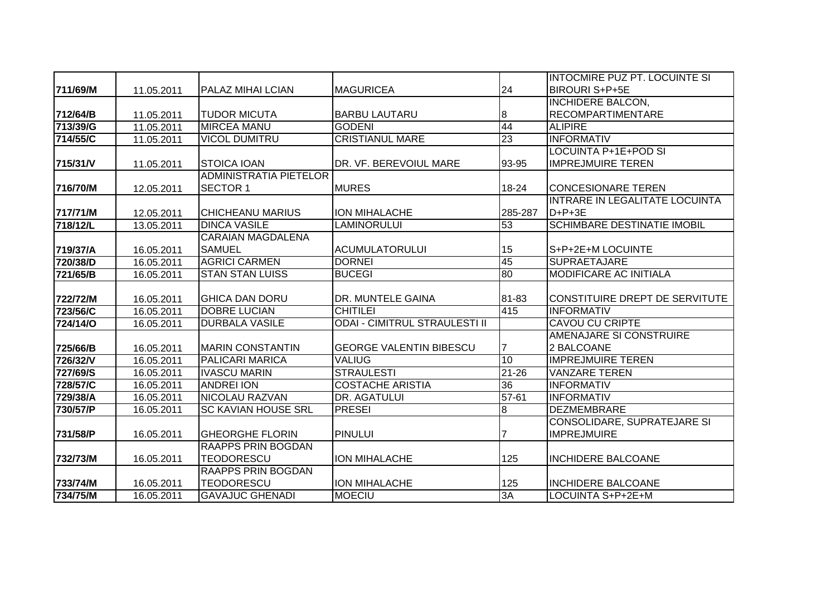|                 |            |                               |                                      |                 | <b>INTOCMIRE PUZ PT. LOCUINTE SI</b> |
|-----------------|------------|-------------------------------|--------------------------------------|-----------------|--------------------------------------|
| 711/69/M        | 11.05.2011 | <b>PALAZ MIHAI LCIAN</b>      | <b>MAGURICEA</b>                     | 24              | <b>BIROURI S+P+5E</b>                |
|                 |            |                               |                                      |                 | <b>INCHIDERE BALCON,</b>             |
| 712/64/B        | 11.05.2011 | <b>TUDOR MICUTA</b>           | <b>BARBU LAUTARU</b>                 | 8               | <b>RECOMPARTIMENTARE</b>             |
| 713/39/G        | 11.05.2011 | <b>MIRCEA MANU</b>            | <b>GODENI</b>                        | 44              | <b>ALIPIRE</b>                       |
| 714/55/C        | 11.05.2011 | <b>VICOL DUMITRU</b>          | <b>CRISTIANUL MARE</b>               | 23              | <b>INFORMATIV</b>                    |
|                 |            |                               |                                      |                 | LOCUINTA P+1E+POD SI                 |
| 715/31/V        | 11.05.2011 | <b>STOICA IOAN</b>            | DR. VF. BEREVOIUL MARE               | 93-95           | <b>IMPREJMUIRE TEREN</b>             |
|                 |            | <b>ADMINISTRATIA PIETELOR</b> |                                      |                 |                                      |
| 716/70/M        | 12.05.2011 | <b>SECTOR 1</b>               | <b>MURES</b>                         | 18-24           | <b>CONCESIONARE TEREN</b>            |
|                 |            |                               |                                      |                 | INTRARE IN LEGALITATE LOCUINTA       |
| 717/71/M        | 12.05.2011 | <b>CHICHEANU MARIUS</b>       | <b>ION MIHALACHE</b>                 | 285-287         | $D+P+3E$                             |
| 718/12/L        | 13.05.2011 | <b>DINCA VASILE</b>           | <b>LAMINORULUI</b>                   | 53              | <b>SCHIMBARE DESTINATIE IMOBIL</b>   |
|                 |            | <b>CARAIAN MAGDALENA</b>      |                                      |                 |                                      |
| 719/37/A        | 16.05.2011 | <b>SAMUEL</b>                 | <b>ACUMULATORULUI</b>                | 15              | S+P+2E+M LOCUINTE                    |
| 720/38/D        | 16.05.2011 | <b>AGRICI CARMEN</b>          | <b>DORNEI</b>                        | 45              | <b>SUPRAETAJARE</b>                  |
| 721/65/B        | 16.05.2011 | <b>STAN STAN LUISS</b>        | <b>BUCEGI</b>                        | 80              | <b>MODIFICARE AC INITIALA</b>        |
|                 |            |                               |                                      |                 |                                      |
| 722/72/M        | 16.05.2011 | <b>GHICA DAN DORU</b>         | DR. MUNTELE GAINA                    | 81-83           | CONSTITUIRE DREPT DE SERVITUTE       |
| 723/56/C        | 16.05.2011 | <b>DOBRE LUCIAN</b>           | <b>CHITILEI</b>                      | 415             | <b>INFORMATIV</b>                    |
| <b>724/14/0</b> | 16.05.2011 | <b>DURBALA VASILE</b>         | <b>ODAI - CIMITRUL STRAULESTI II</b> |                 | <b>CAVOU CU CRIPTE</b>               |
|                 |            |                               |                                      |                 | AMENAJARE SI CONSTRUIRE              |
| 725/66/B        | 16.05.2011 | <b>MARIN CONSTANTIN</b>       | <b>GEORGE VALENTIN BIBESCU</b>       |                 | 2 BALCOANE                           |
| 726/32/V        | 16.05.2011 | PALICARI MARICA               | <b>VALIUG</b>                        | 10              | <b>IMPREJMUIRE TEREN</b>             |
| <b>727/69/S</b> | 16.05.2011 | <b>IVASCU MARIN</b>           | <b>STRAULESTI</b>                    | $21 - 26$       | <b>VANZARE TEREN</b>                 |
| 728/57/C        | 16.05.2011 | <b>ANDREI ION</b>             | <b>COSTACHE ARISTIA</b>              | $\overline{36}$ | <b>INFORMATIV</b>                    |
| 729/38/A        | 16.05.2011 | <b>NICOLAU RAZVAN</b>         | DR. AGATULUI                         | $57 - 61$       | <b>INFORMATIV</b>                    |
| 730/57/P        | 16.05.2011 | <b>SC KAVIAN HOUSE SRL</b>    | <b>PRESEI</b>                        | $\overline{8}$  | <b>DEZMEMBRARE</b>                   |
|                 |            |                               |                                      |                 | CONSOLIDARE, SUPRATEJARE SI          |
| 731/58/P        | 16.05.2011 | <b>GHEORGHE FLORIN</b>        | <b>PINULUI</b>                       |                 | <b>IMPREJMUIRE</b>                   |
|                 |            | RAAPPS PRIN BOGDAN            |                                      |                 |                                      |
| 732/73/M        | 16.05.2011 | <b>TEODORESCU</b>             | ION MIHALACHE                        | 125             | <b>INCHIDERE BALCOANE</b>            |
|                 |            | <b>RAAPPS PRIN BOGDAN</b>     |                                      |                 |                                      |
| 733/74/M        | 16.05.2011 | <b>TEODORESCU</b>             | <b>ION MIHALACHE</b>                 | 125             | <b>INCHIDERE BALCOANE</b>            |
| 734/75/M        | 16.05.2011 | <b>GAVAJUC GHENADI</b>        | <b>MOECIU</b>                        | 3A              | LOCUINTA S+P+2E+M                    |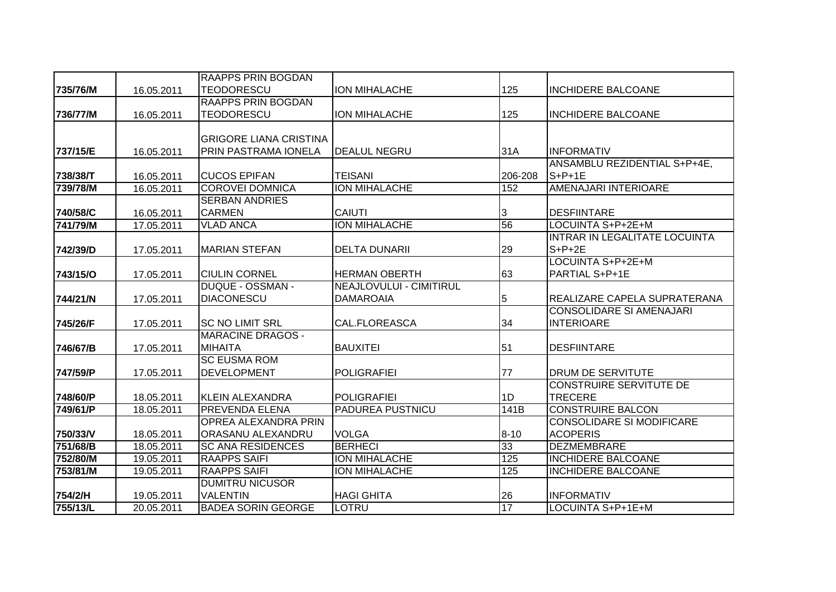|          |            | <b>RAAPPS PRIN BOGDAN</b>     |                                |          |                                  |
|----------|------------|-------------------------------|--------------------------------|----------|----------------------------------|
| 735/76/M | 16.05.2011 | <b>TEODORESCU</b>             | <b>ION MIHALACHE</b>           | 125      | <b>INCHIDERE BALCOANE</b>        |
|          |            | <b>RAAPPS PRIN BOGDAN</b>     |                                |          |                                  |
| 736/77/M | 16.05.2011 | <b>TEODORESCU</b>             | <b>ION MIHALACHE</b>           | 125      | <b>INCHIDERE BALCOANE</b>        |
|          |            |                               |                                |          |                                  |
|          |            | <b>GRIGORE LIANA CRISTINA</b> |                                |          |                                  |
| 737/15/E | 16.05.2011 | PRIN PASTRAMA IONELA          | <b>DEALUL NEGRU</b>            | 31A      | <b>INFORMATIV</b>                |
|          |            |                               |                                |          | ANSAMBLU REZIDENTIAL S+P+4E,     |
| 738/38/T | 16.05.2011 | <b>CUCOS EPIFAN</b>           | <b>TEISANI</b>                 | 206-208  | $S+P+1E$                         |
| 739/78/M | 16.05.2011 | <b>COROVEI DOMNICA</b>        | <b>ION MIHALACHE</b>           | 152      | AMENAJARI INTERIOARE             |
|          |            | <b>SERBAN ANDRIES</b>         |                                |          |                                  |
| 740/58/C | 16.05.2011 | <b>CARMEN</b>                 | <b>CAIUTI</b>                  | 3        | <b>DESFIINTARE</b>               |
| 741/79/M | 17.05.2011 | <b>VLAD ANCA</b>              | <b>ION MIHALACHE</b>           | 56       | LOCUINTA S+P+2E+M                |
|          |            |                               |                                |          | INTRAR IN LEGALITATE LOCUINTA    |
| 742/39/D | 17.05.2011 | <b>MARIAN STEFAN</b>          | <b>DELTA DUNARII</b>           | 29       | $S+P+2E$                         |
|          |            |                               |                                |          | LOCUINTA S+P+2E+M                |
| 743/15/O | 17.05.2011 | <b>CIULIN CORNEL</b>          | <b>HERMAN OBERTH</b>           | 63       | <b>PARTIAL S+P+1E</b>            |
|          |            | <b>DUQUE - OSSMAN -</b>       | <b>NEAJLOVULUI - CIMITIRUL</b> |          |                                  |
| 744/21/N | 17.05.2011 | <b>DIACONESCU</b>             | <b>DAMAROAIA</b>               | 5        | REALIZARE CAPELA SUPRATERANA     |
|          |            |                               |                                |          | <b>CONSOLIDARE SI AMENAJARI</b>  |
| 745/26/F | 17.05.2011 | <b>SC NO LIMIT SRL</b>        | CAL.FLOREASCA                  | 34       | <b>INTERIOARE</b>                |
|          |            | <b>MARACINE DRAGOS -</b>      |                                |          |                                  |
| 746/67/B | 17.05.2011 | <b>MIHAITA</b>                | <b>BAUXITEI</b>                | 51       | <b>DESFIINTARE</b>               |
|          |            | <b>SC EUSMA ROM</b>           |                                |          |                                  |
| 747/59/P | 17.05.2011 | <b>DEVELOPMENT</b>            | <b>POLIGRAFIEI</b>             | 77       | <b>DRUM DE SERVITUTE</b>         |
|          |            |                               |                                |          | CONSTRUIRE SERVITUTE DE          |
| 748/60/P | 18.05.2011 | KLEIN ALEXANDRA               | <b>POLIGRAFIEI</b>             | 1D       | <b>TRECERE</b>                   |
| 749/61/P | 18.05.2011 | <b>PREVENDA ELENA</b>         | <b>PADUREA PUSTNICU</b>        | 141B     | <b>CONSTRUIRE BALCON</b>         |
|          |            | OPREA ALEXANDRA PRIN          |                                |          | <b>CONSOLIDARE SI MODIFICARE</b> |
| 750/33/V | 18.05.2011 | ORASANU ALEXANDRU             | <b>VOLGA</b>                   | $8 - 10$ | <b>ACOPERIS</b>                  |
| 751/68/B | 18.05.2011 | <b>SC ANA RESIDENCES</b>      | <b>BERHECI</b>                 | 33       | <b>DEZMEMBRARE</b>               |
| 752/80/M | 19.05.2011 | <b>RAAPPS SAIFI</b>           | ION MIHALACHE                  | 125      | <b>INCHIDERE BALCOANE</b>        |
| 753/81/M | 19.05.2011 | <b>RAAPPS SAIFI</b>           | <b>ION MIHALACHE</b>           | 125      | <b>INCHIDERE BALCOANE</b>        |
|          |            | <b>DUMITRU NICUSOR</b>        |                                |          |                                  |
| 754/2/H  | 19.05.2011 | <b>VALENTIN</b>               | <b>HAGI GHITA</b>              | 26       | <b>INFORMATIV</b>                |
| 755/13/L | 20.05.2011 | <b>BADEA SORIN GEORGE</b>     | <b>LOTRU</b>                   | 17       | LOCUINTA S+P+1E+M                |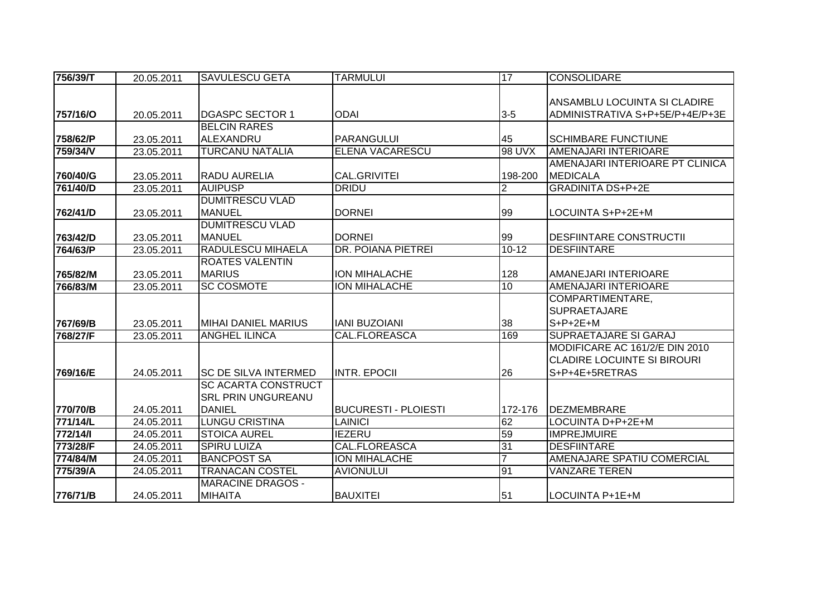| 756/39/T | 20.05.2011 | <b>SAVULESCU GETA</b>       | <b>TARMULUI</b>             | 17             | <b>CONSOLIDARE</b>                 |
|----------|------------|-----------------------------|-----------------------------|----------------|------------------------------------|
|          |            |                             |                             |                |                                    |
|          |            |                             |                             |                | ANSAMBLU LOCUINTA SI CLADIRE       |
| 757/16/0 | 20.05.2011 | <b>DGASPC SECTOR 1</b>      | <b>ODAI</b>                 | $3-5$          | ADMINISTRATIVA S+P+5E/P+4E/P+3E    |
|          |            | <b>BELCIN RARES</b>         |                             |                |                                    |
| 758/62/P | 23.05.2011 | ALEXANDRU                   | PARANGULUI                  | 45             | <b>SCHIMBARE FUNCTIUNE</b>         |
| 759/34/V | 23.05.2011 | <b>TURCANU NATALIA</b>      | <b>ELENA VACARESCU</b>      | 98 UVX         | <b>AMENAJARI INTERIOARE</b>        |
|          |            |                             |                             |                | AMENAJARI INTERIOARE PT CLINICA    |
| 760/40/G | 23.05.2011 | <b>RADU AURELIA</b>         | <b>CAL.GRIVITEI</b>         | 198-200        | <b>MEDICALA</b>                    |
| 761/40/D | 23.05.2011 | <b>AUIPUSP</b>              | <b>DRIDU</b>                | $\overline{2}$ | <b>GRADINITA DS+P+2E</b>           |
|          |            | <b>DUMITRESCU VLAD</b>      |                             |                |                                    |
| 762/41/D | 23.05.2011 | <b>MANUEL</b>               | <b>DORNEI</b>               | 99             | LOCUINTA S+P+2E+M                  |
|          |            | <b>DUMITRESCU VLAD</b>      |                             |                |                                    |
| 763/42/D | 23.05.2011 | <b>MANUEL</b>               | <b>DORNEI</b>               | 99             | <b>DESFIINTARE CONSTRUCTII</b>     |
| 764/63/P | 23.05.2011 | RADULESCU MIHAELA           | DR. POIANA PIETREI          | $10 - 12$      | <b>DESFIINTARE</b>                 |
|          |            | <b>ROATES VALENTIN</b>      |                             |                |                                    |
| 765/82/M | 23.05.2011 | <b>MARIUS</b>               | <b>ION MIHALACHE</b>        | 128            | AMANEJARI INTERIOARE               |
| 766/83/M | 23.05.2011 | <b>SC COSMOTE</b>           | <b>ION MIHALACHE</b>        | 10             | AMENAJARI INTERIOARE               |
|          |            |                             |                             |                | COMPARTIMENTARE,                   |
|          |            |                             |                             |                | <b>SUPRAETAJARE</b>                |
| 767/69/B | 23.05.2011 | MIHAI DANIEL MARIUS         | <b>IANI BUZOIANI</b>        | 38             | $S+P+2E+M$                         |
| 768/27/F | 23.05.2011 | <b>ANGHEL ILINCA</b>        | <b>CAL.FLOREASCA</b>        | 169            | SUPRAETAJARE SI GARAJ              |
|          |            |                             |                             |                | MODIFICARE AC 161/2/E DIN 2010     |
|          |            |                             |                             |                | <b>CLADIRE LOCUINTE SI BIROURI</b> |
| 769/16/E | 24.05.2011 | <b>SC DE SILVA INTERMED</b> | <b>INTR. EPOCII</b>         | 26             | S+P+4E+5RETRAS                     |
|          |            | <b>SC ACARTA CONSTRUCT</b>  |                             |                |                                    |
|          |            | <b>SRL PRIN UNGUREANU</b>   |                             |                |                                    |
| 770/70/B | 24.05.2011 | <b>DANIEL</b>               | <b>BUCURESTI - PLOIESTI</b> | 172-176        | DEZMEMBRARE                        |
| 771/14/L | 24.05.2011 | <b>LUNGU CRISTINA</b>       | <b>LAINICI</b>              | 62             | LOCUINTA D+P+2E+M                  |
| 772/14/1 | 24.05.2011 | <b>STOICA AUREL</b>         | <b>IEZERU</b>               | 59             | <b>IMPREJMUIRE</b>                 |
| 773/28/F | 24.05.2011 | <b>SPIRU LUIZA</b>          | CAL.FLOREASCA               | 31             | <b>DESFIINTARE</b>                 |
| 774/84/M | 24.05.2011 | <b>BANCPOST SA</b>          | ION MIHALACHE               | $\overline{7}$ | AMENAJARE SPATIU COMERCIAL         |
| 775/39/A | 24.05.2011 | <b>TRANACAN COSTEL</b>      | <b>AVIONULUI</b>            | 91             | <b>VANZARE TEREN</b>               |
|          |            | <b>MARACINE DRAGOS -</b>    |                             |                |                                    |
| 776/71/B | 24.05.2011 | <b>MIHAITA</b>              | <b>BAUXITEI</b>             | 51             | LOCUINTA P+1E+M                    |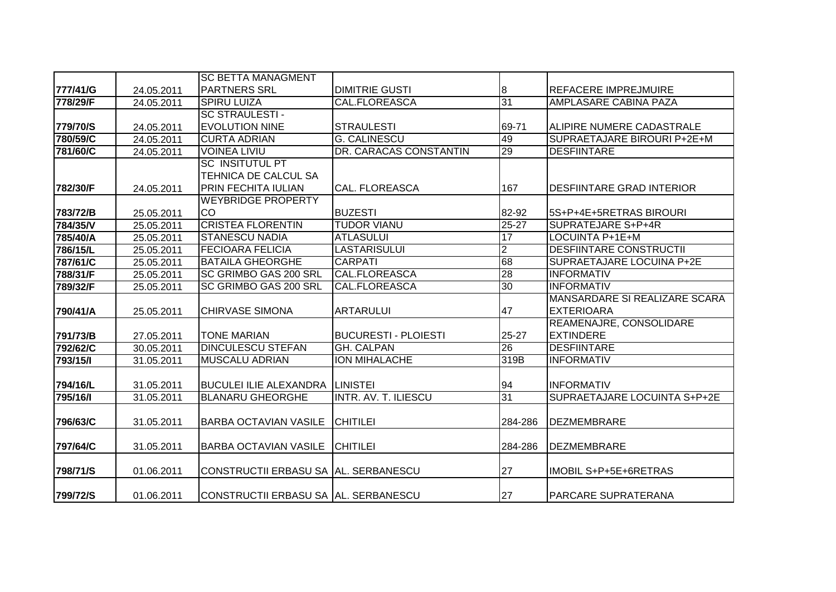|          |            | <b>SC BETTA MANAGMENT</b>            |                             |                  |                                     |
|----------|------------|--------------------------------------|-----------------------------|------------------|-------------------------------------|
| 777/41/G | 24.05.2011 | IPARTNERS SRL                        | <b>DIMITRIE GUSTI</b>       | $\boldsymbol{8}$ | <b>REFACERE IMPREJMUIRE</b>         |
| 778/29/F | 24.05.2011 | <b>SPIRU LUIZA</b>                   | <b>CAL.FLOREASCA</b>        | 31               | <b>AMPLASARE CABINA PAZA</b>        |
|          |            | <b>SC STRAULESTI-</b>                |                             |                  |                                     |
| 779/70/S | 24.05.2011 | <b>EVOLUTION NINE</b>                | <b>STRAULESTI</b>           | 69-71            | ALIPIRE NUMERE CADASTRALE           |
| 780/59/C | 24.05.2011 | <b>CURTA ADRIAN</b>                  | <b>G. CALINESCU</b>         | 49               | SUPRAETAJARE BIROURI P+2E+M         |
| 781/60/C | 24.05.2011 | <b>VOINEA LIVIU</b>                  | DR. CARACAS CONSTANTIN      | 29               | <b>DESFIINTARE</b>                  |
|          |            | <b>SC INSITUTUL PT</b>               |                             |                  |                                     |
|          |            | TEHNICA DE CALCUL SA                 |                             |                  |                                     |
| 782/30/F | 24.05.2011 | <b>PRIN FECHITA IULIAN</b>           | <b>CAL. FLOREASCA</b>       | 167              | <b>DESFIINTARE GRAD INTERIOR</b>    |
|          |            | <b>WEYBRIDGE PROPERTY</b>            |                             |                  |                                     |
| 783/72/B | 25.05.2011 | CO                                   | <b>BUZESTI</b>              | 82-92            | 5S+P+4E+5RETRAS BIROURI             |
| 784/35/V | 25.05.2011 | <b>CRISTEA FLORENTIN</b>             | <b>TUDOR VIANU</b>          | $25 - 27$        | <b>SUPRATEJARE S+P+4R</b>           |
| 785/40/A | 25.05.2011 | <b>STANESCU NADIA</b>                | <b>ATLASULUI</b>            | 17               | LOCUINTA P+1E+M                     |
| 786/15/L | 25.05.2011 | <b>FECIOARA FELICIA</b>              | LASTARISULUI                | $\overline{2}$   | <b>DESFIINTARE CONSTRUCTII</b>      |
| 787/61/C | 25.05.2011 | <b>BATAILA GHEORGHE</b>              | <b>CARPATI</b>              | 68               | SUPRAETAJARE LOCUINA P+2E           |
| 788/31/F | 25.05.2011 | SC GRIMBO GAS 200 SRL                | <b>CAL.FLOREASCA</b>        | $\overline{28}$  | <b>INFORMATIV</b>                   |
| 789/32/F | 25.05.2011 | SC GRIMBO GAS 200 SRL                | CAL.FLOREASCA               | 30               | <b>INFORMATIV</b>                   |
|          |            |                                      |                             |                  | MANSARDARE SI REALIZARE SCARA       |
| 790/41/A | 25.05.2011 | <b>CHIRVASE SIMONA</b>               | <b>ARTARULUI</b>            | 47               | <b>EXTERIOARA</b>                   |
|          |            |                                      |                             |                  | REAMENAJRE, CONSOLIDARE             |
| 791/73/B | 27.05.2011 | <b>TONE MARIAN</b>                   | <b>BUCURESTI - PLOIESTI</b> | $25 - 27$        | <b>EXTINDERE</b>                    |
| 792/62/C | 30.05.2011 | <b>DINCULESCU STEFAN</b>             | <b>GH. CALPAN</b>           | $\overline{26}$  | <b>DESFIINTARE</b>                  |
| 793/15/1 | 31.05.2011 | <b>MUSCALU ADRIAN</b>                | ION MIHALACHE               | 319B             | <b>INFORMATIV</b>                   |
|          |            |                                      |                             |                  |                                     |
| 794/16/L | 31.05.2011 | <b>BUCULEI ILIE ALEXANDRA</b>        | <b>LINISTEI</b>             | 94               | <b>INFORMATIV</b>                   |
| 795/16/1 | 31.05.2011 | <b>BLANARU GHEORGHE</b>              | <b>INTR. AV. T. ILIESCU</b> | 31               | <b>SUPRAETAJARE LOCUINTA S+P+2E</b> |
|          |            |                                      |                             |                  |                                     |
| 796/63/C | 31.05.2011 | IBARBA OCTAVIAN VASILE               | <b>CHITILEI</b>             | 284-286          | <b>DEZMEMBRARE</b>                  |
|          |            |                                      |                             |                  |                                     |
| 797/64/C | 31.05.2011 | <b>BARBA OCTAVIAN VASILE</b>         | <b>CHITILEI</b>             | 284-286          | <b>DEZMEMBRARE</b>                  |
|          |            |                                      |                             |                  |                                     |
| 798/71/S | 01.06.2011 | CONSTRUCTII ERBASU SA AL. SERBANESCU |                             | 27               | <b>IMOBIL S+P+5E+6RETRAS</b>        |
|          |            |                                      |                             |                  |                                     |
| 799/72/S | 01.06.2011 | CONSTRUCTII ERBASU SA AL. SERBANESCU |                             | 27               | PARCARE SUPRATERANA                 |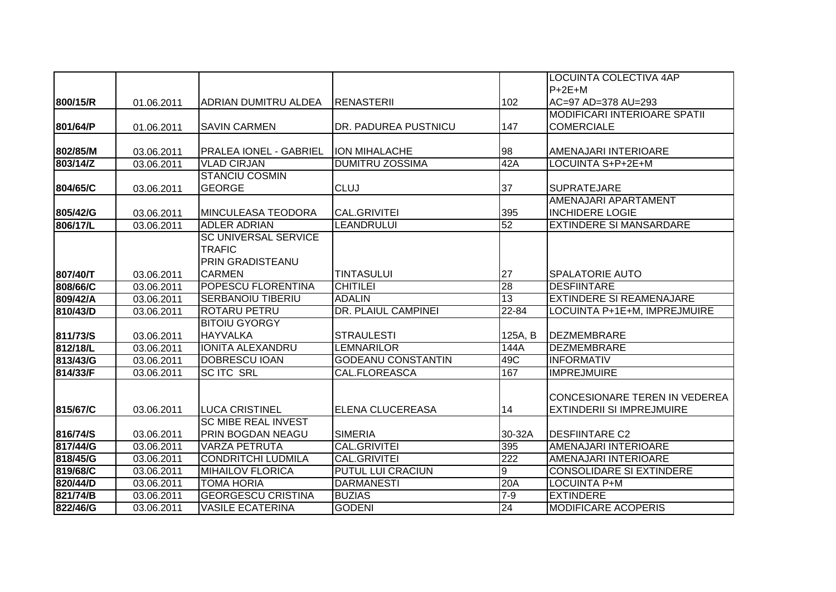|          |            |                               |                           |                 | <b>LOCUINTA COLECTIVA 4AP</b>    |
|----------|------------|-------------------------------|---------------------------|-----------------|----------------------------------|
|          |            |                               |                           |                 | $P+2E+M$                         |
| 800/15/R | 01.06.2011 | <b>ADRIAN DUMITRU ALDEA</b>   | RENASTERII                | 102             | AC=97 AD=378 AU=293              |
|          |            |                               |                           |                 | MODIFICARI INTERIOARE SPATII     |
| 801/64/P | 01.06.2011 | <b>SAVIN CARMEN</b>           | DR. PADUREA PUSTNICU      | 147             | <b>COMERCIALE</b>                |
|          |            |                               |                           |                 |                                  |
| 802/85/M | 03.06.2011 | <b>PRALEA IONEL - GABRIEL</b> | <b>ION MIHALACHE</b>      | 98              | AMENAJARI INTERIOARE             |
| 803/14/Z | 03.06.2011 | <b>VLAD CIRJAN</b>            | <b>DUMITRU ZOSSIMA</b>    | 42A             | LOCUINTA S+P+2E+M                |
|          |            | <b>STANCIU COSMIN</b>         |                           |                 |                                  |
| 804/65/C | 03.06.2011 | <b>GEORGE</b>                 | <b>CLUJ</b>               | 37              | <b>SUPRATEJARE</b>               |
|          |            |                               |                           |                 | AMENAJARI APARTAMENT             |
| 805/42/G | 03.06.2011 | <b>MINCULEASA TEODORA</b>     | CAL.GRIVITEI              | 395             | <b>INCHIDERE LOGIE</b>           |
| 806/17/L | 03.06.2011 | <b>ADLER ADRIAN</b>           | LEANDRULUI                | 52              | <b>EXTINDERE SI MANSARDARE</b>   |
|          |            | <b>SC UNIVERSAL SERVICE</b>   |                           |                 |                                  |
|          |            | <b>TRAFIC</b>                 |                           |                 |                                  |
|          |            | PRIN GRADISTEANU              |                           |                 |                                  |
| 807/40/T | 03.06.2011 | <b>CARMEN</b>                 | <b>TINTASULUI</b>         | 27              | <b>SPALATORIE AUTO</b>           |
| 808/66/C | 03.06.2011 | POPESCU FLORENTINA            | <b>CHITILEI</b>           | 28              | <b>DESFIINTARE</b>               |
| 809/42/A | 03.06.2011 | <b>SERBANOIU TIBERIU</b>      | <b>ADALIN</b>             | $\overline{13}$ | <b>EXTINDERE SI REAMENAJARE</b>  |
| 810/43/D | 03.06.2011 | <b>ROTARU PETRU</b>           | DR. PLAIUL CAMPINEI       | 22-84           | LOCUINTA P+1E+M, IMPREJMUIRE     |
|          |            | <b>BITOIU GYORGY</b>          |                           |                 |                                  |
| 811/73/S | 03.06.2011 | <b>HAYVALKA</b>               | <b>STRAULESTI</b>         | 125A, B         | DEZMEMBRARE                      |
| 812/18/L | 03.06.2011 | <b>IONITA ALEXANDRU</b>       | <b>LEMNARILOR</b>         | 144A            | <b>DEZMEMBRARE</b>               |
| 813/43/G | 03.06.2011 | <b>DOBRESCU IOAN</b>          | <b>GODEANU CONSTANTIN</b> | 49C             | <b>INFORMATIV</b>                |
| 814/33/F | 03.06.2011 | <b>SCITC SRL</b>              | <b>CAL.FLOREASCA</b>      | 167             | <b>IMPREJMUIRE</b>               |
|          |            |                               |                           |                 |                                  |
|          |            |                               |                           |                 | CONCESIONARE TEREN IN VEDEREA    |
| 815/67/C | 03.06.2011 | <b>LUCA CRISTINEL</b>         | <b>ELENA CLUCEREASA</b>   | 14              | <b>EXTINDERII SI IMPREJMUIRE</b> |
|          |            | <b>SC MIBE REAL INVEST</b>    |                           |                 |                                  |
| 816/74/S | 03.06.2011 | PRIN BOGDAN NEAGU             | <b>SIMERIA</b>            | 30-32A          | <b>DESFIINTARE C2</b>            |
| 817/44/G | 03.06.2011 | <b>VARZA PETRUTA</b>          | CAL.GRIVITEI              | 395             | AMENAJARI INTERIOARE             |
| 818/45/G | 03.06.2011 | <b>CONDRITCHI LUDMILA</b>     | <b>CAL.GRIVITEI</b>       | 222             | <b>AMENAJARI INTERIOARE</b>      |
| 819/68/C | 03.06.2011 | <b>MIHAILOV FLORICA</b>       | <b>PUTUL LUI CRACIUN</b>  | $\overline{9}$  | <b>CONSOLIDARE SI EXTINDERE</b>  |
| 820/44/D | 03.06.2011 | <b>TOMA HORIA</b>             | <b>DARMANESTI</b>         | 20A             | <b>LOCUINTA P+M</b>              |
| 821/74/B | 03.06.2011 | <b>GEORGESCU CRISTINA</b>     | <b>BUZIAS</b>             | $7-9$           | <b>EXTINDERE</b>                 |
| 822/46/G | 03.06.2011 | <b>VASILE ECATERINA</b>       | <b>GODENI</b>             | $\overline{24}$ | <b>MODIFICARE ACOPERIS</b>       |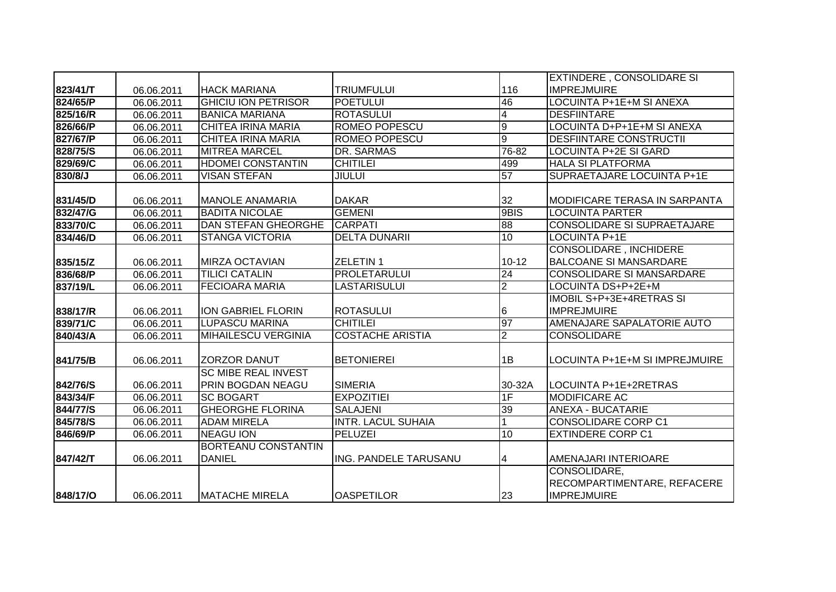|          |            |                            |                           |                | <b>EXTINDERE, CONSOLIDARE SI</b>     |
|----------|------------|----------------------------|---------------------------|----------------|--------------------------------------|
| 823/41/T | 06.06.2011 | <b>HACK MARIANA</b>        | <b>TRIUMFULUI</b>         | 116            | <b>IMPREJMUIRE</b>                   |
| 824/65/P | 06.06.2011 | <b>GHICIU ION PETRISOR</b> | <b>POETULUI</b>           | 46             | <b>LOCUINTA P+1E+M SI ANEXA</b>      |
| 825/16/R | 06.06.2011 | <b>BANICA MARIANA</b>      | <b>ROTASULUI</b>          | $\overline{4}$ | <b>DESFIINTARE</b>                   |
| 826/66/P | 06.06.2011 | <b>CHITEA IRINA MARIA</b>  | <b>ROMEO POPESCU</b>      | 9              | LOCUINTA D+P+1E+M SI ANEXA           |
| 827/67/P | 06.06.2011 | CHITEA IRINA MARIA         | <b>ROMEO POPESCU</b>      | $\overline{9}$ | <b>DESFIINTARE CONSTRUCTII</b>       |
| 828/75/S | 06.06.2011 | <b>MITREA MARCEL</b>       | DR. SARMAS                | 76-82          | <b>LOCUINTA P+2E SI GARD</b>         |
| 829/69/C | 06.06.2011 | <b>HDOMEI CONSTANTIN</b>   | <b>CHITILEI</b>           | 499            | <b>HALA SI PLATFORMA</b>             |
| 830/8/J  | 06.06.2011 | <b>VISAN STEFAN</b>        | <b>JIULUI</b>             | 57             | <b>SUPRAETAJARE LOCUINTA P+1E</b>    |
|          |            |                            |                           |                |                                      |
| 831/45/D | 06.06.2011 | <b>MANOLE ANAMARIA</b>     | <b>DAKAR</b>              | 32             | <b>MODIFICARE TERASA IN SARPANTA</b> |
| 832/47/G | 06.06.2011 | <b>BADITA NICOLAE</b>      | <b>GEMENI</b>             | 9BIS           | <b>LOCUINTA PARTER</b>               |
| 833/70/C | 06.06.2011 | DAN STEFAN GHEORGHE        | <b>CARPATI</b>            | 88             | <b>CONSOLIDARE SI SUPRAETAJARE</b>   |
| 834/46/D | 06.06.2011 | <b>STANGA VICTORIA</b>     | <b>DELTA DUNARII</b>      | 10             | <b>LOCUINTA P+1E</b>                 |
|          |            |                            |                           |                | <b>CONSOLIDARE, INCHIDERE</b>        |
| 835/15/Z | 06.06.2011 | <b>MIRZA OCTAVIAN</b>      | <b>ZELETIN1</b>           | $10 - 12$      | <b>BALCOANE SI MANSARDARE</b>        |
| 836/68/P | 06.06.2011 | <b>TILICI CATALIN</b>      | <b>PROLETARULUI</b>       | 24             | <b>CONSOLIDARE SI MANSARDARE</b>     |
| 837/19/L | 06.06.2011 | <b>FECIOARA MARIA</b>      | <b>LASTARISULUI</b>       | $\overline{2}$ | LOCUINTA DS+P+2E+M                   |
|          |            |                            |                           |                | IMOBIL S+P+3E+4RETRAS SI             |
| 838/17/R | 06.06.2011 | <b>ION GABRIEL FLORIN</b>  | <b>ROTASULUI</b>          | 6              | <b>IMPREJMUIRE</b>                   |
| 839/71/C | 06.06.2011 | <b>LUPASCU MARINA</b>      | CHITILEI                  | 97             | AMENAJARE SAPALATORIE AUTO           |
| 840/43/A | 06.06.2011 | <b>MIHAILESCU VERGINIA</b> | <b>COSTACHE ARISTIA</b>   | $\overline{2}$ | <b>CONSOLIDARE</b>                   |
|          |            |                            |                           |                |                                      |
| 841/75/B | 06.06.2011 | <b>ZORZOR DANUT</b>        | <b>BETONIEREI</b>         | 1B             | LOCUINTA P+1E+M SI IMPREJMUIRE       |
|          |            | <b>SC MIBE REAL INVEST</b> |                           |                |                                      |
| 842/76/S | 06.06.2011 | <b>PRIN BOGDAN NEAGU</b>   | <b>SIMERIA</b>            | 30-32A         | LOCUINTA P+1E+2RETRAS                |
| 843/34/F | 06.06.2011 | <b>SC BOGART</b>           | <b>EXPOZITIEI</b>         | 1F             | <b>MODIFICARE AC</b>                 |
| 844/77/S | 06.06.2011 | <b>GHEORGHE FLORINA</b>    | <b>SALAJENI</b>           | 39             | <b>ANEXA - BUCATARIE</b>             |
| 845/78/S | 06.06.2011 | <b>ADAM MIRELA</b>         | <b>INTR. LACUL SUHAIA</b> |                | <b>CONSOLIDARE CORP C1</b>           |
| 846/69/P | 06.06.2011 | <b>NEAGU ION</b>           | <b>PELUZEI</b>            | 10             | <b>EXTINDERE CORP C1</b>             |
|          |            | <b>BORTEANU CONSTANTIN</b> |                           |                |                                      |
| 847/42/T | 06.06.2011 | <b>DANIEL</b>              | ING. PANDELE TARUSANU     | 4              | AMENAJARI INTERIOARE                 |
|          |            |                            |                           |                | CONSOLIDARE,                         |
|          |            |                            |                           |                | RECOMPARTIMENTARE, REFACERE          |
| 848/17/O | 06.06.2011 | <b>MATACHE MIRELA</b>      | <b>OASPETILOR</b>         | 23             | <b>IMPREJMUIRE</b>                   |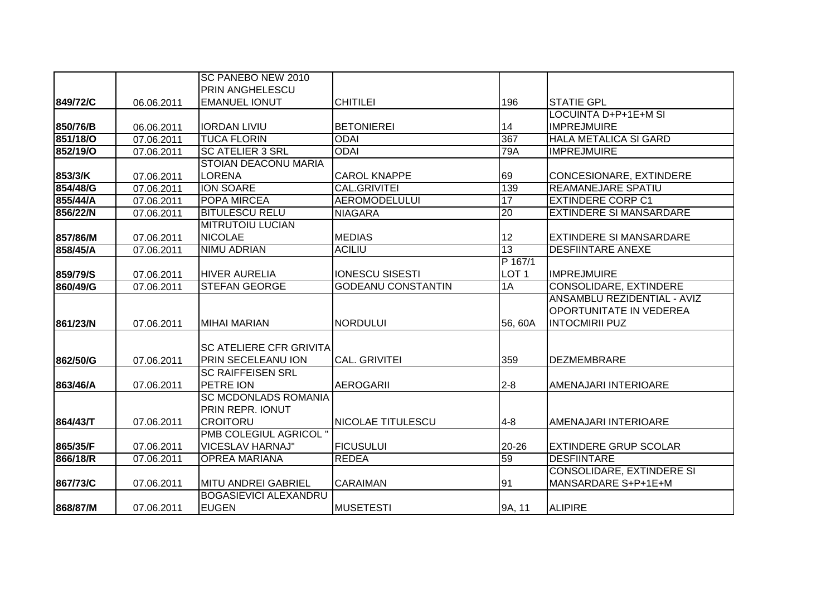|          |            | SC PANEBO NEW 2010             |                           |                  |                                  |
|----------|------------|--------------------------------|---------------------------|------------------|----------------------------------|
|          |            | <b>PRIN ANGHELESCU</b>         |                           |                  |                                  |
| 849/72/C | 06.06.2011 | <b>EMANUEL IONUT</b>           | <b>CHITILEI</b>           | 196              | <b>STATIE GPL</b>                |
|          |            |                                |                           |                  | LOCUINTA D+P+1E+M SI             |
| 850/76/B | 06.06.2011 | <b>IORDAN LIVIU</b>            | <b>BETONIEREI</b>         | 14               | <b>IMPREJMUIRE</b>               |
| 851/18/O | 07.06.2011 | <b>TUCA FLORIN</b>             | <b>ODAI</b>               | 367              | <b>HALA METALICA SI GARD</b>     |
| 852/19/O | 07.06.2011 | <b>SC ATELIER 3 SRL</b>        | <b>ODAI</b>               | 79A              | <b>IMPREJMUIRE</b>               |
|          |            | <b>STOIAN DEACONU MARIA</b>    |                           |                  |                                  |
| 853/3/K  | 07.06.2011 | <b>LORENA</b>                  | <b>CAROL KNAPPE</b>       | 69               | CONCESIONARE, EXTINDERE          |
| 854/48/G | 07.06.2011 | <b>ION SOARE</b>               | <b>CAL.GRIVITEI</b>       | 139              | <b>REAMANEJARE SPATIU</b>        |
| 855/44/A | 07.06.2011 | POPA MIRCEA                    | <b>AEROMODELULUI</b>      | 17               | <b>EXTINDERE CORP C1</b>         |
| 856/22/N | 07.06.2011 | <b>BITULESCU RELU</b>          | <b>NIAGARA</b>            | $\overline{20}$  | <b>EXTINDERE SI MANSARDARE</b>   |
|          |            | <b>MITRUTOIU LUCIAN</b>        |                           |                  |                                  |
| 857/86/M | 07.06.2011 | <b>NICOLAE</b>                 | <b>MEDIAS</b>             | 12               | <b>EXTINDERE SI MANSARDARE</b>   |
| 858/45/A | 07.06.2011 | <b>NIMU ADRIAN</b>             | <b>ACILIU</b>             | 13               | <b>DESFIINTARE ANEXE</b>         |
|          |            |                                |                           | P 167/1          |                                  |
| 859/79/S | 07.06.2011 | <b>HIVER AURELIA</b>           | <b>IONESCU SISESTI</b>    | LOT <sub>1</sub> | <b>IMPREJMUIRE</b>               |
| 860/49/G | 07.06.2011 | <b>STEFAN GEORGE</b>           | <b>GODEANU CONSTANTIN</b> | 1A               | CONSOLIDARE, EXTINDERE           |
|          |            |                                |                           |                  | ANSAMBLU REZIDENTIAL - AVIZ      |
|          |            |                                |                           |                  | OPORTUNITATE IN VEDEREA          |
| 861/23/N | 07.06.2011 | MIHAI MARIAN                   | NORDULUI                  | 56, 60A          | <b>INTOCMIRII PUZ</b>            |
|          |            |                                |                           |                  |                                  |
|          |            | <b>SC ATELIERE CFR GRIVITA</b> |                           |                  |                                  |
| 862/50/G | 07.06.2011 | PRIN SECELEANU ION             | <b>CAL. GRIVITEI</b>      | 359              | <b>DEZMEMBRARE</b>               |
|          |            | <b>SC RAIFFEISEN SRL</b>       |                           |                  |                                  |
| 863/46/A | 07.06.2011 | <b>PETRE ION</b>               | <b>AEROGARII</b>          | $2 - 8$          | AMENAJARI INTERIOARE             |
|          |            | <b>SC MCDONLADS ROMANIA</b>    |                           |                  |                                  |
|          |            | <b>PRIN REPR. IONUT</b>        |                           |                  |                                  |
| 864/43/T | 07.06.2011 | <b>CROITORU</b>                | NICOLAE TITULESCU         | $4 - 8$          | AMENAJARI INTERIOARE             |
|          |            | PMB COLEGIUL AGRICOL"          |                           |                  |                                  |
| 865/35/F | 07.06.2011 | <b>VICESLAV HARNAJ"</b>        | <b>FICUSULUI</b>          | 20-26            | <b>EXTINDERE GRUP SCOLAR</b>     |
| 866/18/R | 07.06.2011 | <b>OPREA MARIANA</b>           | <b>REDEA</b>              | 59               | <b>DESFIINTARE</b>               |
|          |            |                                |                           |                  | <b>CONSOLIDARE, EXTINDERE SI</b> |
| 867/73/C | 07.06.2011 | <b>MITU ANDREI GABRIEL</b>     | <b>CARAIMAN</b>           | 91               | MANSARDARE S+P+1E+M              |
|          |            | <b>BOGASIEVICI ALEXANDRU</b>   |                           |                  |                                  |
| 868/87/M | 07.06.2011 | <b>EUGEN</b>                   | <b>MUSETESTI</b>          | 9A, 11           | <b>ALIPIRE</b>                   |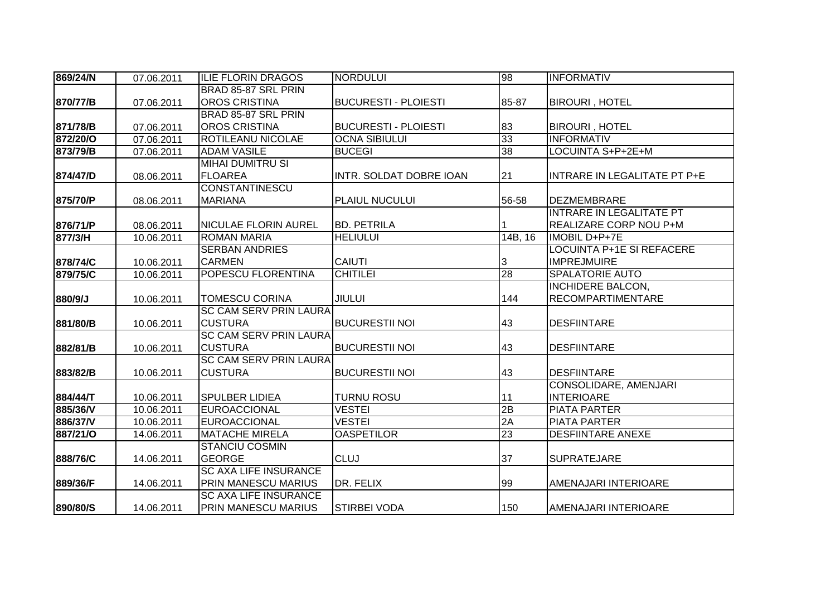| 869/24/N | 07.06.2011 | <b>ILIE FLORIN DRAGOS</b>     | <b>NORDULUI</b>             | 98      | <b>INFORMATIV</b>               |
|----------|------------|-------------------------------|-----------------------------|---------|---------------------------------|
|          |            | BRAD 85-87 SRL PRIN           |                             |         |                                 |
| 870/77/B | 07.06.2011 | <b>OROS CRISTINA</b>          | <b>BUCURESTI - PLOIESTI</b> | 85-87   | <b>BIROURI, HOTEL</b>           |
|          |            | BRAD 85-87 SRL PRIN           |                             |         |                                 |
| 871/78/B | 07.06.2011 | <b>OROS CRISTINA</b>          | <b>BUCURESTI - PLOIESTI</b> | 83      | <b>BIROURI, HOTEL</b>           |
| 872/20/0 | 07.06.2011 | <b>ROTILEANU NICOLAE</b>      | <b>OCNA SIBIULUI</b>        | 33      | <b>INFORMATIV</b>               |
| 873/79/B | 07.06.2011 | <b>ADAM VASILE</b>            | <b>BUCEGI</b>               | 38      | LOCUINTA S+P+2E+M               |
|          |            | <b>MIHAI DUMITRU SI</b>       |                             |         |                                 |
| 874/47/D | 08.06.2011 | <b>FLOAREA</b>                | INTR. SOLDAT DOBRE IOAN     | 21      | INTRARE IN LEGALITATE PT P+E    |
|          |            | <b>CONSTANTINESCU</b>         |                             |         |                                 |
| 875/70/P | 08.06.2011 | <b>MARIANA</b>                | PLAIUL NUCULUI              | 56-58   | <b>DEZMEMBRARE</b>              |
|          |            |                               |                             |         | <b>INTRARE IN LEGALITATE PT</b> |
| 876/71/P | 08.06.2011 | <b>NICULAE FLORIN AUREL</b>   | <b>BD. PETRILA</b>          |         | <b>REALIZARE CORP NOU P+M</b>   |
| 877/3/H  | 10.06.2011 | <b>ROMAN MARIA</b>            | <b>HELIULUI</b>             | 14B, 16 | IMOBIL D+P+7E                   |
|          |            | <b>SERBAN ANDRIES</b>         |                             |         | LOCUINTA P+1E SI REFACERE       |
| 878/74/C | 10.06.2011 | <b>CARMEN</b>                 | CAIUTI                      | 3       | <b>IMPREJMUIRE</b>              |
| 879/75/C | 10.06.2011 | <b>POPESCU FLORENTINA</b>     | <b>CHITILEI</b>             | 28      | <b>SPALATORIE AUTO</b>          |
|          |            |                               |                             |         | <b>INCHIDERE BALCON,</b>        |
| 880/9/J  | 10.06.2011 | <b>TOMESCU CORINA</b>         | <b>JIULUI</b>               | 144     | <b>RECOMPARTIMENTARE</b>        |
|          |            | <b>SC CAM SERV PRIN LAURA</b> |                             |         |                                 |
| 881/80/B | 10.06.2011 | <b>CUSTURA</b>                | <b>BUCURESTII NOI</b>       | 43      | <b>DESFIINTARE</b>              |
|          |            | <b>SC CAM SERV PRIN LAURA</b> |                             |         |                                 |
| 882/81/B | 10.06.2011 | <b>CUSTURA</b>                | <b>BUCURESTII NOI</b>       | 43      | <b>DESFIINTARE</b>              |
|          |            | <b>SC CAM SERV PRIN LAURA</b> |                             |         |                                 |
| 883/82/B | 10.06.2011 | <b>CUSTURA</b>                | <b>BUCURESTII NOI</b>       | 43      | <b>DESFIINTARE</b>              |
|          |            |                               |                             |         | CONSOLIDARE, AMENJARI           |
| 884/44/T | 10.06.2011 | <b>SPULBER LIDIEA</b>         | <b>TURNU ROSU</b>           | 11      | <b>INTERIOARE</b>               |
| 885/36/V | 10.06.2011 | <b>EUROACCIONAL</b>           | <b>VESTEI</b>               | 2B      | <b>PIATA PARTER</b>             |
| 886/37/V | 10.06.2011 | <b>EUROACCIONAL</b>           | <b>VESTEI</b>               | 2A      | <b>PIATA PARTER</b>             |
| 887/21/0 | 14.06.2011 | <b>MATACHE MIRELA</b>         | <b>OASPETILOR</b>           | 23      | <b>DESFIINTARE ANEXE</b>        |
|          |            | <b>STANCIU COSMIN</b>         |                             |         |                                 |
| 888/76/C | 14.06.2011 | <b>GEORGE</b>                 | <b>CLUJ</b>                 | 37      | <b>SUPRATEJARE</b>              |
|          |            | <b>SC AXA LIFE INSURANCE</b>  |                             |         |                                 |
| 889/36/F | 14.06.2011 | <b>PRIN MANESCU MARIUS</b>    | DR. FELIX                   | 99      | AMENAJARI INTERIOARE            |
|          |            | <b>SC AXA LIFE INSURANCE</b>  |                             |         |                                 |
| 890/80/S | 14.06.2011 | <b>PRIN MANESCU MARIUS</b>    | <b>STIRBEI VODA</b>         | 150     | AMENAJARI INTERIOARE            |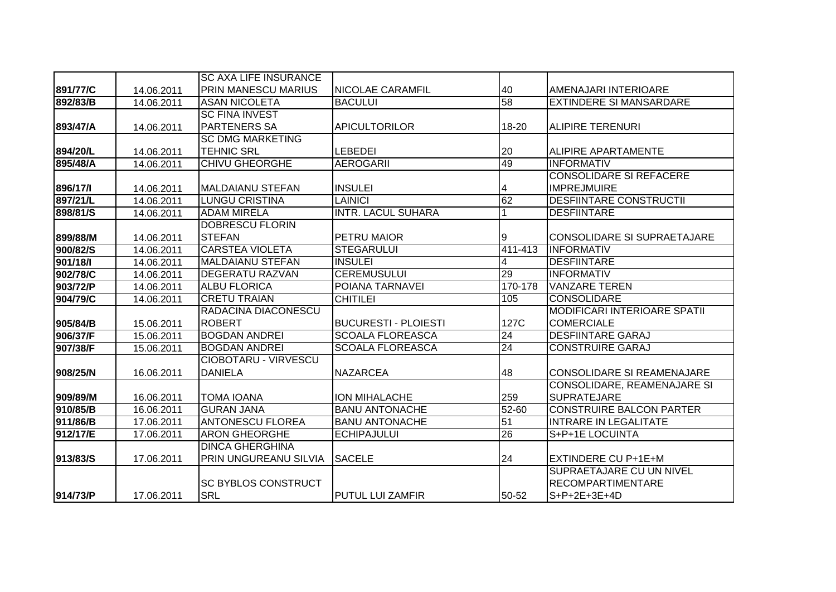|          |            | <b>ISC AXA LIFE INSURANCE</b> |                             |                 |                                     |
|----------|------------|-------------------------------|-----------------------------|-----------------|-------------------------------------|
| 891/77/C | 14.06.2011 | IPRIN MANESCU MARIUS          | <b>NICOLAE CARAMFIL</b>     | 40              | AMENAJARI INTERIOARE                |
| 892/83/B | 14.06.2011 | <b>ASAN NICOLETA</b>          | <b>BACULUI</b>              | 58              | <b>EXTINDERE SI MANSARDARE</b>      |
|          |            | <b>SC FINA INVEST</b>         |                             |                 |                                     |
| 893/47/A | 14.06.2011 | <b>PARTENERS SA</b>           | <b>APICULTORILOR</b>        | 18-20           | ALIPIRE TERENURI                    |
|          |            | <b>SC DMG MARKETING</b>       |                             |                 |                                     |
| 894/20/L | 14.06.2011 | <b>TEHNIC SRL</b>             | LEBEDEI                     | 20              | <b>ALIPIRE APARTAMENTE</b>          |
| 895/48/A | 14.06.2011 | <b>CHIVU GHEORGHE</b>         | <b>AEROGARII</b>            | 49              | <b>INFORMATIV</b>                   |
|          |            |                               |                             |                 | <b>CONSOLIDARE SI REFACERE</b>      |
| 896/17/1 | 14.06.2011 | <b>MALDAIANU STEFAN</b>       | <b>INSULEI</b>              | 4               | <b>IMPREJMUIRE</b>                  |
| 897/21/L | 14.06.2011 | <b>LUNGU CRISTINA</b>         | <b>LAINICI</b>              | 62              | <b>DESFIINTARE CONSTRUCTII</b>      |
| 898/81/S | 14.06.2011 | <b>ADAM MIRELA</b>            | <b>INTR. LACUL SUHARA</b>   |                 | <b>DESFIINTARE</b>                  |
|          |            | <b>DOBRESCU FLORIN</b>        |                             |                 |                                     |
| 899/88/M | 14.06.2011 | <b>STEFAN</b>                 | <b>PETRU MAIOR</b>          | 9               | <b>CONSOLIDARE SI SUPRAETAJARE</b>  |
| 900/82/S | 14.06.2011 | <b>CARSTEA VIOLETA</b>        | <b>STEGARULUI</b>           | 411-413         | <b>INFORMATIV</b>                   |
| 901/18/1 | 14.06.2011 | <b>MALDAIANU STEFAN</b>       | <b>INSULEI</b>              | 4               | <b>DESFIINTARE</b>                  |
| 902/78/C | 14.06.2011 | <b>DEGERATU RAZVAN</b>        | <b>CEREMUSULUI</b>          | 29              | <b>INFORMATIV</b>                   |
| 903/72/P | 14.06.2011 | <b>ALBU FLORICA</b>           | POIANA TARNAVEI             | 170-178         | <b>VANZARE TEREN</b>                |
| 904/79/C | 14.06.2011 | <b>CRETU TRAIAN</b>           | <b>CHITILEI</b>             | 105             | <b>CONSOLIDARE</b>                  |
|          |            | RADACINA DIACONESCU           |                             |                 | <b>MODIFICARI INTERIOARE SPATII</b> |
| 905/84/B | 15.06.2011 | <b>ROBERT</b>                 | <b>BUCURESTI - PLOIESTI</b> | 127C            | <b>COMERCIALE</b>                   |
| 906/37/F | 15.06.2011 | <b>BOGDAN ANDREI</b>          | <b>SCOALA FLOREASCA</b>     | 24              | <b>DESFIINTARE GARAJ</b>            |
| 907/38/F | 15.06.2011 | <b>BOGDAN ANDREI</b>          | <b>SCOALA FLOREASCA</b>     | $\overline{24}$ | <b>CONSTRUIRE GARAJ</b>             |
|          |            | <b>CIOBOTARU - VIRVESCU</b>   |                             |                 |                                     |
| 908/25/N | 16.06.2011 | <b>DANIELA</b>                | <b>NAZARCEA</b>             | 48              | <b>CONSOLIDARE SI REAMENAJARE</b>   |
|          |            |                               |                             |                 | <b>CONSOLIDARE, REAMENAJARE SI</b>  |
| 909/89/M | 16.06.2011 | <b>TOMA IOANA</b>             | <b>ION MIHALACHE</b>        | 259             | <b>SUPRATEJARE</b>                  |
| 910/85/B | 16.06.2011 | <b>GURAN JANA</b>             | <b>BANU ANTONACHE</b>       | $52 - 60$       | <b>CONSTRUIRE BALCON PARTER</b>     |
| 911/86/B | 17.06.2011 | <b>ANTONESCU FLOREA</b>       | <b>BANU ANTONACHE</b>       | 51              | <b>INTRARE IN LEGALITATE</b>        |
| 912/17/E | 17.06.2011 | <b>ARON GHEORGHE</b>          | <b>ECHIPAJULUI</b>          | $\overline{26}$ | S+P+1E LOCUINTA                     |
|          |            | <b>DINCA GHERGHINA</b>        |                             |                 |                                     |
| 913/83/S | 17.06.2011 | PRIN UNGUREANU SILVIA         | <b>SACELE</b>               | 24              | EXTINDERE CU P+1E+M                 |
|          |            |                               |                             |                 | SUPRAETAJARE CU UN NIVEL            |
|          |            | <b>SC BYBLOS CONSTRUCT</b>    |                             |                 | <b>RECOMPARTIMENTARE</b>            |
| 914/73/P | 17.06.2011 | <b>SRL</b>                    | IPUTUL LUI ZAMFIR           | 50-52           | $S+P+2E+3E+4D$                      |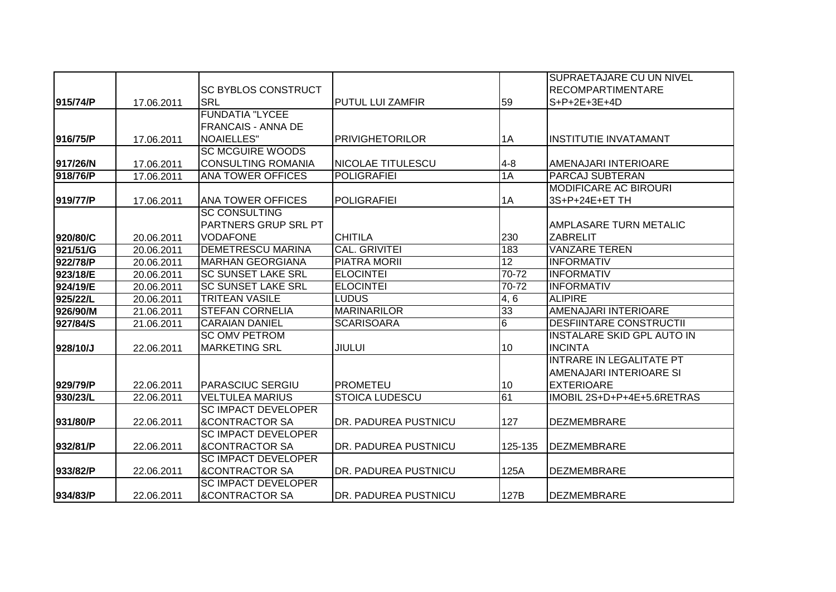|          |            |                            |                         |         | <b>SUPRAETAJARE CU UN NIVEL</b>   |
|----------|------------|----------------------------|-------------------------|---------|-----------------------------------|
|          |            | <b>SC BYBLOS CONSTRUCT</b> |                         |         | <b>RECOMPARTIMENTARE</b>          |
| 915/74/P | 17.06.2011 | <b>SRL</b>                 | <b>PUTUL LUI ZAMFIR</b> | 59      | $S+P+2E+3E+4D$                    |
|          |            | <b>FUNDATIA "LYCEE</b>     |                         |         |                                   |
|          |            | <b>FRANCAIS - ANNA DE</b>  |                         |         |                                   |
| 916/75/P | 17.06.2011 | <b>NOAIELLES"</b>          | <b>PRIVIGHETORILOR</b>  | 1A      | <b>INSTITUTIE INVATAMANT</b>      |
|          |            | <b>SC MCGUIRE WOODS</b>    |                         |         |                                   |
| 917/26/N | 17.06.2011 | <b>CONSULTING ROMANIA</b>  | NICOLAE TITULESCU       | $4 - 8$ | AMENAJARI INTERIOARE              |
| 918/76/P | 17.06.2011 | <b>ANA TOWER OFFICES</b>   | <b>POLIGRAFIEI</b>      | 1A      | <b>PARCAJ SUBTERAN</b>            |
|          |            |                            |                         |         | <b>MODIFICARE AC BIROURI</b>      |
| 919/77/P | 17.06.2011 | <b>ANA TOWER OFFICES</b>   | <b>POLIGRAFIEI</b>      | 1A      | 3S+P+24E+ET TH                    |
|          |            | <b>SC CONSULTING</b>       |                         |         |                                   |
|          |            | PARTNERS GRUP SRL PT       |                         |         | <b>AMPLASARE TURN METALIC</b>     |
| 920/80/C | 20.06.2011 | <b>VODAFONE</b>            | <b>CHITILA</b>          | 230     | <b>ZABRELIT</b>                   |
| 921/51/G | 20.06.2011 | <b>DEMETRESCU MARINA</b>   | <b>CAL. GRIVITEI</b>    | 183     | <b>VANZARE TEREN</b>              |
| 922/78/P | 20.06.2011 | <b>MARHAN GEORGIANA</b>    | <b>PIATRA MORII</b>     | 12      | <b>INFORMATIV</b>                 |
| 923/18/E | 20.06.2011 | <b>SC SUNSET LAKE SRL</b>  | <b>ELOCINTEI</b>        | 70-72   | <b>INFORMATIV</b>                 |
| 924/19/E | 20.06.2011 | <b>SC SUNSET LAKE SRL</b>  | <b>ELOCINTEI</b>        | 70-72   | <b>INFORMATIV</b>                 |
| 925/22/L | 20.06.2011 | <b>TRITEAN VASILE</b>      | <b>LUDUS</b>            | 4,6     | <b>ALIPIRE</b>                    |
| 926/90/M | 21.06.2011 | <b>STEFAN CORNELIA</b>     | <b>MARINARILOR</b>      | 33      | AMENAJARI INTERIOARE              |
| 927/84/S | 21.06.2011 | <b>CARAIAN DANIEL</b>      | <b>SCARISOARA</b>       | 6       | <b>DESFIINTARE CONSTRUCTII</b>    |
|          |            | <b>SC OMV PETROM</b>       |                         |         | <b>INSTALARE SKID GPL AUTO IN</b> |
| 928/10/J | 22.06.2011 | <b>MARKETING SRL</b>       | <b>JIULUI</b>           | 10      | <b>INCINTA</b>                    |
|          |            |                            |                         |         | <b>INTRARE IN LEGALITATE PT</b>   |
|          |            |                            |                         |         | AMENAJARI INTERIOARE SI           |
| 929/79/P | 22.06.2011 | <b>PARASCIUC SERGIU</b>    | <b>PROMETEU</b>         | 10      | <b>EXTERIOARE</b>                 |
| 930/23/L | 22.06.2011 | <b>VELTULEA MARIUS</b>     | <b>STOICA LUDESCU</b>   | 61      | IMOBIL 2S+D+P+4E+5.6RETRAS        |
|          |            | <b>SC IMPACT DEVELOPER</b> |                         |         |                                   |
| 931/80/P | 22.06.2011 | <b>&amp;CONTRACTOR SA</b>  | DR. PADUREA PUSTNICU    | 127     | <b>DEZMEMBRARE</b>                |
|          |            | <b>SC IMPACT DEVELOPER</b> |                         |         |                                   |
| 932/81/P | 22.06.2011 | <b>&amp;CONTRACTOR SA</b>  | DR. PADUREA PUSTNICU    | 125-135 | <b>DEZMEMBRARE</b>                |
|          |            | <b>SC IMPACT DEVELOPER</b> |                         |         |                                   |
| 933/82/P | 22.06.2011 | <b>&amp;CONTRACTOR SA</b>  | DR. PADUREA PUSTNICU    | 125A    | <b>DEZMEMBRARE</b>                |
|          |            | <b>SC IMPACT DEVELOPER</b> |                         |         |                                   |
| 934/83/P | 22.06.2011 | <b>&amp;CONTRACTOR SA</b>  | DR. PADUREA PUSTNICU    | 127B    | <b>DEZMEMBRARE</b>                |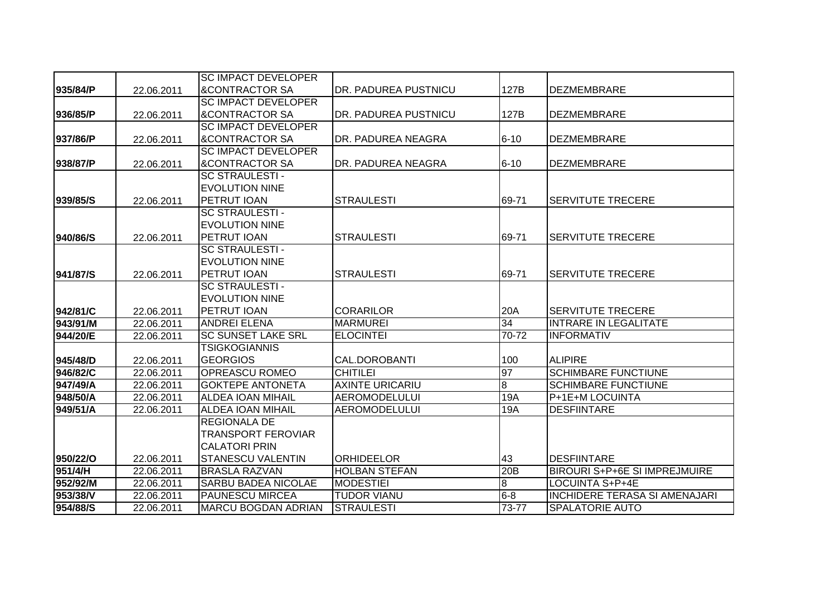|          |            | <b>SC IMPACT DEVELOPER</b> |                        |                |                                      |
|----------|------------|----------------------------|------------------------|----------------|--------------------------------------|
| 935/84/P | 22.06.2011 | <b>&amp;CONTRACTOR SA</b>  | DR. PADUREA PUSTNICU   | 127B           | <b>DEZMEMBRARE</b>                   |
|          |            | <b>SC IMPACT DEVELOPER</b> |                        |                |                                      |
| 936/85/P | 22.06.2011 | <b>&amp;CONTRACTOR SA</b>  | DR. PADUREA PUSTNICU   | 127B           | <b>DEZMEMBRARE</b>                   |
|          |            | <b>SC IMPACT DEVELOPER</b> |                        |                |                                      |
| 937/86/P | 22.06.2011 | <b>&amp;CONTRACTOR SA</b>  | DR. PADUREA NEAGRA     | $6 - 10$       | <b>DEZMEMBRARE</b>                   |
|          |            | <b>SC IMPACT DEVELOPER</b> |                        |                |                                      |
| 938/87/P | 22.06.2011 | <b>&amp;CONTRACTOR SA</b>  | DR. PADUREA NEAGRA     | $6 - 10$       | <b>DEZMEMBRARE</b>                   |
|          |            | <b>SC STRAULESTI-</b>      |                        |                |                                      |
|          |            | <b>EVOLUTION NINE</b>      |                        |                |                                      |
| 939/85/S | 22.06.2011 | PETRUT IOAN                | <b>STRAULESTI</b>      | 69-71          | <b>SERVITUTE TRECERE</b>             |
|          |            | <b>SC STRAULESTI -</b>     |                        |                |                                      |
|          |            | <b>EVOLUTION NINE</b>      |                        |                |                                      |
| 940/86/S | 22.06.2011 | PETRUT IOAN                | <b>STRAULESTI</b>      | 69-71          | <b>SERVITUTE TRECERE</b>             |
|          |            | <b>SC STRAULESTI -</b>     |                        |                |                                      |
|          |            | <b>EVOLUTION NINE</b>      |                        |                |                                      |
| 941/87/S | 22.06.2011 | PETRUT IOAN                | <b>STRAULESTI</b>      | 69-71          | <b>SERVITUTE TRECERE</b>             |
|          |            | <b>SC STRAULESTI -</b>     |                        |                |                                      |
|          |            | <b>EVOLUTION NINE</b>      |                        |                |                                      |
| 942/81/C | 22.06.2011 | <b>PETRUT IOAN</b>         | <b>CORARILOR</b>       | 20A            | <b>SERVITUTE TRECERE</b>             |
| 943/91/M | 22.06.2011 | <b>ANDREI ELENA</b>        | <b>MARMUREI</b>        | 34             | <b>INTRARE IN LEGALITATE</b>         |
| 944/20/E | 22.06.2011 | <b>SC SUNSET LAKE SRL</b>  | <b>ELOCINTEI</b>       | 70-72          | <b>INFORMATIV</b>                    |
|          |            | <b>TSIGKOGIANNIS</b>       |                        |                |                                      |
| 945/48/D | 22.06.2011 | <b>GEORGIOS</b>            | CAL.DOROBANTI          | 100            | <b>ALIPIRE</b>                       |
| 946/82/C | 22.06.2011 | <b>OPREASCU ROMEO</b>      | <b>CHITILEI</b>        | 97             | <b>SCHIMBARE FUNCTIUNE</b>           |
| 947/49/A | 22.06.2011 | <b>GOKTEPE ANTONETA</b>    | <b>AXINTE URICARIU</b> | $\overline{8}$ | <b>SCHIMBARE FUNCTIUNE</b>           |
| 948/50/A | 22.06.2011 | <b>ALDEA IOAN MIHAIL</b>   | <b>AEROMODELULUI</b>   | 19A            | P+1E+M LOCUINTA                      |
| 949/51/A | 22.06.2011 | <b>ALDEA IOAN MIHAIL</b>   | <b>AEROMODELULUI</b>   | 19A            | <b>DESFIINTARE</b>                   |
|          |            | <b>REGIONALA DE</b>        |                        |                |                                      |
|          |            | <b>TRANSPORT FEROVIAR</b>  |                        |                |                                      |
|          |            | <b>CALATORI PRIN</b>       |                        |                |                                      |
| 950/22/O | 22.06.2011 | <b>STANESCU VALENTIN</b>   | <b>ORHIDEELOR</b>      | 43             | <b>DESFIINTARE</b>                   |
| 951/4/H  | 22.06.2011 | <b>BRASLA RAZVAN</b>       | <b>HOLBAN STEFAN</b>   | 20B            | <b>BIROURI S+P+6E SI IMPREJMUIRE</b> |
| 952/92/M | 22.06.2011 | <b>SARBU BADEA NICOLAE</b> | <b>MODESTIEI</b>       | 8              | <b>LOCUINTA S+P+4E</b>               |
| 953/38/V | 22.06.2011 | <b>PAUNESCU MIRCEA</b>     | <b>TUDOR VIANU</b>     | $6 - 8$        | <b>INCHIDERE TERASA SI AMENAJARI</b> |
| 954/88/S | 22.06.2011 | <b>MARCU BOGDAN ADRIAN</b> | <b>STRAULESTI</b>      | 73-77          | <b>SPALATORIE AUTO</b>               |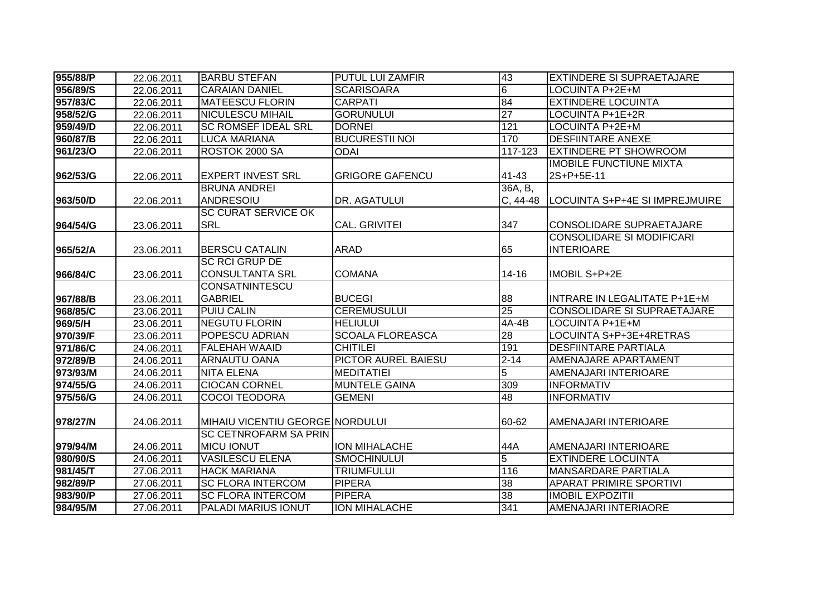| 955/88/P | 22.06.2011 | <b>BARBU STEFAN</b>             | <b>PUTUL LUI ZAMFIR</b>    | 43              | <b>EXTINDERE SI SUPRAETAJARE</b> |
|----------|------------|---------------------------------|----------------------------|-----------------|----------------------------------|
| 956/89/S | 22.06.2011 | <b>CARAIAN DANIEL</b>           | <b>SCARISOARA</b>          | $\overline{6}$  | <b>LOCUINTA P+2E+M</b>           |
| 957/83/C | 22.06.2011 | <b>MATEESCU FLORIN</b>          | <b>CARPATI</b>             | 84              | <b>EXTINDERE LOCUINTA</b>        |
| 958/52/G | 22.06.2011 | <b>NICULESCU MIHAIL</b>         | <b>GORUNULUI</b>           | $\overline{27}$ | <b>LOCUINTA P+1E+2R</b>          |
| 959/49/D | 22.06.2011 | <b>SC ROMSEF IDEAL SRL</b>      | <b>DORNEI</b>              | 121             | LOCUINTA P+2E+M                  |
| 960/87/B | 22.06.2011 | <b>LUCA MARIANA</b>             | <b>BUCURESTII NOI</b>      | 170             | <b>DESFIINTARE ANEXE</b>         |
| 961/23/O | 22.06.2011 | ROSTOK 2000 SA                  | <b>ODAI</b>                | $117 - 123$     | <b>EXTINDERE PT SHOWROOM</b>     |
|          |            |                                 |                            |                 | <b>IMOBILE FUNCTIUNE MIXTA</b>   |
| 962/53/G | 22.06.2011 | <b>EXPERT INVEST SRL</b>        | <b>GRIGORE GAFENCU</b>     | 41-43           | 2S+P+5E-11                       |
|          |            | <b>BRUNA ANDREI</b>             |                            | 36A, B,         |                                  |
| 963/50/D | 22.06.2011 | <b>ANDRESOIU</b>                | DR. AGATULUI               | $C, 44-48$      | LOCUINTA S+P+4E SI IMPREJMUIRE   |
|          |            | <b>SC CURAT SERVICE OK</b>      |                            |                 |                                  |
| 964/54/G | 23.06.2011 | <b>SRL</b>                      | <b>CAL. GRIVITEI</b>       | 347             | <b>CONSOLIDARE SUPRAETAJARE</b>  |
|          |            |                                 |                            |                 | <b>CONSOLIDARE SI MODIFICARI</b> |
| 965/52/A | 23.06.2011 | <b>BERSCU CATALIN</b>           | <b>ARAD</b>                | 65              | <b>INTERIOARE</b>                |
|          |            | <b>SC RCI GRUP DE</b>           |                            |                 |                                  |
| 966/84/C | 23.06.2011 | <b>CONSULTANTA SRL</b>          | <b>COMANA</b>              | 14-16           | IMOBIL S+P+2E                    |
|          |            | CONSATNINTESCU                  |                            |                 |                                  |
| 967/88/B | 23.06.2011 | <b>GABRIEL</b>                  | <b>BUCEGI</b>              | 88              | INTRARE IN LEGALITATE P+1E+M     |
| 968/85/C | 23.06.2011 | <b>PUIU CALIN</b>               | <b>CEREMUSULUI</b>         | $\overline{25}$ | CONSOLIDARE SI SUPRAETAJARE      |
| 969/5/H  | 23.06.2011 | <b>NEGUTU FLORIN</b>            | <b>HELIULUI</b>            | 4A-4B           | LOCUINTA P+1E+M                  |
| 970/39/F | 23.06.2011 | POPESCU ADRIAN                  | <b>SCOALA FLOREASCA</b>    | $\overline{28}$ | LOCUINTA S+P+3E+4RETRAS          |
| 971/86/C | 24.06.2011 | <b>FALEHAH WAAID</b>            | <b>CHITILEI</b>            | 191             | <b>DESFIINTARE PARTIALA</b>      |
| 972/89/B | 24.06.2011 | ARNAUTU OANA                    | <b>PICTOR AUREL BAIESU</b> | $2 - 14$        | AMENAJARE APARTAMENT             |
| 973/93/M | 24.06.2011 | <b>NITA ELENA</b>               | <b>MEDITATIEI</b>          | $\overline{5}$  | AMENAJARI INTERIOARE             |
| 974/55/G | 24.06.2011 | <b>CIOCAN CORNEL</b>            | <b>MUNTELE GAINA</b>       | 309             | <b>INFORMATIV</b>                |
| 975/56/G | 24.06.2011 | <b>COCOI TEODORA</b>            | <b>GEMENI</b>              | 48              | <b>INFORMATIV</b>                |
|          |            |                                 |                            |                 |                                  |
| 978/27/N | 24.06.2011 | MIHAIU VICENTIU GEORGE NORDULUI |                            | 60-62           | AMENAJARI INTERIOARE             |
|          |            | <b>SC CETNROFARM SA PRIN</b>    |                            |                 |                                  |
| 979/94/M | 24.06.2011 | <b>MICU IONUT</b>               | <b>ION MIHALACHE</b>       | 44A             | AMENAJARI INTERIOARE             |
| 980/90/S | 24.06.2011 | <b>VASILESCU ELENA</b>          | <b>SMOCHINULUI</b>         | $\overline{5}$  | <b>EXTINDERE LOCUINTA</b>        |
| 981/45/T | 27.06.2011 | <b>HACK MARIANA</b>             | <b>TRIUMFULUI</b>          | 116             | <b>MANSARDARE PARTIALA</b>       |
| 982/89/P | 27.06.2011 | <b>SC FLORA INTERCOM</b>        | <b>PIPERA</b>              | 38              | <b>APARAT PRIMIRE SPORTIVI</b>   |
| 983/90/P | 27.06.2011 | <b>SC FLORA INTERCOM</b>        | <b>PIPERA</b>              | 38              | <b>IMOBIL EXPOZITII</b>          |
| 984/95/M | 27.06.2011 | PALADI MARIUS IONUT             | <b>ION MIHALACHE</b>       | 341             | AMENAJARI INTERIAORE             |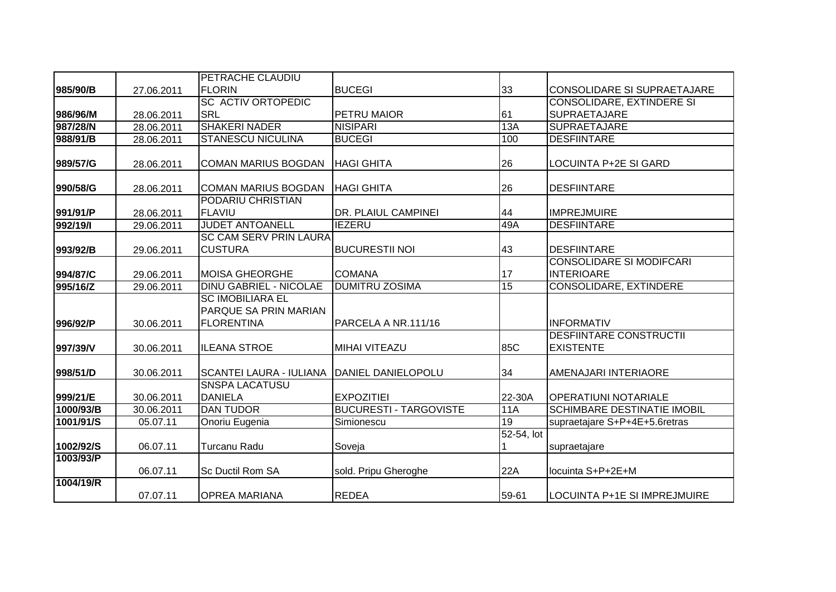|                        |            | PETRACHE CLAUDIU               |                                                    |               |                                    |
|------------------------|------------|--------------------------------|----------------------------------------------------|---------------|------------------------------------|
| 985/90/B               | 27.06.2011 | <b>FLORIN</b>                  | <b>BUCEGI</b>                                      | 33            | CONSOLIDARE SI SUPRAETAJARE        |
|                        |            | <b>SC ACTIV ORTOPEDIC</b>      |                                                    |               | <b>CONSOLIDARE, EXTINDERE SI</b>   |
| 986/96/M               | 28.06.2011 | <b>SRL</b>                     | PETRU MAIOR                                        | 61            | <b>SUPRAETAJARE</b>                |
| 987/28/N               | 28.06.2011 | <b>SHAKERI NADER</b>           | <b>NISIPARI</b>                                    | 13A           | <b>SUPRAETAJARE</b>                |
| 988/91/B               | 28.06.2011 | <b>STANESCU NICULINA</b>       | <b>BUCEGI</b>                                      | 100           | <b>DESFIINTARE</b>                 |
|                        |            |                                |                                                    |               |                                    |
| 989/57/G               | 28.06.2011 | <b>COMAN MARIUS BOGDAN</b>     | <b>HAGI GHITA</b>                                  | 26            | LOCUINTA P+2E SI GARD              |
|                        |            |                                |                                                    |               |                                    |
| 990/58/G               | 28.06.2011 | <b>COMAN MARIUS BOGDAN</b>     | <b>HAGI GHITA</b>                                  | 26            | <b>DESFIINTARE</b>                 |
|                        |            | <b>PODARIU CHRISTIAN</b>       |                                                    |               |                                    |
| 991/91/P               | 28.06.2011 | <b>FLAVIU</b>                  | DR. PLAIUL CAMPINEI                                | 44            | <b>IMPREJMUIRE</b>                 |
| 992/19/1               | 29.06.2011 | <b>JUDET ANTOANELL</b>         | <b>IEZERU</b>                                      | 49A           | <b>DESFIINTARE</b>                 |
|                        |            | <b>SC CAM SERV PRIN LAURA</b>  |                                                    |               |                                    |
| 993/92/B               | 29.06.2011 | <b>CUSTURA</b>                 | <b>BUCURESTII NOI</b>                              | 43            | <b>DESFIINTARE</b>                 |
|                        |            |                                |                                                    |               | <b>CONSOLIDARE SI MODIFCARI</b>    |
| 994/87/C               | 29.06.2011 | <b>MOISA GHEORGHE</b>          | <b>COMANA</b>                                      | 17            | <b>INTERIOARE</b>                  |
| 995/16/Z               | 29.06.2011 | <b>DINU GABRIEL - NICOLAE</b>  | <b>DUMITRU ZOSIMA</b>                              | 15            | <b>CONSOLIDARE, EXTINDERE</b>      |
|                        |            | <b>SC IMOBILIARA EL</b>        |                                                    |               |                                    |
|                        |            | PARQUE SA PRIN MARIAN          |                                                    |               |                                    |
| 996/92/P               | 30.06.2011 | <b>FLORENTINA</b>              | PARCELA A NR.111/16                                |               | <b>INFORMATIV</b>                  |
|                        |            |                                |                                                    |               | <b>DESFIINTARE CONSTRUCTII</b>     |
| 997/39/V               | 30.06.2011 | <b>ILEANA STROE</b>            | <b>MIHAI VITEAZU</b>                               | 85C           | <b>EXISTENTE</b>                   |
|                        |            |                                |                                                    |               |                                    |
| 998/51/D               | 30.06.2011 | <b>SCANTEI LAURA - IULIANA</b> | DANIEL DANIELOPOLU                                 | 34            | AMENAJARI INTERIAORE               |
|                        |            | <b>SNSPA LACATUSU</b>          |                                                    |               |                                    |
| 999/21/E               | 30.06.2011 | <b>DANIELA</b>                 | <b>EXPOZITIEI</b><br><b>BUCURESTI - TARGOVISTE</b> | 22-30A<br>11A | <b>OPERATIUNI NOTARIALE</b>        |
| 1000/93/B              | 30.06.2011 | <b>DAN TUDOR</b>               |                                                    | 19            | <b>SCHIMBARE DESTINATIE IMOBIL</b> |
| 1001/91/S              | 05.07.11   | Onoriu Eugenia                 | Simionescu                                         |               | supraetajare S+P+4E+5.6retras      |
|                        |            | <b>Turcanu Radu</b>            |                                                    | 52-54, lot    |                                    |
| 1002/92/S<br>1003/93/P | 06.07.11   |                                | Soveja                                             |               | supraetajare                       |
|                        |            | <b>Sc Ductil Rom SA</b>        |                                                    | 22A           |                                    |
| 1004/19/R              | 06.07.11   |                                | sold. Pripu Gheroghe                               |               | locuinta S+P+2E+M                  |
|                        | 07.07.11   | <b>OPREA MARIANA</b>           | <b>REDEA</b>                                       | 59-61         | LOCUINTA P+1E SI IMPREJMUIRE       |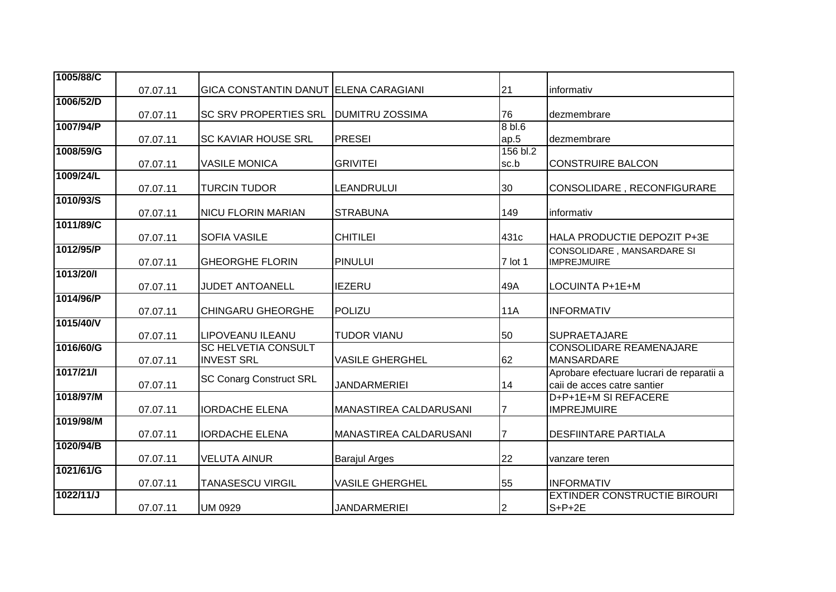| 1005/88/C |          |                                              |                        |                   |                                                     |
|-----------|----------|----------------------------------------------|------------------------|-------------------|-----------------------------------------------------|
|           | 07.07.11 | <b>GICA CONSTANTIN DANUT ELENA CARAGIANI</b> |                        | 21                | informativ                                          |
| 1006/52/D |          |                                              |                        |                   |                                                     |
|           | 07.07.11 | <b>SC SRV PROPERTIES SRL</b>                 | <b>DUMITRU ZOSSIMA</b> | 76                | dezmembrare                                         |
| 1007/94/P |          |                                              | <b>PRESEI</b>          | 8 <sub>bl.6</sub> |                                                     |
| 1008/59/G | 07.07.11 | <b>SC KAVIAR HOUSE SRL</b>                   |                        | ap.5<br>156 bl.2  | dezmembrare                                         |
|           | 07.07.11 | <b>VASILE MONICA</b>                         | <b>GRIVITEI</b>        | sc.b              | <b>CONSTRUIRE BALCON</b>                            |
| 1009/24/L |          |                                              |                        |                   |                                                     |
|           | 07.07.11 | <b>TURCIN TUDOR</b>                          | LEANDRULUI             | 30                | CONSOLIDARE, RECONFIGURARE                          |
| 1010/93/S |          |                                              |                        |                   |                                                     |
| 1011/89/C | 07.07.11 | <b>NICU FLORIN MARIAN</b>                    | <b>STRABUNA</b>        | 149               | informativ                                          |
|           | 07.07.11 | <b>SOFIA VASILE</b>                          | <b>CHITILEI</b>        | 431c              | HALA PRODUCTIE DEPOZIT P+3E                         |
| 1012/95/P |          |                                              |                        |                   | CONSOLIDARE, MANSARDARE SI                          |
|           | 07.07.11 | <b>GHEORGHE FLORIN</b>                       | <b>PINULUI</b>         | 7 lot 1           | <b>IMPREJMUIRE</b>                                  |
| 1013/20/l |          |                                              |                        |                   |                                                     |
| 1014/96/P | 07.07.11 | JUDET ANTOANELL                              | <b>IEZERU</b>          | 49A               | LOCUINTA P+1E+M                                     |
|           | 07.07.11 | <b>CHINGARU GHEORGHE</b>                     | POLIZU                 | <b>11A</b>        | <b>INFORMATIV</b>                                   |
| 1015/40/V |          |                                              |                        |                   |                                                     |
|           | 07.07.11 | LIPOVEANU ILEANU                             | <b>TUDOR VIANU</b>     | 50                | <b>SUPRAETAJARE</b>                                 |
| 1016/60/G |          | <b>SC HELVETIA CONSULT</b>                   |                        |                   | <b>CONSOLIDARE REAMENAJARE</b>                      |
|           | 07.07.11 | <b>INVEST SRL</b>                            | <b>VASILE GHERGHEL</b> | 62                | <b>MANSARDARE</b>                                   |
| 1017/21/1 |          | <b>SC Conarg Construct SRL</b>               | <b>JANDARMERIEI</b>    | 14                | Aprobare efectuare lucrari de reparatii a           |
| 1018/97/M | 07.07.11 |                                              |                        |                   | caii de acces catre santier<br>D+P+1E+M SI REFACERE |
|           | 07.07.11 | <b>IORDACHE ELENA</b>                        | MANASTIREA CALDARUSANI | $\overline{7}$    | <b>IMPREJMUIRE</b>                                  |
| 1019/98/M |          |                                              |                        |                   |                                                     |
|           | 07.07.11 | <b>IORDACHE ELENA</b>                        | MANASTIREA CALDARUSANI |                   | <b>DESFIINTARE PARTIALA</b>                         |
| 1020/94/B |          |                                              |                        |                   |                                                     |
|           | 07.07.11 | <b>VELUTA AINUR</b>                          | <b>Barajul Arges</b>   | 22                | vanzare teren                                       |
| 1021/61/G |          | <b>TANASESCU VIRGIL</b>                      |                        |                   | <b>INFORMATIV</b>                                   |
| 1022/11/J | 07.07.11 |                                              | <b>VASILE GHERGHEL</b> | 55                | <b>EXTINDER CONSTRUCTIE BIROURI</b>                 |
|           | 07.07.11 | UM 0929                                      | <b>JANDARMERIEI</b>    | 2                 | $S+P+2E$                                            |
|           |          |                                              |                        |                   |                                                     |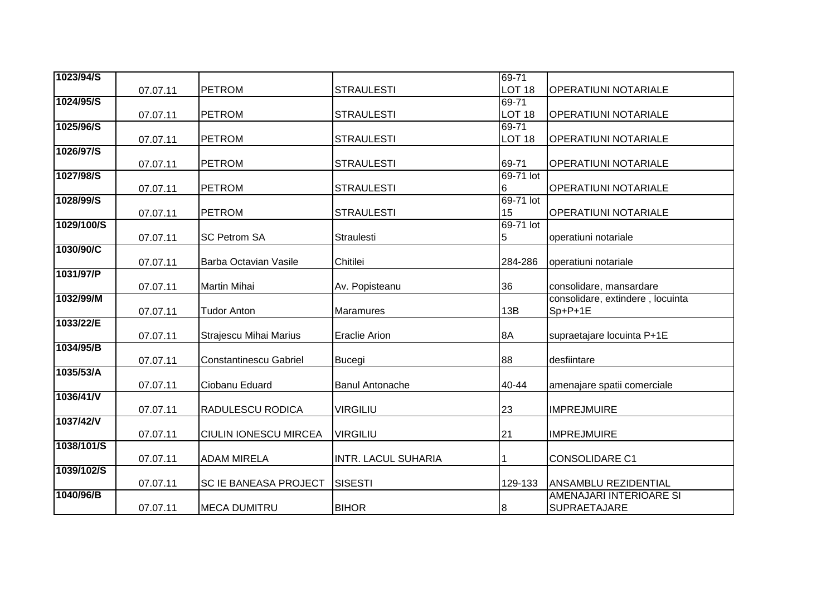| 1023/94/S  |          |                               |                            | 69-71             |                                                        |
|------------|----------|-------------------------------|----------------------------|-------------------|--------------------------------------------------------|
|            | 07.07.11 | <b>PETROM</b>                 | <b>STRAULESTI</b>          | LOT <sub>18</sub> | <b>OPERATIUNI NOTARIALE</b>                            |
| 1024/95/S  |          |                               |                            | 69-71             |                                                        |
|            | 07.07.11 | <b>PETROM</b>                 | <b>STRAULESTI</b>          | LOT <sub>18</sub> | <b>OPERATIUNI NOTARIALE</b>                            |
| 1025/96/S  |          |                               |                            | 69-71             |                                                        |
|            | 07.07.11 | <b>PETROM</b>                 | <b>STRAULESTI</b>          | LOT <sub>18</sub> | <b>OPERATIUNI NOTARIALE</b>                            |
| 1026/97/S  |          |                               |                            |                   |                                                        |
|            | 07.07.11 | <b>PETROM</b>                 | <b>STRAULESTI</b>          | 69-71             | <b>OPERATIUNI NOTARIALE</b>                            |
| 1027/98/S  | 07.07.11 | <b>PETROM</b>                 | <b>STRAULESTI</b>          | 69-71 lot         | <b>OPERATIUNI NOTARIALE</b>                            |
| 1028/99/S  |          |                               |                            | 6<br>69-71 lot    |                                                        |
|            | 07.07.11 | <b>PETROM</b>                 | <b>STRAULESTI</b>          | 15                | <b>OPERATIUNI NOTARIALE</b>                            |
| 1029/100/S |          |                               |                            | 69-71 lot         |                                                        |
|            | 07.07.11 | <b>SC Petrom SA</b>           | <b>Straulesti</b>          | 5                 | operatiuni notariale                                   |
| 1030/90/C  |          |                               |                            |                   |                                                        |
|            | 07.07.11 | Barba Octavian Vasile         | Chitilei                   | 284-286           | operatiuni notariale                                   |
| 1031/97/P  |          |                               |                            |                   |                                                        |
|            | 07.07.11 | <b>Martin Mihai</b>           | Av. Popisteanu             | 36                | consolidare, mansardare                                |
| 1032/99/M  |          |                               |                            |                   | consolidare, extindere, locuinta                       |
|            | 07.07.11 | <b>Tudor Anton</b>            | Maramures                  | 13B               | Sp+P+1E                                                |
| 1033/22/E  |          |                               |                            |                   |                                                        |
| 1034/95/B  | 07.07.11 | Strajescu Mihai Marius        | <b>Eraclie Arion</b>       | 8A                | supraetajare locuinta P+1E                             |
|            | 07.07.11 | <b>Constantinescu Gabriel</b> | <b>Bucegi</b>              | 88                | desfiintare                                            |
| 1035/53/A  |          |                               |                            |                   |                                                        |
|            | 07.07.11 | Ciobanu Eduard                | <b>Banul Antonache</b>     | 40-44             | amenajare spatii comerciale                            |
| 1036/41/V  |          |                               |                            |                   |                                                        |
|            | 07.07.11 | <b>RADULESCU RODICA</b>       | <b>VIRGILIU</b>            | 23                | <b>IMPREJMUIRE</b>                                     |
| 1037/42/V  |          |                               |                            |                   |                                                        |
|            | 07.07.11 | <b>CIULIN IONESCU MIRCEA</b>  | <b>VIRGILIU</b>            | 21                | <b>IMPREJMUIRE</b>                                     |
| 1038/101/S |          |                               |                            |                   |                                                        |
|            | 07.07.11 | <b>ADAM MIRELA</b>            | <b>INTR. LACUL SUHARIA</b> |                   | <b>CONSOLIDARE C1</b>                                  |
| 1039/102/S |          |                               |                            |                   |                                                        |
| 1040/96/B  | 07.07.11 | <b>SC IE BANEASA PROJECT</b>  | <b>SISESTI</b>             | 129-133           | <b>ANSAMBLU REZIDENTIAL</b><br>AMENAJARI INTERIOARE SI |
|            | 07.07.11 | <b>MECA DUMITRU</b>           | <b>BIHOR</b>               | $\boldsymbol{8}$  | <b>SUPRAETAJARE</b>                                    |
|            |          |                               |                            |                   |                                                        |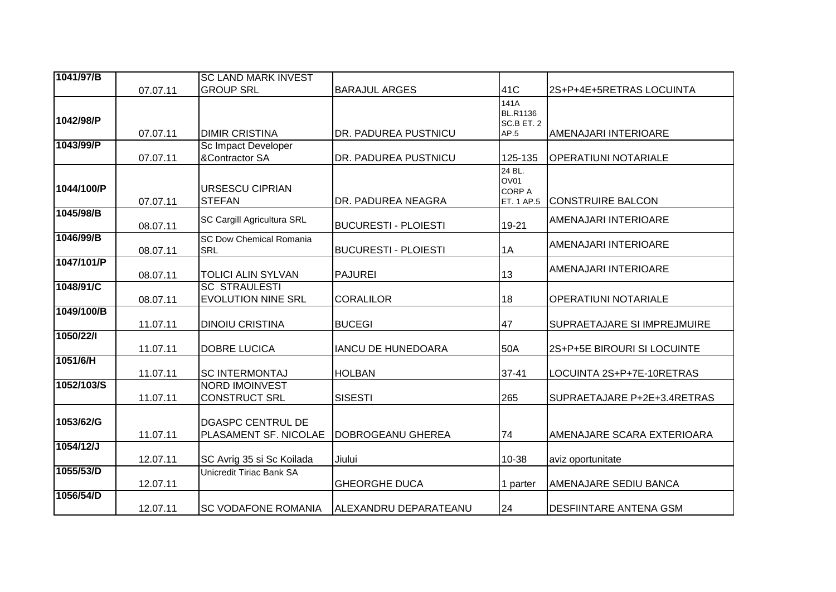| 1041/97/B  |          | <b>SC LAND MARK INVEST</b>                        |                             |                                               |                             |
|------------|----------|---------------------------------------------------|-----------------------------|-----------------------------------------------|-----------------------------|
|            | 07.07.11 | <b>GROUP SRL</b>                                  | <b>BARAJUL ARGES</b>        | 41C                                           | 2S+P+4E+5RETRAS LOCUINTA    |
| 1042/98/P  | 07.07.11 | <b>DIMIR CRISTINA</b>                             | DR. PADUREA PUSTNICU        | 141A<br><b>BL.R1136</b><br>SC.B ET. 2<br>AP.5 | AMENAJARI INTERIOARE        |
| 1043/99/P  | 07.07.11 | Sc Impact Developer<br>&Contractor SA             | DR. PADUREA PUSTNICU        | 125-135                                       | <b>OPERATIUNI NOTARIALE</b> |
| 1044/100/P | 07.07.11 | <b>URSESCU CIPRIAN</b><br><b>STEFAN</b>           | DR. PADUREA NEAGRA          | 24 BL.<br>OV01<br><b>CORP A</b><br>ET. 1 AP.5 | <b>CONSTRUIRE BALCON</b>    |
| 1045/98/B  | 08.07.11 | SC Cargill Agricultura SRL                        | <b>BUCURESTI - PLOIESTI</b> | 19-21                                         | AMENAJARI INTERIOARE        |
| 1046/99/B  | 08.07.11 | <b>SC Dow Chemical Romania</b><br><b>SRL</b>      | <b>BUCURESTI - PLOIESTI</b> | 1A                                            | AMENAJARI INTERIOARE        |
| 1047/101/P | 08.07.11 | <b>TOLICI ALIN SYLVAN</b>                         | <b>PAJUREI</b>              | 13                                            | AMENAJARI INTERIOARE        |
| 1048/91/C  | 08.07.11 | <b>SC STRAULESTI</b><br><b>EVOLUTION NINE SRL</b> | <b>CORALILOR</b>            | 18                                            | <b>OPERATIUNI NOTARIALE</b> |
| 1049/100/B | 11.07.11 | <b>DINOIU CRISTINA</b>                            | <b>BUCEGI</b>               | 47                                            | SUPRAETAJARE SI IMPREJMUIRE |
| 1050/22/1  | 11.07.11 | <b>DOBRE LUCICA</b>                               | <b>IANCU DE HUNEDOARA</b>   | 50A                                           | 2S+P+5E BIROURI SI LOCUINTE |
| 1051/6/H   | 11.07.11 | <b>SC INTERMONTAJ</b>                             | <b>HOLBAN</b>               | $37 - 41$                                     | LOCUINTA 2S+P+7E-10RETRAS   |
| 1052/103/S | 11.07.11 | <b>NORD IMOINVEST</b><br><b>CONSTRUCT SRL</b>     | <b>SISESTI</b>              | 265                                           | SUPRAETAJARE P+2E+3.4RETRAS |
| 1053/62/G  | 11.07.11 | <b>DGASPC CENTRUL DE</b><br>PLASAMENT SF. NICOLAE | DOBROGEANU GHEREA           | 74                                            | AMENAJARE SCARA EXTERIOARA  |
| 1054/12/J  | 12.07.11 | SC Avrig 35 si Sc Koilada                         | Jiului                      | 10-38                                         | aviz oportunitate           |
| 1055/53/D  | 12.07.11 | Unicredit Tiriac Bank SA                          | <b>GHEORGHE DUCA</b>        | 1 parter                                      | AMENAJARE SEDIU BANCA       |
| 1056/54/D  | 12.07.11 | <b>SC VODAFONE ROMANIA</b>                        | ALEXANDRU DEPARATEANU       | 24                                            | DESFIINTARE ANTENA GSM      |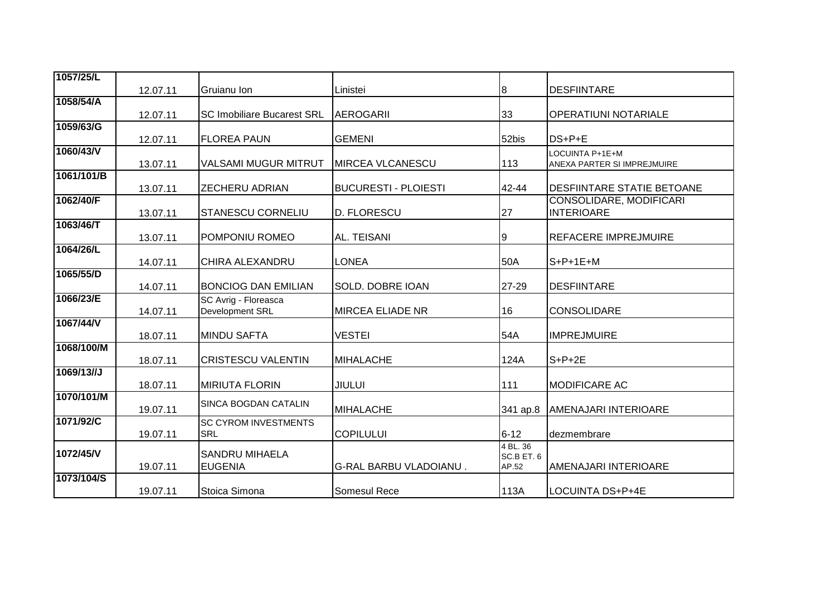| 1057/25/L  |          |                                           |                               |                                 |                                                     |
|------------|----------|-------------------------------------------|-------------------------------|---------------------------------|-----------------------------------------------------|
|            | 12.07.11 | Gruianu Ion                               | Linistei                      | 8                               | <b>DESFIINTARE</b>                                  |
| 1058/54/A  |          |                                           |                               |                                 |                                                     |
|            | 12.07.11 | <b>SC Imobiliare Bucarest SRL</b>         | <b>AEROGARII</b>              | 33                              | <b>OPERATIUNI NOTARIALE</b>                         |
| 1059/63/G  | 12.07.11 | <b>FLOREA PAUN</b>                        | <b>GEMENI</b>                 | 52bis                           | DS+P+E                                              |
| 1060/43/V  | 13.07.11 | <b>VALSAMI MUGUR MITRUT</b>               | <b>MIRCEA VLCANESCU</b>       | 113                             | LOCUINTA P+1E+M<br>ANEXA PARTER SI IMPREJMUIRE      |
| 1061/101/B | 13.07.11 | <b>ZECHERU ADRIAN</b>                     | <b>BUCURESTI - PLOIESTI</b>   | 42-44                           | <b>DESFIINTARE STATIE BETOANE</b>                   |
| 1062/40/F  | 13.07.11 | <b>STANESCU CORNELIU</b>                  | D. FLORESCU                   | 27                              | <b>CONSOLIDARE, MODIFICARI</b><br><b>INTERIOARE</b> |
| 1063/46/T  | 13.07.11 | POMPONIU ROMEO                            | AL. TEISANI                   | Ι9                              | <b>REFACERE IMPREJMUIRE</b>                         |
| 1064/26/L  | 14.07.11 | CHIRA ALEXANDRU                           | <b>LONEA</b>                  | 50A                             | $S+P+1E+M$                                          |
| 1065/55/D  | 14.07.11 | <b>BONCIOG DAN EMILIAN</b>                | SOLD. DOBRE IOAN              | 27-29                           | <b>DESFIINTARE</b>                                  |
| 1066/23/E  | 14.07.11 | SC Avrig - Floreasca<br>Development SRL   | <b>MIRCEA ELIADE NR</b>       | 16                              | <b>CONSOLIDARE</b>                                  |
| 1067/44/V  | 18.07.11 | <b>MINDU SAFTA</b>                        | <b>VESTEI</b>                 | 54A                             | <b>IMPREJMUIRE</b>                                  |
| 1068/100/M | 18.07.11 | <b>CRISTESCU VALENTIN</b>                 | <b>MIHALACHE</b>              | 124A                            | $S+P+2E$                                            |
| 1069/13//J | 18.07.11 | <b>IMIRIUTA FLORIN</b>                    | <b>JIULUI</b>                 | 111                             | <b>MODIFICARE AC</b>                                |
| 1070/101/M | 19.07.11 | <b>SINCA BOGDAN CATALIN</b>               | <b>MIHALACHE</b>              | 341 ap.8                        | <b>AMENAJARI INTERIOARE</b>                         |
| 1071/92/C  | 19.07.11 | <b>SC CYROM INVESTMENTS</b><br><b>SRL</b> | <b>COPILULUI</b>              | $6 - 12$                        | dezmembrare                                         |
| 1072/45/V  | 19.07.11 | <b>SANDRU MIHAELA</b><br><b>EUGENIA</b>   | <b>G-RAL BARBU VLADOIANU.</b> | 4 BL. 36<br>SC.B ET. 6<br>AP.52 | <b>AMENAJARI INTERIOARE</b>                         |
| 1073/104/S | 19.07.11 | Stoica Simona                             | Somesul Rece                  | 113A                            | LOCUINTA DS+P+4E                                    |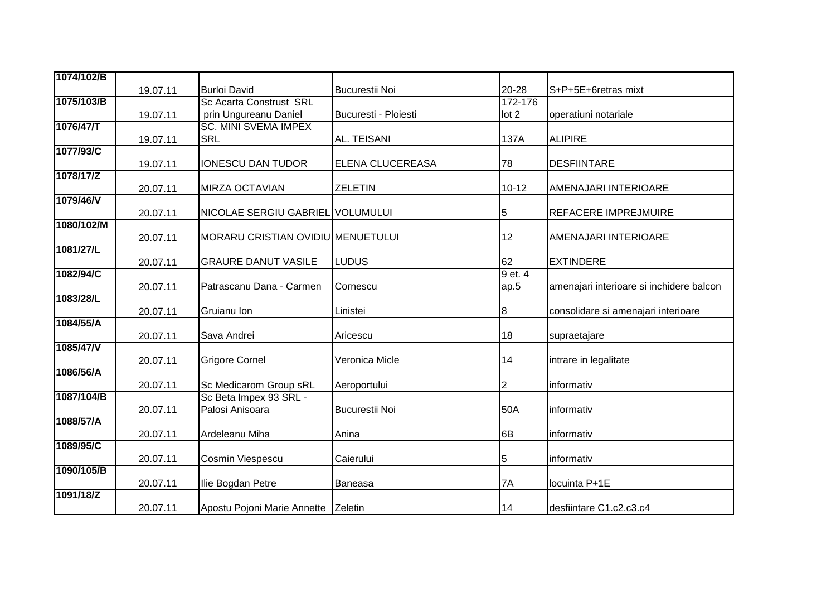| 1074/102/B |          |                                   |                       |           |                                          |
|------------|----------|-----------------------------------|-----------------------|-----------|------------------------------------------|
|            | 19.07.11 | <b>Burloi David</b>               | <b>Bucurestii Noi</b> | 20-28     | S+P+5E+6retras mixt                      |
| 1075/103/B |          | <b>Sc Acarta Construst SRL</b>    |                       | 172-176   |                                          |
|            | 19.07.11 | prin Ungureanu Daniel             | Bucuresti - Ploiesti  | lot 2     | operatiuni notariale                     |
| 1076/47/T  |          | <b>SC. MINI SVEMA IMPEX</b>       |                       |           |                                          |
|            | 19.07.11 | <b>SRL</b>                        | <b>AL. TEISANI</b>    | 137A      | <b>ALIPIRE</b>                           |
| 1077/93/C  |          |                                   |                       |           |                                          |
|            | 19.07.11 | <b>IONESCU DAN TUDOR</b>          | ELENA CLUCEREASA      | 78        | <b>DESFIINTARE</b>                       |
| 1078/17/Z  |          |                                   |                       |           |                                          |
| 1079/46/V  | 20.07.11 | <b>MIRZA OCTAVIAN</b>             | <b>ZELETIN</b>        | $10 - 12$ | AMENAJARI INTERIOARE                     |
|            | 20.07.11 | NICOLAE SERGIU GABRIEL VOLUMULUI  |                       |           | <b>REFACERE IMPREJMUIRE</b>              |
| 1080/102/M |          |                                   |                       | 5         |                                          |
|            | 20.07.11 | MORARU CRISTIAN OVIDIU MENUETULUI |                       | 12        | AMENAJARI INTERIOARE                     |
| 1081/27/L  |          |                                   |                       |           |                                          |
|            | 20.07.11 | <b>GRAURE DANUT VASILE</b>        | <b>LUDUS</b>          | 62        | <b>EXTINDERE</b>                         |
| 1082/94/C  |          |                                   |                       | 9 et. 4   |                                          |
|            | 20.07.11 | Patrascanu Dana - Carmen          | Cornescu              | ap.5      | amenajari interioare si inchidere balcon |
| 1083/28/L  |          |                                   |                       |           |                                          |
|            | 20.07.11 | Gruianu Ion                       | Linistei              | $\bf{8}$  | consolidare si amenajari interioare      |
| 1084/55/A  |          |                                   |                       |           |                                          |
|            | 20.07.11 | Sava Andrei                       | Aricescu              | 18        | supraetajare                             |
| 1085/47/V  | 20.07.11 | <b>Grigore Cornel</b>             | Veronica Micle        | 14        | intrare in legalitate                    |
| 1086/56/A  |          |                                   |                       |           |                                          |
|            | 20.07.11 | Sc Medicarom Group sRL            | Aeroportului          | 2         | informativ                               |
| 1087/104/B |          | Sc Beta Impex 93 SRL -            |                       |           |                                          |
|            | 20.07.11 | Palosi Anisoara                   | <b>Bucurestii Noi</b> | 50A       | informativ                               |
| 1088/57/A  |          |                                   |                       |           |                                          |
|            | 20.07.11 | Ardeleanu Miha                    | Anina                 | 6B        | informativ                               |
| 1089/95/C  |          |                                   |                       |           |                                          |
|            | 20.07.11 | Cosmin Viespescu                  | Caierului             | 5         | informativ                               |
| 1090/105/B |          |                                   |                       |           |                                          |
|            | 20.07.11 | Ilie Bogdan Petre                 | Baneasa               | 7A        | locuinta P+1E                            |
| 1091/18/Z  |          |                                   |                       |           |                                          |
|            | 20.07.11 | Apostu Pojoni Marie Annette       | Zeletin               | 14        | desfiintare C1.c2.c3.c4                  |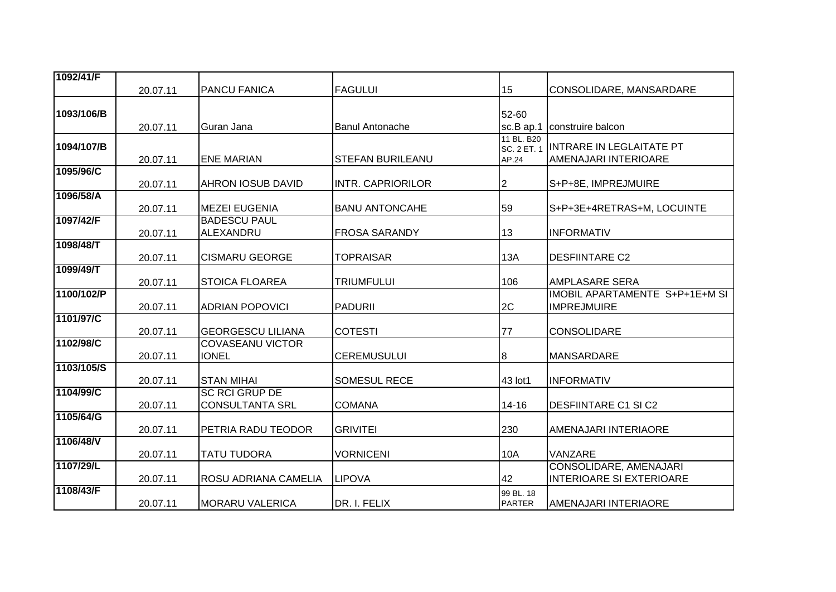| 1092/41/F  |          |                                                 |                          |                                           |                                                           |
|------------|----------|-------------------------------------------------|--------------------------|-------------------------------------------|-----------------------------------------------------------|
|            | 20.07.11 | <b>PANCU FANICA</b>                             | <b>FAGULUI</b>           | 15                                        | CONSOLIDARE, MANSARDARE                                   |
| 1093/106/B | 20.07.11 | Guran Jana                                      | <b>Banul Antonache</b>   | 52-60<br>sc.B ap.1                        | construire balcon                                         |
| 1094/107/B | 20.07.11 | <b>ENE MARIAN</b>                               | <b>STEFAN BURILEANU</b>  | 11 BL. B20<br><b>SC. 2 ET. 1</b><br>AP.24 | <b>INTRARE IN LEGLAITATE PT</b><br>AMENAJARI INTERIOARE   |
| 1095/96/C  | 20.07.11 | <b>AHRON IOSUB DAVID</b>                        | <b>INTR. CAPRIORILOR</b> | 2                                         | S+P+8E, IMPREJMUIRE                                       |
| 1096/58/A  | 20.07.11 | <b>MEZEI EUGENIA</b>                            | <b>BANU ANTONCAHE</b>    | 59                                        | S+P+3E+4RETRAS+M, LOCUINTE                                |
| 1097/42/F  | 20.07.11 | <b>BADESCU PAUL</b><br>ALEXANDRU                | <b>FROSA SARANDY</b>     | 13                                        | <b>INFORMATIV</b>                                         |
| 1098/48/T  | 20.07.11 | <b>CISMARU GEORGE</b>                           | <b>TOPRAISAR</b>         | 13A                                       | <b>DESFIINTARE C2</b>                                     |
| 1099/49/T  | 20.07.11 | <b>STOICA FLOAREA</b>                           | <b>TRIUMFULUI</b>        | 106                                       | AMPLASARE SERA                                            |
| 1100/102/P | 20.07.11 | <b>ADRIAN POPOVICI</b>                          | <b>PADURII</b>           | 2C                                        | IMOBIL APARTAMENTE S+P+1E+M SI<br><b>IMPREJMUIRE</b>      |
| 1101/97/C  | 20.07.11 | <b>GEORGESCU LILIANA</b>                        | <b>COTESTI</b>           | 77                                        | <b>CONSOLIDARE</b>                                        |
| 1102/98/C  | 20.07.11 | <b>COVASEANU VICTOR</b><br><b>IONEL</b>         | <b>CEREMUSULUI</b>       | 8                                         | <b>MANSARDARE</b>                                         |
| 1103/105/S | 20.07.11 | <b>STAN MIHAI</b>                               | <b>SOMESUL RECE</b>      | 43 lot1                                   | <b>INFORMATIV</b>                                         |
| 1104/99/C  | 20.07.11 | <b>SC RCI GRUP DE</b><br><b>CONSULTANTA SRL</b> | <b>COMANA</b>            | $14 - 16$                                 | <b>DESFIINTARE C1 SI C2</b>                               |
| 1105/64/G  | 20.07.11 | PETRIA RADU TEODOR                              | <b>GRIVITEI</b>          | 230                                       | AMENAJARI INTERIAORE                                      |
| 1106/48/V  | 20.07.11 | <b>TATU TUDORA</b>                              | <b>VORNICENI</b>         | 10A                                       | VANZARE                                                   |
| 1107/29/L  | 20.07.11 | ROSU ADRIANA CAMELIA                            | <b>LIPOVA</b>            | 42                                        | CONSOLIDARE, AMENAJARI<br><b>INTERIOARE SI EXTERIOARE</b> |
| 1108/43/F  | 20.07.11 | <b>MORARU VALERICA</b>                          | DR. I. FELIX             | 99 BL. 18<br><b>PARTER</b>                | <b>AMENAJARI INTERIAORE</b>                               |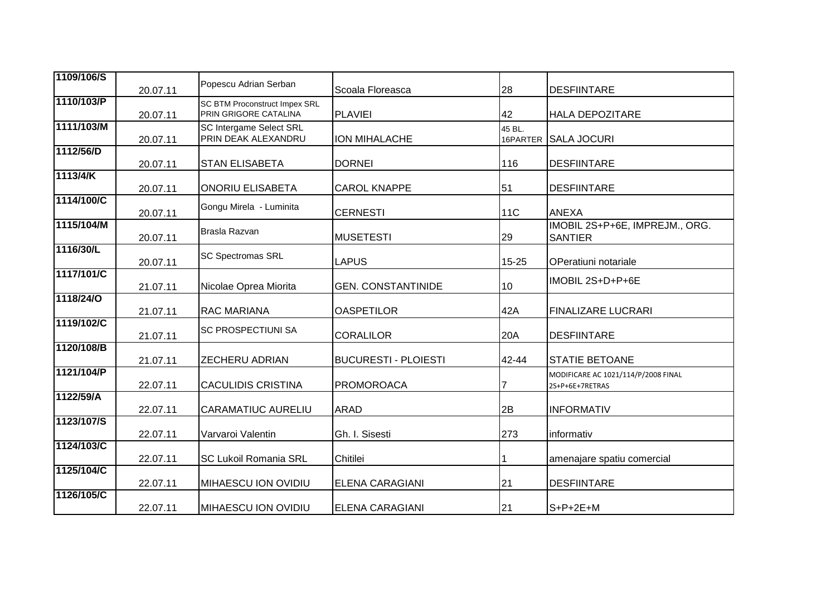| 1109/106/S | 20.07.11 | Popescu Adrian Serban                                         | Scoala Floreasca            | 28                 | <b>DESFIINTARE</b>                                     |
|------------|----------|---------------------------------------------------------------|-----------------------------|--------------------|--------------------------------------------------------|
| 1110/103/P | 20.07.11 | <b>SC BTM Proconstruct Impex SRL</b><br>PRIN GRIGORE CATALINA | <b>PLAVIEI</b>              | 42                 | <b>HALA DEPOZITARE</b>                                 |
| 1111/103/M | 20.07.11 | SC Intergame Select SRL<br>PRIN DEAK ALEXANDRU                | ION MIHALACHE               | 45 BL.<br>16PARTER | <b>SALA JOCURI</b>                                     |
| 1112/56/D  | 20.07.11 | <b>STAN ELISABETA</b>                                         | <b>DORNEI</b>               | 116                | <b>DESFIINTARE</b>                                     |
| 1113/4/K   | 20.07.11 | <b>ONORIU ELISABETA</b>                                       | <b>CAROL KNAPPE</b>         | 51                 | <b>DESFIINTARE</b>                                     |
| 1114/100/C | 20.07.11 | Gongu Mirela - Luminita                                       | <b>CERNESTI</b>             | <b>11C</b>         | <b>ANEXA</b>                                           |
| 1115/104/M | 20.07.11 | Brasla Razvan                                                 | <b>MUSETESTI</b>            | 29                 | IMOBIL 2S+P+6E, IMPREJM., ORG.<br><b>SANTIER</b>       |
| 1116/30/L  | 20.07.11 | <b>SC Spectromas SRL</b>                                      | <b>LAPUS</b>                | 15-25              | OPeratiuni notariale                                   |
| 1117/101/C | 21.07.11 | Nicolae Oprea Miorita                                         | <b>GEN. CONSTANTINIDE</b>   | 10                 | IMOBIL 2S+D+P+6E                                       |
| 1118/24/0  | 21.07.11 | <b>RAC MARIANA</b>                                            | <b>OASPETILOR</b>           | 42A                | <b>FINALIZARE LUCRARI</b>                              |
| 1119/102/C | 21.07.11 | <b>SC PROSPECTIUNI SA</b>                                     | <b>CORALILOR</b>            | 20A                | <b>DESFIINTARE</b>                                     |
| 1120/108/B | 21.07.11 | <b>ZECHERU ADRIAN</b>                                         | <b>BUCURESTI - PLOIESTI</b> | 42-44              | <b>STATIE BETOANE</b>                                  |
| 1121/104/P | 22.07.11 | <b>CACULIDIS CRISTINA</b>                                     | <b>PROMOROACA</b>           |                    | MODIFICARE AC 1021/114/P/2008 FINAL<br>2S+P+6E+7RETRAS |
| 1122/59/A  | 22.07.11 | <b>CARAMATIUC AURELIU</b>                                     | <b>ARAD</b>                 | 2B                 | <b>INFORMATIV</b>                                      |
| 1123/107/S | 22.07.11 | Varvaroi Valentin                                             | Gh. I. Sisesti              | 273                | informativ                                             |
| 1124/103/C | 22.07.11 | <b>SC Lukoil Romania SRL</b>                                  | Chitilei                    |                    | amenajare spatiu comercial                             |
| 1125/104/C | 22.07.11 | <b>MIHAESCU ION OVIDIU</b>                                    | <b>ELENA CARAGIANI</b>      | 21                 | <b>DESFIINTARE</b>                                     |
| 1126/105/C | 22.07.11 | <b>MIHAESCU ION OVIDIU</b>                                    | <b>ELENA CARAGIANI</b>      | 21                 | $S+P+2E+M$                                             |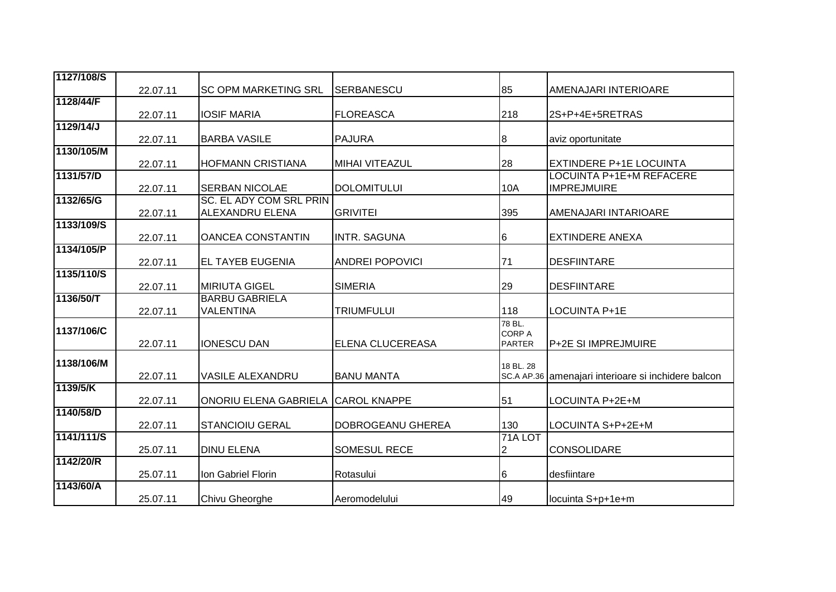| 1127/108/S | 22.07.11 | <b>SC OPM MARKETING SRL</b>                       | SERBANESCU              | 85                                       | AMENAJARI INTERIOARE                                  |
|------------|----------|---------------------------------------------------|-------------------------|------------------------------------------|-------------------------------------------------------|
| 1128/44/F  | 22.07.11 | <b>IOSIF MARIA</b>                                | <b>FLOREASCA</b>        | 218                                      | 2S+P+4E+5RETRAS                                       |
| 1129/14/J  |          |                                                   |                         |                                          |                                                       |
|            | 22.07.11 | <b>BARBA VASILE</b>                               | <b>PAJURA</b>           | 8                                        | aviz oportunitate                                     |
| 1130/105/M | 22.07.11 | <b>HOFMANN CRISTIANA</b>                          | MIHAI VITEAZUL          | 28                                       | <b>EXTINDERE P+1E LOCUINTA</b>                        |
| 1131/57/D  | 22.07.11 | <b>SERBAN NICOLAE</b>                             | <b>DOLOMITULUI</b>      | 10A                                      | <b>LOCUINTA P+1E+M REFACERE</b><br><b>IMPREJMUIRE</b> |
| 1132/65/G  | 22.07.11 | <b>SC. EL ADY COM SRL PRIN</b><br>ALEXANDRU ELENA | <b>GRIVITEI</b>         | 395                                      | AMENAJARI INTARIOARE                                  |
| 1133/109/S | 22.07.11 | <b>OANCEA CONSTANTIN</b>                          | <b>INTR. SAGUNA</b>     | 6                                        | <b>EXTINDERE ANEXA</b>                                |
| 1134/105/P | 22.07.11 | <b>EL TAYEB EUGENIA</b>                           | <b>ANDREI POPOVICI</b>  | 71                                       | <b>DESFIINTARE</b>                                    |
| 1135/110/S | 22.07.11 | <b>MIRIUTA GIGEL</b>                              | <b>SIMERIA</b>          | 29                                       | <b>DESFIINTARE</b>                                    |
| 1136/50/T  | 22.07.11 | <b>BARBU GABRIELA</b><br>VALENTINA                | <b>TRIUMFULUI</b>       | 118                                      | LOCUINTA P+1E                                         |
| 1137/106/C | 22.07.11 | <b>IONESCU DAN</b>                                | <b>ELENA CLUCEREASA</b> | 78 BL.<br><b>CORP A</b><br><b>PARTER</b> | <b>P+2E SI IMPREJMUIRE</b>                            |
| 1138/106/M | 22.07.11 | <b>VASILE ALEXANDRU</b>                           | <b>BANU MANTA</b>       | 18 BL, 28                                | SC.A AP.36 amenajari interioare si inchidere balcon   |
| 1139/5/K   | 22.07.11 | ONORIU ELENA GABRIELA                             | <b>CAROL KNAPPE</b>     | 51                                       | LOCUINTA P+2E+M                                       |
| 1140/58/D  | 22.07.11 | <b>STANCIOIU GERAL</b>                            | DOBROGEANU GHEREA       | 130                                      | LOCUINTA S+P+2E+M                                     |
| 1141/111/S | 25.07.11 | <b>DINU ELENA</b>                                 | SOMESUL RECE            | 71A LOT<br>$\overline{2}$                | CONSOLIDARE                                           |
| 1142/20/R  | 25.07.11 | Ion Gabriel Florin                                | Rotasului               | 6                                        | desfiintare                                           |
| 1143/60/A  | 25.07.11 | Chivu Gheorghe                                    | Aeromodelului           | 49                                       | locuinta S+p+1e+m                                     |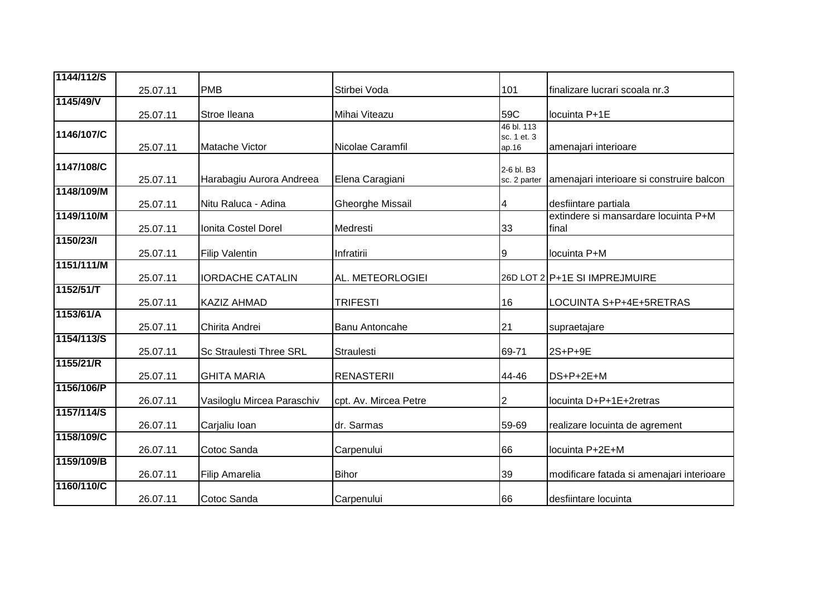| 1144/112/S |          |                                |                         |                            |                                           |
|------------|----------|--------------------------------|-------------------------|----------------------------|-------------------------------------------|
|            | 25.07.11 | <b>PMB</b>                     | Stirbei Voda            | 101                        | finalizare lucrari scoala nr.3            |
| 1145/49/V  |          |                                |                         |                            |                                           |
|            | 25.07.11 | Stroe Ileana                   | Mihai Viteazu           | 59C                        | locuinta P+1E                             |
| 1146/107/C |          |                                |                         | 46 bl. 113<br>sc. 1 et. 3  |                                           |
|            | 25.07.11 | Matache Victor                 | Nicolae Caramfil        | ap.16                      | amenajari interioare                      |
| 1147/108/C |          |                                |                         |                            |                                           |
|            | 25.07.11 | Harabagiu Aurora Andreea       | Elena Caragiani         | 2-6 bl. B3<br>sc. 2 parter | amenajari interioare si construire balcon |
| 1148/109/M |          |                                |                         |                            |                                           |
|            | 25.07.11 | Nitu Raluca - Adina            | <b>Gheorghe Missail</b> | 4                          | desfiintare partiala                      |
| 1149/110/M |          |                                |                         |                            | extindere si mansardare locuinta P+M      |
|            | 25.07.11 | <b>Ionita Costel Dorel</b>     | Medresti                | 33                         | final                                     |
| 1150/23/1  |          |                                |                         |                            |                                           |
|            | 25.07.11 | <b>Filip Valentin</b>          | Infratirii              | Ι9                         | locuinta P+M                              |
| 1151/111/M | 25.07.11 | <b>IORDACHE CATALIN</b>        | AL. METEORLOGIEI        |                            | 26D LOT 2 P+1E SI IMPREJMUIRE             |
| 1152/51/T  |          |                                |                         |                            |                                           |
|            | 25.07.11 | <b>KAZIZ AHMAD</b>             | <b>TRIFESTI</b>         | 16                         | LOCUINTA S+P+4E+5RETRAS                   |
| 1153/61/A  |          |                                |                         |                            |                                           |
|            | 25.07.11 | Chirita Andrei                 | <b>Banu Antoncahe</b>   | 21                         | supraetajare                              |
| 1154/113/S |          |                                |                         |                            |                                           |
| 1155/21/R  | 25.07.11 | <b>Sc Straulesti Three SRL</b> | Straulesti              | 69-71                      | 2S+P+9E                                   |
|            | 25.07.11 | <b>GHITA MARIA</b>             | <b>RENASTERII</b>       | 44-46                      | DS+P+2E+M                                 |
| 1156/106/P |          |                                |                         |                            |                                           |
|            | 26.07.11 | Vasiloglu Mircea Paraschiv     | cpt. Av. Mircea Petre   | $\overline{2}$             | locuinta D+P+1E+2retras                   |
| 1157/114/S |          |                                |                         |                            |                                           |
|            | 26.07.11 | Carjaliu Ioan                  | dr. Sarmas              | 59-69                      | realizare locuinta de agrement            |
| 1158/109/C |          |                                |                         |                            |                                           |
|            | 26.07.11 | Cotoc Sanda                    | Carpenului              | 66                         | locuinta P+2E+M                           |
| 1159/109/B |          |                                |                         |                            |                                           |
| 1160/110/C | 26.07.11 | Filip Amarelia                 | <b>Bihor</b>            | 39                         | modificare fatada si amenajari interioare |
|            | 26.07.11 | Cotoc Sanda                    | Carpenului              | 66                         | desfiintare locuinta                      |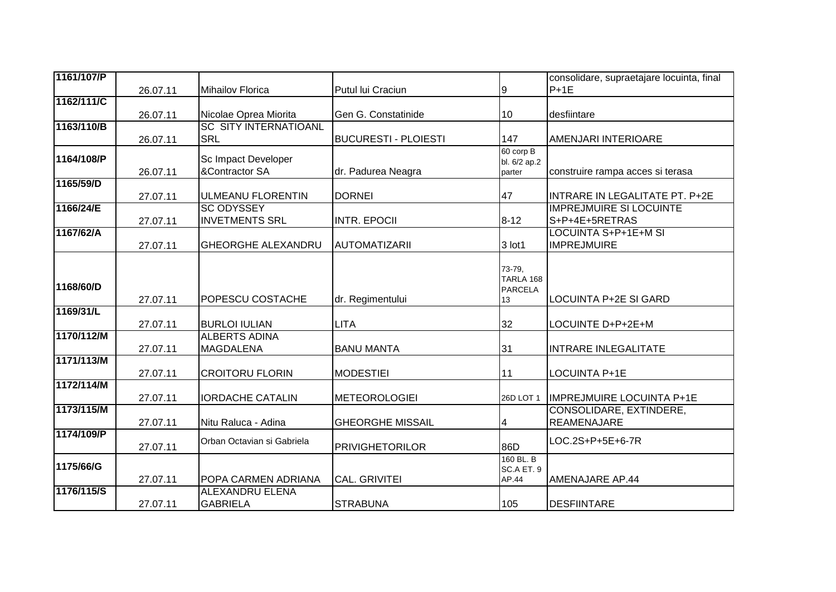| 1161/107/P |          |                              |                             |                         | consolidare, supraetajare locuinta, final |
|------------|----------|------------------------------|-----------------------------|-------------------------|-------------------------------------------|
|            | 26.07.11 | <b>Mihailov Florica</b>      | Putul lui Craciun           | 9                       | $P+1E$                                    |
| 1162/111/C |          |                              |                             |                         |                                           |
|            | 26.07.11 | Nicolae Oprea Miorita        | Gen G. Constatinide         | 10                      | desfiintare                               |
| 1163/110/B |          | <b>SC SITY INTERNATIOANL</b> |                             |                         |                                           |
|            | 26.07.11 | <b>SRL</b>                   | <b>BUCURESTI - PLOIESTI</b> | 147                     | AMENJARI INTERIOARE                       |
| 1164/108/P |          | Sc Impact Developer          |                             | 60 corp B               |                                           |
|            | 26.07.11 | &Contractor SA               | dr. Padurea Neagra          | bl. 6/2 ap.2<br>parter  | construire rampa acces si terasa          |
| 1165/59/D  |          |                              |                             |                         |                                           |
|            | 27.07.11 | <b>ULMEANU FLORENTIN</b>     | <b>DORNEI</b>               | 47                      | INTRARE IN LEGALITATE PT. P+2E            |
| 1166/24/E  |          | <b>SC ODYSSEY</b>            |                             |                         | <b>IMPREJMUIRE SI LOCUINTE</b>            |
|            | 27.07.11 | <b>INVETMENTS SRL</b>        | <b>INTR. EPOCII</b>         | $8 - 12$                | S+P+4E+5RETRAS                            |
| 1167/62/A  |          |                              |                             |                         | <b>LOCUINTA S+P+1E+M SI</b>               |
|            | 27.07.11 | <b>GHEORGHE ALEXANDRU</b>    | <b>AUTOMATIZARII</b>        | 3 lot1                  | <b>IMPREJMUIRE</b>                        |
|            |          |                              |                             |                         |                                           |
|            |          |                              |                             | 73-79,                  |                                           |
| 1168/60/D  |          |                              |                             | TARLA 168               |                                           |
|            | 27.07.11 | <b>POPESCU COSTACHE</b>      | dr. Regimentului            | <b>PARCELA</b><br>13    | <b>LOCUINTA P+2E SI GARD</b>              |
| 1169/31/L  |          |                              |                             |                         |                                           |
|            | 27.07.11 | <b>BURLOI IULIAN</b>         | <b>LITA</b>                 | 32                      | LOCUINTE D+P+2E+M                         |
| 1170/112/M |          | <b>ALBERTS ADINA</b>         |                             |                         |                                           |
|            | 27.07.11 | <b>MAGDALENA</b>             | <b>BANU MANTA</b>           | 31                      | <b>INTRARE INLEGALITATE</b>               |
| 1171/113/M |          |                              |                             |                         |                                           |
|            | 27.07.11 | <b>CROITORU FLORIN</b>       | <b>MODESTIEI</b>            | 11                      | LOCUINTA P+1E                             |
| 1172/114/M |          |                              |                             |                         |                                           |
|            | 27.07.11 | <b>IORDACHE CATALIN</b>      | <b>METEOROLOGIEI</b>        | 26D LOT 1               | <b>IMPREJMUIRE LOCUINTA P+1E</b>          |
| 1173/115/M |          |                              |                             |                         | <b>CONSOLIDARE, EXTINDERE,</b>            |
|            | 27.07.11 | Nitu Raluca - Adina          | <b>GHEORGHE MISSAIL</b>     | 4                       | <b>REAMENAJARE</b>                        |
| 1174/109/P |          | Orban Octavian si Gabriela   |                             |                         | LOC.2S+P+5E+6-7R                          |
|            | 27.07.11 |                              | <b>PRIVIGHETORILOR</b>      | 86D                     |                                           |
| 1175/66/G  |          |                              |                             | 160 BL. B<br>SC.A ET. 9 |                                           |
|            | 27.07.11 | POPA CARMEN ADRIANA          | <b>CAL. GRIVITEI</b>        | AP.44                   | <b>AMENAJARE AP.44</b>                    |
| 1176/115/S |          | <b>ALEXANDRU ELENA</b>       |                             |                         |                                           |
|            | 27.07.11 | <b>GABRIELA</b>              | <b>STRABUNA</b>             | 105                     | <b>DESFIINTARE</b>                        |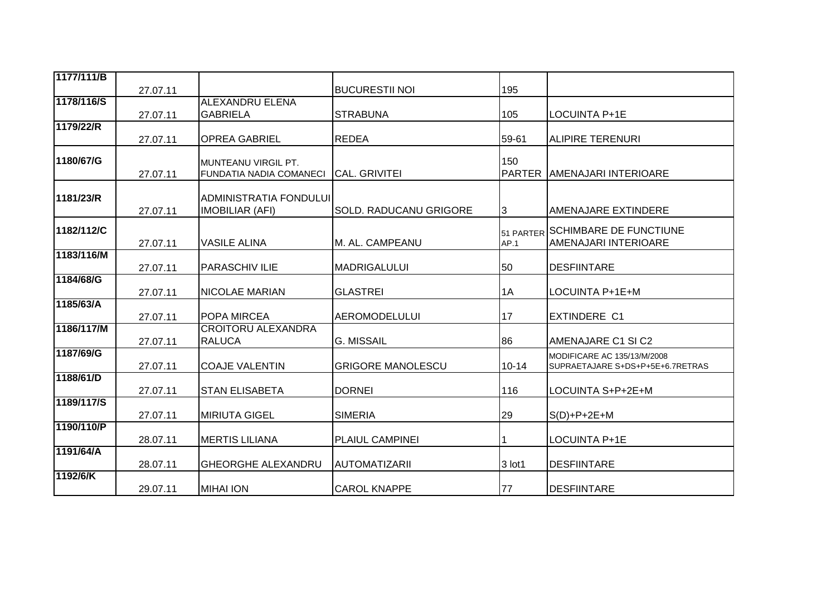| 195                                |                                                                                         |
|------------------------------------|-----------------------------------------------------------------------------------------|
|                                    |                                                                                         |
|                                    | LOCUINTA P+1E                                                                           |
|                                    |                                                                                         |
|                                    | IALIPIRE TERENURI                                                                       |
|                                    |                                                                                         |
|                                    | PARTER LAMENAJARI INTERIOARE                                                            |
|                                    |                                                                                         |
|                                    |                                                                                         |
| <b>SOLD. RADUCANU GRIGORE</b><br>3 | <b>AMENAJARE EXTINDERE</b>                                                              |
|                                    | <b>SCHIMBARE DE FUNCTIUNE</b>                                                           |
|                                    | <b>AMENAJARI INTERIOARE</b>                                                             |
|                                    |                                                                                         |
| 50                                 | <b>DESFIINTARE</b>                                                                      |
|                                    |                                                                                         |
|                                    | LOCUINTA P+1E+M                                                                         |
|                                    |                                                                                         |
|                                    | <b>EXTINDERE C1</b>                                                                     |
|                                    | <b>AMENAJARE C1 SI C2</b>                                                               |
|                                    |                                                                                         |
|                                    | MODIFICARE AC 135/13/M/2008<br>SUPRAETAJARE S+DS+P+5E+6.7RETRAS                         |
|                                    |                                                                                         |
| 116                                | LOCUINTA S+P+2E+M                                                                       |
|                                    |                                                                                         |
|                                    | $S(D)+P+2E+M$                                                                           |
|                                    |                                                                                         |
|                                    | <b>LOCUINTA P+1E</b>                                                                    |
|                                    | <b>DESFIINTARE</b>                                                                      |
|                                    |                                                                                         |
| 77                                 | DESFIINTARE                                                                             |
|                                    | 105<br>59-61<br>150<br>51 PARTER<br>AP.1<br>1A<br>17<br>86<br>$10 - 14$<br>29<br>3 lot1 |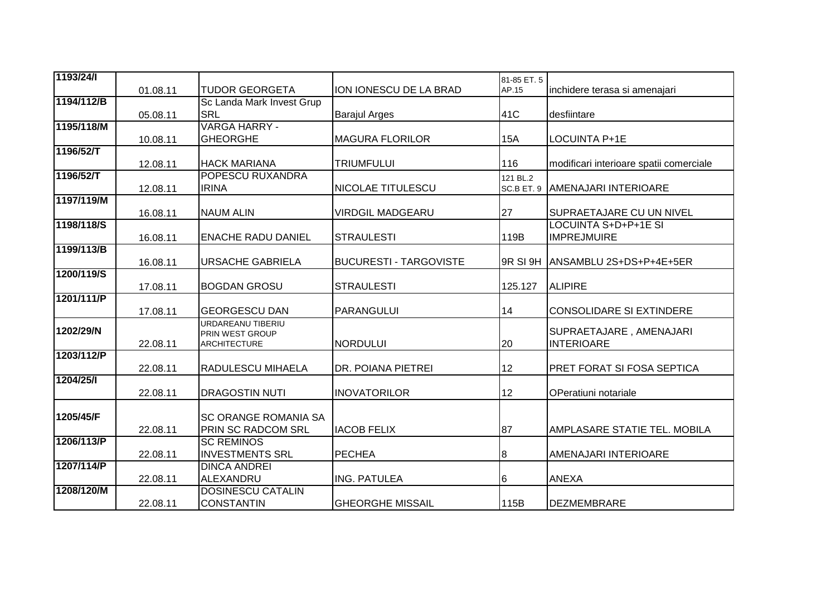| 1193/24/1  |          |                             |                               | 81-85 ET. 5 |                                         |
|------------|----------|-----------------------------|-------------------------------|-------------|-----------------------------------------|
|            | 01.08.11 | <b>TUDOR GEORGETA</b>       | ION IONESCU DE LA BRAD        | AP.15       | inchidere terasa si amenajari           |
| 1194/112/B |          | Sc Landa Mark Invest Grup   |                               |             |                                         |
|            | 05.08.11 | <b>SRL</b>                  | <b>Barajul Arges</b>          | 41C         | desfiintare                             |
| 1195/118/M |          | <b>VARGA HARRY -</b>        |                               |             |                                         |
|            | 10.08.11 | <b>GHEORGHE</b>             | <b>MAGURA FLORILOR</b>        | <b>15A</b>  | LOCUINTA P+1E                           |
| 1196/52/T  |          |                             |                               |             |                                         |
|            | 12.08.11 | <b>HACK MARIANA</b>         | <b>TRIUMFULUI</b>             | 116         | modificari interioare spatii comerciale |
| 1196/52/T  |          | <b>POPESCU RUXANDRA</b>     |                               | 121 BL.2    |                                         |
|            | 12.08.11 | <b>IRINA</b>                | NICOLAE TITULESCU             | SC.B ET. 9  | <b>AMENAJARI INTERIOARE</b>             |
| 1197/119/M |          |                             |                               |             |                                         |
|            | 16.08.11 | <b>NAUM ALIN</b>            | <b>VIRDGIL MADGEARU</b>       | 27          | SUPRAETAJARE CU UN NIVEL                |
| 1198/118/S |          |                             |                               |             | <b>LOCUINTA S+D+P+1E SI</b>             |
|            | 16.08.11 | <b>ENACHE RADU DANIEL</b>   | <b>STRAULESTI</b>             | 119B        | <b>IMPREJMUIRE</b>                      |
| 1199/113/B |          |                             |                               |             |                                         |
|            | 16.08.11 | <b>URSACHE GABRIELA</b>     | <b>BUCURESTI - TARGOVISTE</b> | 9R SI 9H    | ANSAMBLU 2S+DS+P+4E+5ER                 |
| 1200/119/S |          |                             |                               |             |                                         |
| 1201/111/P | 17.08.11 | <b>BOGDAN GROSU</b>         | <b>STRAULESTI</b>             | 125.127     | <b>ALIPIRE</b>                          |
|            | 17.08.11 | <b>GEORGESCU DAN</b>        | PARANGULUI                    |             | <b>CONSOLIDARE SI EXTINDERE</b>         |
|            |          | URDAREANU TIBERIU           |                               | 14          |                                         |
| 1202/29/N  |          | PRIN WEST GROUP             |                               |             | SUPRAETAJARE, AMENAJARI                 |
|            | 22.08.11 | <b>ARCHITECTURE</b>         | <b>NORDULUI</b>               | 20          | <b>INTERIOARE</b>                       |
| 1203/112/P |          |                             |                               |             |                                         |
|            | 22.08.11 | <b>RADULESCU MIHAELA</b>    | DR. POIANA PIETREI            | 12          | PRET FORAT SI FOSA SEPTICA              |
| 1204/25/1  |          |                             |                               |             |                                         |
|            | 22.08.11 | <b>DRAGOSTIN NUTI</b>       | <b>INOVATORILOR</b>           | 12          | OPeratiuni notariale                    |
|            |          |                             |                               |             |                                         |
| 1205/45/F  |          | <b>SC ORANGE ROMANIA SA</b> |                               |             |                                         |
|            | 22.08.11 | <b>PRIN SC RADCOM SRL</b>   | <b>IACOB FELIX</b>            | 87          | AMPLASARE STATIE TEL. MOBILA            |
| 1206/113/P |          | <b>SC REMINOS</b>           |                               |             |                                         |
|            | 22.08.11 | <b>INVESTMENTS SRL</b>      | <b>PECHEA</b>                 | 8           | AMENAJARI INTERIOARE                    |
| 1207/114/P |          | <b>DINCA ANDREI</b>         |                               |             |                                         |
|            | 22.08.11 | ALEXANDRU                   | <b>ING. PATULEA</b>           | 6           | <b>ANEXA</b>                            |
| 1208/120/M |          | <b>DOSINESCU CATALIN</b>    |                               |             |                                         |
|            | 22.08.11 | <b>CONSTANTIN</b>           | <b>GHEORGHE MISSAIL</b>       | 115B        | DEZMEMBRARE                             |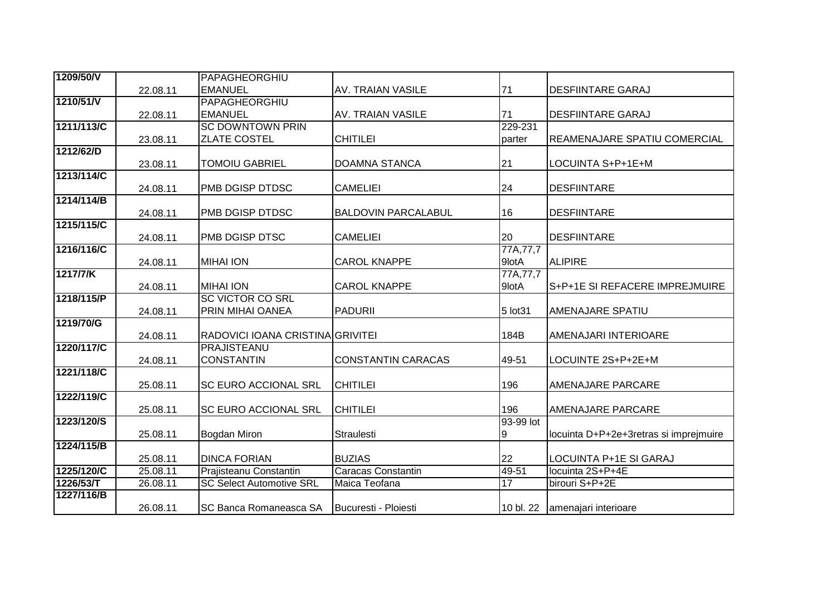| 1209/50/V  |          | PAPAGHEORGHIU                    |                            |            |                                        |
|------------|----------|----------------------------------|----------------------------|------------|----------------------------------------|
|            | 22.08.11 | <b>EMANUEL</b>                   | <b>AV. TRAIAN VASILE</b>   | 71         | <b>DESFIINTARE GARAJ</b>               |
| 1210/51/V  |          | PAPAGHEORGHIU                    |                            |            |                                        |
|            | 22.08.11 | <b>EMANUEL</b>                   | <b>AV. TRAIAN VASILE</b>   | 71         | <b>DESFIINTARE GARAJ</b>               |
| 1211/113/C |          | <b>SC DOWNTOWN PRIN</b>          |                            | 229-231    |                                        |
|            | 23.08.11 | <b>ZLATE COSTEL</b>              | <b>CHITILEI</b>            | parter     | REAMENAJARE SPATIU COMERCIAL           |
| 1212/62/D  |          |                                  |                            |            |                                        |
|            | 23.08.11 | <b>TOMOIU GABRIEL</b>            | <b>DOAMNA STANCA</b>       | 21         | LOCUINTA S+P+1E+M                      |
| 1213/114/C |          |                                  |                            |            |                                        |
|            | 24.08.11 | PMB DGISP DTDSC                  | <b>CAMELIEI</b>            | 24         | <b>DESFIINTARE</b>                     |
| 1214/114/B |          |                                  |                            |            |                                        |
|            | 24.08.11 | PMB DGISP DTDSC                  | <b>BALDOVIN PARCALABUL</b> | 16         | <b>DESFIINTARE</b>                     |
| 1215/115/C |          |                                  |                            |            |                                        |
|            | 24.08.11 | PMB DGISP DTSC                   | <b>CAMELIEI</b>            | 20         | <b>DESFIINTARE</b>                     |
| 1216/116/C |          |                                  |                            | 77A, 77, 7 |                                        |
|            | 24.08.11 | <b>MIHAI ION</b>                 | <b>CAROL KNAPPE</b>        | 9lotA      | <b>ALIPIRE</b>                         |
| 1217/7/K   |          |                                  |                            | 77A, 77, 7 |                                        |
|            | 24.08.11 | <b>MIHAI ION</b>                 | <b>CAROL KNAPPE</b>        | 9lotA      | S+P+1E SI REFACERE IMPREJMUIRE         |
| 1218/115/P |          | <b>SC VICTOR CO SRL</b>          |                            |            |                                        |
|            | 24.08.11 | PRIN MIHAI OANEA                 | <b>PADURII</b>             | 5 lot 31   | AMENAJARE SPATIU                       |
| 1219/70/G  |          |                                  |                            |            |                                        |
|            | 24.08.11 | RADOVICI IOANA CRISTINA GRIVITEI |                            | 184B       | AMENAJARI INTERIOARE                   |
| 1220/117/C |          | PRAJISTEANU                      |                            |            |                                        |
|            | 24.08.11 | CONSTANTIN                       | <b>CONSTANTIN CARACAS</b>  | 49-51      | LOCUINTE 2S+P+2E+M                     |
| 1221/118/C |          |                                  |                            |            |                                        |
|            | 25.08.11 | <b>SC EURO ACCIONAL SRL</b>      | <b>CHITILEI</b>            | 196        | AMENAJARE PARCARE                      |
| 1222/119/C |          |                                  |                            |            |                                        |
|            | 25.08.11 | <b>SC EURO ACCIONAL SRL</b>      | <b>CHITILEI</b>            | 196        | <b>AMENAJARE PARCARE</b>               |
| 1223/120/S |          |                                  |                            | 93-99 lot  |                                        |
|            | 25.08.11 | Bogdan Miron                     | <b>Straulesti</b>          | 9          | locuinta D+P+2e+3retras si imprejmuire |
| 1224/115/B |          |                                  |                            |            |                                        |
|            | 25.08.11 | <b>DINCA FORIAN</b>              | <b>BUZIAS</b>              | 22         | LOCUINTA P+1E SI GARAJ                 |
| 1225/120/C | 25.08.11 | Prajisteanu Constantin           | <b>Caracas Constantin</b>  | 49-51      | locuinta 2S+P+4E                       |
| 1226/53/T  | 26.08.11 | <b>SC Select Automotive SRL</b>  | Maica Teofana              | 17         | birouri S+P+2E                         |
| 1227/116/B |          |                                  |                            |            |                                        |
|            | 26.08.11 | SC Banca Romaneasca SA           | Bucuresti - Ploiesti       |            | 10 bl. 22   amenajari interioare       |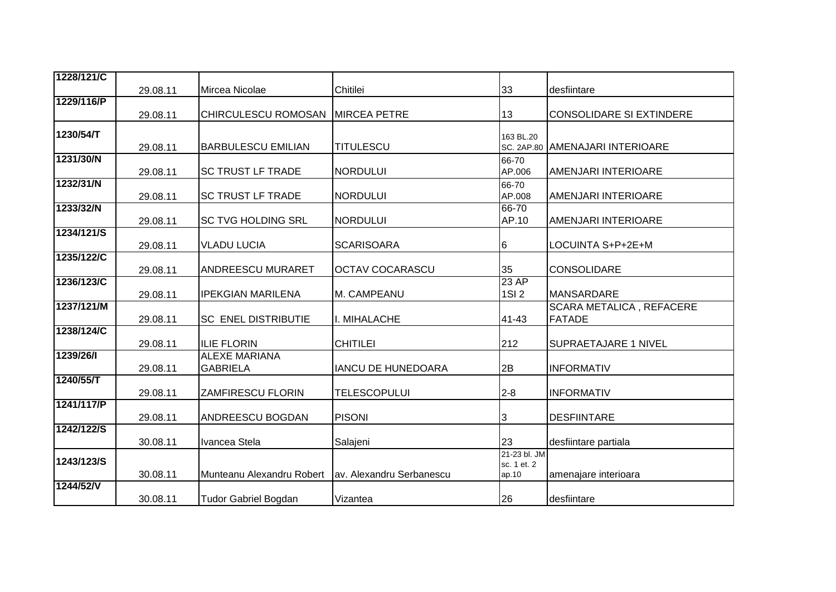| 1228/121/C |          |                             |                           |                             |                                 |
|------------|----------|-----------------------------|---------------------------|-----------------------------|---------------------------------|
|            | 29.08.11 | Mircea Nicolae              | Chitilei                  | 33                          | desfiintare                     |
| 1229/116/P |          |                             |                           |                             |                                 |
|            | 29.08.11 | CHIRCULESCU ROMOSAN         | <b>MIRCEA PETRE</b>       | 13                          | <b>CONSOLIDARE SI EXTINDERE</b> |
| 1230/54/T  |          |                             |                           | 163 BL.20                   |                                 |
|            | 29.08.11 | <b>BARBULESCU EMILIAN</b>   | <b>TITULESCU</b>          |                             | SC. 2AP.80 AMENAJARI INTERIOARE |
| 1231/30/N  |          |                             |                           | 66-70                       |                                 |
|            | 29.08.11 | <b>SC TRUST LF TRADE</b>    | <b>NORDULUI</b>           | AP.006                      | AMENJARI INTERIOARE             |
| 1232/31/N  |          |                             |                           | 66-70                       |                                 |
|            | 29.08.11 | <b>SC TRUST LF TRADE</b>    | <b>NORDULUI</b>           | AP.008                      | AMENJARI INTERIOARE             |
| 1233/32/N  | 29.08.11 | <b>SC TVG HOLDING SRL</b>   | <b>NORDULUI</b>           | 66-70<br>AP.10              | AMENJARI INTERIOARE             |
| 1234/121/S |          |                             |                           |                             |                                 |
|            | 29.08.11 | <b>VLADU LUCIA</b>          | <b>SCARISOARA</b>         | 6                           | LOCUINTA S+P+2E+M               |
| 1235/122/C |          |                             |                           |                             |                                 |
|            | 29.08.11 | <b>ANDREESCU MURARET</b>    | <b>OCTAV COCARASCU</b>    | 35                          | CONSOLIDARE                     |
| 1236/123/C |          |                             |                           | 23 AP                       |                                 |
|            | 29.08.11 | <b>IPEKGIAN MARILENA</b>    | M. CAMPEANU               | 1SI 2                       | <b>MANSARDARE</b>               |
| 1237/121/M |          |                             |                           |                             | <b>SCARA METALICA, REFACERE</b> |
|            | 29.08.11 | <b>SC ENEL DISTRIBUTIE</b>  | I. MIHALACHE              | 41-43                       | <b>FATADE</b>                   |
| 1238/124/C | 29.08.11 | <b>ILIE FLORIN</b>          | <b>CHITILEI</b>           | 212                         | SUPRAETAJARE 1 NIVEL            |
| 1239/26/1  |          | <b>ALEXE MARIANA</b>        |                           |                             |                                 |
|            | 29.08.11 | <b>GABRIELA</b>             | <b>IANCU DE HUNEDOARA</b> | 2B                          | <b>INFORMATIV</b>               |
| 1240/55/T  |          |                             |                           |                             |                                 |
|            | 29.08.11 | <b>ZAMFIRESCU FLORIN</b>    | <b>TELESCOPULUI</b>       | $2 - 8$                     | <b>INFORMATIV</b>               |
| 1241/117/P |          |                             |                           |                             |                                 |
|            | 29.08.11 | <b>ANDREESCU BOGDAN</b>     | <b>PISONI</b>             | 3                           | <b>DESFIINTARE</b>              |
| 1242/122/S |          |                             |                           |                             |                                 |
|            | 30.08.11 | Ivancea Stela               | Salajeni                  | 23                          | desfiintare partiala            |
| 1243/123/S |          |                             |                           | 21-23 bl. JM<br>sc. 1 et. 2 |                                 |
|            | 30.08.11 | Munteanu Alexandru Robert   | av. Alexandru Serbanescu  | ap.10                       | amenajare interioara            |
| 1244/52/V  |          |                             |                           |                             |                                 |
|            | 30.08.11 | <b>Tudor Gabriel Bogdan</b> | Vizantea                  | 26                          | desfiintare                     |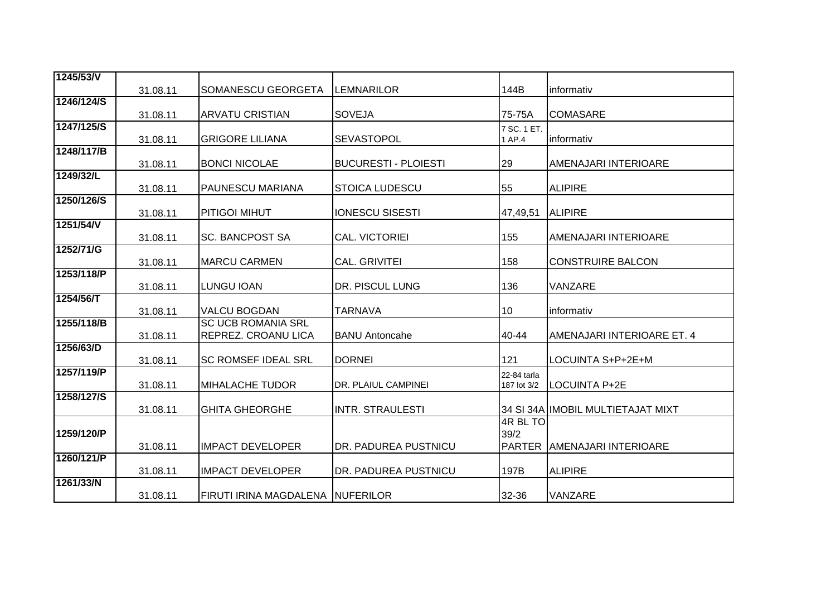| 1245/53/V  | 31.08.11 | <b>SOMANESCU GEORGETA</b>        | <b>LEMNARILOR</b>           | 144B        | informativ                         |
|------------|----------|----------------------------------|-----------------------------|-------------|------------------------------------|
| 1246/124/S |          |                                  |                             |             |                                    |
|            | 31.08.11 | <b>ARVATU CRISTIAN</b>           | <b>SOVEJA</b>               | 75-75A      | <b>COMASARE</b>                    |
| 1247/125/S |          |                                  |                             | 7 SC. 1 ET. |                                    |
|            | 31.08.11 | <b>GRIGORE LILIANA</b>           | <b>SEVASTOPOL</b>           | 1 AP.4      | informativ                         |
| 1248/117/B |          |                                  |                             |             |                                    |
|            | 31.08.11 | <b>BONCI NICOLAE</b>             | <b>BUCURESTI - PLOIESTI</b> | 29          | AMENAJARI INTERIOARE               |
| 1249/32/L  |          |                                  |                             |             |                                    |
|            | 31.08.11 | <b>PAUNESCU MARIANA</b>          | <b>STOICA LUDESCU</b>       | 55          | <b>ALIPIRE</b>                     |
| 1250/126/S |          |                                  |                             |             |                                    |
|            | 31.08.11 | <b>PITIGOI MIHUT</b>             | <b>IONESCU SISESTI</b>      | 47,49,51    | <b>ALIPIRE</b>                     |
| 1251/54/V  |          |                                  |                             |             |                                    |
|            | 31.08.11 | <b>SC. BANCPOST SA</b>           | CAL. VICTORIEI              | 155         | AMENAJARI INTERIOARE               |
| 1252/71/G  |          |                                  |                             |             |                                    |
|            | 31.08.11 | <b>MARCU CARMEN</b>              | <b>CAL. GRIVITEI</b>        | 158         | <b>CONSTRUIRE BALCON</b>           |
| 1253/118/P |          |                                  |                             |             |                                    |
|            | 31.08.11 | <b>LUNGU IOAN</b>                | DR. PISCUL LUNG             | 136         | VANZARE                            |
| 1254/56/T  |          |                                  |                             |             |                                    |
|            | 31.08.11 | <b>VALCU BOGDAN</b>              | <b>TARNAVA</b>              | 10          | informativ                         |
| 1255/118/B |          | <b>SC UCB ROMANIA SRL</b>        |                             |             |                                    |
|            | 31.08.11 | <b>REPREZ. CROANU LICA</b>       | <b>BANU Antoncahe</b>       | 40-44       | AMENAJARI INTERIOARE ET. 4         |
| 1256/63/D  |          |                                  |                             |             |                                    |
|            | 31.08.11 | <b>SC ROMSEF IDEAL SRL</b>       | <b>DORNEI</b>               | 121         | LOCUINTA S+P+2E+M                  |
| 1257/119/P |          |                                  |                             | 22-84 tarla |                                    |
|            | 31.08.11 | <b>MIHALACHE TUDOR</b>           | DR. PLAIUL CAMPINEI         | 187 lot 3/2 | <b>LOCUINTA P+2E</b>               |
| 1258/127/S |          |                                  |                             |             |                                    |
|            | 31.08.11 | <b>GHITA GHEORGHE</b>            | <b>INTR. STRAULESTI</b>     |             | 34 SI 34A IIMOBIL MULTIETAJAT MIXT |
|            |          |                                  |                             | 4R BL TO    |                                    |
| 1259/120/P |          |                                  |                             | 39/2        |                                    |
|            | 31.08.11 | <b>IMPACT DEVELOPER</b>          | DR. PADUREA PUSTNICU        |             | PARTER AMENAJARI INTERIOARE        |
| 1260/121/P |          |                                  |                             |             |                                    |
|            | 31.08.11 | <b>IMPACT DEVELOPER</b>          | DR. PADUREA PUSTNICU        | 197B        | <b>ALIPIRE</b>                     |
| 1261/33/N  |          |                                  |                             |             |                                    |
|            | 31.08.11 | FIRUTI IRINA MAGDALENA NUFERILOR |                             | 32-36       | VANZARE                            |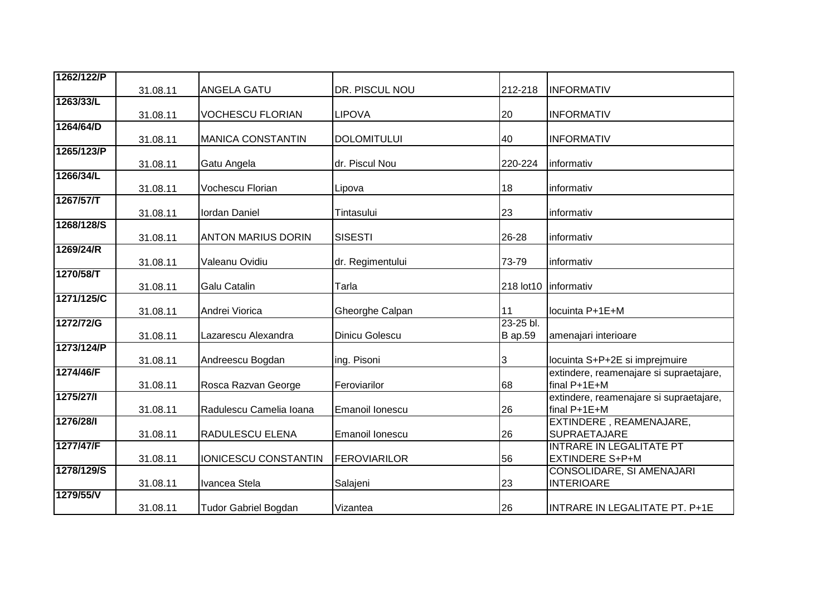| 1262/122/P |          |                             |                       |                |                                                        |
|------------|----------|-----------------------------|-----------------------|----------------|--------------------------------------------------------|
|            | 31.08.11 | <b>ANGELA GATU</b>          | DR. PISCUL NOU        | 212-218        | <b>INFORMATIV</b>                                      |
| 1263/33/L  |          |                             |                       |                |                                                        |
|            | 31.08.11 | <b>VOCHESCU FLORIAN</b>     | <b>LIPOVA</b>         | 20             | <b>INFORMATIV</b>                                      |
| 1264/64/D  |          |                             |                       |                |                                                        |
| 1265/123/P | 31.08.11 | <b>MANICA CONSTANTIN</b>    | <b>DOLOMITULUI</b>    | 40             | <b>INFORMATIV</b>                                      |
|            | 31.08.11 | Gatu Angela                 | dr. Piscul Nou        | 220-224        | informativ                                             |
| 1266/34/L  |          |                             |                       |                |                                                        |
|            | 31.08.11 | Vochescu Florian            | Lipova                | 18             | informativ                                             |
| 1267/57/T  |          |                             |                       |                |                                                        |
|            | 31.08.11 | Iordan Daniel               | Tintasului            | 23             | informativ                                             |
| 1268/128/S | 31.08.11 | <b>ANTON MARIUS DORIN</b>   | <b>SISESTI</b>        | 26-28          | informativ                                             |
| 1269/24/R  |          |                             |                       |                |                                                        |
|            | 31.08.11 | Valeanu Ovidiu              | dr. Regimentului      | 73-79          | informativ                                             |
| 1270/58/T  |          |                             |                       |                |                                                        |
|            | 31.08.11 | <b>Galu Catalin</b>         | Tarla                 |                | 218 lot10   informativ                                 |
| 1271/125/C |          |                             |                       |                |                                                        |
|            | 31.08.11 | Andrei Viorica              | Gheorghe Calpan       | 11             | locuinta P+1E+M                                        |
| 1272/72/G  |          |                             |                       | 23-25 bl.      |                                                        |
| 1273/124/P | 31.08.11 | Lazarescu Alexandra         | <b>Dinicu Golescu</b> | <b>B</b> ap.59 | amenajari interioare                                   |
|            | 31.08.11 | Andreescu Bogdan            | ing. Pisoni           | $\overline{3}$ | locuinta S+P+2E si imprejmuire                         |
| 1274/46/F  |          |                             |                       |                | extindere, reamenajare si supraetajare,                |
|            | 31.08.11 | Rosca Razvan George         | Feroviarilor          | 68             | final P+1E+M                                           |
| 1275/27/1  |          |                             |                       |                | extindere, reamenajare si supraetajare,                |
|            | 31.08.11 | Radulescu Camelia Ioana     | Emanoil Ionescu       | 26             | final P+1E+M                                           |
| 1276/28/1  |          |                             |                       |                | EXTINDERE, REAMENAJARE,                                |
| 1277/47/F  | 31.08.11 | <b>RADULESCU ELENA</b>      | Emanoil Ionescu       | 26             | <b>SUPRAETAJARE</b><br><b>INTRARE IN LEGALITATE PT</b> |
|            | 31.08.11 | IONICESCU CONSTANTIN        | <b>FEROVIARILOR</b>   | 56             | <b>EXTINDERE S+P+M</b>                                 |
| 1278/129/S |          |                             |                       |                | CONSOLIDARE, SI AMENAJARI                              |
|            | 31.08.11 | Ivancea Stela               | Salajeni              | 23             | <b>INTERIOARE</b>                                      |
| 1279/55/V  |          |                             |                       |                |                                                        |
|            | 31.08.11 | <b>Tudor Gabriel Bogdan</b> | Vizantea              | 26             | INTRARE IN LEGALITATE PT. P+1E                         |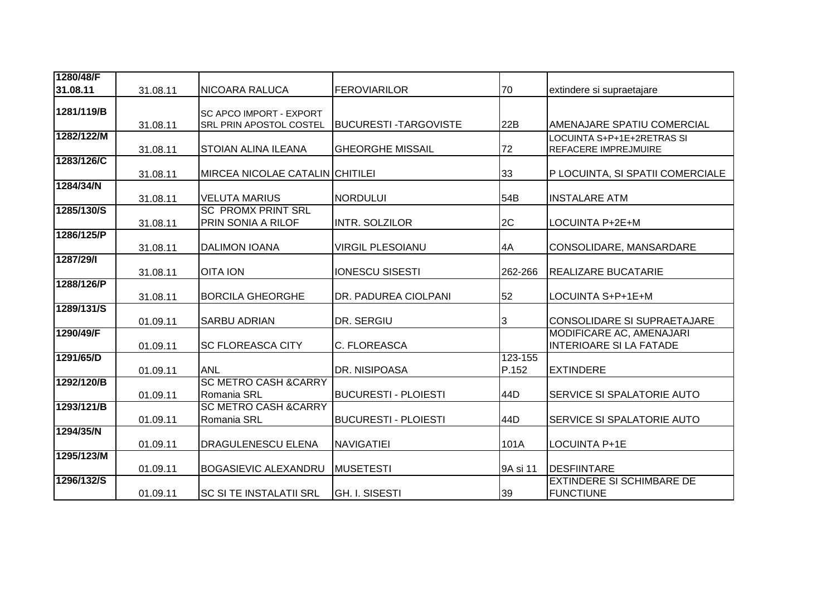| 1280/48/F  |          |                                                 |                             |          |                                   |
|------------|----------|-------------------------------------------------|-----------------------------|----------|-----------------------------------|
| 31.08.11   | 31.08.11 | <b>NICOARA RALUCA</b>                           | <b>FEROVIARILOR</b>         | 70       | extindere si supraetajare         |
| 1281/119/B |          | <b>SC APCO IMPORT - EXPORT</b>                  |                             |          |                                   |
|            | 31.08.11 | SRL PRIN APOSTOL COSTEL                         | <b>BUCURESTI-TARGOVISTE</b> | 22B      | AMENAJARE SPATIU COMERCIAL        |
| 1282/122/M |          |                                                 |                             |          | LOCUINTA S+P+1E+2RETRAS SI        |
|            | 31.08.11 | <b>STOIAN ALINA ILEANA</b>                      | <b>GHEORGHE MISSAIL</b>     | 72       | <b>REFACERE IMPREJMUIRE</b>       |
| 1283/126/C |          |                                                 |                             |          |                                   |
| 1284/34/N  | 31.08.11 | <b>MIRCEA NICOLAE CATALIN CHITILEI</b>          |                             | 33       | P LOCUINTA, SI SPATII COMERCIALE  |
|            | 31.08.11 | <b>VELUTA MARIUS</b>                            | <b>NORDULUI</b>             | 54B      | <b>INSTALARE ATM</b>              |
| 1285/130/S |          | <b>SC PROMX PRINT SRL</b>                       |                             |          |                                   |
|            | 31.08.11 | PRIN SONIA A RILOF                              | INTR. SOLZILOR              | 2C       | LOCUINTA P+2E+M                   |
| 1286/125/P | 31.08.11 | <b>DALIMON IOANA</b>                            | <b>VIRGIL PLESOIANU</b>     | 4A       |                                   |
| 1287/29/1  |          |                                                 |                             |          | CONSOLIDARE, MANSARDARE           |
|            | 31.08.11 | <b>OITA ION</b>                                 | <b>IONESCU SISESTI</b>      | 262-266  | <b>REALIZARE BUCATARIE</b>        |
| 1288/126/P |          |                                                 |                             |          |                                   |
|            | 31.08.11 | <b>BORCILA GHEORGHE</b>                         | DR. PADUREA CIOLPANI        | 52       | LOCUINTA S+P+1E+M                 |
| 1289/131/S | 01.09.11 | <b>SARBU ADRIAN</b>                             | DR. SERGIU                  | 3        | CONSOLIDARE SI SUPRAETAJARE       |
| 1290/49/F  |          |                                                 |                             |          | MODIFICARE AC, AMENAJARI          |
|            | 01.09.11 | <b>SC FLOREASCA CITY</b>                        | C. FLOREASCA                |          | <b>INTERIOARE SI LA FATADE</b>    |
| 1291/65/D  |          |                                                 |                             | 123-155  |                                   |
|            | 01.09.11 | <b>ANL</b>                                      | DR. NISIPOASA               | P.152    | <b>EXTINDERE</b>                  |
| 1292/120/B |          | <b>SC METRO CASH &amp; CARRY</b>                |                             |          |                                   |
| 1293/121/B | 01.09.11 | Romania SRL<br><b>SC METRO CASH &amp; CARRY</b> | <b>BUCURESTI - PLOIESTI</b> | 44D      | <b>SERVICE SI SPALATORIE AUTO</b> |
|            | 01.09.11 | Romania SRL                                     | <b>BUCURESTI - PLOIESTI</b> | 44D      | SERVICE SI SPALATORIE AUTO        |
| 1294/35/N  |          |                                                 |                             |          |                                   |
|            | 01.09.11 | <b>DRAGULENESCU ELENA</b>                       | <b>NAVIGATIEI</b>           | 101A     | <b>LOCUINTA P+1E</b>              |
| 1295/123/M |          |                                                 |                             |          |                                   |
|            | 01.09.11 | <b>BOGASIEVIC ALEXANDRU</b>                     | <b>MUSETESTI</b>            | 9A si 11 | <b>DESFIINTARE</b>                |
| 1296/132/S |          |                                                 |                             |          | <b>EXTINDERE SI SCHIMBARE DE</b>  |
|            | 01.09.11 | <b>SC SI TE INSTALATII SRL</b>                  | <b>GH. I. SISESTI</b>       | 39       | <b>FUNCTIUNE</b>                  |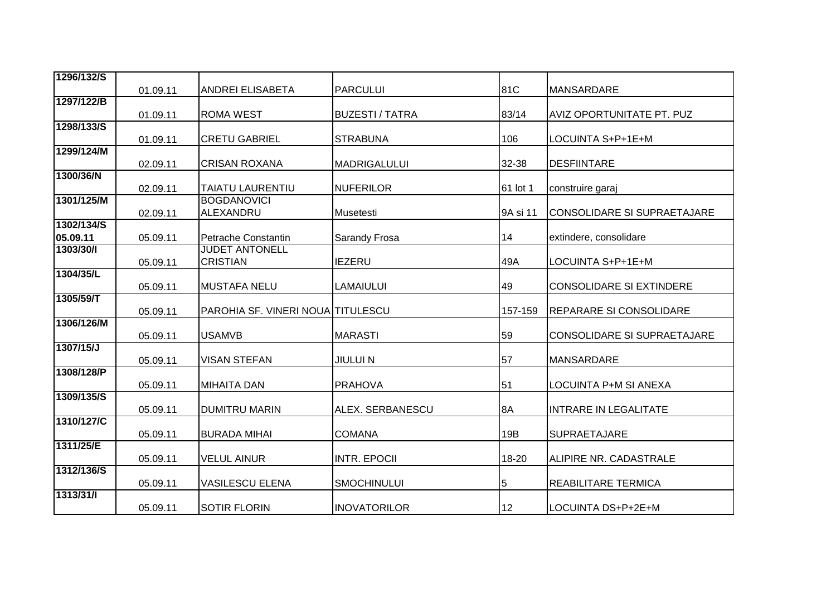| 1296/132/S |          |                                   |                        |          |                                    |
|------------|----------|-----------------------------------|------------------------|----------|------------------------------------|
|            | 01.09.11 | <b>ANDREI ELISABETA</b>           | <b>PARCULUI</b>        | 81C      | MANSARDARE                         |
| 1297/122/B |          |                                   |                        |          |                                    |
|            | 01.09.11 | <b>ROMA WEST</b>                  | <b>BUZESTI / TATRA</b> | 83/14    | AVIZ OPORTUNITATE PT. PUZ          |
| 1298/133/S |          |                                   |                        |          |                                    |
|            | 01.09.11 | <b>CRETU GABRIEL</b>              | <b>STRABUNA</b>        | 106      | LOCUINTA S+P+1E+M                  |
| 1299/124/M |          | <b>CRISAN ROXANA</b>              |                        | 32-38    | <b>DESFIINTARE</b>                 |
| 1300/36/N  | 02.09.11 |                                   | <b>MADRIGALULUI</b>    |          |                                    |
|            | 02.09.11 | <b>TAIATU LAURENTIU</b>           | <b>NUFERILOR</b>       | 61 lot 1 | construire garaj                   |
| 1301/125/M |          | <b>BOGDANOVICI</b>                |                        |          |                                    |
|            | 02.09.11 | ALEXANDRU                         | Musetesti              | 9A si 11 | <b>CONSOLIDARE SI SUPRAETAJARE</b> |
| 1302/134/S |          |                                   |                        |          |                                    |
| 05.09.11   | 05.09.11 | Petrache Constantin               | <b>Sarandy Frosa</b>   | 14       | extindere, consolidare             |
| 1303/30/1  |          | <b>JUDET ANTONELL</b>             |                        |          |                                    |
|            | 05.09.11 | <b>CRISTIAN</b>                   | <b>IEZERU</b>          | 49A      | LOCUINTA S+P+1E+M                  |
| 1304/35/L  |          |                                   |                        |          |                                    |
| 1305/59/T  | 05.09.11 | <b>MUSTAFA NELU</b>               | <b>LAMAIULUI</b>       | 49       | <b>CONSOLIDARE SI EXTINDERE</b>    |
|            | 05.09.11 | PAROHIA SF. VINERI NOUA TITULESCU |                        | 157-159  | <b>REPARARE SI CONSOLIDARE</b>     |
| 1306/126/M |          |                                   |                        |          |                                    |
|            | 05.09.11 | <b>USAMVB</b>                     | <b>MARASTI</b>         | 59       | CONSOLIDARE SI SUPRAETAJARE        |
| 1307/15/J  |          |                                   |                        |          |                                    |
|            | 05.09.11 | <b>VISAN STEFAN</b>               | <b>JIULUI N</b>        | 57       | <b>MANSARDARE</b>                  |
| 1308/128/P | 05.09.11 | <b>MIHAITA DAN</b>                | <b>PRAHOVA</b>         | 51       | LOCUINTA P+M SI ANEXA              |
| 1309/135/S |          |                                   |                        |          |                                    |
|            | 05.09.11 | <b>DUMITRU MARIN</b>              | ALEX. SERBANESCU       | 8A       | <b>INTRARE IN LEGALITATE</b>       |
| 1310/127/C |          |                                   |                        |          |                                    |
|            | 05.09.11 | <b>BURADA MIHAI</b>               | <b>COMANA</b>          | 19B      | <b>SUPRAETAJARE</b>                |
| 1311/25/E  |          |                                   |                        |          |                                    |
|            | 05.09.11 | <b>VELUL AINUR</b>                | <b>INTR. EPOCII</b>    | 18-20    | ALIPIRE NR. CADASTRALE             |
| 1312/136/S |          | <b>VASILESCU ELENA</b>            | <b>SMOCHINULUI</b>     |          | REABILITARE TERMICA                |
| 1313/31/1  | 05.09.11 |                                   |                        | 5        |                                    |
|            | 05.09.11 | <b>SOTIR FLORIN</b>               | <b>INOVATORILOR</b>    | 12       | LOCUINTA DS+P+2E+M                 |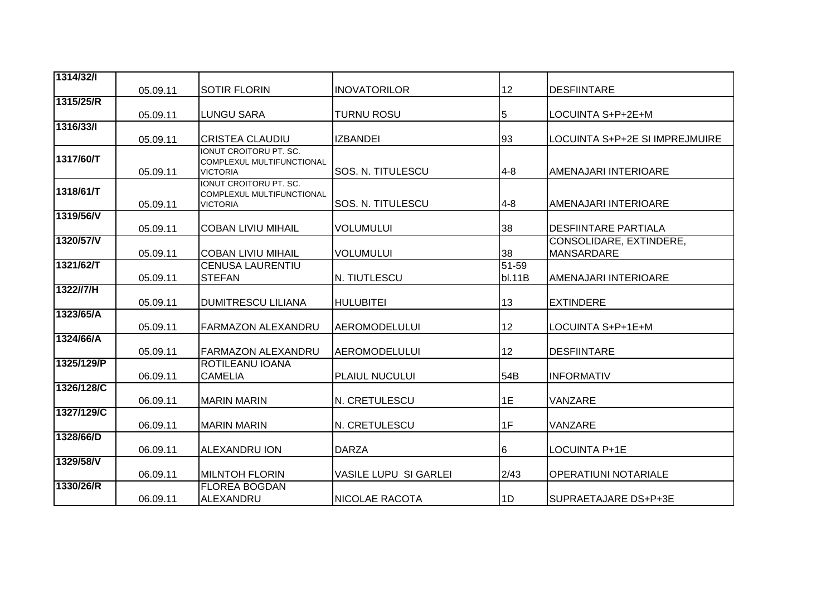| 1314/32/1  |          |                                                            |                              |                 |                                |
|------------|----------|------------------------------------------------------------|------------------------------|-----------------|--------------------------------|
|            | 05.09.11 | <b>SOTIR FLORIN</b>                                        | <b>INOVATORILOR</b>          | 12 <sub>2</sub> | <b>DESFIINTARE</b>             |
| 1315/25/R  |          |                                                            |                              |                 |                                |
|            | 05.09.11 | <b>LUNGU SARA</b>                                          | <b>TURNU ROSU</b>            | 5               | LOCUINTA S+P+2E+M              |
| 1316/33/   |          |                                                            |                              |                 |                                |
|            | 05.09.11 | <b>CRISTEA CLAUDIU</b>                                     | <b>IZBANDEI</b>              | 93              | LOCUINTA S+P+2E SI IMPREJMUIRE |
| 1317/60/T  |          | IONUT CROITORU PT. SC.<br><b>COMPLEXUL MULTIFUNCTIONAL</b> |                              |                 |                                |
|            | 05.09.11 | <b>VICTORIA</b>                                            | <b>SOS. N. TITULESCU</b>     | $4 - 8$         | AMENAJARI INTERIOARE           |
|            |          | IONUT CROITORU PT. SC.                                     |                              |                 |                                |
| 1318/61/T  |          | <b>COMPLEXUL MULTIFUNCTIONAL</b>                           | SOS. N. TITULESCU            | $4 - 8$         |                                |
| 1319/56/V  | 05.09.11 | <b>VICTORIA</b>                                            |                              |                 | AMENAJARI INTERIOARE           |
|            | 05.09.11 | <b>COBAN LIVIU MIHAIL</b>                                  | VOLUMULUI                    | 38              | <b>DESFIINTARE PARTIALA</b>    |
| 1320/57/V  |          |                                                            |                              |                 | CONSOLIDARE, EXTINDERE,        |
|            | 05.09.11 | <b>COBAN LIVIU MIHAIL</b>                                  | <b>VOLUMULUI</b>             | 38              | <b>MANSARDARE</b>              |
| 1321/62/T  |          | <b>CENUSA LAURENTIU</b>                                    |                              | $51 - 59$       |                                |
|            | 05.09.11 | <b>STEFAN</b>                                              | N. TIUTLESCU                 | bl.11B          | AMENAJARI INTERIOARE           |
| 1322//7/H  |          |                                                            |                              |                 |                                |
|            | 05.09.11 | <b>DUMITRESCU LILIANA</b>                                  | <b>HULUBITEI</b>             | 13              | <b>EXTINDERE</b>               |
| 1323/65/A  |          |                                                            |                              |                 |                                |
|            | 05.09.11 | <b>FARMAZON ALEXANDRU</b>                                  | <b>AEROMODELULUI</b>         | 12              | LOCUINTA S+P+1E+M              |
| 1324/66/A  | 05.09.11 | FARMAZON ALEXANDRU                                         | <b>AEROMODELULUI</b>         | 12              | <b>DESFIINTARE</b>             |
| 1325/129/P |          | <b>ROTILEANU IOANA</b>                                     |                              |                 |                                |
|            | 06.09.11 | <b>CAMELIA</b>                                             | PLAIUL NUCULUI               | 54B             | <b>INFORMATIV</b>              |
| 1326/128/C |          |                                                            |                              |                 |                                |
|            | 06.09.11 | <b>MARIN MARIN</b>                                         | N. CRETULESCU                | 1E              | VANZARE                        |
| 1327/129/C |          |                                                            |                              |                 |                                |
|            | 06.09.11 | <b>MARIN MARIN</b>                                         | N. CRETULESCU                | 1F              | VANZARE                        |
| 1328/66/D  |          |                                                            |                              |                 |                                |
|            | 06.09.11 | <b>ALEXANDRU ION</b>                                       | <b>DARZA</b>                 | 6               | LOCUINTA P+1E                  |
| 1329/58/V  |          |                                                            |                              |                 |                                |
|            | 06.09.11 | <b>MILNTOH FLORIN</b>                                      | <b>VASILE LUPU SI GARLEI</b> | 2/43            | <b>OPERATIUNI NOTARIALE</b>    |
| 1330/26/R  |          | <b>FLOREA BOGDAN</b>                                       |                              |                 |                                |
|            | 06.09.11 | ALEXANDRU                                                  | <b>NICOLAE RACOTA</b>        | 1D              | SUPRAETAJARE DS+P+3E           |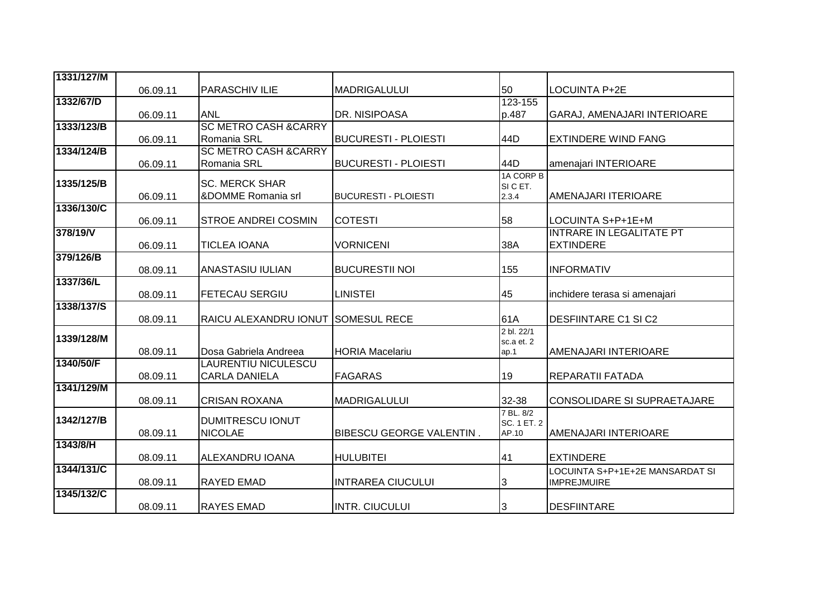| 1331/127/M |          |                                  |                             |                   |                                    |
|------------|----------|----------------------------------|-----------------------------|-------------------|------------------------------------|
|            | 06.09.11 | <b>PARASCHIV ILIE</b>            | <b>MADRIGALULUI</b>         | 50                | <b>LOCUINTA P+2E</b>               |
| 1332/67/D  |          |                                  |                             | 123-155           |                                    |
|            | 06.09.11 | <b>ANL</b>                       | DR. NISIPOASA               | p.487             | GARAJ, AMENAJARI INTERIOARE        |
| 1333/123/B |          | <b>SC METRO CASH &amp; CARRY</b> |                             |                   |                                    |
|            | 06.09.11 | Romania SRL                      | <b>BUCURESTI - PLOIESTI</b> | 44D               | <b>EXTINDERE WIND FANG</b>         |
| 1334/124/B |          | <b>SC METRO CASH &amp; CARRY</b> |                             |                   |                                    |
|            | 06.09.11 | Romania SRL                      | <b>BUCURESTI - PLOIESTI</b> | 44D               | amenajari INTERIOARE               |
| 1335/125/B |          | <b>SC. MERCK SHAR</b>            |                             | 1A CORP B         |                                    |
|            | 06.09.11 | &DOMME Romania srl               | <b>BUCURESTI - PLOIESTI</b> | SI C ET.<br>2.3.4 | AMENAJARI ITERIOARE                |
| 1336/130/C |          |                                  |                             |                   |                                    |
|            | 06.09.11 | <b>STROE ANDREI COSMIN</b>       | <b>COTESTI</b>              | 58                | LOCUINTA S+P+1E+M                  |
| 378/19/V   |          |                                  |                             |                   | <b>INTRARE IN LEGALITATE PT</b>    |
|            | 06.09.11 | <b>TICLEA IOANA</b>              | <b>VORNICENI</b>            | 38A               | <b>EXTINDERE</b>                   |
| 379/126/B  |          |                                  |                             |                   |                                    |
|            | 08.09.11 | <b>ANASTASIU IULIAN</b>          | <b>BUCURESTII NOI</b>       | 155               | <b>INFORMATIV</b>                  |
| 1337/36/L  |          |                                  |                             |                   |                                    |
|            | 08.09.11 | <b>FETECAU SERGIU</b>            | <b>LINISTEI</b>             | 45                | inchidere terasa si amenajari      |
| 1338/137/S |          |                                  |                             |                   |                                    |
|            | 08.09.11 | RAICU ALEXANDRU IONUT            | <b>SOMESUL RECE</b>         | 61A               | <b>DESFIINTARE C1 SI C2</b>        |
|            |          |                                  |                             | 2 bl. 22/1        |                                    |
| 1339/128/M |          |                                  |                             | sc.a et. 2        |                                    |
|            | 08.09.11 | Dosa Gabriela Andreea            | <b>HORIA Macelariu</b>      | ap.1              | AMENAJARI INTERIOARE               |
| 1340/50/F  |          | <b>LAURENTIU NICULESCU</b>       |                             |                   |                                    |
| 1341/129/M | 08.09.11 | <b>CARLA DANIELA</b>             | <b>FAGARAS</b>              | 19                | REPARATII FATADA                   |
|            | 08.09.11 | <b>CRISAN ROXANA</b>             | <b>MADRIGALULUI</b>         | 32-38             | <b>CONSOLIDARE SI SUPRAETAJARE</b> |
|            |          |                                  |                             | 7 BL. 8/2         |                                    |
| 1342/127/B |          | <b>DUMITRESCU IONUT</b>          |                             | SC. 1 ET. 2       |                                    |
|            | 08.09.11 | <b>NICOLAE</b>                   | BIBESCU GEORGE VALENTIN.    | AP.10             | AMENAJARI INTERIOARE               |
| 1343/8/H   |          |                                  |                             |                   |                                    |
|            | 08.09.11 | <b>ALEXANDRU IOANA</b>           | <b>HULUBITEI</b>            | 41                | <b>EXTINDERE</b>                   |
| 1344/131/C |          |                                  |                             |                   | LOCUINTA S+P+1E+2E MANSARDAT SI    |
|            | 08.09.11 | <b>RAYED EMAD</b>                | <b>INTRAREA CIUCULUI</b>    | 3                 | <b>IMPREJMUIRE</b>                 |
| 1345/132/C |          |                                  |                             |                   |                                    |
|            | 08.09.11 | <b>RAYES EMAD</b>                | <b>INTR. CIUCULUI</b>       | 3                 | <b>DESFIINTARE</b>                 |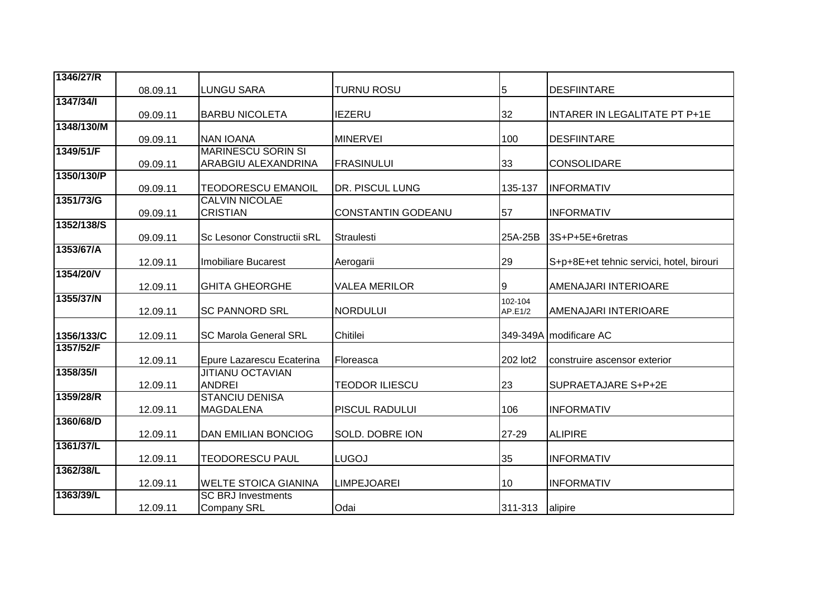| 1346/27/R  |          |                                   |                       |          |                                          |
|------------|----------|-----------------------------------|-----------------------|----------|------------------------------------------|
|            | 08.09.11 | <b>LUNGU SARA</b>                 | <b>TURNU ROSU</b>     | 5        | <b>DESFIINTARE</b>                       |
| 1347/34/1  |          |                                   |                       |          |                                          |
|            | 09.09.11 | <b>BARBU NICOLETA</b>             | <b>IEZERU</b>         | 32       | INTARER IN LEGALITATE PT P+1E            |
| 1348/130/M |          |                                   |                       |          |                                          |
|            | 09.09.11 | <b>NAN IOANA</b>                  | <b>MINERVEI</b>       | 100      | <b>DESFIINTARE</b>                       |
| 1349/51/F  |          | <b>MARINESCU SORIN SI</b>         |                       |          |                                          |
|            | 09.09.11 | ARABGIU ALEXANDRINA               | <b>FRASINULUI</b>     | 33       | <b>CONSOLIDARE</b>                       |
| 1350/130/P |          |                                   |                       |          |                                          |
|            | 09.09.11 | <b>TEODORESCU EMANOIL</b>         | DR. PISCUL LUNG       | 135-137  | <b>INFORMATIV</b>                        |
| 1351/73/G  |          | <b>CALVIN NICOLAE</b>             |                       |          |                                          |
|            | 09.09.11 | <b>CRISTIAN</b>                   | CONSTANTIN GODEANU    | 57       | <b>INFORMATIV</b>                        |
| 1352/138/S | 09.09.11 | <b>Sc Lesonor Constructii sRL</b> | <b>Straulesti</b>     | 25A-25B  | 3S+P+5E+6retras                          |
| 1353/67/A  |          |                                   |                       |          |                                          |
|            | 12.09.11 | <b>Imobiliare Bucarest</b>        | Aerogarii             | 29       | S+p+8E+et tehnic servici, hotel, birouri |
| 1354/20/V  |          |                                   |                       |          |                                          |
|            | 12.09.11 | <b>GHITA GHEORGHE</b>             | <b>VALEA MERILOR</b>  | Ι9       | AMENAJARI INTERIOARE                     |
| 1355/37/N  |          |                                   |                       | 102-104  |                                          |
|            | 12.09.11 | <b>SC PANNORD SRL</b>             | <b>NORDULUI</b>       | AP.E1/2  | AMENAJARI INTERIOARE                     |
|            |          |                                   |                       |          |                                          |
| 1356/133/C | 12.09.11 | <b>SC Marola General SRL</b>      | Chitilei              |          | 349-349A modificare AC                   |
| 1357/52/F  |          |                                   |                       |          |                                          |
|            | 12.09.11 | Epure Lazarescu Ecaterina         | Floreasca             | 202 lot2 | construire ascensor exterior             |
| 1358/35/1  |          | <b>JITIANU OCTAVIAN</b>           |                       |          |                                          |
|            | 12.09.11 | <b>ANDREI</b>                     | <b>TEODOR ILIESCU</b> | 23       | SUPRAETAJARE S+P+2E                      |
| 1359/28/R  |          | <b>STANCIU DENISA</b>             |                       |          |                                          |
|            | 12.09.11 | <b>MAGDALENA</b>                  | PISCUL RADULUI        | 106      | <b>INFORMATIV</b>                        |
| 1360/68/D  |          |                                   |                       |          |                                          |
|            | 12.09.11 | <b>DAN EMILIAN BONCIOG</b>        | SOLD. DOBRE ION       | 27-29    | <b>ALIPIRE</b>                           |
| 1361/37/L  |          |                                   |                       |          |                                          |
|            | 12.09.11 | <b>TEODORESCU PAUL</b>            | <b>LUGOJ</b>          | 35       | <b>INFORMATIV</b>                        |
| 1362/38/L  |          |                                   |                       |          |                                          |
| 1363/39/L  | 12.09.11 | <b>WELTE STOICA GIANINA</b>       | <b>LIMPEJOAREI</b>    | 10       | <b>INFORMATIV</b>                        |
|            |          | <b>SC BRJ Investments</b>         |                       |          |                                          |
|            | 12.09.11 | <b>Company SRL</b>                | Odai                  | 311-313  | alipire                                  |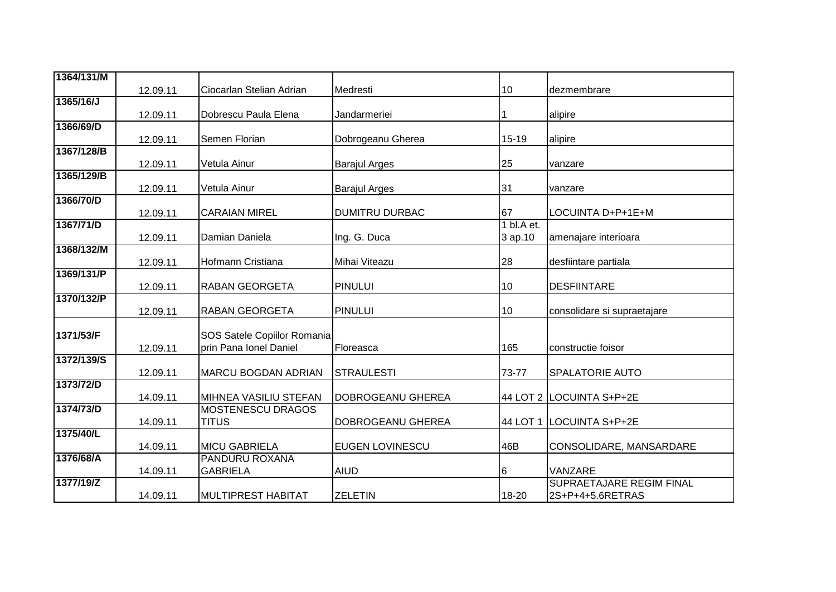| 1364/131/M |          |                                                       |                        |                       |                                              |
|------------|----------|-------------------------------------------------------|------------------------|-----------------------|----------------------------------------------|
|            | 12.09.11 | Ciocarlan Stelian Adrian                              | Medresti               | 10                    | dezmembrare                                  |
| 1365/16/J  | 12.09.11 | Dobrescu Paula Elena                                  | Jandarmeriei           |                       | alipire                                      |
| 1366/69/D  |          |                                                       |                        |                       |                                              |
| 1367/128/B | 12.09.11 | Semen Florian                                         | Dobrogeanu Gherea      | 15-19                 | alipire                                      |
|            | 12.09.11 | Vetula Ainur                                          | <b>Barajul Arges</b>   | 25                    | vanzare                                      |
| 1365/129/B | 12.09.11 | Vetula Ainur                                          | <b>Barajul Arges</b>   | 31                    | vanzare                                      |
| 1366/70/D  | 12.09.11 | <b>CARAIAN MIREL</b>                                  | <b>DUMITRU DURBAC</b>  | 67                    | LOCUINTA D+P+1E+M                            |
| 1367/71/D  | 12.09.11 | Damian Daniela                                        | Ing. G. Duca           | 1 bl.A et.<br>3 ap.10 | amenajare interioara                         |
| 1368/132/M | 12.09.11 | Hofmann Cristiana                                     | Mihai Viteazu          | 28                    | desfiintare partiala                         |
| 1369/131/P | 12.09.11 | <b>RABAN GEORGETA</b>                                 | <b>PINULUI</b>         | 10                    | <b>DESFIINTARE</b>                           |
| 1370/132/P | 12.09.11 | <b>RABAN GEORGETA</b>                                 | <b>PINULUI</b>         | 10                    | consolidare si supraetajare                  |
| 1371/53/F  | 12.09.11 | SOS Satele Copiilor Romania<br>prin Pana Ionel Daniel | Floreasca              | 165                   | constructie foisor                           |
| 1372/139/S | 12.09.11 | <b>MARCU BOGDAN ADRIAN</b>                            | <b>STRAULESTI</b>      | 73-77                 | <b>SPALATORIE AUTO</b>                       |
| 1373/72/D  | 14.09.11 | MIHNEA VASILIU STEFAN                                 | DOBROGEANU GHEREA      |                       | 44 LOT 2 LOCUINTA S+P+2E                     |
| 1374/73/D  | 14.09.11 | <b>MOSTENESCU DRAGOS</b><br><b>TITUS</b>              | DOBROGEANU GHEREA      | 44 LOT 1              | LOCUINTA S+P+2E                              |
| 1375/40/L  | 14.09.11 | <b>MICU GABRIELA</b>                                  | <b>EUGEN LOVINESCU</b> | 46B                   | CONSOLIDARE, MANSARDARE                      |
| 1376/68/A  | 14.09.11 | PANDURU ROXANA<br><b>GABRIELA</b>                     | <b>AIUD</b>            | 6                     | VANZARE                                      |
| 1377/19/Z  | 14.09.11 | <b>MULTIPREST HABITAT</b>                             | <b>ZELETIN</b>         | 18-20                 | SUPRAETAJARE REGIM FINAL<br>2S+P+4+5.6RETRAS |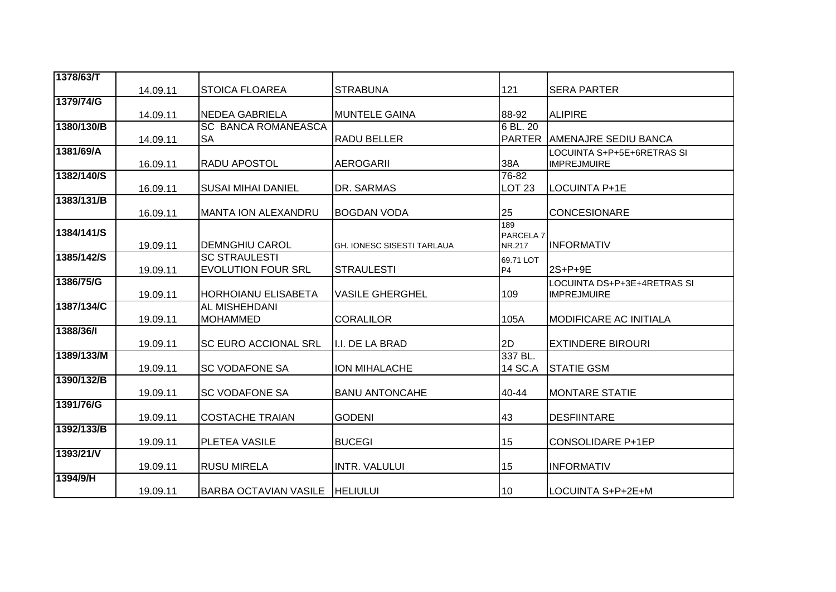| 1378/63/T  |          |                              |                            |                      |                                                   |
|------------|----------|------------------------------|----------------------------|----------------------|---------------------------------------------------|
|            | 14.09.11 | ISTOICA FLOAREA              | <b>STRABUNA</b>            | 121                  | <b>SERA PARTER</b>                                |
| 1379/74/G  |          |                              |                            |                      |                                                   |
|            | 14.09.11 | <b>NEDEA GABRIELA</b>        | <b>MUNTELE GAINA</b>       | 88-92                | <b>ALIPIRE</b>                                    |
| 1380/130/B |          | <b>SC BANCA ROMANEASCA</b>   |                            | 6 BL. 20             |                                                   |
|            | 14.09.11 | <b>SA</b>                    | <b>RADU BELLER</b>         | <b>PARTER</b>        | <b>AMENAJRE SEDIU BANCA</b>                       |
| 1381/69/A  |          |                              |                            |                      | LOCUINTA S+P+5E+6RETRAS SI                        |
|            | 16.09.11 | <b>RADU APOSTOL</b>          | <b>AEROGARII</b>           | 38A                  | <b>IMPREJMUIRE</b>                                |
| 1382/140/S |          |                              |                            | 76-82                |                                                   |
| 1383/131/B | 16.09.11 | <b>SUSAI MIHAI DANIEL</b>    | DR. SARMAS                 | LOT <sub>23</sub>    | <b>LOCUINTA P+1E</b>                              |
|            | 16.09.11 | MANTA ION ALEXANDRU          | <b>BOGDAN VODA</b>         | 25                   | <b>CONCESIONARE</b>                               |
|            |          |                              |                            | 189                  |                                                   |
| 1384/141/S |          |                              |                            | PARCELA <sub>7</sub> |                                                   |
|            | 19.09.11 | <b>DEMNGHIU CAROL</b>        | GH. IONESC SISESTI TARLAUA | NR.217               | <b>INFORMATIV</b>                                 |
| 1385/142/S |          | <b>SC STRAULESTI</b>         |                            | 69.71 LOT            |                                                   |
| 1386/75/G  | 19.09.11 | <b>EVOLUTION FOUR SRL</b>    | <b>STRAULESTI</b>          | P <sub>4</sub>       | 2S+P+9E                                           |
|            | 19.09.11 | <b>HORHOIANU ELISABETA</b>   | <b>VASILE GHERGHEL</b>     | 109                  | LOCUINTA DS+P+3E+4RETRAS SI<br><b>IMPREJMUIRE</b> |
| 1387/134/C |          | AL MISHEHDANI                |                            |                      |                                                   |
|            | 19.09.11 | <b>MOHAMMED</b>              | <b>CORALILOR</b>           | 105A                 | <b>MODIFICARE AC INITIALA</b>                     |
| 1388/36/1  |          |                              |                            |                      |                                                   |
|            | 19.09.11 | <b>SC EURO ACCIONAL SRL</b>  | I.I. DE LA BRAD            | 2D                   | <b>EXTINDERE BIROURI</b>                          |
| 1389/133/M |          |                              |                            | 337 BL.              |                                                   |
|            | 19.09.11 | <b>SC VODAFONE SA</b>        | ION MIHALACHE              | 14 SC.A              | <b>STATIE GSM</b>                                 |
| 1390/132/B |          |                              |                            |                      |                                                   |
|            | 19.09.11 | <b>ISC VODAFONE SA</b>       | <b>BANU ANTONCAHE</b>      | 40-44                | <b>MONTARE STATIE</b>                             |
| 1391/76/G  |          |                              |                            |                      |                                                   |
|            | 19.09.11 | <b>COSTACHE TRAIAN</b>       | <b>GODENI</b>              | 43                   | <b>DESFIINTARE</b>                                |
| 1392/133/B |          |                              |                            |                      |                                                   |
|            | 19.09.11 | PLETEA VASILE                | <b>BUCEGI</b>              | 15                   | <b>CONSOLIDARE P+1EP</b>                          |
| 1393/21/V  |          |                              |                            |                      |                                                   |
| 1394/9/H   | 19.09.11 | <b>RUSU MIRELA</b>           | <b>INTR. VALULUI</b>       | 15                   | <b>INFORMATIV</b>                                 |
|            | 19.09.11 | <b>BARBA OCTAVIAN VASILE</b> | <b>HELIULUI</b>            | 10                   | LOCUINTA S+P+2E+M                                 |
|            |          |                              |                            |                      |                                                   |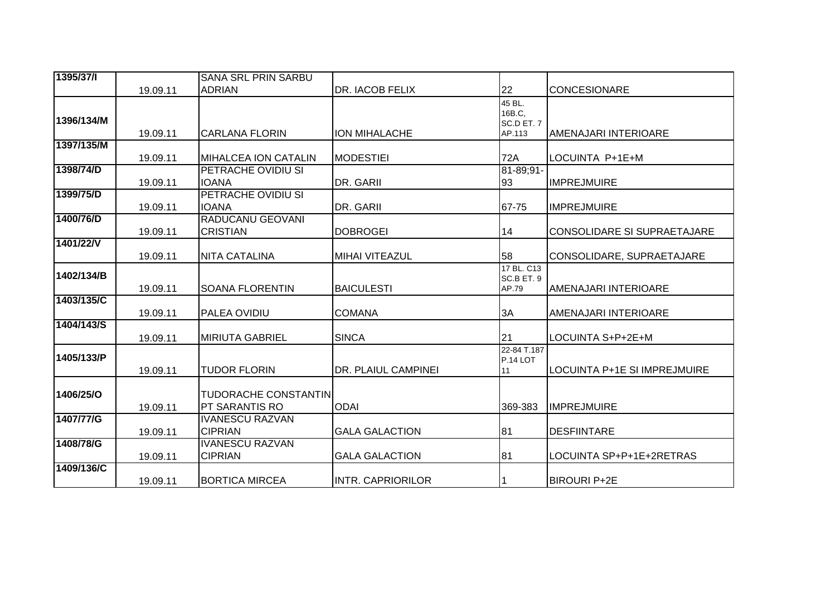| 1395/37/1  |          | <b>SANA SRL PRIN SARBU</b>                           |                          |                                          |                              |
|------------|----------|------------------------------------------------------|--------------------------|------------------------------------------|------------------------------|
|            | 19.09.11 | <b>ADRIAN</b>                                        | <b>DR. IACOB FELIX</b>   | 22                                       | <b>CONCESIONARE</b>          |
| 1396/134/M | 19.09.11 | CARLANA FLORIN                                       | <b>ION MIHALACHE</b>     | 45 BL.<br>16B.C,<br>SC.D ET. 7<br>AP.113 | AMENAJARI INTERIOARE         |
| 1397/135/M | 19.09.11 | <b>MIHALCEA ION CATALIN</b>                          | <b>MODESTIEI</b>         | 72A                                      | LOCUINTA P+1E+M              |
| 1398/74/D  | 19.09.11 | <b>PETRACHE OVIDIU SI</b><br><b>IOANA</b>            | DR. GARII                | 81-89;91-<br>93                          | <b>IMPREJMUIRE</b>           |
| 1399/75/D  | 19.09.11 | PETRACHE OVIDIU SI<br><b>IOANA</b>                   | DR. GARII                | 67-75                                    | <b>IMPREJMUIRE</b>           |
| 1400/76/D  | 19.09.11 | RADUCANU GEOVANI<br><b>CRISTIAN</b>                  | <b>DOBROGEI</b>          | 14                                       | CONSOLIDARE SI SUPRAETAJARE  |
| 1401/22/V  | 19.09.11 | <b>NITA CATALINA</b>                                 | <b>MIHAI VITEAZUL</b>    | 58                                       | CONSOLIDARE, SUPRAETAJARE    |
| 1402/134/B | 19.09.11 | <b>SOANA FLORENTIN</b>                               | <b>BAICULESTI</b>        | 17 BL. C13<br>SC.B ET. 9<br>AP.79        | <b>AMENAJARI INTERIOARE</b>  |
| 1403/135/C | 19.09.11 | <b>PALEA OVIDIU</b>                                  | <b>COMANA</b>            | 3A                                       | AMENAJARI INTERIOARE         |
| 1404/143/S | 19.09.11 | <b>MIRIUTA GABRIEL</b>                               | <b>SINCA</b>             | 21                                       | LOCUINTA S+P+2E+M            |
| 1405/133/P | 19.09.11 | <b>TUDOR FLORIN</b>                                  | DR. PLAIUL CAMPINEI      | 22-84 T.187<br>P.14 LOT<br>11            | LOCUINTA P+1E SI IMPREJMUIRE |
| 1406/25/0  | 19.09.11 | <b>TUDORACHE CONSTANTIN</b><br><b>PT SARANTIS RO</b> | <b>ODAI</b>              | 369-383                                  | <b>IMPREJMUIRE</b>           |
| 1407/77/G  | 19.09.11 | <b>IVANESCU RAZVAN</b><br><b>CIPRIAN</b>             | <b>GALA GALACTION</b>    | 81                                       | <b>DESFIINTARE</b>           |
| 1408/78/G  | 19.09.11 | <b>IVANESCU RAZVAN</b><br><b>CIPRIAN</b>             | <b>GALA GALACTION</b>    | 81                                       | LOCUINTA SP+P+1E+2RETRAS     |
| 1409/136/C | 19.09.11 | <b>BORTICA MIRCEA</b>                                | <b>INTR. CAPRIORILOR</b> |                                          | <b>BIROURI P+2E</b>          |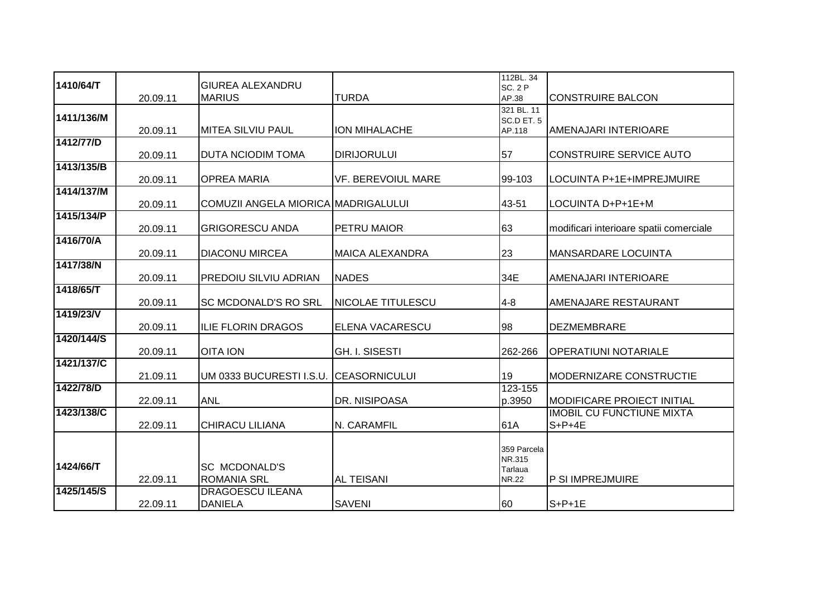| 1410/64/T  |          | <b>GIUREA ALEXANDRU</b>                    |                           | 112BL. 34<br><b>SC. 2 P</b>                      |                                              |
|------------|----------|--------------------------------------------|---------------------------|--------------------------------------------------|----------------------------------------------|
|            | 20.09.11 | <b>MARIUS</b>                              | <b>TURDA</b>              | AP.38                                            | <b>CONSTRUIRE BALCON</b>                     |
| 1411/136/M | 20.09.11 | IMITEA SILVIU PAUL                         | ION MIHALACHE             | 321 BL. 11<br>SC.D ET. 5<br>AP.118               | AMENAJARI INTERIOARE                         |
| 1412/77/D  | 20.09.11 | <b>DUTA NCIODIM TOMA</b>                   | <b>DIRIJORULUI</b>        | 57                                               | CONSTRUIRE SERVICE AUTO                      |
| 1413/135/B | 20.09.11 | <b>OPREA MARIA</b>                         | <b>VF. BEREVOIUL MARE</b> | 99-103                                           | LOCUINTA P+1E+IMPREJMUIRE                    |
| 1414/137/M | 20.09.11 | COMUZII ANGELA MIORICA MADRIGALULUI        |                           | 43-51                                            | LOCUINTA D+P+1E+M                            |
| 1415/134/P | 20.09.11 | <b>GRIGORESCU ANDA</b>                     | <b>PETRU MAIOR</b>        | 63                                               | modificari interioare spatii comerciale      |
| 1416/70/A  | 20.09.11 | <b>DIACONU MIRCEA</b>                      | <b>MAICA ALEXANDRA</b>    | 23                                               | <b>MANSARDARE LOCUINTA</b>                   |
| 1417/38/N  | 20.09.11 | <b>PREDOIU SILVIU ADRIAN</b>               | <b>NADES</b>              | 34E                                              | AMENAJARI INTERIOARE                         |
| 1418/65/T  | 20.09.11 | <b>SC MCDONALD'S RO SRL</b>                | <b>NICOLAE TITULESCU</b>  | $4 - 8$                                          | AMENAJARE RESTAURANT                         |
| 1419/23/V  | 20.09.11 | <b>ILIE FLORIN DRAGOS</b>                  | <b>ELENA VACARESCU</b>    | 98                                               | <b>DEZMEMBRARE</b>                           |
| 1420/144/S | 20.09.11 | <b>OITA ION</b>                            | <b>GH. I. SISESTI</b>     | 262-266                                          | OPERATIUNI NOTARIALE                         |
| 1421/137/C | 21.09.11 | UM 0333 BUCURESTI I.S.U.                   | <b>CEASORNICULUI</b>      | 19                                               | <b>MODERNIZARE CONSTRUCTIE</b>               |
| 1422/78/D  | 22.09.11 | <b>ANL</b>                                 | DR. NISIPOASA             | 123-155<br>p.3950                                | <b>MODIFICARE PROIECT INITIAL</b>            |
| 1423/138/C | 22.09.11 | <b>CHIRACU LILIANA</b>                     | N. CARAMFIL               | 61A                                              | <b>IMOBIL CU FUNCTIUNE MIXTA</b><br>$S+P+4E$ |
| 1424/66/T  | 22.09.11 | <b>SC MCDONALD'S</b><br><b>ROMANIA SRL</b> | <b>AL TEISANI</b>         | 359 Parcela<br>NR.315<br>Tarlaua<br><b>NR.22</b> | <b>P SI IMPREJMUIRE</b>                      |
| 1425/145/S | 22.09.11 | <b>DRAGOESCU ILEANA</b><br><b>DANIELA</b>  | <b>SAVENI</b>             | 60                                               | $S+P+1E$                                     |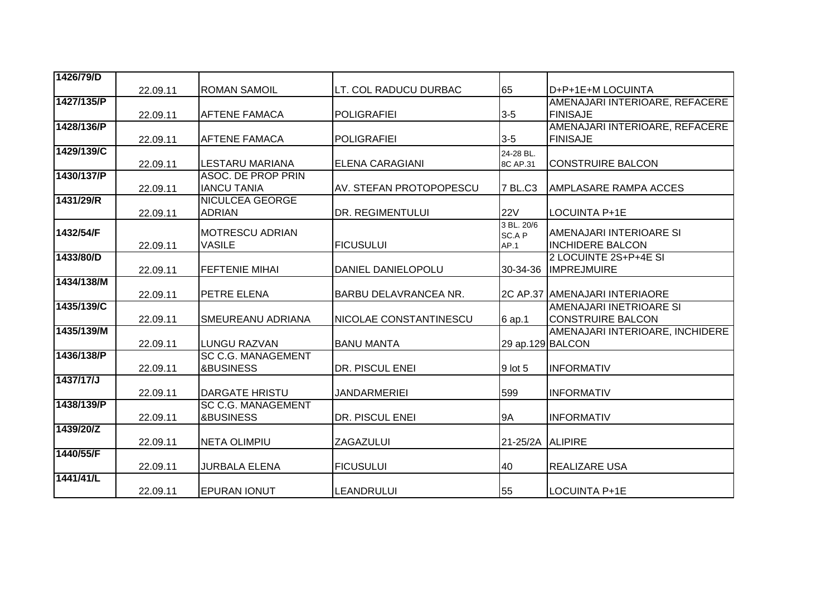| 1426/79/D  |          |                                                   |                         |                  |                                 |
|------------|----------|---------------------------------------------------|-------------------------|------------------|---------------------------------|
|            | 22.09.11 | <b>ROMAN SAMOIL</b>                               | LT. COL RADUCU DURBAC   | 65               | D+P+1E+M LOCUINTA               |
| 1427/135/P |          |                                                   |                         |                  | AMENAJARI INTERIOARE, REFACERE  |
|            | 22.09.11 | <b>AFTENE FAMACA</b>                              | <b>POLIGRAFIEI</b>      | $3-5$            | <b>FINISAJE</b>                 |
| 1428/136/P |          |                                                   |                         |                  | AMENAJARI INTERIOARE, REFACERE  |
|            | 22.09.11 | <b>AFTENE FAMACA</b>                              | <b>POLIGRAFIEI</b>      | $3-5$            | <b>FINISAJE</b>                 |
| 1429/139/C |          |                                                   |                         | 24-28 BL.        |                                 |
|            | 22.09.11 | <b>LESTARU MARIANA</b>                            | <b>ELENA CARAGIANI</b>  | 8C AP.31         | <b>CONSTRUIRE BALCON</b>        |
| 1430/137/P |          | <b>ASOC. DE PROP PRIN</b>                         |                         |                  |                                 |
| 1431/29/R  | 22.09.11 | <b>IANCU TANIA</b>                                | AV. STEFAN PROTOPOPESCU | 7 BL.C3          | <b>AMPLASARE RAMPA ACCES</b>    |
|            | 22.09.11 | <b>NICULCEA GEORGE</b><br><b>ADRIAN</b>           | DR. REGIMENTULUI        | <b>22V</b>       | <b>LOCUINTA P+1E</b>            |
|            |          |                                                   |                         | 3 BL. 20/6       |                                 |
| 1432/54/F  |          | <b>MOTRESCU ADRIAN</b>                            |                         | SC.A P           | AMENAJARI INTERIOARE SI         |
|            | 22.09.11 | <b>VASILE</b>                                     | <b>FICUSULUI</b>        | AP.1             | <b>INCHIDERE BALCON</b>         |
| 1433/80/D  |          |                                                   |                         |                  | 2 LOCUINTE 2S+P+4E SI           |
|            | 22.09.11 | <b>FEFTENIE MIHAI</b>                             | DANIEL DANIELOPOLU      | 30-34-36         | <b>IMPREJMUIRE</b>              |
| 1434/138/M |          |                                                   |                         |                  |                                 |
|            | 22.09.11 | PETRE ELENA                                       | BARBU DELAVRANCEA NR.   |                  | 2C AP.37 AMENAJARI INTERIAORE   |
| 1435/139/C |          |                                                   |                         |                  | AMENAJARI INETRIOARE SI         |
|            | 22.09.11 | <b>SMEUREANU ADRIANA</b>                          | NICOLAE CONSTANTINESCU  | 6 ap.1           | <b>CONSTRUIRE BALCON</b>        |
| 1435/139/M |          |                                                   |                         |                  | AMENAJARI INTERIOARE, INCHIDERE |
| 1436/138/P | 22.09.11 | <b>LUNGU RAZVAN</b>                               | <b>BANU MANTA</b>       | 29 ap.129 BALCON |                                 |
|            |          | <b>SC C.G. MANAGEMENT</b><br><b>&amp;BUSINESS</b> | DR. PISCUL ENEI         | 9 lot 5          | <b>INFORMATIV</b>               |
| 1437/17/J  | 22.09.11 |                                                   |                         |                  |                                 |
|            | 22.09.11 | <b>DARGATE HRISTU</b>                             | <b>JANDARMERIEI</b>     | 599              | <b>INFORMATIV</b>               |
| 1438/139/P |          | <b>SC C.G. MANAGEMENT</b>                         |                         |                  |                                 |
|            | 22.09.11 | <b>&amp;BUSINESS</b>                              | DR. PISCUL ENEI         | 9A               | <b>INFORMATIV</b>               |
| 1439/20/Z  |          |                                                   |                         |                  |                                 |
|            | 22.09.11 | <b>NETA OLIMPIU</b>                               | ZAGAZULUI               | 21-25/2A         | <b>ALIPIRE</b>                  |
| 1440/55/F  |          |                                                   |                         |                  |                                 |
|            | 22.09.11 | <b>JURBALA ELENA</b>                              | <b>FICUSULUI</b>        | 40               | REALIZARE USA                   |
| 1441/41/L  |          |                                                   |                         |                  |                                 |
|            | 22.09.11 | <b>EPURAN IONUT</b>                               | <b>LEANDRULUI</b>       | 55               | <b>LOCUINTA P+1E</b>            |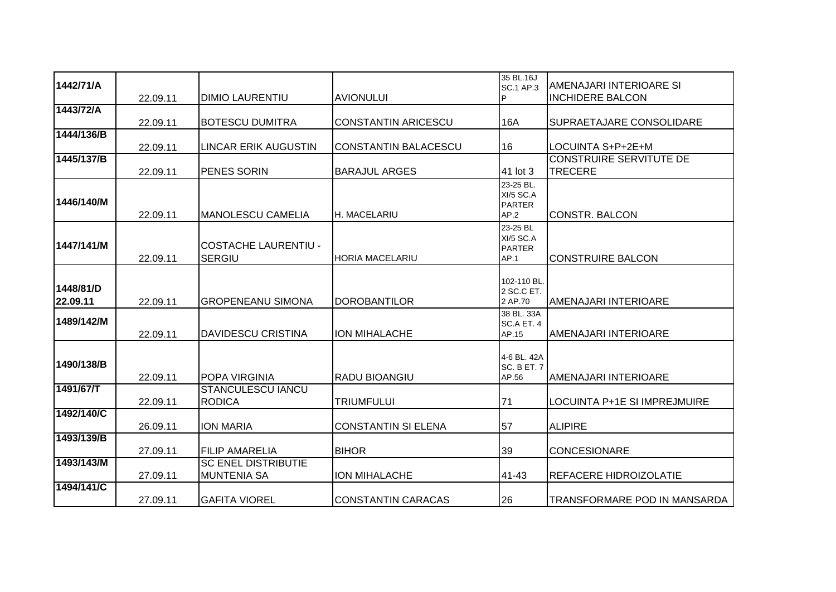| 1442/71/A  |          |                             |                            | 35 BL.16J<br><b>SC.1 AP.3</b> | AMENAJARI INTERIOARE SI        |
|------------|----------|-----------------------------|----------------------------|-------------------------------|--------------------------------|
|            | 22.09.11 | <b>DIMIO LAURENTIU</b>      | <b>AVIONULUI</b>           | P                             | <b>INCHIDERE BALCON</b>        |
| 1443/72/A  |          |                             |                            |                               |                                |
|            | 22.09.11 | <b>BOTESCU DUMITRA</b>      | <b>CONSTANTIN ARICESCU</b> | 16A                           | SUPRAETAJARE CONSOLIDARE       |
| 1444/136/B |          |                             |                            |                               |                                |
|            | 22.09.11 | LINCAR ERIK AUGUSTIN        | CONSTANTIN BALACESCU       | 16                            | LOCUINTA S+P+2E+M              |
| 1445/137/B |          |                             |                            |                               | <b>CONSTRUIRE SERVITUTE DE</b> |
|            | 22.09.11 | <b>PENES SORIN</b>          | <b>BARAJUL ARGES</b>       | 41 lot 3                      | <b>TRECERE</b>                 |
|            |          |                             |                            | 23-25 BL.                     |                                |
|            |          |                             |                            | XI/5 SC.A                     |                                |
| 1446/140/M |          |                             |                            | <b>PARTER</b>                 |                                |
|            | 22.09.11 | IMANOLESCU CAMELIA          | <b>H. MACELARIU</b>        | AP.2                          | <b>CONSTR. BALCON</b>          |
|            |          |                             |                            | 23-25 BL                      |                                |
|            |          |                             |                            | <b>XI/5 SC.A</b>              |                                |
| 1447/141/M |          | <b>COSTACHE LAURENTIU -</b> |                            | <b>PARTER</b>                 |                                |
|            | 22.09.11 | <b>SERGIU</b>               | <b>HORIA MACELARIU</b>     | AP.1                          | <b>CONSTRUIRE BALCON</b>       |
|            |          |                             |                            |                               |                                |
| 1448/81/D  |          |                             |                            | 102-110 BL.                   |                                |
|            |          |                             |                            | 2 SC.C ET.                    |                                |
| 22.09.11   | 22.09.11 | IGROPENEANU SIMONA          | <b>DOROBANTILOR</b>        | 2 AP.70                       | AMENAJARI INTERIOARE           |
| 1489/142/M |          |                             |                            | 38 BL, 33A                    |                                |
|            | 22.09.11 | <b>DAVIDESCU CRISTINA</b>   | <b>ION MIHALACHE</b>       | SC.A ET. 4<br>AP.15           | AMENAJARI INTERIOARE           |
|            |          |                             |                            |                               |                                |
|            |          |                             |                            | 4-6 BL. 42A                   |                                |
| 1490/138/B |          |                             |                            | SC. B ET. 7                   |                                |
|            | 22.09.11 | <b>POPA VIRGINIA</b>        | <b>RADU BIOANGIU</b>       | AP.56                         | <b>AMENAJARI INTERIOARE</b>    |
| 1491/67/T  |          | <b>STANCULESCU IANCU</b>    |                            |                               |                                |
|            | 22.09.11 | <b>RODICA</b>               | <b>TRIUMFULUI</b>          | 71                            | LOCUINTA P+1E SI IMPREJMUIRE   |
| 1492/140/C |          |                             |                            |                               |                                |
|            | 26.09.11 | <b>ION MARIA</b>            | <b>CONSTANTIN SI ELENA</b> | 57                            | <b>ALIPIRE</b>                 |
| 1493/139/B |          |                             |                            |                               |                                |
|            | 27.09.11 | <b>IFILIP AMARELIA</b>      | <b>BIHOR</b>               | 39                            | <b>CONCESIONARE</b>            |
| 1493/143/M |          | <b>SC ENEL DISTRIBUTIE</b>  |                            |                               |                                |
|            | 27.09.11 | <b>MUNTENIA SA</b>          | <b>ION MIHALACHE</b>       | 41-43                         | REFACERE HIDROIZOLATIE         |
| 1494/141/C |          |                             |                            |                               |                                |
|            | 27.09.11 | <b>GAFITA VIOREL</b>        | <b>CONSTANTIN CARACAS</b>  | 26                            | TRANSFORMARE POD IN MANSARDA   |
|            |          |                             |                            |                               |                                |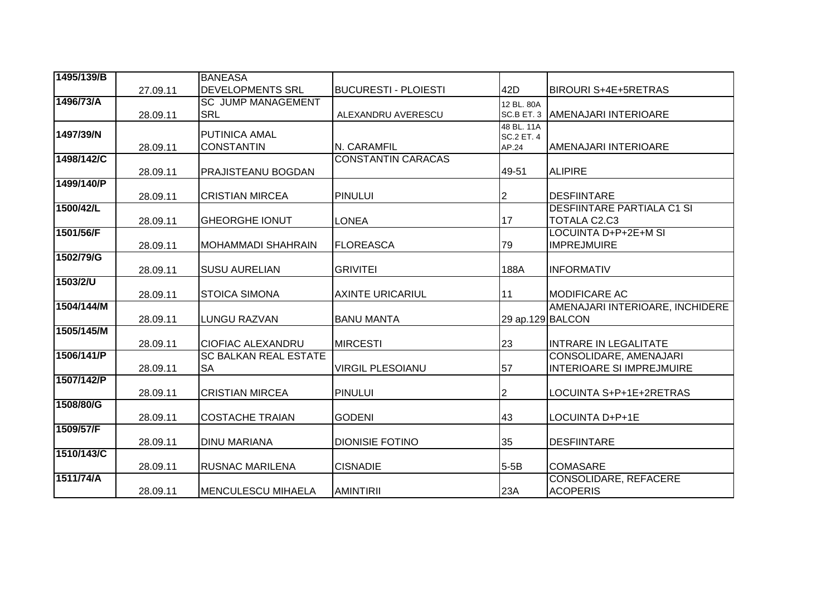| 1495/139/B |          | <b>BANEASA</b>               |                             |                            |                                   |
|------------|----------|------------------------------|-----------------------------|----------------------------|-----------------------------------|
|            | 27.09.11 | <b>DEVELOPMENTS SRL</b>      | <b>BUCURESTI - PLOIESTI</b> | 42D                        | <b>BIROURI S+4E+5RETRAS</b>       |
| 1496/73/A  |          | <b>SC JUMP MANAGEMENT</b>    |                             | 12 BL. 80A                 |                                   |
|            | 28.09.11 | <b>SRL</b>                   | ALEXANDRU AVERESCU          | SC.B ET. 3                 | <b>AMENAJARI INTERIOARE</b>       |
| 1497/39/N  |          | <b>PUTINICA AMAL</b>         |                             | 48 BL. 11A                 |                                   |
|            | 28.09.11 | <b>CONSTANTIN</b>            | N. CARAMFIL                 | <b>SC.2 ET. 4</b><br>AP.24 | AMENAJARI INTERIOARE              |
| 1498/142/C |          |                              | <b>CONSTANTIN CARACAS</b>   |                            |                                   |
|            | 28.09.11 | <b>PRAJISTEANU BOGDAN</b>    |                             | 49-51                      | <b>ALIPIRE</b>                    |
| 1499/140/P |          |                              |                             |                            |                                   |
|            | 28.09.11 | <b>CRISTIAN MIRCEA</b>       | <b>PINULUI</b>              | 2                          | <b>DESFIINTARE</b>                |
| 1500/42/L  |          |                              |                             |                            | <b>DESFIINTARE PARTIALA C1 SI</b> |
|            | 28.09.11 | <b>GHEORGHE IONUT</b>        | <b>LONEA</b>                | 17                         | TOTALA C2.C3                      |
| 1501/56/F  |          |                              |                             |                            | <b>LOCUINTA D+P+2E+M SI</b>       |
|            | 28.09.11 | MOHAMMADI SHAHRAIN           | <b>FLOREASCA</b>            | 79                         | <b>IMPREJMUIRE</b>                |
| 1502/79/G  |          |                              |                             |                            |                                   |
|            | 28.09.11 | <b>SUSU AURELIAN</b>         | <b>GRIVITEI</b>             | 188A                       | <b>INFORMATIV</b>                 |
| 1503/2/U   |          |                              |                             |                            |                                   |
| 1504/144/M | 28.09.11 | <b>STOICA SIMONA</b>         | <b>AXINTE URICARIUL</b>     | 11                         | <b>MODIFICARE AC</b>              |
|            | 28.09.11 | <b>LUNGU RAZVAN</b>          | <b>BANU MANTA</b>           | 29 ap.129 BALCON           | AMENAJARI INTERIOARE, INCHIDERE   |
| 1505/145/M |          |                              |                             |                            |                                   |
|            | 28.09.11 | <b>CIOFIAC ALEXANDRU</b>     | <b>MIRCESTI</b>             | 23                         | <b>INTRARE IN LEGALITATE</b>      |
| 1506/141/P |          | <b>SC BALKAN REAL ESTATE</b> |                             |                            | CONSOLIDARE, AMENAJARI            |
|            | 28.09.11 | <b>SA</b>                    | <b>VIRGIL PLESOIANU</b>     | 57                         | <b>INTERIOARE SI IMPREJMUIRE</b>  |
| 1507/142/P |          |                              |                             |                            |                                   |
|            | 28.09.11 | <b>CRISTIAN MIRCEA</b>       | <b>PINULUI</b>              | 2                          | LOCUINTA S+P+1E+2RETRAS           |
| 1508/80/G  |          |                              |                             |                            |                                   |
|            | 28.09.11 | <b>COSTACHE TRAIAN</b>       | <b>GODENI</b>               | 43                         | LOCUINTA D+P+1E                   |
| 1509/57/F  |          |                              |                             |                            |                                   |
|            | 28.09.11 | <b>DINU MARIANA</b>          | <b>DIONISIE FOTINO</b>      | 35                         | <b>DESFIINTARE</b>                |
| 1510/143/C |          |                              |                             |                            |                                   |
|            | 28.09.11 | <b>RUSNAC MARILENA</b>       | <b>CISNADIE</b>             | $5-5B$                     | <b>COMASARE</b>                   |
| 1511/74/A  |          |                              |                             |                            | <b>CONSOLIDARE, REFACERE</b>      |
|            | 28.09.11 | <b>IMENCULESCU MIHAELA</b>   | <b>AMINTIRII</b>            | 23A                        | <b>ACOPERIS</b>                   |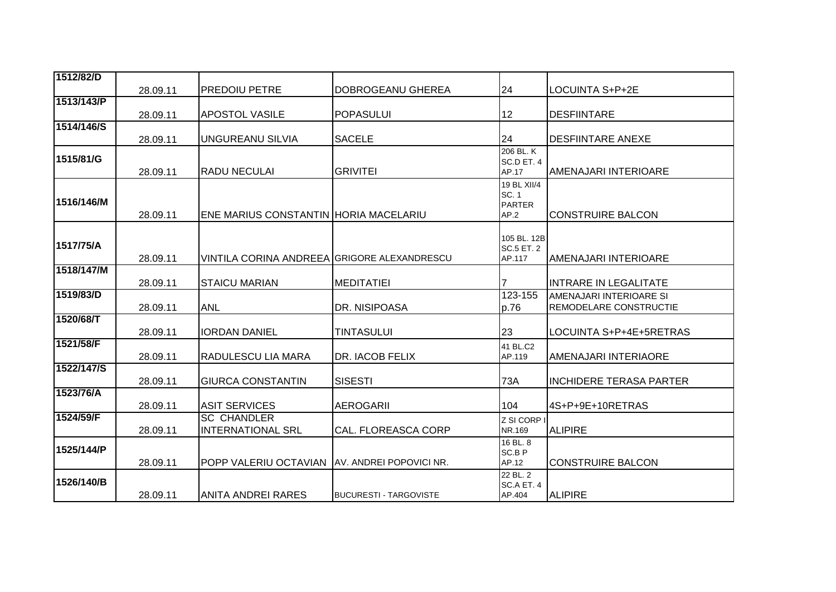| 1512/82/D  |          |                                                |                               |                                  |                                |
|------------|----------|------------------------------------------------|-------------------------------|----------------------------------|--------------------------------|
|            | 28.09.11 | <b>PREDOIU PETRE</b>                           | DOBROGEANU GHEREA             | 24                               | LOCUINTA S+P+2E                |
| 1513/143/P |          |                                                |                               |                                  |                                |
|            | 28.09.11 | <b>APOSTOL VASILE</b>                          | <b>POPASULUI</b>              | 12                               | <b>DESFIINTARE</b>             |
| 1514/146/S |          |                                                |                               |                                  |                                |
|            | 28.09.11 | <b>UNGUREANU SILVIA</b>                        | <b>SACELE</b>                 | 24                               | <b>DESFIINTARE ANEXE</b>       |
| 1515/81/G  |          |                                                |                               | 206 BL. K                        |                                |
|            | 28.09.11 | <b>RADU NECULAI</b>                            | GRIVITEI                      | SC.D ET. 4<br>AP.17              | AMENAJARI INTERIOARE           |
|            |          |                                                |                               | 19 BL XII/4                      |                                |
|            |          |                                                |                               | SC. 1                            |                                |
| 1516/146/M |          |                                                |                               | <b>PARTER</b>                    |                                |
|            | 28.09.11 | ENE MARIUS CONSTANTIN HORIA MACELARIU          |                               | AP.2                             | <b>CONSTRUIRE BALCON</b>       |
|            |          |                                                |                               |                                  |                                |
| 1517/75/A  |          |                                                |                               | 105 BL. 12B<br><b>SC.5 ET. 2</b> |                                |
|            | 28.09.11 | VINTILA CORINA ANDREEA GRIGORE ALEXANDRESCU    |                               | AP.117                           | AMENAJARI INTERIOARE           |
| 1518/147/M |          |                                                |                               |                                  |                                |
|            | 28.09.11 | <b>STAICU MARIAN</b>                           | <b>MEDITATIEI</b>             |                                  | <b>INTRARE IN LEGALITATE</b>   |
| 1519/83/D  |          |                                                |                               | $123 - 155$                      | AMENAJARI INTERIOARE SI        |
|            | 28.09.11 | <b>ANL</b>                                     | DR. NISIPOASA                 | p.76                             | REMODELARE CONSTRUCTIE         |
| 1520/68/T  |          |                                                |                               |                                  |                                |
|            | 28.09.11 | <b>IORDAN DANIEL</b>                           | <b>TINTASULUI</b>             | 23                               | LOCUINTA S+P+4E+5RETRAS        |
| 1521/58/F  |          |                                                |                               | 41 BL.C2                         |                                |
|            | 28.09.11 | RADULESCU LIA MARA                             | DR. IACOB FELIX               | AP.119                           | AMENAJARI INTERIAORE           |
| 1522/147/S |          |                                                |                               |                                  |                                |
|            | 28.09.11 | <b>GIURCA CONSTANTIN</b>                       | <b>SISESTI</b>                | 73A                              | <b>INCHIDERE TERASA PARTER</b> |
| 1523/76/A  |          | <b>ASIT SERVICES</b>                           | <b>AEROGARII</b>              | 104                              | 4S+P+9E+10RETRAS               |
| 1524/59/F  | 28.09.11 | <b>SC CHANDLER</b>                             |                               |                                  |                                |
|            | 28.09.11 | <b>INTERNATIONAL SRL</b>                       | <b>CAL. FLOREASCA CORP</b>    | Z SI CORP I<br>NR.169            | <b>ALIPIRE</b>                 |
|            |          |                                                |                               | 16 BL. 8                         |                                |
| 1525/144/P |          |                                                |                               | SC.B P                           |                                |
|            | 28.09.11 | POPP VALERIU OCTAVIAN TAV. ANDREI POPOVICI NR. |                               | AP.12                            | <b>CONSTRUIRE BALCON</b>       |
| 1526/140/B |          |                                                |                               | 22 BL. 2                         |                                |
|            | 28.09.11 | <b>ANITA ANDREI RARES</b>                      | <b>BUCURESTI - TARGOVISTE</b> | SC.A ET. 4<br>AP.404             | <b>ALIPIRE</b>                 |
|            |          |                                                |                               |                                  |                                |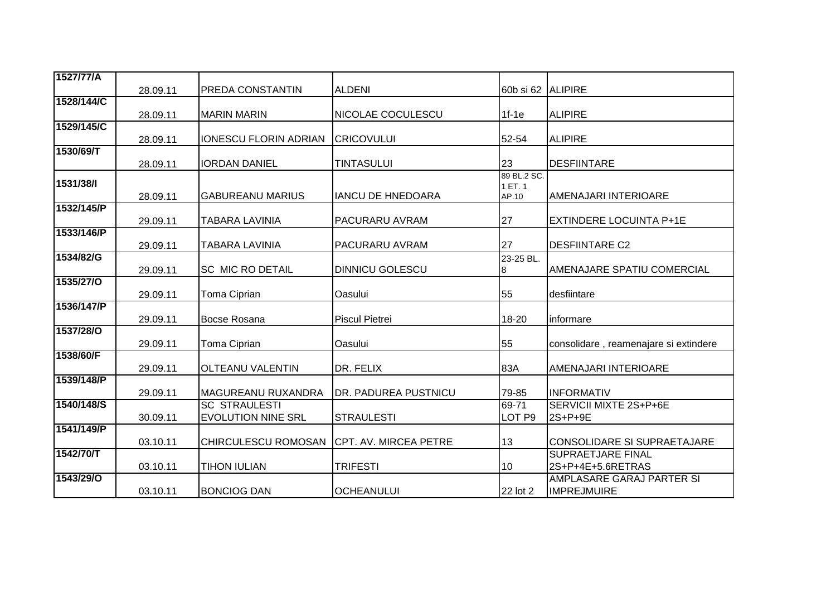| 1527/77/A        |          |                              |                              |                   |                                       |
|------------------|----------|------------------------------|------------------------------|-------------------|---------------------------------------|
|                  | 28.09.11 | <b>PREDA CONSTANTIN</b>      | <b>ALDENI</b>                | 60b si 62 ALIPIRE |                                       |
| 1528/144/C       |          |                              |                              |                   |                                       |
|                  | 28.09.11 | <b>MARIN MARIN</b>           | NICOLAE COCULESCU            | $1f-1e$           | <b>ALIPIRE</b>                        |
| 1529/145/C       | 28.09.11 | <b>IONESCU FLORIN ADRIAN</b> | <b>CRICOVULUI</b>            | 52-54             | <b>ALIPIRE</b>                        |
| 1530/69/T        |          |                              |                              |                   |                                       |
|                  | 28.09.11 | <b>IORDAN DANIEL</b>         | <b>TINTASULUI</b>            | 23                | <b>DESFIINTARE</b>                    |
|                  |          |                              |                              | 89 BL.2 SC.       |                                       |
| 1531/38/1        |          |                              |                              | 1 ET. 1           |                                       |
|                  | 28.09.11 | <b>GABUREANU MARIUS</b>      | <b>IANCU DE HNEDOARA</b>     | AP.10             | AMENAJARI INTERIOARE                  |
| 1532/145/P       |          |                              |                              |                   |                                       |
|                  | 29.09.11 | <b>TABARA LAVINIA</b>        | PACURARU AVRAM               | 27                | <b>EXTINDERE LOCUINTA P+1E</b>        |
| 1533/146/P       |          |                              |                              |                   |                                       |
|                  | 29.09.11 | <b>TABARA LAVINIA</b>        | PACURARU AVRAM               | 27                | <b>DESFIINTARE C2</b>                 |
| 1534/82/G        |          |                              |                              | 23-25 BL.         |                                       |
|                  | 29.09.11 | <b>SC MIC RO DETAIL</b>      | <b>DINNICU GOLESCU</b>       | 8                 | AMENAJARE SPATIU COMERCIAL            |
| 1535/27/0        |          |                              |                              |                   |                                       |
|                  | 29.09.11 | Toma Ciprian                 | Oasului                      | 55                | desfiintare                           |
| 1536/147/P       |          |                              |                              |                   |                                       |
|                  | 29.09.11 | <b>Bocse Rosana</b>          | <b>Piscul Pietrei</b>        | 18-20             | informare                             |
| <b>1537/28/O</b> |          |                              |                              |                   |                                       |
|                  | 29.09.11 | Toma Ciprian                 | Oasului                      | 55                | consolidare, reamenajare si extindere |
| 1538/60/F        |          |                              |                              |                   |                                       |
|                  | 29.09.11 | <b>OLTEANU VALENTIN</b>      | DR. FELIX                    | 83A               | AMENAJARI INTERIOARE                  |
| 1539/148/P       |          |                              |                              |                   |                                       |
|                  | 29.09.11 | MAGUREANU RUXANDRA           | <b>DR. PADUREA PUSTNICU</b>  | 79-85             | <b>INFORMATIV</b>                     |
| 1540/148/S       |          | <b>SC STRAULESTI</b>         |                              | 69-71             | SERVICII MIXTE 2S+P+6E                |
|                  | 30.09.11 | <b>EVOLUTION NINE SRL</b>    | <b>STRAULESTI</b>            | LOT <sub>P9</sub> | 2S+P+9E                               |
| 1541/149/P       |          |                              |                              |                   |                                       |
|                  | 03.10.11 | <b>CHIRCULESCU ROMOSAN</b>   | <b>CPT. AV. MIRCEA PETRE</b> | 13                | <b>CONSOLIDARE SI SUPRAETAJARE</b>    |
| 1542/70/T        |          |                              |                              |                   | <b>SUPRAETJARE FINAL</b>              |
|                  | 03.10.11 | <b>TIHON IULIAN</b>          | <b>TRIFESTI</b>              | 10                | 2S+P+4E+5.6RETRAS                     |
| 1543/29/0        |          |                              |                              |                   | AMPLASARE GARAJ PARTER SI             |
|                  |          |                              |                              |                   |                                       |
|                  | 03.10.11 | <b>BONCIOG DAN</b>           | <b>OCHEANULUI</b>            | 22 lot 2          | <b>IMPREJMUIRE</b>                    |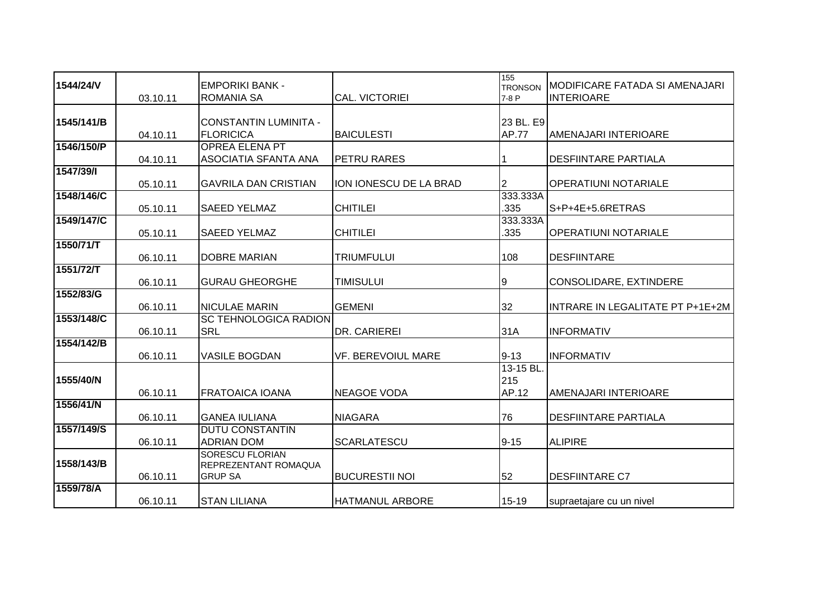|            |          |                              |                           | 155            |                                  |
|------------|----------|------------------------------|---------------------------|----------------|----------------------------------|
| 1544/24/V  |          | <b>EMPORIKI BANK -</b>       |                           | <b>TRONSON</b> | MODIFICARE FATADA SI AMENAJARI   |
|            | 03.10.11 | <b>ROMANIA SA</b>            | CAL. VICTORIEI            | 7-8 P          | <b>INTERIOARE</b>                |
|            |          |                              |                           |                |                                  |
| 1545/141/B |          | <b>CONSTANTIN LUMINITA -</b> |                           | 23 BL. E9      |                                  |
|            |          |                              |                           |                |                                  |
|            | 04.10.11 | <b>FLORICICA</b>             | <b>BAICULESTI</b>         | <b>AP.77</b>   | AMENAJARI INTERIOARE             |
| 1546/150/P |          | <b>OPREA ELENA PT</b>        |                           |                |                                  |
|            | 04.10.11 | <b>ASOCIATIA SFANTA ANA</b>  | PETRU RARES               |                | <b>DESFIINTARE PARTIALA</b>      |
| 1547/39/1  |          |                              |                           |                |                                  |
|            | 05.10.11 | <b>GAVRILA DAN CRISTIAN</b>  | ION IONESCU DE LA BRAD    | 2              | <b>OPERATIUNI NOTARIALE</b>      |
| 1548/146/C |          |                              |                           | 333.333A       |                                  |
|            | 05.10.11 | <b>SAEED YELMAZ</b>          | <b>CHITILEI</b>           | .335           | S+P+4E+5.6RETRAS                 |
| 1549/147/C |          |                              |                           | 333.333A       |                                  |
|            | 05.10.11 | <b>SAEED YELMAZ</b>          | <b>CHITILEI</b>           | .335           | <b>OPERATIUNI NOTARIALE</b>      |
| 1550/71/T  |          |                              |                           |                |                                  |
|            |          |                              |                           |                |                                  |
|            | 06.10.11 | <b>DOBRE MARIAN</b>          | <b>TRIUMFULUI</b>         | 108            | <b>DESFIINTARE</b>               |
| 1551/72/T  |          |                              |                           |                |                                  |
|            | 06.10.11 | <b>GURAU GHEORGHE</b>        | TIMISULUI                 | 9              | CONSOLIDARE, EXTINDERE           |
| 1552/83/G  |          |                              |                           |                |                                  |
|            | 06.10.11 | <b>NICULAE MARIN</b>         | <b>GEMENI</b>             | 32             | INTRARE IN LEGALITATE PT P+1E+2M |
| 1553/148/C |          | <b>SC TEHNOLOGICA RADION</b> |                           |                |                                  |
|            | 06.10.11 | <b>SRL</b>                   | DR. CARIEREI              | 31A            | <b>INFORMATIV</b>                |
| 1554/142/B |          |                              |                           |                |                                  |
|            |          |                              |                           | $9 - 13$       |                                  |
|            | 06.10.11 | <b>VASILE BOGDAN</b>         | <b>VF. BEREVOIUL MARE</b> |                | <b>INFORMATIV</b>                |
|            |          |                              |                           | 13-15 BL.      |                                  |
| 1555/40/N  |          |                              |                           | 215            |                                  |
|            | 06.10.11 | <b>FRATOAICA IOANA</b>       | <b>NEAGOE VODA</b>        | AP.12          | AMENAJARI INTERIOARE             |
| 1556/41/N  |          |                              |                           |                |                                  |
|            | 06.10.11 | <b>GANEA IULIANA</b>         | <b>NIAGARA</b>            | 76             | <b>DESFIINTARE PARTIALA</b>      |
| 1557/149/S |          | <b>DUTU CONSTANTIN</b>       |                           |                |                                  |
|            | 06.10.11 | <b>ADRIAN DOM</b>            | <b>SCARLATESCU</b>        | $9 - 15$       | <b>ALIPIRE</b>                   |
|            |          | <b>SORESCU FLORIAN</b>       |                           |                |                                  |
| 1558/143/B |          | REPREZENTANT ROMAQUA         |                           |                |                                  |
|            | 06.10.11 | <b>GRUP SA</b>               | <b>BUCURESTII NOI</b>     | 52             | <b>DESFIINTARE C7</b>            |
| 1559/78/A  |          |                              |                           |                |                                  |
|            |          |                              |                           |                |                                  |
|            | 06.10.11 | <b>STAN LILIANA</b>          | <b>HATMANUL ARBORE</b>    | 15-19          | supraetajare cu un nivel         |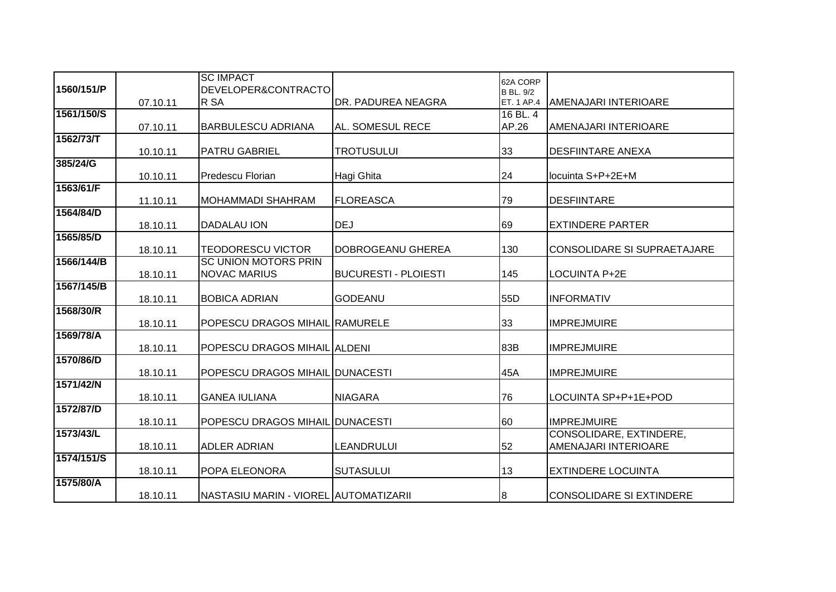|            |          | <b>SC IMPACT</b>                      |                             | 62A CORP         |                                 |
|------------|----------|---------------------------------------|-----------------------------|------------------|---------------------------------|
| 1560/151/P |          | DEVELOPER&CONTRACTO                   |                             | <b>B BL. 9/2</b> |                                 |
|            | 07.10.11 | R SA                                  | DR. PADUREA NEAGRA          | ET. 1 AP.4       | <b>AMENAJARI INTERIOARE</b>     |
| 1561/150/S |          |                                       |                             | 16 BL. 4         |                                 |
|            | 07.10.11 | <b>BARBULESCU ADRIANA</b>             | AL. SOMESUL RECE            | AP.26            | AMENAJARI INTERIOARE            |
| 1562/73/T  | 10.10.11 | <b>PATRU GABRIEL</b>                  | <b>TROTUSULUI</b>           | 33               | <b>DESFIINTARE ANEXA</b>        |
| 385/24/G   |          |                                       |                             |                  |                                 |
|            | 10.10.11 | Predescu Florian                      | Hagi Ghita                  | 24               | locuinta S+P+2E+M               |
| 1563/61/F  |          |                                       |                             |                  |                                 |
|            | 11.10.11 | <b>MOHAMMADI SHAHRAM</b>              | <b>FLOREASCA</b>            | 79               | <b>DESFIINTARE</b>              |
| 1564/84/D  | 18.10.11 | <b>DADALAU ION</b>                    | <b>DEJ</b>                  | 69               | <b>EXTINDERE PARTER</b>         |
| 1565/85/D  |          |                                       |                             |                  |                                 |
|            | 18.10.11 | <b>TEODORESCU VICTOR</b>              | DOBROGEANU GHEREA           | 130              | CONSOLIDARE SI SUPRAETAJARE     |
| 1566/144/B |          | <b>SC UNION MOTORS PRIN</b>           |                             |                  |                                 |
|            | 18.10.11 | <b>NOVAC MARIUS</b>                   | <b>BUCURESTI - PLOIESTI</b> | 145              | <b>LOCUINTA P+2E</b>            |
| 1567/145/B |          |                                       |                             |                  |                                 |
|            | 18.10.11 | <b>BOBICA ADRIAN</b>                  | <b>GODEANU</b>              | 55 <sub>D</sub>  | <b>INFORMATIV</b>               |
| 1568/30/R  | 18.10.11 | POPESCU DRAGOS MIHAIL RAMURELE        |                             | 33               | <b>IMPREJMUIRE</b>              |
| 1569/78/A  |          |                                       |                             |                  |                                 |
|            | 18.10.11 | POPESCU DRAGOS MIHAIL ALDENI          |                             | 83B              | <b>IMPREJMUIRE</b>              |
| 1570/86/D  |          |                                       |                             |                  |                                 |
|            | 18.10.11 | POPESCU DRAGOS MIHAIL DUNACESTI       |                             | 45A              | <b>IMPREJMUIRE</b>              |
| 1571/42/N  |          |                                       |                             |                  |                                 |
|            | 18.10.11 | <b>GANEA IULIANA</b>                  | <b>NIAGARA</b>              | 76               | LOCUINTA SP+P+1E+POD            |
| 1572/87/D  | 18.10.11 | POPESCU DRAGOS MIHAIL DUNACESTI       |                             | 60               | <b>IMPREJMUIRE</b>              |
| 1573/43/L  |          |                                       |                             |                  | CONSOLIDARE, EXTINDERE,         |
|            | 18.10.11 | <b>ADLER ADRIAN</b>                   | LEANDRULUI                  | 52               | AMENAJARI INTERIOARE            |
| 1574/151/S |          |                                       |                             |                  |                                 |
|            | 18.10.11 | POPA ELEONORA                         | <b>SUTASULUI</b>            | 13               | <b>EXTINDERE LOCUINTA</b>       |
| 1575/80/A  |          |                                       |                             |                  |                                 |
|            | 18.10.11 | NASTASIU MARIN - VIOREL AUTOMATIZARII |                             | 8                | <b>CONSOLIDARE SI EXTINDERE</b> |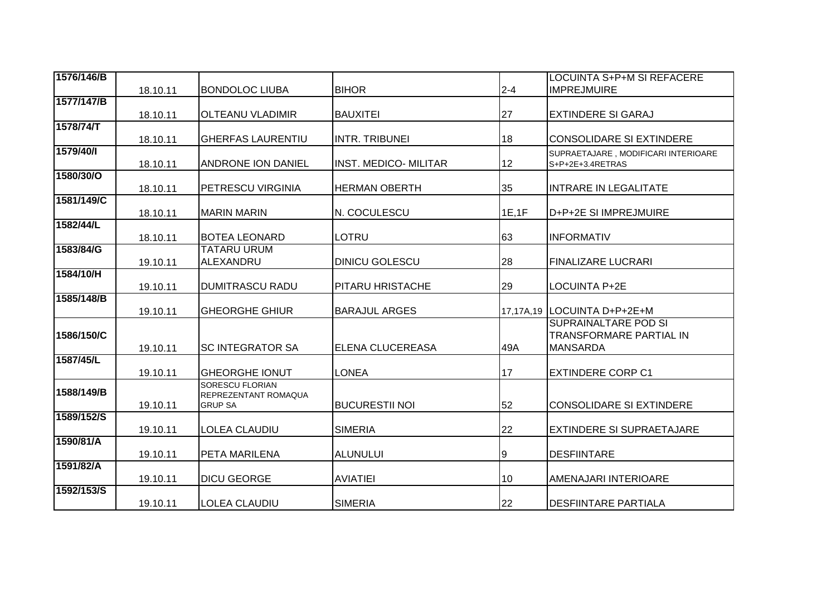| 1576/146/B |          |                                         |                              |         | LOCUINTA S+P+M SI REFACERE                              |
|------------|----------|-----------------------------------------|------------------------------|---------|---------------------------------------------------------|
|            | 18.10.11 | <b>BONDOLOC LIUBA</b>                   | <b>BIHOR</b>                 | $2 - 4$ | <b>IMPREJMUIRE</b>                                      |
| 1577/147/B |          |                                         |                              |         |                                                         |
|            | 18.10.11 | <b>OLTEANU VLADIMIR</b>                 | <b>BAUXITEI</b>              | 27      | <b>EXTINDERE SI GARAJ</b>                               |
| 1578/74/T  |          |                                         |                              |         |                                                         |
|            | 18.10.11 | <b>GHERFAS LAURENTIU</b>                | <b>INTR. TRIBUNEI</b>        | 18      | <b>CONSOLIDARE SI EXTINDERE</b>                         |
| 1579/40/1  | 18.10.11 | <b>ANDRONE ION DANIEL</b>               | <b>INST. MEDICO- MILITAR</b> | 12      | SUPRAETAJARE, MODIFICARI INTERIOARE<br>S+P+2E+3.4RETRAS |
| 1580/30/O  | 18.10.11 | <b>PETRESCU VIRGINIA</b>                | <b>HERMAN OBERTH</b>         | 35      | <b>INTRARE IN LEGALITATE</b>                            |
| 1581/149/C |          |                                         |                              |         |                                                         |
|            | 18.10.11 | <b>MARIN MARIN</b>                      | N. COCULESCU                 | 1E, 1F  | D+P+2E SI IMPREJMUIRE                                   |
| 1582/44/L  |          |                                         |                              |         |                                                         |
|            | 18.10.11 | <b>BOTEA LEONARD</b>                    | <b>LOTRU</b>                 | 63      | <b>INFORMATIV</b>                                       |
| 1583/84/G  |          | <b>TATARU URUM</b>                      |                              |         |                                                         |
| 1584/10/H  | 19.10.11 | ALEXANDRU                               | <b>DINICU GOLESCU</b>        | 28      | <b>FINALIZARE LUCRARI</b>                               |
|            | 19.10.11 | <b>DUMITRASCU RADU</b>                  | PITARU HRISTACHE             | 29      | LOCUINTA P+2E                                           |
| 1585/148/B |          |                                         |                              |         |                                                         |
|            | 19.10.11 | <b>GHEORGHE GHIUR</b>                   | <b>BARAJUL ARGES</b>         |         | 17,17A,19  LOCUINTA D+P+2E+M                            |
|            |          |                                         |                              |         | <b>SUPRAINALTARE POD SI</b>                             |
| 1586/150/C |          |                                         |                              |         | <b>TRANSFORMARE PARTIAL IN</b>                          |
|            | 19.10.11 | <b>SC INTEGRATOR SA</b>                 | ELENA CLUCEREASA             | 49A     | <b>MANSARDA</b>                                         |
| 1587/45/L  |          |                                         |                              |         |                                                         |
|            | 19.10.11 | <b>GHEORGHE IONUT</b>                   | LONEA                        | 17      | <b>EXTINDERE CORP C1</b>                                |
| 1588/149/B |          | SORESCU FLORIAN<br>REPREZENTANT ROMAQUA |                              |         |                                                         |
|            | 19.10.11 | <b>GRUP SA</b>                          | <b>BUCURESTII NOI</b>        | 52      | <b>CONSOLIDARE SI EXTINDERE</b>                         |
| 1589/152/S |          |                                         |                              |         |                                                         |
|            | 19.10.11 | <b>LOLEA CLAUDIU</b>                    | <b>SIMERIA</b>               | 22      | <b>EXTINDERE SI SUPRAETAJARE</b>                        |
| 1590/81/A  |          |                                         |                              |         |                                                         |
|            | 19.10.11 | <b>PETA MARILENA</b>                    | <b>ALUNULUI</b>              | 9       | <b>DESFIINTARE</b>                                      |
| 1591/82/A  |          |                                         |                              |         |                                                         |
| 1592/153/S | 19.10.11 | <b>DICU GEORGE</b>                      | <b>AVIATIEI</b>              | 10      | AMENAJARI INTERIOARE                                    |
|            | 19.10.11 | <b>LOLEA CLAUDIU</b>                    | <b>SIMERIA</b>               | 22      | <b>DESFIINTARE PARTIALA</b>                             |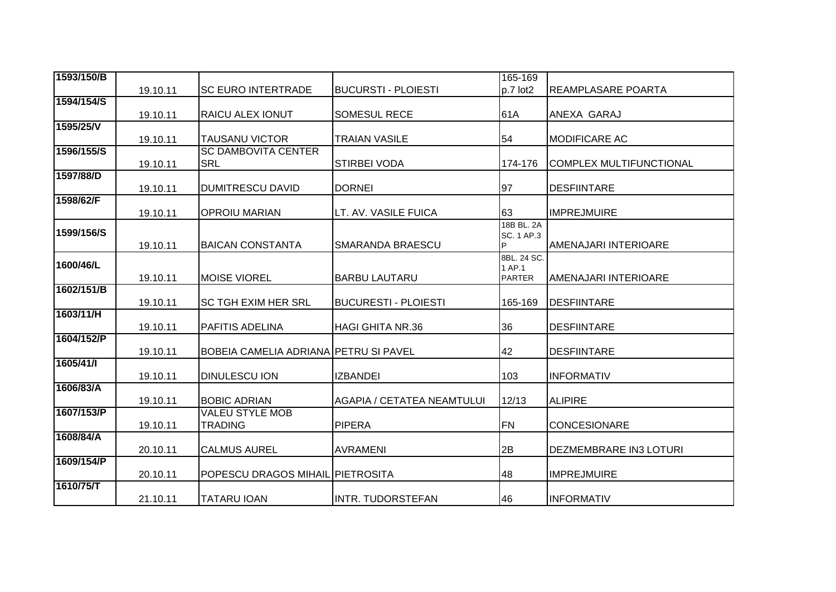| 1593/150/B |          |                                              |                                   | 165-169         |                                |
|------------|----------|----------------------------------------------|-----------------------------------|-----------------|--------------------------------|
|            | 19.10.11 | <b>SC EURO INTERTRADE</b>                    | <b>BUCURSTI - PLOIESTI</b>        | $p.7$ lot2      | <b>REAMPLASARE POARTA</b>      |
| 1594/154/S |          |                                              |                                   |                 |                                |
|            | 19.10.11 | <b>RAICU ALEX IONUT</b>                      | <b>SOMESUL RECE</b>               | 61A             | ANEXA GARAJ                    |
| 1595/25/V  |          |                                              |                                   |                 |                                |
|            | 19.10.11 | <b>TAUSANU VICTOR</b>                        | <b>TRAIAN VASILE</b>              | 54              | <b>MODIFICARE AC</b>           |
| 1596/155/S |          | <b>SC DAMBOVITA CENTER</b>                   |                                   |                 |                                |
|            | 19.10.11 | <b>SRL</b>                                   | STIRBEI VODA                      | 174-176         | <b>COMPLEX MULTIFUNCTIONAL</b> |
| 1597/88/D  | 19.10.11 | DUMITRESCU DAVID                             | <b>DORNEI</b>                     | 97              | <b>DESFIINTARE</b>             |
| 1598/62/F  |          |                                              |                                   |                 |                                |
|            | 19.10.11 | <b>OPROIU MARIAN</b>                         | LT. AV. VASILE FUICA              | 63              | <b>IMPREJMUIRE</b>             |
| 1599/156/S |          |                                              |                                   | 18B BL. 2A      |                                |
|            | 19.10.11 | <b>BAICAN CONSTANTA</b>                      | SMARANDA BRAESCU                  | SC. 1 AP.3<br>P | AMENAJARI INTERIOARE           |
|            |          |                                              |                                   | 8BL. 24 SC.     |                                |
| 1600/46/L  |          |                                              |                                   | 1 AP.1          |                                |
|            | 19.10.11 | <b>IMOISE VIOREL</b>                         | <b>BARBU LAUTARU</b>              | <b>PARTER</b>   | AMENAJARI INTERIOARE           |
| 1602/151/B |          |                                              |                                   |                 |                                |
| 1603/11/H  | 19.10.11 | <b>SC TGH EXIM HER SRL</b>                   | <b>BUCURESTI - PLOIESTI</b>       | 165-169         | <b>DESFIINTARE</b>             |
|            | 19.10.11 | PAFITIS ADELINA                              | <b>HAGI GHITA NR.36</b>           | 36              | <b>DESFIINTARE</b>             |
| 1604/152/P |          |                                              |                                   |                 |                                |
|            | 19.10.11 | <b>BOBEIA CAMELIA ADRIANA PETRU SI PAVEL</b> |                                   | 42              | <b>DESFIINTARE</b>             |
| 1605/41/1  |          |                                              |                                   |                 |                                |
|            | 19.10.11 | <b>DINULESCU ION</b>                         | <b>IZBANDEI</b>                   | 103             | <b>INFORMATIV</b>              |
| 1606/83/A  |          |                                              |                                   |                 |                                |
|            | 19.10.11 | <b>BOBIC ADRIAN</b>                          | <b>AGAPIA / CETATEA NEAMTULUI</b> | 12/13           | <b>ALIPIRE</b>                 |
| 1607/153/P |          | <b>VALEU STYLE MOB</b><br><b>TRADING</b>     | <b>PIPERA</b>                     | <b>FN</b>       | <b>CONCESIONARE</b>            |
| 1608/84/A  | 19.10.11 |                                              |                                   |                 |                                |
|            | 20.10.11 | <b>CALMUS AUREL</b>                          | <b>AVRAMENI</b>                   | 2B              | <b>DEZMEMBRARE IN3 LOTURI</b>  |
| 1609/154/P |          |                                              |                                   |                 |                                |
|            | 20.10.11 | POPESCU DRAGOS MIHAIL PIETROSITA             |                                   | 48              | <b>IMPREJMUIRE</b>             |
| 1610/75/T  |          |                                              |                                   |                 |                                |
|            | 21.10.11 | <b>TATARU IOAN</b>                           | INTR. TUDORSTEFAN                 | 46              | <b>INFORMATIV</b>              |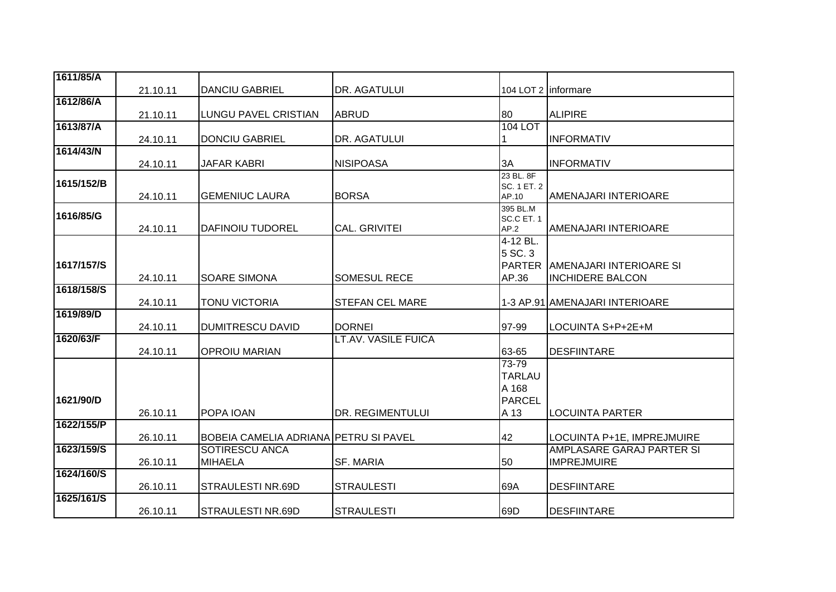| 1611/85/A  |          |                                       |                            |                       |                                  |
|------------|----------|---------------------------------------|----------------------------|-----------------------|----------------------------------|
|            | 21.10.11 | <b>DANCIU GABRIEL</b>                 | DR. AGATULUI               | 104 LOT 2   informare |                                  |
| 1612/86/A  |          |                                       |                            |                       |                                  |
|            | 21.10.11 | <b>LUNGU PAVEL CRISTIAN</b>           | <b>ABRUD</b>               | 80                    | <b>ALIPIRE</b>                   |
| 1613/87/A  |          |                                       |                            | 104 LOT               |                                  |
|            | 24.10.11 | <b>DONCIU GABRIEL</b>                 | DR. AGATULUI               |                       | <b>INFORMATIV</b>                |
| 1614/43/N  |          |                                       |                            |                       |                                  |
|            | 24.10.11 | <b>JAFAR KABRI</b>                    | <b>NISIPOASA</b>           | 3A                    | <b>INFORMATIV</b>                |
| 1615/152/B |          |                                       |                            | 23 BL. 8F             |                                  |
|            |          | <b>GEMENIUC LAURA</b>                 | <b>BORSA</b>               | SC. 1 ET. 2<br>AP.10  | AMENAJARI INTERIOARE             |
|            | 24.10.11 |                                       |                            | 395 BL.M              |                                  |
| 1616/85/G  |          |                                       |                            | SC.C ET. 1            |                                  |
|            | 24.10.11 | DAFINOIU TUDOREL                      | <b>CAL. GRIVITEI</b>       | AP.2                  | AMENAJARI INTERIOARE             |
|            |          |                                       |                            | 4-12 BL.              |                                  |
|            |          |                                       |                            | 5 SC. 3               |                                  |
| 1617/157/S |          |                                       |                            |                       | PARTER AMENAJARI INTERIOARE SI   |
|            | 24.10.11 | <b>SOARE SIMONA</b>                   | <b>SOMESUL RECE</b>        | AP.36                 | <b>INCHIDERE BALCON</b>          |
| 1618/158/S |          |                                       |                            |                       |                                  |
|            | 24.10.11 | <b>TONU VICTORIA</b>                  | <b>STEFAN CEL MARE</b>     |                       | 1-3 AP.91 AMENAJARI INTERIOARE   |
| 1619/89/D  |          |                                       |                            |                       |                                  |
|            | 24.10.11 | <b>DUMITRESCU DAVID</b>               | <b>DORNEI</b>              | 97-99                 | LOCUINTA S+P+2E+M                |
| 1620/63/F  |          |                                       | <b>LT.AV. VASILE FUICA</b> |                       |                                  |
|            | 24.10.11 | <b>OPROIU MARIAN</b>                  |                            | 63-65                 | <b>DESFIINTARE</b>               |
|            |          |                                       |                            | 73-79                 |                                  |
|            |          |                                       |                            | <b>TARLAU</b>         |                                  |
|            |          |                                       |                            | A 168                 |                                  |
| 1621/90/D  |          |                                       |                            | <b>PARCEL</b>         |                                  |
|            | 26.10.11 | <b>POPA IOAN</b>                      | DR. REGIMENTULUI           | A 13                  | <b>LOCUINTA PARTER</b>           |
| 1622/155/P |          |                                       |                            |                       |                                  |
|            | 26.10.11 | BOBEIA CAMELIA ADRIANA PETRU SI PAVEL |                            | 42                    | LOCUINTA P+1E, IMPREJMUIRE       |
| 1623/159/S |          | SOTIRESCU ANCA                        |                            |                       | <b>AMPLASARE GARAJ PARTER SI</b> |
|            | 26.10.11 | <b>MIHAELA</b>                        | SF. MARIA                  | 50                    | <b>IMPREJMUIRE</b>               |
| 1624/160/S |          |                                       |                            |                       |                                  |
|            | 26.10.11 | ISTRAULESTI NR.69D                    | <b>STRAULESTI</b>          | 69A                   | <b>DESFIINTARE</b>               |
| 1625/161/S |          |                                       |                            |                       |                                  |
|            | 26.10.11 | ISTRAULESTI NR.69D                    | <b>STRAULESTI</b>          | 69D                   | <b>DESFIINTARE</b>               |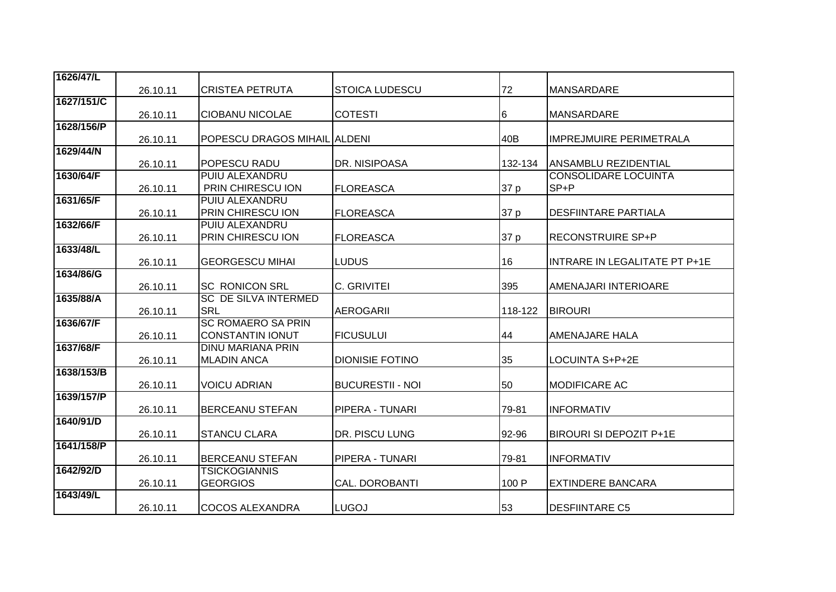| 1626/47/L  |          |                              |                         |         |                                |
|------------|----------|------------------------------|-------------------------|---------|--------------------------------|
|            | 26.10.11 | <b>CRISTEA PETRUTA</b>       | <b>STOICA LUDESCU</b>   | 72      | <b>MANSARDARE</b>              |
| 1627/151/C |          |                              |                         |         |                                |
|            | 26.10.11 | <b>CIOBANU NICOLAE</b>       | <b>COTESTI</b>          | 6       | <b>MANSARDARE</b>              |
| 1628/156/P |          |                              |                         |         |                                |
|            | 26.10.11 | POPESCU DRAGOS MIHAIL ALDENI |                         | 40B     | <b>IMPREJMUIRE PERIMETRALA</b> |
| 1629/44/N  |          |                              |                         |         |                                |
|            | 26.10.11 | POPESCU RADU                 | DR. NISIPOASA           | 132-134 | ANSAMBLU REZIDENTIAL           |
| 1630/64/F  |          | <b>PUIU ALEXANDRU</b>        |                         |         | <b>CONSOLIDARE LOCUINTA</b>    |
|            | 26.10.11 | PRIN CHIRESCU ION            | <b>FLOREASCA</b>        | 37 p    | SP+P                           |
| 1631/65/F  |          | <b>PUIU ALEXANDRU</b>        |                         |         |                                |
|            | 26.10.11 | <b>PRIN CHIRESCU ION</b>     | <b>FLOREASCA</b>        | 37 p    | <b>DESFIINTARE PARTIALA</b>    |
| 1632/66/F  |          | PUIU ALEXANDRU               |                         |         |                                |
|            | 26.10.11 | PRIN CHIRESCU ION            | <b>FLOREASCA</b>        | 37 p    | <b>RECONSTRUIRE SP+P</b>       |
| 1633/48/L  |          |                              |                         |         |                                |
|            | 26.10.11 | <b>GEORGESCU MIHAI</b>       | <b>LUDUS</b>            | 16      | INTRARE IN LEGALITATE PT P+1E  |
| 1634/86/G  |          |                              |                         |         |                                |
|            | 26.10.11 | <b>SC RONICON SRL</b>        | C. GRIVITEI             | 395     | AMENAJARI INTERIOARE           |
| 1635/88/A  |          | <b>SC DE SILVA INTERMED</b>  |                         |         |                                |
|            | 26.10.11 | <b>SRL</b>                   | <b>AEROGARII</b>        | 118-122 | <b>BIROURI</b>                 |
| 1636/67/F  |          | <b>SC ROMAERO SA PRIN</b>    |                         |         |                                |
|            | 26.10.11 | <b>CONSTANTIN IONUT</b>      | <b>FICUSULUI</b>        | 44      | AMENAJARE HALA                 |
| 1637/68/F  |          | <b>DINU MARIANA PRIN</b>     |                         |         |                                |
|            | 26.10.11 | <b>MLADIN ANCA</b>           | <b>DIONISIE FOTINO</b>  | 35      | LOCUINTA S+P+2E                |
| 1638/153/B |          |                              |                         |         |                                |
|            | 26.10.11 | <b>VOICU ADRIAN</b>          | <b>BUCURESTII - NOI</b> | 50      | <b>MODIFICARE AC</b>           |
| 1639/157/P |          |                              |                         |         |                                |
|            | 26.10.11 | <b>BERCEANU STEFAN</b>       | PIPERA - TUNARI         | 79-81   | <b>INFORMATIV</b>              |
| 1640/91/D  |          |                              |                         |         |                                |
|            | 26.10.11 | <b>STANCU CLARA</b>          | <b>DR. PISCU LUNG</b>   | 92-96   | <b>BIROURI SI DEPOZIT P+1E</b> |
| 1641/158/P |          |                              |                         |         |                                |
|            | 26.10.11 | <b>BERCEANU STEFAN</b>       | PIPERA - TUNARI         | 79-81   | <b>INFORMATIV</b>              |
| 1642/92/D  |          | <b>TSICKOGIANNIS</b>         |                         |         |                                |
|            | 26.10.11 | <b>GEORGIOS</b>              | CAL. DOROBANTI          | 100 P   | <b>EXTINDERE BANCARA</b>       |
| 1643/49/L  |          |                              |                         |         |                                |
|            | 26.10.11 | <b>COCOS ALEXANDRA</b>       | <b>LUGOJ</b>            | 53      | <b>DESFIINTARE C5</b>          |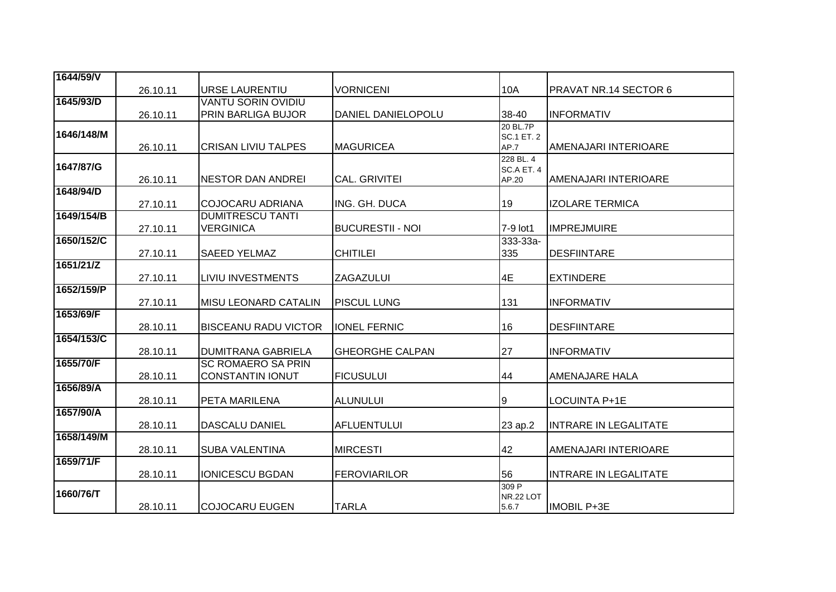| 1644/59/V  |          |                             |                         |                           |                              |
|------------|----------|-----------------------------|-------------------------|---------------------------|------------------------------|
|            | 26.10.11 | <b>URSE LAURENTIU</b>       | <b>VORNICENI</b>        | 10A                       | PRAVAT NR.14 SECTOR 6        |
| 1645/93/D  |          | <b>VANTU SORIN OVIDIU</b>   |                         |                           |                              |
|            | 26.10.11 | <b>PRIN BARLIGA BUJOR</b>   | DANIEL DANIELOPOLU      | 38-40                     | <b>INFORMATIV</b>            |
| 1646/148/M |          |                             |                         | 20 BL.7P                  |                              |
|            | 26.10.11 | <b>CRISAN LIVIU TALPES</b>  | <b>MAGURICEA</b>        | <b>SC.1 ET. 2</b><br>AP.7 | <b>AMENAJARI INTERIOARE</b>  |
|            |          |                             |                         | 228 BL. 4                 |                              |
| 1647/87/G  |          |                             |                         | SC.A ET. 4                |                              |
|            | 26.10.11 | INESTOR DAN ANDREI          | <b>CAL. GRIVITEI</b>    | AP.20                     | AMENAJARI INTERIOARE         |
| 1648/94/D  |          |                             |                         |                           |                              |
|            | 27.10.11 | <b>COJOCARU ADRIANA</b>     | ING. GH. DUCA           | 19                        | <b>IZOLARE TERMICA</b>       |
| 1649/154/B |          | <b>DUMITRESCU TANTI</b>     |                         |                           |                              |
| 1650/152/C | 27.10.11 | <b>VERGINICA</b>            | <b>BUCURESTII - NOI</b> | 7-9 lot1<br>333-33a-      | <b>IMPREJMUIRE</b>           |
|            | 27.10.11 | <b>SAEED YELMAZ</b>         | <b>CHITILEI</b>         | 335                       | <b>DESFIINTARE</b>           |
| 1651/21/Z  |          |                             |                         |                           |                              |
|            | 27.10.11 | <b>LIVIU INVESTMENTS</b>    | <b>ZAGAZULUI</b>        | 4E                        | <b>EXTINDERE</b>             |
| 1652/159/P |          |                             |                         |                           |                              |
|            | 27.10.11 | <b>MISU LEONARD CATALIN</b> | <b>PISCUL LUNG</b>      | 131                       | <b>INFORMATIV</b>            |
| 1653/69/F  |          |                             |                         |                           |                              |
|            | 28.10.11 | <b>BISCEANU RADU VICTOR</b> | <b>IONEL FERNIC</b>     | 16                        | <b>DESFIINTARE</b>           |
| 1654/153/C |          |                             |                         |                           |                              |
|            | 28.10.11 | <b>DUMITRANA GABRIELA</b>   | <b>GHEORGHE CALPAN</b>  | 27                        | <b>INFORMATIV</b>            |
| 1655/70/F  |          | <b>SC ROMAERO SA PRIN</b>   |                         |                           |                              |
| 1656/89/A  | 28.10.11 | <b>CONSTANTIN IONUT</b>     | <b>FICUSULUI</b>        | 44                        | AMENAJARE HALA               |
|            | 28.10.11 | <b>PETA MARILENA</b>        | <b>ALUNULUI</b>         | 9                         | LOCUINTA P+1E                |
| 1657/90/A  |          |                             |                         |                           |                              |
|            | 28.10.11 | <b>DASCALU DANIEL</b>       | <b>AFLUENTULUI</b>      | 23 ap.2                   | INTRARE IN LEGALITATE        |
| 1658/149/M |          |                             |                         |                           |                              |
|            | 28.10.11 | <b>SUBA VALENTINA</b>       | <b>MIRCESTI</b>         | 42                        | AMENAJARI INTERIOARE         |
| 1659/71/F  |          |                             |                         |                           |                              |
|            | 28.10.11 | <b>IONICESCU BGDAN</b>      | <b>FEROVIARILOR</b>     | 56                        | <b>INTRARE IN LEGALITATE</b> |
| 1660/76/T  |          |                             |                         | 309 P                     |                              |
|            | 28.10.11 | <b>COJOCARU EUGEN</b>       | <b>TARLA</b>            | <b>NR.22 LOT</b><br>5.6.7 | <b>IMOBIL P+3E</b>           |
|            |          |                             |                         |                           |                              |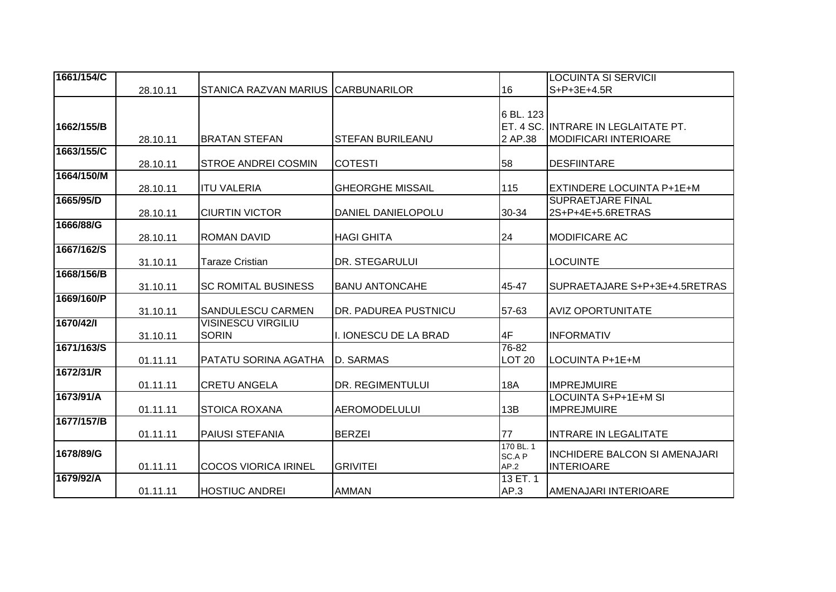| 1661/154/C |          |                                    |                         |                   | <b>LOCUINTA SI SERVICII</b>          |
|------------|----------|------------------------------------|-------------------------|-------------------|--------------------------------------|
|            | 28.10.11 | STANICA RAZVAN MARIUS CARBUNARILOR |                         | 16                | $S+P+3E+4.5R$                        |
|            |          |                                    |                         |                   |                                      |
|            |          |                                    |                         | 6 BL. 123         |                                      |
| 1662/155/B |          |                                    |                         |                   | ET. 4 SC. INTRARE IN LEGLAITATE PT.  |
|            | 28.10.11 | <b>BRATAN STEFAN</b>               | <b>STEFAN BURILEANU</b> | 2 AP.38           | <b>MODIFICARI INTERIOARE</b>         |
| 1663/155/C |          |                                    |                         |                   |                                      |
|            | 28.10.11 | <b>STROE ANDREI COSMIN</b>         | <b>COTESTI</b>          | 58                | <b>DESFIINTARE</b>                   |
| 1664/150/M |          |                                    |                         |                   |                                      |
|            | 28.10.11 | <b>I</b> ITU VALERIA               | <b>GHEORGHE MISSAIL</b> | 115               | <b>EXTINDERE LOCUINTA P+1E+M</b>     |
| 1665/95/D  |          |                                    |                         |                   | <b>SUPRAETJARE FINAL</b>             |
|            | 28.10.11 | <b>CIURTIN VICTOR</b>              | DANIEL DANIELOPOLU      | 30-34             | 2S+P+4E+5.6RETRAS                    |
| 1666/88/G  |          |                                    |                         |                   |                                      |
|            | 28.10.11 | <b>ROMAN DAVID</b>                 | <b>HAGI GHITA</b>       | 24                | <b>MODIFICARE AC</b>                 |
| 1667/162/S |          |                                    |                         |                   |                                      |
|            | 31.10.11 | <b>Taraze Cristian</b>             | DR. STEGARULUI          |                   | <b>LOCUINTE</b>                      |
| 1668/156/B |          |                                    |                         |                   |                                      |
|            | 31.10.11 | <b>SC ROMITAL BUSINESS</b>         | <b>BANU ANTONCAHE</b>   | 45-47             | SUPRAETAJARE S+P+3E+4.5RETRAS        |
| 1669/160/P |          |                                    |                         |                   |                                      |
|            | 31.10.11 | <b>SANDULESCU CARMEN</b>           | DR. PADUREA PUSTNICU    | 57-63             | <b>AVIZ OPORTUNITATE</b>             |
| 1670/42/1  |          | <b>VISINESCU VIRGILIU</b>          |                         |                   |                                      |
|            | 31.10.11 | <b>SORIN</b>                       | I. IONESCU DE LA BRAD   | 4F                | <b>INFORMATIV</b>                    |
| 1671/163/S |          |                                    |                         | 76-82             |                                      |
|            | 01.11.11 | PATATU SORINA AGATHA               | <b>D. SARMAS</b>        | LOT <sub>20</sub> | LOCUINTA P+1E+M                      |
| 1672/31/R  |          |                                    |                         |                   |                                      |
|            | 01.11.11 | <b>CRETU ANGELA</b>                | DR. REGIMENTULUI        | 18A               | <b>IMPREJMUIRE</b>                   |
| 1673/91/A  |          |                                    |                         |                   | LOCUINTA S+P+1E+M SI                 |
| 1677/157/B | 01.11.11 | <b>STOICA ROXANA</b>               | <b>AEROMODELULUI</b>    | 13B               | <b>IMPREJMUIRE</b>                   |
|            |          |                                    |                         |                   |                                      |
|            | 01.11.11 | <b>PAIUSI STEFANIA</b>             | <b>BERZEI</b>           | 77<br>170 BL. 1   | <b>INTRARE IN LEGALITATE</b>         |
| 1678/89/G  |          |                                    |                         | SC.A P            | <b>INCHIDERE BALCON SI AMENAJARI</b> |
|            | 01.11.11 | <b>COCOS VIORICA IRINEL</b>        | <b>GRIVITEI</b>         | AP.2              | <b>INTERIOARE</b>                    |
| 1679/92/A  |          |                                    |                         | 13 ET. 1          |                                      |
|            | 01.11.11 | <b>HOSTIUC ANDREI</b>              | <b>AMMAN</b>            | AP.3              | AMENAJARI INTERIOARE                 |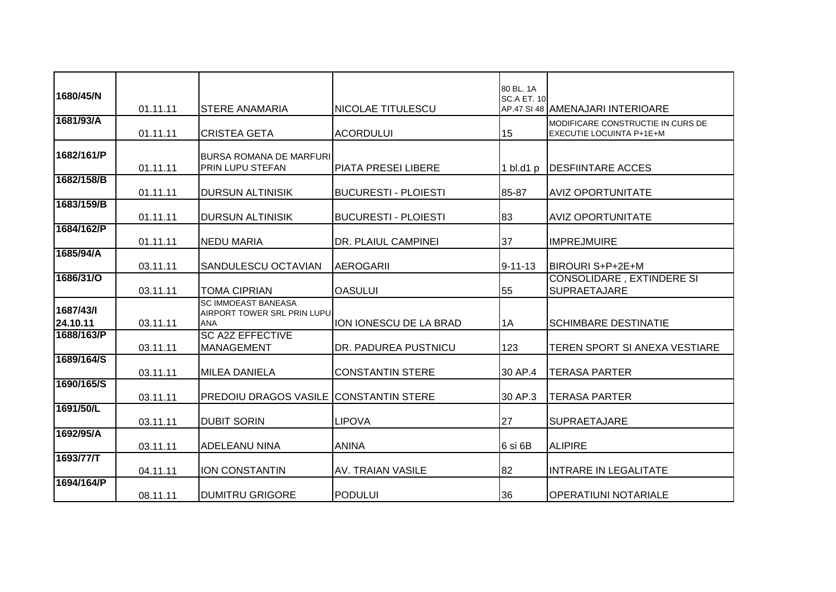| 1680/45/N             | 01.11.11 | <b>STERE ANAMARIA</b>                                                   | <b>NICOLAE TITULESCU</b>    | 80 BL, 1A<br><b>SC.A ET. 10</b> | AP.47 SI 48 AMENAJARI INTERIOARE                                     |
|-----------------------|----------|-------------------------------------------------------------------------|-----------------------------|---------------------------------|----------------------------------------------------------------------|
| 1681/93/A             | 01.11.11 | <b>CRISTEA GETA</b>                                                     | <b>ACORDULUI</b>            | 15                              | MODIFICARE CONSTRUCTIE IN CURS DE<br><b>EXECUTIE LOCUINTA P+1E+M</b> |
| 1682/161/P            | 01.11.11 | <b>BURSA ROMANA DE MARFURI</b><br><b>PRIN LUPU STEFAN</b>               | PIATA PRESEI LIBERE         | 1 $bl$ .d1 $p$                  | <b>DESFIINTARE ACCES</b>                                             |
| 1682/158/B            | 01.11.11 | <b>DURSUN ALTINISIK</b>                                                 | <b>BUCURESTI - PLOIESTI</b> | 85-87                           | <b>AVIZ OPORTUNITATE</b>                                             |
| 1683/159/B            | 01.11.11 | <b>DURSUN ALTINISIK</b>                                                 | <b>BUCURESTI - PLOIESTI</b> | 83                              | <b>AVIZ OPORTUNITATE</b>                                             |
| 1684/162/P            | 01.11.11 | <b>NEDU MARIA</b>                                                       | DR. PLAIUL CAMPINEI         | 37                              | <b>IMPREJMUIRE</b>                                                   |
| 1685/94/A             | 03.11.11 | <b>SANDULESCU OCTAVIAN</b>                                              | <b>AEROGARII</b>            | $9 - 11 - 13$                   | <b>BIROURI S+P+2E+M</b>                                              |
| 1686/31/0             | 03.11.11 | <b>TOMA CIPRIAN</b>                                                     | <b>OASULUI</b>              | 55                              | CONSOLIDARE, EXTINDERE SI<br><b>SUPRAETAJARE</b>                     |
| 1687/43/1<br>24.10.11 | 03.11.11 | <b>SC IMMOEAST BANEASA</b><br>AIRPORT TOWER SRL PRIN LUPU<br><b>ANA</b> | ION IONESCU DE LA BRAD      | 1A                              | <b>SCHIMBARE DESTINATIE</b>                                          |
| 1688/163/P            | 03.11.11 | <b>SC A2Z EFFECTIVE</b><br><b>MANAGEMENT</b>                            | DR. PADUREA PUSTNICU        | 123                             | TEREN SPORT SI ANEXA VESTIARE                                        |
| 1689/164/S            | 03.11.11 | <b>MILEA DANIELA</b>                                                    | <b>CONSTANTIN STERE</b>     | 30 AP.4                         | <b>TERASA PARTER</b>                                                 |
| 1690/165/S            | 03.11.11 | <b>PREDOIU DRAGOS VASILE</b>                                            | <b>CONSTANTIN STERE</b>     | 30 AP.3                         | <b>TERASA PARTER</b>                                                 |
| 1691/50/L             | 03.11.11 | <b>DUBIT SORIN</b>                                                      | <b>LIPOVA</b>               | 27                              | SUPRAETAJARE                                                         |
| 1692/95/A             | 03.11.11 | <b>ADELEANU NINA</b>                                                    | <b>ANINA</b>                | 6 si 6B                         | <b>ALIPIRE</b>                                                       |
| 1693/77/T             | 04.11.11 | <b>ION CONSTANTIN</b>                                                   | <b>AV. TRAIAN VASILE</b>    | 82                              | <b>INTRARE IN LEGALITATE</b>                                         |
| 1694/164/P            | 08.11.11 | <b>DUMITRU GRIGORE</b>                                                  | <b>PODULUI</b>              | 36                              | <b>OPERATIUNI NOTARIALE</b>                                          |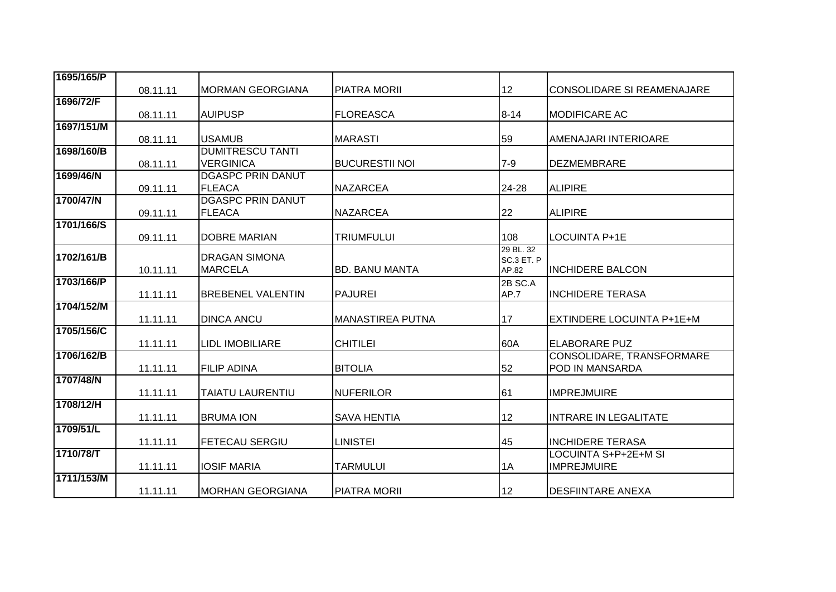| 1695/165/P | 08.11.11 | <b>MORMAN GEORGIANA</b>                     | <b>PIATRA MORII</b>   | 12                               | <b>CONSOLIDARE SI REAMENAJARE</b>            |
|------------|----------|---------------------------------------------|-----------------------|----------------------------------|----------------------------------------------|
| 1696/72/F  | 08.11.11 | <b>AUIPUSP</b>                              | <b>FLOREASCA</b>      | $8 - 14$                         | <b>MODIFICARE AC</b>                         |
| 1697/151/M |          |                                             |                       |                                  |                                              |
|            | 08.11.11 | <b>USAMUB</b>                               | <b>MARASTI</b>        | 59                               | AMENAJARI INTERIOARE                         |
| 1698/160/B | 08.11.11 | <b>DUMITRESCU TANTI</b><br><b>VERGINICA</b> | <b>BUCURESTII NOI</b> | $7 - 9$                          | <b>DEZMEMBRARE</b>                           |
| 1699/46/N  |          | <b>DGASPC PRIN DANUT</b>                    |                       |                                  |                                              |
|            | 09.11.11 | <b>FLEACA</b>                               | <b>NAZARCEA</b>       | 24-28                            | <b>ALIPIRE</b>                               |
| 1700/47/N  | 09.11.11 | <b>DGASPC PRIN DANUT</b><br><b>FLEACA</b>   | <b>NAZARCEA</b>       | 22                               | <b>ALIPIRE</b>                               |
| 1701/166/S |          |                                             |                       |                                  |                                              |
|            | 09.11.11 | <b>DOBRE MARIAN</b>                         | <b>TRIUMFULUI</b>     | 108                              | LOCUINTA P+1E                                |
| 1702/161/B | 10.11.11 | <b>DRAGAN SIMONA</b><br><b>MARCELA</b>      | <b>BD. BANU MANTA</b> | 29 BL. 32<br>SC.3 ET. P<br>AP.82 | <b>INCHIDERE BALCON</b>                      |
| 1703/166/P |          |                                             |                       | 2B SC.A                          |                                              |
|            | 11.11.11 | <b>BREBENEL VALENTIN</b>                    | <b>PAJUREI</b>        | AP.7                             | <b>INCHIDERE TERASA</b>                      |
| 1704/152/M | 11.11.11 | <b>DINCA ANCU</b>                           | MANASTIREA PUTNA      | 17                               | EXTINDERE LOCUINTA P+1E+M                    |
| 1705/156/C | 11.11.11 | <b>LIDL IMOBILIARE</b>                      | <b>CHITILEI</b>       | 60A                              | <b>ELABORARE PUZ</b>                         |
| 1706/162/B | 11.11.11 | <b>FILIP ADINA</b>                          | <b>BITOLIA</b>        | 52                               | CONSOLIDARE, TRANSFORMARE<br>POD IN MANSARDA |
| 1707/48/N  | 11.11.11 | <b>TAIATU LAURENTIU</b>                     | <b>NUFERILOR</b>      | 61                               | <b>IMPREJMUIRE</b>                           |
| 1708/12/H  |          |                                             |                       |                                  |                                              |
|            | 11.11.11 | <b>BRUMA ION</b>                            | <b>SAVA HENTIA</b>    | 12                               | <b>INTRARE IN LEGALITATE</b>                 |
| 1709/51/L  | 11.11.11 | <b>FETECAU SERGIU</b>                       | <b>LINISTEI</b>       | 45                               | <b>INCHIDERE TERASA</b>                      |
| 1710/78/T  |          |                                             |                       |                                  | LOCUINTA S+P+2E+M SI                         |
|            | 11.11.11 | <b>IOSIF MARIA</b>                          | <b>TARMULUI</b>       | 1A                               | <b>IMPREJMUIRE</b>                           |
| 1711/153/M | 11.11.11 | IMORHAN GEORGIANA                           | PIATRA MORII          | 12                               | <b>DESFIINTARE ANEXA</b>                     |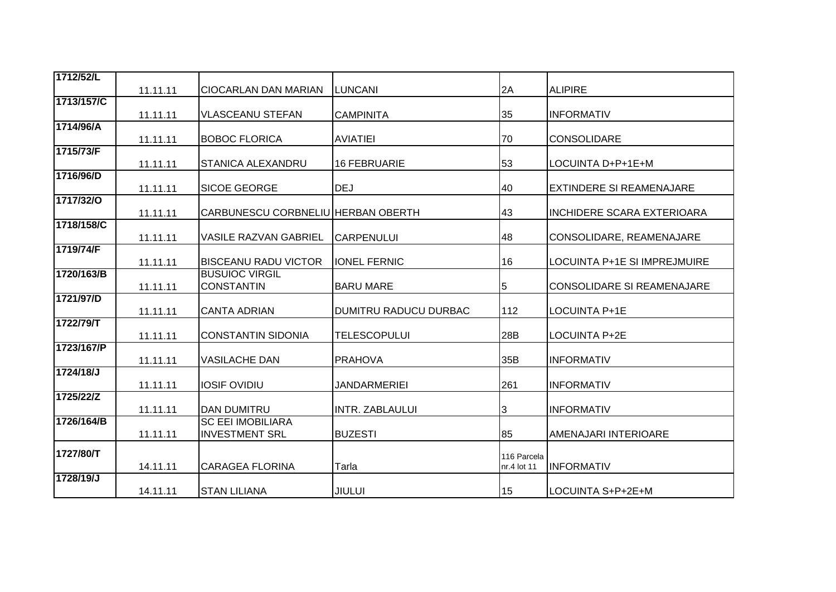| 1712/52/L  | 11.11.11 | <b>CIOCARLAN DAN MARIAN</b>        | LUNCANI                      | 2A          | <b>ALIPIRE</b>                    |
|------------|----------|------------------------------------|------------------------------|-------------|-----------------------------------|
| 1713/157/C | 11.11.11 | <b>VLASCEANU STEFAN</b>            | <b>CAMPINITA</b>             | 35          | <b>INFORMATIV</b>                 |
| 1714/96/A  |          |                                    |                              |             |                                   |
|            | 11.11.11 | <b>BOBOC FLORICA</b>               | <b>AVIATIEI</b>              | 70          | CONSOLIDARE                       |
| 1715/73/F  |          |                                    |                              |             |                                   |
|            | 11.11.11 | <b>STANICA ALEXANDRU</b>           | 16 FEBRUARIE                 | 53          | LOCUINTA D+P+1E+M                 |
| 1716/96/D  | 11.11.11 | <b>SICOE GEORGE</b>                | <b>DEJ</b>                   | 40          | <b>EXTINDERE SI REAMENAJARE</b>   |
| 1717/32/0  | 11.11.11 | CARBUNESCU CORBNELIU HERBAN OBERTH |                              | 43          | <b>INCHIDERE SCARA EXTERIOARA</b> |
| 1718/158/C |          |                                    |                              |             |                                   |
|            | 11.11.11 | <b>VASILE RAZVAN GABRIEL</b>       | <b>CARPENULUI</b>            | 48          | CONSOLIDARE, REAMENAJARE          |
| 1719/74/F  |          |                                    |                              |             |                                   |
|            | 11.11.11 | <b>BISCEANU RADU VICTOR</b>        | <b>IONEL FERNIC</b>          | 16          | LOCUINTA P+1E SI IMPREJMUIRE      |
| 1720/163/B |          | <b>BUSUIOC VIRGIL</b>              |                              |             |                                   |
|            | 11.11.11 | <b>CONSTANTIN</b>                  | <b>BARU MARE</b>             | 5           | <b>CONSOLIDARE SI REAMENAJARE</b> |
| 1721/97/D  |          |                                    |                              |             |                                   |
|            | 11.11.11 | <b>CANTA ADRIAN</b>                | <b>DUMITRU RADUCU DURBAC</b> | 112         | LOCUINTA P+1E                     |
| 1722/79/T  |          |                                    |                              |             |                                   |
|            | 11.11.11 | <b>CONSTANTIN SIDONIA</b>          | <b>TELESCOPULUI</b>          | 28B         | <b>LOCUINTA P+2E</b>              |
| 1723/167/P |          |                                    |                              |             |                                   |
|            |          | <b>VASILACHE DAN</b>               | <b>PRAHOVA</b>               | 35B         | <b>INFORMATIV</b>                 |
|            | 11.11.11 |                                    |                              |             |                                   |
| 1724/18/J  | 11.11.11 | <b>IOSIF OVIDIU</b>                | JANDARMERIEI                 | 261         | <b>INFORMATIV</b>                 |
| 1725/22/Z  |          |                                    |                              |             |                                   |
|            | 11.11.11 | <b>DAN DUMITRU</b>                 | <b>INTR. ZABLAULUI</b>       | 3           | <b>INFORMATIV</b>                 |
| 1726/164/B |          | <b>SC EEI IMOBILIARA</b>           |                              |             |                                   |
|            |          | <b>INVESTMENT SRL</b>              | <b>BUZESTI</b>               |             |                                   |
|            | 11.11.11 |                                    |                              | 85          | AMENAJARI INTERIOARE              |
| 1727/80/T  |          |                                    |                              | 116 Parcela |                                   |
|            | 14.11.11 | <b>CARAGEA FLORINA</b>             | Tarla                        | nr.4 lot 11 | <b>INFORMATIV</b>                 |
| 1728/19/J  |          |                                    |                              |             |                                   |
|            | 14.11.11 | <b>STAN LILIANA</b>                | <b>JIULUI</b>                | 15          | LOCUINTA S+P+2E+M                 |
|            |          |                                    |                              |             |                                   |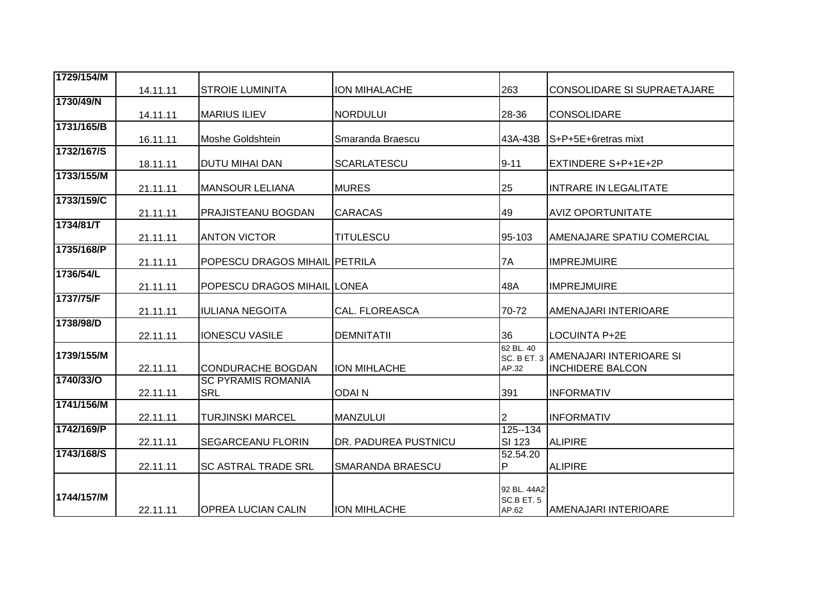| 1729/154/M |          |                               |                       |             |                                     |
|------------|----------|-------------------------------|-----------------------|-------------|-------------------------------------|
|            | 14.11.11 | <b>STROIE LUMINITA</b>        | <b>ION MIHALACHE</b>  | 263         | CONSOLIDARE SI SUPRAETAJARE         |
| 1730/49/N  |          |                               |                       |             |                                     |
|            | 14.11.11 | <b>MARIUS ILIEV</b>           | <b>NORDULUI</b>       | 28-36       | <b>CONSOLIDARE</b>                  |
| 1731/165/B |          |                               |                       |             |                                     |
|            | 16.11.11 | Moshe Goldshtein              | Smaranda Braescu      | 43A-43B     | S+P+5E+6retras mixt                 |
| 1732/167/S |          |                               |                       |             |                                     |
|            | 18.11.11 | <b>DUTU MIHAI DAN</b>         | <b>SCARLATESCU</b>    | $9 - 11$    | EXTINDERE S+P+1E+2P                 |
| 1733/155/M |          |                               |                       |             |                                     |
|            | 21.11.11 | <b>MANSOUR LELIANA</b>        | <b>MURES</b>          | 25          | <b>INTRARE IN LEGALITATE</b>        |
| 1733/159/C |          |                               |                       |             |                                     |
|            | 21.11.11 | <b>PRAJISTEANU BOGDAN</b>     | <b>CARACAS</b>        | 49          | <b>AVIZ OPORTUNITATE</b>            |
| 1734/81/T  |          |                               |                       |             |                                     |
|            | 21.11.11 | <b>ANTON VICTOR</b>           | <b>TITULESCU</b>      | 95-103      | AMENAJARE SPATIU COMERCIAL          |
| 1735/168/P |          |                               |                       |             |                                     |
|            | 21.11.11 | POPESCU DRAGOS MIHAIL PETRILA |                       | 7A          | <b>IMPREJMUIRE</b>                  |
| 1736/54/L  |          |                               |                       |             |                                     |
|            | 21.11.11 | POPESCU DRAGOS MIHAIL LONEA   |                       | 48A         | <b>IMPREJMUIRE</b>                  |
| 1737/75/F  |          |                               |                       |             |                                     |
|            | 21.11.11 | <b>IULIANA NEGOITA</b>        | <b>CAL. FLOREASCA</b> | 70-72       | AMENAJARI INTERIOARE                |
| 1738/98/D  |          |                               |                       |             |                                     |
|            | 22.11.11 | <b>IONESCU VASILE</b>         | <b>DEMNITATII</b>     | 36          | <b>LOCUINTA P+2E</b>                |
|            |          |                               |                       | 62 BL. 40   |                                     |
| 1739/155/M |          |                               |                       |             | SC. B ET. 3 AMENAJARI INTERIOARE SI |
|            | 22.11.11 | <b>CONDURACHE BOGDAN</b>      | <b>ION MIHLACHE</b>   | AP.32       | <b>INCHIDERE BALCON</b>             |
| 1740/33/0  |          | <b>SC PYRAMIS ROMANIA</b>     |                       |             |                                     |
|            | 22.11.11 | <b>SRL</b>                    | <b>ODAIN</b>          | 391         | <b>INFORMATIV</b>                   |
| 1741/156/M |          |                               |                       |             |                                     |
|            | 22.11.11 | <b>TURJINSKI MARCEL</b>       | <b>MANZULUI</b>       | 2           | <b>INFORMATIV</b>                   |
| 1742/169/P |          |                               |                       | 125--134    |                                     |
|            | 22.11.11 | <b>SEGARCEANU FLORIN</b>      | DR. PADUREA PUSTNICU  | SI 123      | <b>ALIPIRE</b>                      |
| 1743/168/S |          |                               |                       | 52.54.20    |                                     |
|            | 22.11.11 | <b>SC ASTRAL TRADE SRL</b>    | SMARANDA BRAESCU      | P           | <b>ALIPIRE</b>                      |
|            |          |                               |                       |             |                                     |
|            |          |                               |                       | 92 BL. 44A2 |                                     |
| 1744/157/M |          |                               |                       | SC.B ET. 5  |                                     |
|            | 22.11.11 | <b>OPREA LUCIAN CALIN</b>     | <b>ION MIHLACHE</b>   | AP.62       | AMENAJARI INTERIOARE                |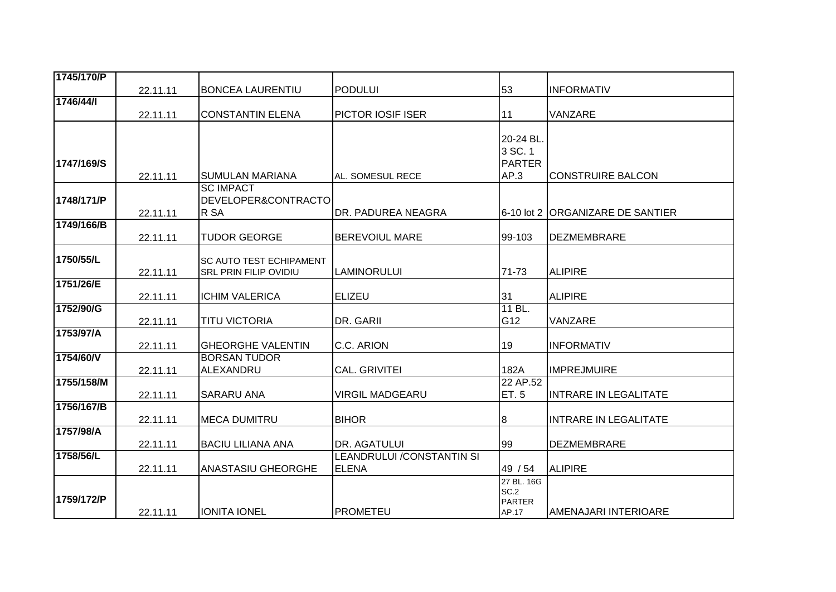| 1745/170/P |          |                                                 |                            |                       |                                  |
|------------|----------|-------------------------------------------------|----------------------------|-----------------------|----------------------------------|
|            | 22.11.11 | <b>BONCEA LAURENTIU</b>                         | <b>PODULUI</b>             | 53                    | <b>INFORMATIV</b>                |
| 1746/44/   |          |                                                 |                            |                       |                                  |
|            | 22.11.11 | <b>CONSTANTIN ELENA</b>                         | PICTOR IOSIF ISER          | 11                    | VANZARE                          |
|            |          |                                                 |                            |                       |                                  |
|            |          |                                                 |                            | 20-24 BL.             |                                  |
|            |          |                                                 |                            | 3 SC. 1               |                                  |
| 1747/169/S |          |                                                 | AL. SOMESUL RECE           | <b>PARTER</b><br>AP.3 |                                  |
|            | 22.11.11 | <b>SUMULAN MARIANA</b><br><b>SC IMPACT</b>      |                            |                       | <b>CONSTRUIRE BALCON</b>         |
| 1748/171/P |          | DEVELOPER&CONTRACTO                             |                            |                       |                                  |
|            | 22.11.11 | R SA                                            | DR. PADUREA NEAGRA         |                       | 6-10 lot 2 ORGANIZARE DE SANTIER |
| 1749/166/B |          |                                                 |                            |                       |                                  |
|            | 22.11.11 | <b>TUDOR GEORGE</b>                             | <b>BEREVOIUL MARE</b>      | 99-103                | <b>DEZMEMBRARE</b>               |
|            |          |                                                 |                            |                       |                                  |
| 1750/55/L  |          | <b>SC AUTO TEST ECHIPAMENT</b>                  |                            |                       |                                  |
|            | 22.11.11 | <b>SRL PRIN FILIP OVIDIU</b>                    | <b>LAMINORULUI</b>         | 71-73                 | <b>ALIPIRE</b>                   |
| 1751/26/E  |          |                                                 |                            |                       |                                  |
|            | 22.11.11 | <b>ICHIM VALERICA</b>                           | <b>ELIZEU</b>              | 31                    | <b>ALIPIRE</b>                   |
| 1752/90/G  |          |                                                 |                            | 11 BL.                |                                  |
|            | 22.11.11 | <b>TITU VICTORIA</b>                            | DR. GARII                  | G12                   | VANZARE                          |
| 1753/97/A  |          |                                                 |                            |                       |                                  |
| 1754/60/V  | 22.11.11 | <b>GHEORGHE VALENTIN</b><br><b>BORSAN TUDOR</b> | C.C. ARION                 | 19                    | <b>INFORMATIV</b>                |
|            | 22.11.11 | ALEXANDRU                                       | <b>CAL. GRIVITEI</b>       | 182A                  | <b>IMPREJMUIRE</b>               |
| 1755/158/M |          |                                                 |                            | 22 AP.52              |                                  |
|            | 22.11.11 | <b>SARARU ANA</b>                               | <b>VIRGIL MADGEARU</b>     | <b>ET.5</b>           | <b>INTRARE IN LEGALITATE</b>     |
| 1756/167/B |          |                                                 |                            |                       |                                  |
|            | 22.11.11 | <b>MECA DUMITRU</b>                             | <b>BIHOR</b>               | 8                     | <b>INTRARE IN LEGALITATE</b>     |
| 1757/98/A  |          |                                                 |                            |                       |                                  |
|            | 22.11.11 | <b>BACIU LILIANA ANA</b>                        | DR. AGATULUI               | 99                    | <b>DEZMEMBRARE</b>               |
| 1758/56/L  |          |                                                 | LEANDRULUI / CONSTANTIN SI |                       |                                  |
|            | 22.11.11 | <b>ANASTASIU GHEORGHE</b>                       | <b>ELENA</b>               | 49 / 54               | <b>ALIPIRE</b>                   |
|            |          |                                                 |                            | 27 BL. 16G            |                                  |
| 1759/172/P |          |                                                 |                            | SC.2<br><b>PARTER</b> |                                  |
|            | 22.11.11 | <b>IONITA IONEL</b>                             | <b>PROMETEU</b>            | AP.17                 | AMENAJARI INTERIOARE             |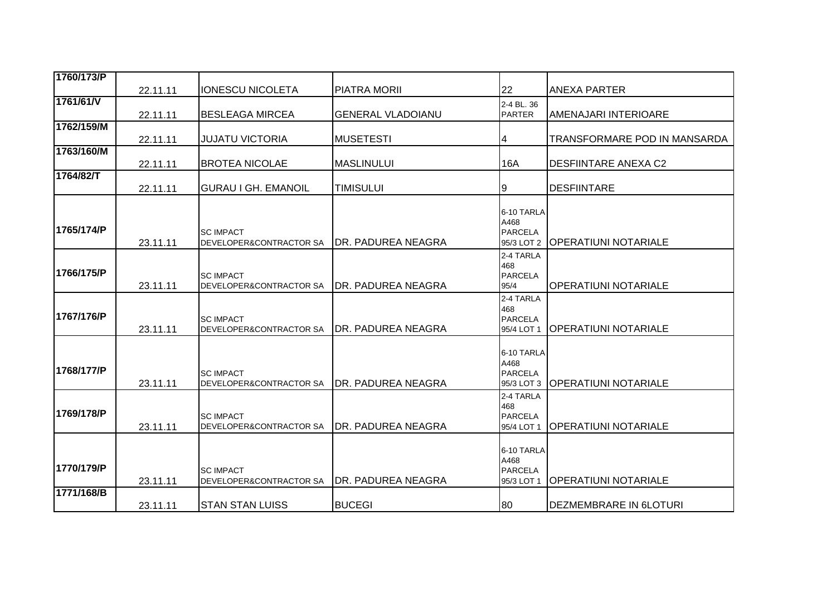| 1760/173/P |          |                                             |                           |                                                    |                               |
|------------|----------|---------------------------------------------|---------------------------|----------------------------------------------------|-------------------------------|
|            | 22.11.11 | <b>IONESCU NICOLETA</b>                     | <b>PIATRA MORII</b>       | 22                                                 | <b>ANEXA PARTER</b>           |
| 1761/61/V  | 22.11.11 | <b>BESLEAGA MIRCEA</b>                      | <b>GENERAL VLADOIANU</b>  | 2-4 BL. 36<br><b>PARTER</b>                        | <b>AMENAJARI INTERIOARE</b>   |
| 1762/159/M | 22.11.11 | <b>JUJATU VICTORIA</b>                      | <b>MUSETESTI</b>          | 4                                                  | TRANSFORMARE POD IN MANSARDA  |
| 1763/160/M | 22.11.11 | <b>BROTEA NICOLAE</b>                       | <b>MASLINULUI</b>         | 16A                                                | <b>DESFIINTARE ANEXA C2</b>   |
| 1764/82/T  | 22.11.11 | <b>GURAU I GH. EMANOIL</b>                  | <b>TIMISULUI</b>          | 9                                                  | <b>DESFIINTARE</b>            |
| 1765/174/P | 23.11.11 | <b>SC IMPACT</b><br>DEVELOPER&CONTRACTOR SA | <b>DR. PADUREA NEAGRA</b> | 6-10 TARLA<br>A468<br><b>PARCELA</b><br>95/3 LOT 2 | <b> OPERATIUNI NOTARIALE</b>  |
| 1766/175/P | 23.11.11 | <b>SC IMPACT</b><br>DEVELOPER&CONTRACTOR SA | IDR. PADUREA NEAGRA       | 2-4 TARLA<br>468<br><b>PARCELA</b><br>95/4         | <b>OPERATIUNI NOTARIALE</b>   |
| 1767/176/P | 23.11.11 | <b>SC IMPACT</b><br>DEVELOPER&CONTRACTOR SA | DR. PADUREA NEAGRA        | 2-4 TARLA<br>468<br><b>PARCELA</b><br>95/4 LOT 1   | <b>OPERATIUNI NOTARIALE</b>   |
| 1768/177/P | 23.11.11 | <b>SC IMPACT</b><br>DEVELOPER&CONTRACTOR SA | DR. PADUREA NEAGRA        | 6-10 TARLA<br>A468<br><b>PARCELA</b><br>95/3 LOT 3 | <b>OPERATIUNI NOTARIALE</b>   |
| 1769/178/P | 23.11.11 | <b>SC IMPACT</b><br>DEVELOPER&CONTRACTOR SA | IDR. PADUREA NEAGRA       | 2-4 TARLA<br>468<br><b>PARCELA</b><br>95/4 LOT 1   | <b>OPERATIUNI NOTARIALE</b>   |
| 1770/179/P | 23.11.11 | <b>SC IMPACT</b><br>DEVELOPER&CONTRACTOR SA | <b>DR. PADUREA NEAGRA</b> | 6-10 TARLA<br>A468<br><b>PARCELA</b><br>95/3 LOT 1 | <b>OPERATIUNI NOTARIALE</b>   |
| 1771/168/B | 23.11.11 | <b>STAN STAN LUISS</b>                      | <b>BUCEGI</b>             | 80                                                 | <b>DEZMEMBRARE IN 6LOTURI</b> |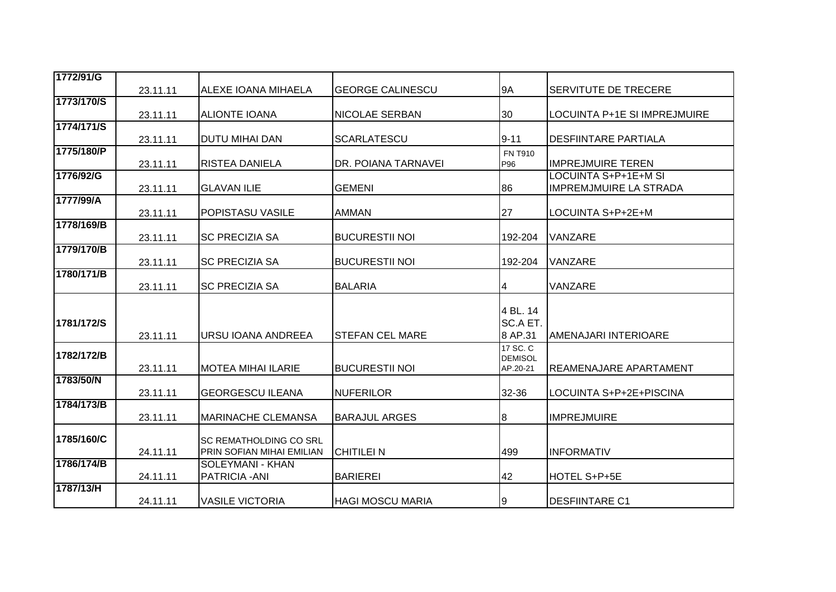| 1772/91/G  |          |                                                            |                         |                                        |                                                |
|------------|----------|------------------------------------------------------------|-------------------------|----------------------------------------|------------------------------------------------|
|            | 23.11.11 | <b>ALEXE IOANA MIHAELA</b>                                 | <b>GEORGE CALINESCU</b> | 9A                                     | <b>SERVITUTE DE TRECERE</b>                    |
| 1773/170/S |          |                                                            |                         |                                        |                                                |
|            | 23.11.11 | <b>ALIONTE IOANA</b>                                       | <b>NICOLAE SERBAN</b>   | 30                                     | LOCUINTA P+1E SI IMPREJMUIRE                   |
| 1774/171/S | 23.11.11 | <b>DUTU MIHAI DAN</b>                                      | <b>SCARLATESCU</b>      | $9 - 11$                               | <b>DESFIINTARE PARTIALA</b>                    |
| 1775/180/P | 23.11.11 | <b>RISTEA DANIELA</b>                                      | DR. POIANA TARNAVEI     | <b>FN T910</b><br>P96                  | <b>IMPREJMUIRE TEREN</b>                       |
| 1776/92/G  | 23.11.11 | <b>GLAVAN ILIE</b>                                         | <b>GEMENI</b>           | 86                                     | LOCUINTA S+P+1E+M SI<br>IMPREMJMUIRE LA STRADA |
| 1777/99/A  | 23.11.11 | IPOPISTASU VASILE                                          | <b>AMMAN</b>            | 27                                     | LOCUINTA S+P+2E+M                              |
| 1778/169/B | 23.11.11 | <b>SC PRECIZIA SA</b>                                      | <b>BUCURESTII NOI</b>   | 192-204                                | <b>VANZARE</b>                                 |
| 1779/170/B | 23.11.11 | <b>SC PRECIZIA SA</b>                                      | <b>BUCURESTII NOI</b>   | 192-204                                | VANZARE                                        |
| 1780/171/B | 23.11.11 | <b>SC PRECIZIA SA</b>                                      | <b>BALARIA</b>          | 4                                      | <b>VANZARE</b>                                 |
| 1781/172/S | 23.11.11 | IURSU IOANA ANDREEA                                        | <b>STEFAN CEL MARE</b>  | 4 BL. 14<br>SC.A ET.<br>8 AP.31        | AMENAJARI INTERIOARE                           |
| 1782/172/B | 23.11.11 | <b>MOTEA MIHAI ILARIE</b>                                  | <b>BUCURESTII NOI</b>   | 17 SC. C<br><b>DEMISOL</b><br>AP.20-21 | <b>REAMENAJARE APARTAMENT</b>                  |
| 1783/50/N  | 23.11.11 | <b>GEORGESCU ILEANA</b>                                    | <b>NUFERILOR</b>        | 32-36                                  | LOCUINTA S+P+2E+PISCINA                        |
| 1784/173/B | 23.11.11 | <b>MARINACHE CLEMANSA</b>                                  | <b>BARAJUL ARGES</b>    | 8                                      | <b>IMPREJMUIRE</b>                             |
| 1785/160/C | 24.11.11 | <b>SC REMATHOLDING CO SRL</b><br>PRIN SOFIAN MIHAI EMILIAN | <b>CHITILEI N</b>       | 499                                    | <b>INFORMATIV</b>                              |
| 1786/174/B | 24.11.11 | SOLEYMANI - KHAN<br>PATRICIA - ANI                         | <b>BARIEREI</b>         | 42                                     | HOTEL S+P+5E                                   |
| 1787/13/H  | 24.11.11 | <b>VASILE VICTORIA</b>                                     | <b>HAGI MOSCU MARIA</b> | 9                                      | <b>DESFIINTARE C1</b>                          |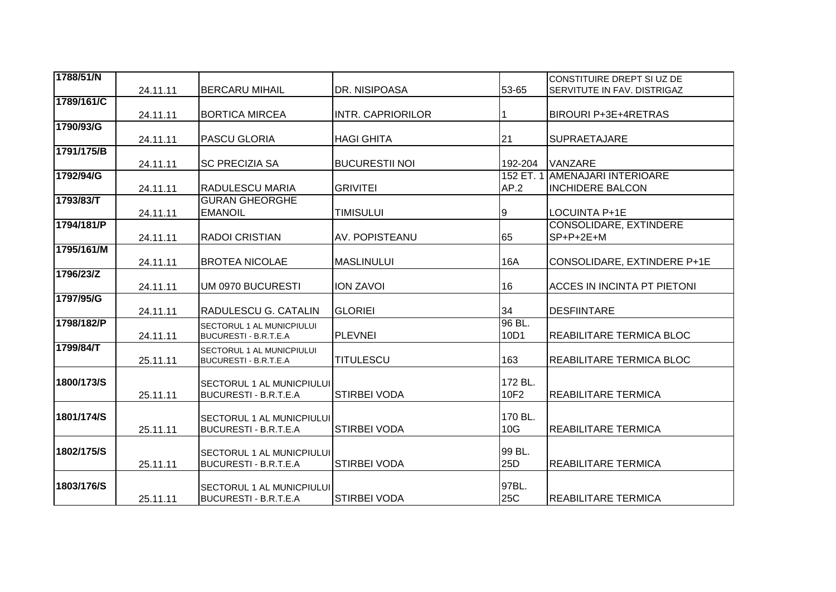| 1788/51/N  |          |                                  |                          |            | CONSTITUIRE DREPT SI UZ DE         |
|------------|----------|----------------------------------|--------------------------|------------|------------------------------------|
|            | 24.11.11 | <b>BERCARU MIHAIL</b>            | DR. NISIPOASA            | 53-65      | SERVITUTE IN FAV. DISTRIGAZ        |
| 1789/161/C |          |                                  |                          |            |                                    |
|            | 24.11.11 | <b>BORTICA MIRCEA</b>            | <b>INTR. CAPRIORILOR</b> |            | <b>BIROURI P+3E+4RETRAS</b>        |
| 1790/93/G  |          |                                  |                          |            |                                    |
|            | 24.11.11 | <b>PASCU GLORIA</b>              | <b>HAGI GHITA</b>        | 21         | <b>SUPRAETAJARE</b>                |
| 1791/175/B |          |                                  |                          |            |                                    |
|            | 24.11.11 | <b>SC PRECIZIA SA</b>            | <b>BUCURESTII NOI</b>    | 192-204    | <b>VANZARE</b>                     |
| 1792/94/G  |          |                                  |                          | 152 ET. 1  | <b>AMENAJARI INTERIOARE</b>        |
|            | 24.11.11 | <b>RADULESCU MARIA</b>           | <b>GRIVITEI</b>          | AP.2       | <b>INCHIDERE BALCON</b>            |
| 1793/83/T  |          | <b>GURAN GHEORGHE</b>            |                          |            |                                    |
|            | 24.11.11 | <b>EMANOIL</b>                   | <b>TIMISULUI</b>         | 9          | LOCUINTA P+1E                      |
| 1794/181/P |          |                                  |                          |            | <b>CONSOLIDARE, EXTINDERE</b>      |
|            | 24.11.11 | <b>RADOI CRISTIAN</b>            | AV. POPISTEANU           | 65         | $SP+P+2E+M$                        |
| 1795/161/M |          |                                  |                          |            |                                    |
|            | 24.11.11 | <b>BROTEA NICOLAE</b>            | <b>MASLINULUI</b>        | <b>16A</b> | CONSOLIDARE, EXTINDERE P+1E        |
| 1796/23/Z  |          |                                  |                          |            |                                    |
|            | 24.11.11 | UM 0970 BUCURESTI                | <b>ION ZAVOI</b>         | 16         | <b>ACCES IN INCINTA PT PIETONI</b> |
| 1797/95/G  |          |                                  |                          |            |                                    |
|            | 24.11.11 | RADULESCU G. CATALIN             | <b>GLORIEI</b>           | 34         | <b>DESFIINTARE</b>                 |
| 1798/182/P |          | SECTORUL 1 AL MUNICPIULUI        |                          | 96 BL.     |                                    |
|            | 24.11.11 | <b>BUCURESTI - B.R.T.E.A</b>     | <b>PLEVNEI</b>           | 10D1       | REABILITARE TERMICA BLOC           |
| 1799/84/T  |          | <b>SECTORUL 1 AL MUNICPIULUI</b> |                          |            |                                    |
|            | 25.11.11 | BUCURESTI - B.R.T.E.A            | <b>TITULESCU</b>         | 163        | REABILITARE TERMICA BLOC           |
|            |          |                                  |                          |            |                                    |
| 1800/173/S |          | <b>SECTORUL 1 AL MUNICPIULUI</b> |                          | 172 BL.    |                                    |
|            | 25.11.11 | <b>BUCURESTI - B.R.T.E.A</b>     | <b>STIRBEI VODA</b>      | 10F2       | <b>REABILITARE TERMICA</b>         |
|            |          |                                  |                          |            |                                    |
| 1801/174/S |          | <b>SECTORUL 1 AL MUNICPIULUI</b> |                          | 170 BL.    |                                    |
|            | 25.11.11 | <b>BUCURESTI - B.R.T.E.A</b>     | <b>STIRBEI VODA</b>      | 10G        | <b>REABILITARE TERMICA</b>         |
|            |          |                                  |                          |            |                                    |
| 1802/175/S |          | SECTORUL 1 AL MUNICPIULUI        |                          | 99 BL.     |                                    |
|            | 25.11.11 | <b>BUCURESTI - B.R.T.E.A</b>     | <b>STIRBEI VODA</b>      | 25D        | <b>REABILITARE TERMICA</b>         |
| 1803/176/S |          | <b>SECTORUL 1 AL MUNICPIULUI</b> |                          | 97BL.      |                                    |
|            | 25.11.11 | <b>BUCURESTI - B.R.T.E.A</b>     | <b>STIRBEI VODA</b>      | 25C        | <b>REABILITARE TERMICA</b>         |
|            |          |                                  |                          |            |                                    |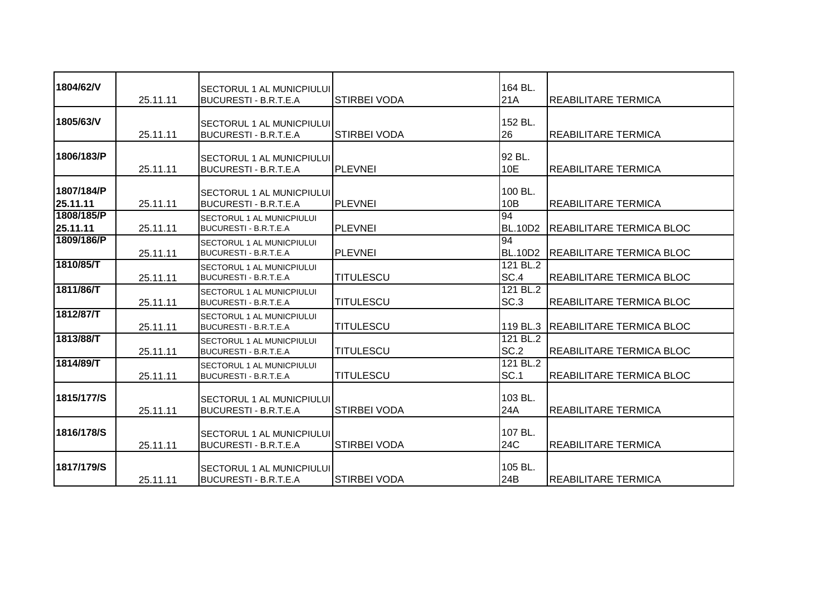| 1804/62/V              | 25.11.11 | <b>SECTORUL 1 AL MUNICPIULUI</b><br><b>BUCURESTI - B.R.T.E.A</b> | <b>STIRBEI VODA</b> | 164 BL.<br>21A          | <b>REABILITARE TERMICA</b>        |
|------------------------|----------|------------------------------------------------------------------|---------------------|-------------------------|-----------------------------------|
| 1805/63/V              | 25.11.11 | <b>SECTORUL 1 AL MUNICPIULUI</b><br><b>BUCURESTI - B.R.T.E.A</b> | <b>STIRBEI VODA</b> | 152 BL.<br><b>26</b>    | <b>REABILITARE TERMICA</b>        |
| 1806/183/P             | 25.11.11 | <b>SECTORUL 1 AL MUNICPIULUI</b><br><b>BUCURESTI - B.R.T.E.A</b> | <b>PLEVNEI</b>      | 92 BL.<br>10E           | <b>REABILITARE TERMICA</b>        |
| 1807/184/P<br>25.11.11 | 25.11.11 | <b>SECTORUL 1 AL MUNICPIULUI</b><br>BUCURESTI - B.R.T.E.A        | PLEVNEI             | 100 BL.<br>10B          | IREABILITARE TERMICA              |
| 1808/185/P<br>25.11.11 | 25.11.11 | SECTORUL 1 AL MUNICPIULUI<br>BUCURESTI - B.R.T.E.A               | <b>PLEVNEI</b>      | 94<br><b>BL.10D2</b>    | <b>REABILITARE TERMICA BLOC</b>   |
| 1809/186/P             | 25.11.11 | SECTORUL 1 AL MUNICPIULUI<br>BUCURESTI - B.R.T.E.A               | <b>PLEVNEI</b>      | 94<br><b>BL.10D2</b>    | <b>REABILITARE TERMICA BLOC</b>   |
| 1810/85/T              | 25.11.11 | <b>SECTORUL 1 AL MUNICPIULUI</b><br><b>BUCURESTI - B.R.T.E.A</b> | <b>TITULESCU</b>    | 121 BL.2<br>SC.4        | REABILITARE TERMICA BLOC          |
| 1811/86/T              | 25.11.11 | SECTORUL 1 AL MUNICPIULUI<br>BUCURESTI - B.R.T.E.A               | <b>TITULESCU</b>    | 121 BL.2<br>SC.3        | <b>REABILITARE TERMICA BLOC</b>   |
| 1812/87/T              | 25.11.11 | <b>SECTORUL 1 AL MUNICPIULUI</b><br><b>BUCURESTI - B.R.T.E.A</b> | <b>TITULESCU</b>    |                         | 119 BL.3 REABILITARE TERMICA BLOC |
| 1813/88/T              | 25.11.11 | <b>SECTORUL 1 AL MUNICPIULUI</b><br>BUCURESTI - B.R.T.E.A        | <b>TITULESCU</b>    | 121 BL.2<br>SC.2        | <b>REABILITARE TERMICA BLOC</b>   |
| 1814/89/T              | 25.11.11 | SECTORUL 1 AL MUNICPIULUI<br>BUCURESTI - B.R.T.E.A               | <b>TITULESCU</b>    | 121 BL.2<br><b>SC.1</b> | <b>REABILITARE TERMICA BLOC</b>   |
| 1815/177/S             | 25.11.11 | <b>SECTORUL 1 AL MUNICPIULUI</b><br><b>BUCURESTI - B.R.T.E.A</b> | <b>STIRBEI VODA</b> | 103 BL.<br>24A          | <b>REABILITARE TERMICA</b>        |
| 1816/178/S             | 25.11.11 | SECTORUL 1 AL MUNICPIULUI<br><b>BUCURESTI - B.R.T.E.A</b>        | <b>STIRBEI VODA</b> | 107 BL.<br>24C          | <b>REABILITARE TERMICA</b>        |
| 1817/179/S             | 25.11.11 | <b>SECTORUL 1 AL MUNICPIULUI</b><br><b>BUCURESTI - B.R.T.E.A</b> | <b>STIRBEI VODA</b> | 105 BL.<br>24B          | <b>REABILITARE TERMICA</b>        |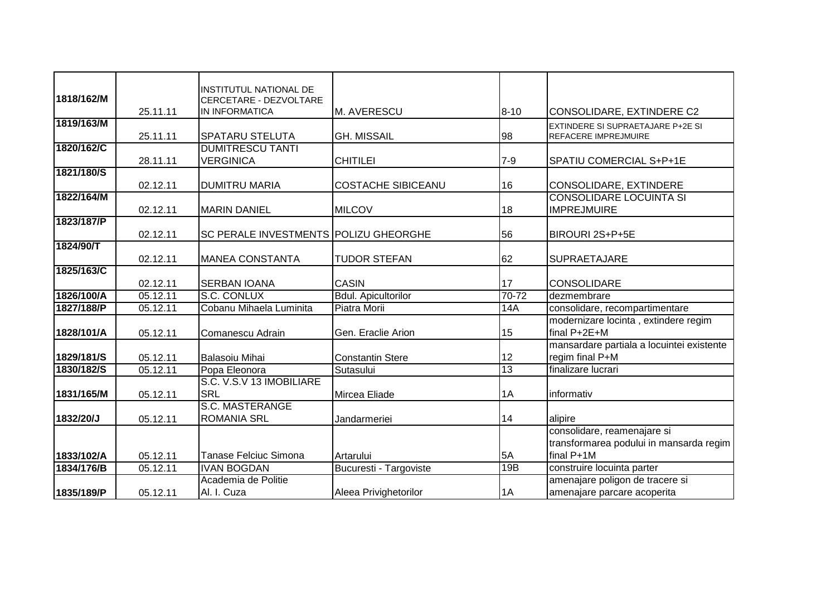|            |          | <b>INSTITUTUL NATIONAL DE</b>         |                               |            |                                           |
|------------|----------|---------------------------------------|-------------------------------|------------|-------------------------------------------|
| 1818/162/M |          | CERCETARE - DEZVOLTARE                |                               |            |                                           |
|            | 25.11.11 | <b>IN INFORMATICA</b>                 | M. AVERESCU                   | $8 - 10$   | CONSOLIDARE, EXTINDERE C2                 |
| 1819/163/M |          |                                       |                               |            | EXTINDERE SI SUPRAETAJARE P+2E SI         |
|            | 25.11.11 | <b>SPATARU STELUTA</b>                | <b>GH. MISSAIL</b>            | 98         | REFACERE IMPREJMUIRE                      |
| 1820/162/C |          | <b>DUMITRESCU TANTI</b>               |                               |            |                                           |
|            | 28.11.11 | <b>VERGINICA</b>                      | <b>CHITILEI</b>               | $7 - 9$    | SPATIU COMERCIAL S+P+1E                   |
| 1821/180/S |          |                                       |                               |            |                                           |
|            | 02.12.11 | <b>DUMITRU MARIA</b>                  | <b>COSTACHE SIBICEANU</b>     | 16         | CONSOLIDARE, EXTINDERE                    |
| 1822/164/M |          |                                       |                               |            | <b>CONSOLIDARE LOCUINTA SI</b>            |
|            | 02.12.11 | <b>MARIN DANIEL</b>                   | <b>MILCOV</b>                 | 18         | <b>IMPREJMUIRE</b>                        |
| 1823/187/P |          |                                       |                               |            |                                           |
|            | 02.12.11 | SC PERALE INVESTMENTS POLIZU GHEORGHE |                               | 56         | BIROURI 2S+P+5E                           |
| 1824/90/T  |          |                                       |                               |            |                                           |
|            | 02.12.11 | <b>MANEA CONSTANTA</b>                | <b>TUDOR STEFAN</b>           | 62         | <b>SUPRAETAJARE</b>                       |
| 1825/163/C |          |                                       |                               |            |                                           |
|            | 02.12.11 | <b>SERBAN IOANA</b>                   | <b>CASIN</b>                  | 17         | <b>CONSOLIDARE</b>                        |
| 1826/100/A | 05.12.11 | S.C. CONLUX                           | <b>Bdul. Apicultorilor</b>    | $70-72$    | dezmembrare                               |
| 1827/188/P | 05.12.11 | Cobanu Mihaela Luminita               | Piatra Morii                  | <b>14A</b> | consolidare, recompartimentare            |
|            |          |                                       |                               |            | modernizare locinta, extindere regim      |
| 1828/101/A | 05.12.11 | Comanescu Adrain                      | Gen. Eraclie Arion            | 15         | final P+2E+M                              |
|            |          |                                       |                               |            | mansardare partiala a locuintei existente |
| 1829/181/S | 05.12.11 | <b>Balasoiu Mihai</b>                 | <b>Constantin Stere</b>       | 12         | regim final P+M                           |
| 1830/182/S | 05.12.11 | Popa Eleonora                         | Sutasului                     | 13         | finalizare lucrari                        |
|            |          | S.C. V.S.V 13 IMOBILIARE              |                               |            |                                           |
| 1831/165/M | 05.12.11 | <b>SRL</b>                            | Mircea Eliade                 | 1A         | informativ                                |
|            |          | <b>S.C. MASTERANGE</b>                |                               |            |                                           |
| 1832/20/J  | 05.12.11 | <b>ROMANIA SRL</b>                    | Jandarmeriei                  | 14         | alipire                                   |
|            |          |                                       |                               |            | consolidare, reamenajare si               |
|            |          |                                       |                               |            | transformarea podului in mansarda regim   |
| 1833/102/A | 05.12.11 | Tanase Felciuc Simona                 | Artarului                     | 5A         | final P+1M                                |
| 1834/176/B | 05.12.11 | <b>IVAN BOGDAN</b>                    | <b>Bucuresti - Targoviste</b> | 19B        | construire locuinta parter                |
|            |          | Academia de Politie                   |                               |            | amenajare poligon de tracere si           |
| 1835/189/P | 05.12.11 | Al. I. Cuza                           | Aleea Privighetorilor         | 1A         | amenajare parcare acoperita               |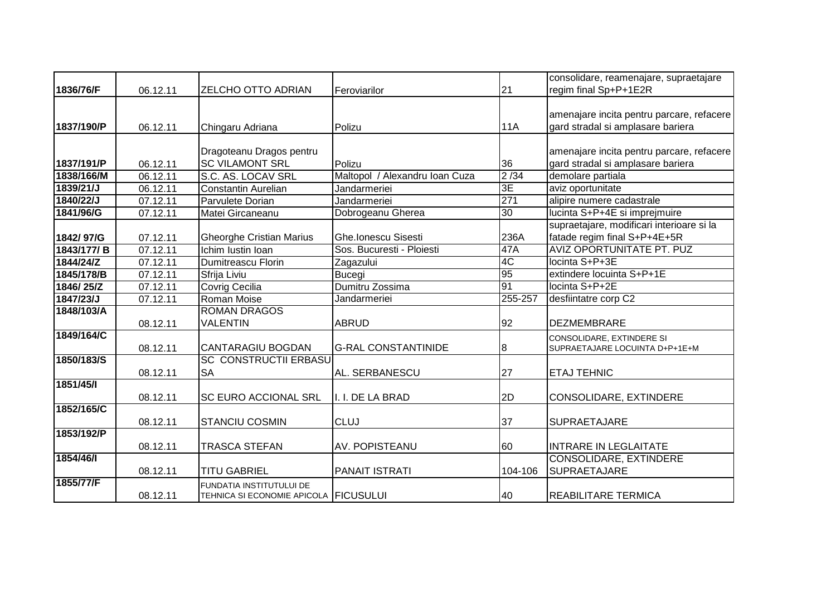|            |          |                                       |                                |            | consolidare, reamenajare, supraetajare    |
|------------|----------|---------------------------------------|--------------------------------|------------|-------------------------------------------|
| 1836/76/F  | 06.12.11 | <b>ZELCHO OTTO ADRIAN</b>             | Feroviarilor                   | 21         | regim final Sp+P+1E2R                     |
|            |          |                                       |                                |            |                                           |
|            |          |                                       |                                |            | amenajare incita pentru parcare, refacere |
| 1837/190/P | 06.12.11 | Chingaru Adriana                      | Polizu                         | <b>11A</b> | gard stradal si amplasare bariera         |
|            |          |                                       |                                |            |                                           |
|            |          | Dragoteanu Dragos pentru              |                                |            | amenajare incita pentru parcare, refacere |
| 1837/191/P | 06.12.11 | <b>SC VILAMONT SRL</b>                | Polizu                         | 36         | gard stradal si amplasare bariera         |
| 1838/166/M | 06.12.11 | S.C. AS. LOCAV SRL                    | Maltopol / Alexandru Ioan Cuza | 2/34       | demolare partiala                         |
| 1839/21/J  | 06.12.11 | <b>Constantin Aurelian</b>            | Jandarmeriei                   | 3E         | aviz oportunitate                         |
| 1840/22/J  | 07.12.11 | Parvulete Dorian                      | Jandarmeriei                   | 271        | alipire numere cadastrale                 |
| 1841/96/G  | 07.12.11 | Matei Gircaneanu                      | Dobrogeanu Gherea              | 30         | lucinta S+P+4E si imprejmuire             |
|            |          |                                       |                                |            | supraetajare, modificari interioare si la |
| 1842/97/G  | 07.12.11 | <b>Gheorghe Cristian Marius</b>       | Ghe.Ionescu Sisesti            | 236A       | fatade regim final S+P+4E+5R              |
| 1843/177/B | 07.12.11 | Ichim Iustin Ioan                     | Sos. Bucuresti - Ploiesti      | 47A        | <b>AVIZ OPORTUNITATE PT. PUZ</b>          |
| 1844/24/Z  | 07.12.11 | Dumitreascu Florin                    | Zagazului                      | 4C         | locinta S+P+3E                            |
| 1845/178/B | 07.12.11 | Sfrija Liviu                          | <b>Bucegi</b>                  | 95         | extindere locuinta S+P+1E                 |
| 1846/25/Z  | 07.12.11 | Covrig Cecilia                        | Dumitru Zossima                | 91         | locinta S+P+2E                            |
| 1847/23/J  | 07.12.11 | Roman Moise                           | Jandarmeriei                   | 255-257    | desfiintatre corp C2                      |
| 1848/103/A |          | <b>ROMAN DRAGOS</b>                   |                                |            |                                           |
|            | 08.12.11 | <b>VALENTIN</b>                       | <b>ABRUD</b>                   | 92         | <b>DEZMEMBRARE</b>                        |
| 1849/164/C |          |                                       |                                |            | CONSOLIDARE, EXTINDERE SI                 |
|            | 08.12.11 | <b>CANTARAGIU BOGDAN</b>              | <b>G-RAL CONSTANTINIDE</b>     | 8          | SUPRAETAJARE LOCUINTA D+P+1E+M            |
| 1850/183/S |          | <b>SC CONSTRUCTII ERBASU</b>          |                                |            |                                           |
|            | 08.12.11 | <b>SA</b>                             | AL. SERBANESCU                 | 27         | <b>ETAJ TEHNIC</b>                        |
| 1851/45/1  |          |                                       |                                |            |                                           |
|            | 08.12.11 | <b>SC EURO ACCIONAL SRL</b>           | I. I. DE LA BRAD               | 2D         | CONSOLIDARE, EXTINDERE                    |
| 1852/165/C |          |                                       |                                |            |                                           |
|            | 08.12.11 | <b>STANCIU COSMIN</b>                 | <b>CLUJ</b>                    | 37         | <b>SUPRAETAJARE</b>                       |
| 1853/192/P |          |                                       |                                |            |                                           |
|            | 08.12.11 | <b>TRASCA STEFAN</b>                  | AV. POPISTEANU                 | 60         | <b>INTRARE IN LEGLAITATE</b>              |
| 1854/46/1  |          |                                       |                                |            | <b>CONSOLIDARE, EXTINDERE</b>             |
|            | 08.12.11 | <b>TITU GABRIEL</b>                   | <b>PANAIT ISTRATI</b>          | 104-106    | SUPRAETAJARE                              |
| 1855/77/F  |          | FUNDATIA INSTITUTULUI DE              |                                |            |                                           |
|            | 08.12.11 | TEHNICA SI ECONOMIE APICOLA FICUSULUI |                                | 40         | <b>REABILITARE TERMICA</b>                |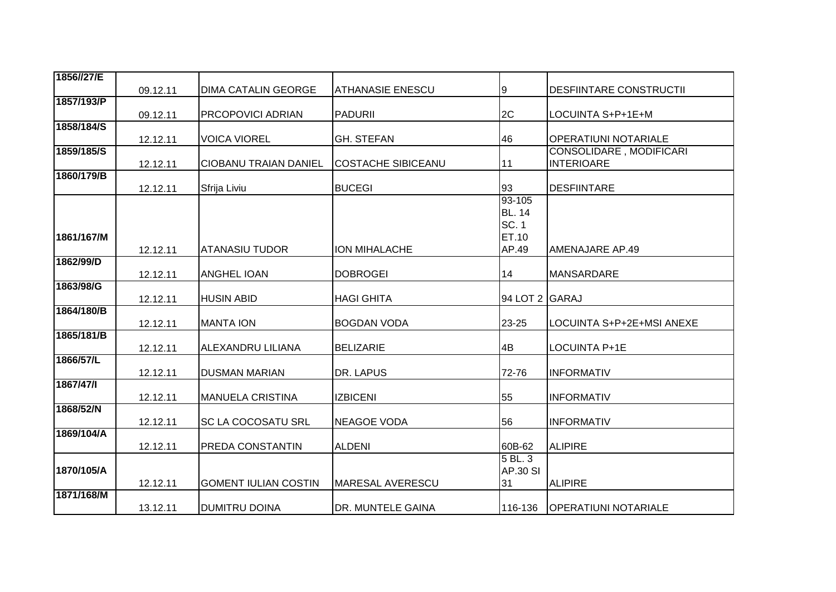| 1856//27/E |          |                              |                           |                 |                                                     |
|------------|----------|------------------------------|---------------------------|-----------------|-----------------------------------------------------|
|            | 09.12.11 | <b>DIMA CATALIN GEORGE</b>   | <b>ATHANASIE ENESCU</b>   | 9               | <b>DESFIINTARE CONSTRUCTII</b>                      |
| 1857/193/P |          |                              |                           |                 |                                                     |
|            | 09.12.11 | <b>PRCOPOVICI ADRIAN</b>     | <b>PADURII</b>            | 2C              | LOCUINTA S+P+1E+M                                   |
| 1858/184/S |          |                              |                           |                 |                                                     |
|            | 12.12.11 | <b>VOICA VIOREL</b>          | <b>GH. STEFAN</b>         | 46              | <b>OPERATIUNI NOTARIALE</b>                         |
| 1859/185/S | 12.12.11 | <b>CIOBANU TRAIAN DANIEL</b> | <b>COSTACHE SIBICEANU</b> | 11              | <b>CONSOLIDARE, MODIFICARI</b><br><b>INTERIOARE</b> |
| 1860/179/B |          |                              |                           |                 |                                                     |
|            | 12.12.11 | Sfrija Liviu                 | <b>BUCEGI</b>             | 93              | <b>DESFIINTARE</b>                                  |
|            |          |                              |                           | 93-105          |                                                     |
|            |          |                              |                           | <b>BL. 14</b>   |                                                     |
|            |          |                              |                           | <b>SC. 1</b>    |                                                     |
| 1861/167/M |          |                              |                           | ET.10           |                                                     |
|            | 12.12.11 | ATANASIU TUDOR               | ION MIHALACHE             | AP.49           | AMENAJARE AP.49                                     |
| 1862/99/D  |          |                              |                           |                 |                                                     |
|            | 12.12.11 | <b>ANGHEL IOAN</b>           | <b>DOBROGEI</b>           | 14              | MANSARDARE                                          |
| 1863/98/G  | 12.12.11 | <b>HUSIN ABID</b>            | <b>HAGI GHITA</b>         | 94 LOT 2 GARAJ  |                                                     |
| 1864/180/B |          |                              |                           |                 |                                                     |
|            | 12.12.11 | <b>MANTA ION</b>             | <b>BOGDAN VODA</b>        | 23-25           | LOCUINTA S+P+2E+MSI ANEXE                           |
| 1865/181/B |          |                              |                           |                 |                                                     |
|            | 12.12.11 | <b>ALEXANDRU LILIANA</b>     | <b>BELIZARIE</b>          | 4B              | LOCUINTA P+1E                                       |
| 1866/57/L  |          |                              |                           |                 |                                                     |
|            | 12.12.11 | <b>DUSMAN MARIAN</b>         | DR. LAPUS                 | 72-76           | <b>INFORMATIV</b>                                   |
| 1867/47/1  |          |                              |                           |                 |                                                     |
| 1868/52/N  | 12.12.11 | <b>MANUELA CRISTINA</b>      | <b>IZBICENI</b>           | 55              | <b>INFORMATIV</b>                                   |
|            | 12.12.11 | <b>SC LA COCOSATU SRL</b>    | <b>NEAGOE VODA</b>        | 56              | <b>INFORMATIV</b>                                   |
| 1869/104/A |          |                              |                           |                 |                                                     |
|            | 12.12.11 | <b>PREDA CONSTANTIN</b>      | <b>ALDENI</b>             | 60B-62          | <b>ALIPIRE</b>                                      |
|            |          |                              |                           | 5 BL. 3         |                                                     |
| 1870/105/A |          |                              |                           | <b>AP.30 SI</b> |                                                     |
|            | 12.12.11 | <b>GOMENT IULIAN COSTIN</b>  | MARESAL AVERESCU          | 31              | <b>ALIPIRE</b>                                      |
| 1871/168/M |          |                              |                           |                 |                                                     |
|            | 13.12.11 | <b>DUMITRU DOINA</b>         | DR. MUNTELE GAINA         | 116-136         | <b>OPERATIUNI NOTARIALE</b>                         |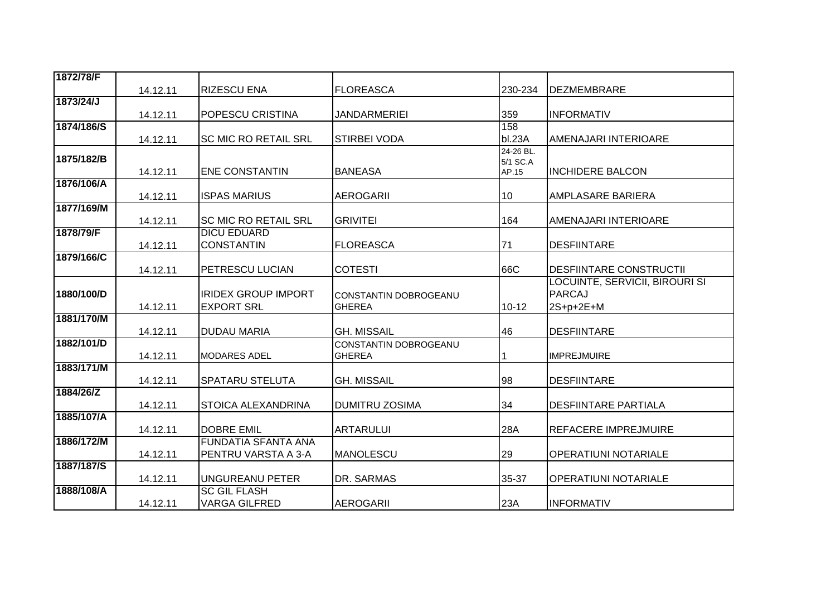| 1872/78/F  |          |                             |                                        |                   |                                |
|------------|----------|-----------------------------|----------------------------------------|-------------------|--------------------------------|
|            | 14.12.11 | <b>RIZESCU ENA</b>          | <b>FLOREASCA</b>                       | 230-234           | <b>DEZMEMBRARE</b>             |
| 1873/24/J  |          |                             |                                        |                   |                                |
|            | 14.12.11 | <b>POPESCU CRISTINA</b>     | <b>JANDARMERIEI</b>                    | 359               | <b>INFORMATIV</b>              |
| 1874/186/S |          |                             |                                        | 158               |                                |
|            | 14.12.11 | <b>SC MIC RO RETAIL SRL</b> | STIRBEI VODA                           | bl.23A            | AMENAJARI INTERIOARE           |
| 1875/182/B |          |                             |                                        | 24-26 BL.         |                                |
|            | 14.12.11 | <b>ENE CONSTANTIN</b>       | <b>BANEASA</b>                         | 5/1 SC.A<br>AP.15 | <b>INCHIDERE BALCON</b>        |
| 1876/106/A |          |                             |                                        |                   |                                |
|            | 14.12.11 | <b>ISPAS MARIUS</b>         | <b>AEROGARII</b>                       | 10                | <b>AMPLASARE BARIERA</b>       |
| 1877/169/M |          |                             |                                        |                   |                                |
|            | 14.12.11 | <b>SC MIC RO RETAIL SRL</b> | <b>GRIVITEI</b>                        | 164               | AMENAJARI INTERIOARE           |
| 1878/79/F  |          | <b>DICU EDUARD</b>          |                                        |                   |                                |
|            | 14.12.11 | <b>CONSTANTIN</b>           | <b>FLOREASCA</b>                       | 71                | <b>DESFIINTARE</b>             |
| 1879/166/C |          |                             |                                        |                   |                                |
|            | 14.12.11 | <b>PETRESCU LUCIAN</b>      | <b>COTESTI</b>                         | 66C               | <b>DESFIINTARE CONSTRUCTII</b> |
|            |          |                             |                                        |                   | LOCUINTE, SERVICII, BIROURI SI |
| 1880/100/D |          | <b>IRIDEX GROUP IMPORT</b>  | CONSTANTIN DOBROGEANU                  |                   | <b>PARCAJ</b>                  |
|            | 14.12.11 | <b>EXPORT SRL</b>           | <b>GHEREA</b>                          | $10 - 12$         | 2S+p+2E+M                      |
| 1881/170/M | 14.12.11 | <b>DUDAU MARIA</b>          | <b>GH. MISSAIL</b>                     |                   | <b>DESFIINTARE</b>             |
| 1882/101/D |          |                             |                                        | 46                |                                |
|            | 14.12.11 | <b>MODARES ADEL</b>         | CONSTANTIN DOBROGEANU<br><b>GHEREA</b> |                   | <b>IMPREJMUIRE</b>             |
| 1883/171/M |          |                             |                                        |                   |                                |
|            | 14.12.11 | <b>SPATARU STELUTA</b>      | <b>GH. MISSAIL</b>                     | 98                | <b>DESFIINTARE</b>             |
| 1884/26/Z  |          |                             |                                        |                   |                                |
|            | 14.12.11 | <b>STOICA ALEXANDRINA</b>   | <b>DUMITRU ZOSIMA</b>                  | 34                | <b>DESFIINTARE PARTIALA</b>    |
| 1885/107/A |          |                             |                                        |                   |                                |
|            | 14.12.11 | <b>DOBRE EMIL</b>           | <b>ARTARULUI</b>                       | 28A               | <b>REFACERE IMPREJMUIRE</b>    |
| 1886/172/M |          | <b>FUNDATIA SFANTA ANA</b>  |                                        |                   |                                |
|            | 14.12.11 | PENTRU VARSTA A 3-A         | <b>MANOLESCU</b>                       | 29                | <b>OPERATIUNI NOTARIALE</b>    |
| 1887/187/S |          |                             |                                        |                   |                                |
|            | 14.12.11 | <b>UNGUREANU PETER</b>      | DR. SARMAS                             | 35-37             | <b>OPERATIUNI NOTARIALE</b>    |
| 1888/108/A |          | <b>SC GIL FLASH</b>         |                                        |                   |                                |
|            | 14.12.11 | <b>VARGA GILFRED</b>        | <b>AEROGARII</b>                       | 23A               | <b>INFORMATIV</b>              |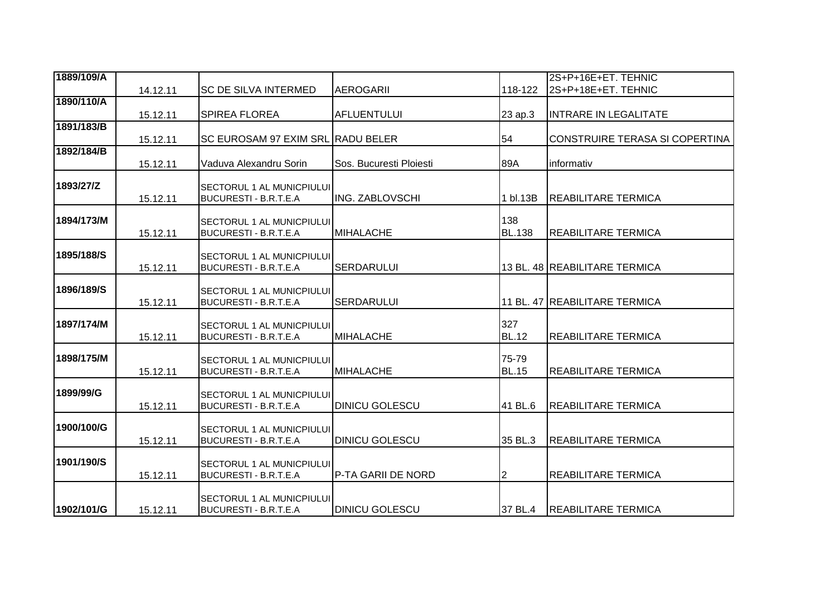| 1889/109/A |          |                                                           |                         |                | 2S+P+16E+ET. TEHNIC            |
|------------|----------|-----------------------------------------------------------|-------------------------|----------------|--------------------------------|
|            | 14.12.11 | <b>SC DE SILVA INTERMED</b>                               | <b>AEROGARII</b>        | 118-122        | 2S+P+18E+ET. TEHNIC            |
| 1890/110/A |          |                                                           |                         |                |                                |
|            | 15.12.11 | <b>SPIREA FLOREA</b>                                      | <b>AFLUENTULUI</b>      | 23 ap.3        | <b>INTRARE IN LEGALITATE</b>   |
| 1891/183/B |          |                                                           |                         |                |                                |
|            | 15.12.11 | SC EUROSAM 97 EXIM SRL RADU BELER                         |                         | 54             | CONSTRUIRE TERASA SI COPERTINA |
| 1892/184/B |          |                                                           |                         |                |                                |
|            | 15.12.11 | Vaduva Alexandru Sorin                                    | Sos. Bucuresti Ploiesti | 89A            | informativ                     |
| 1893/27/Z  |          |                                                           |                         |                |                                |
|            | 15.12.11 | SECTORUL 1 AL MUNICPIULUI<br><b>BUCURESTI - B.R.T.E.A</b> | <b>ING. ZABLOVSCHI</b>  | 1 bl.13B       | <b>REABILITARE TERMICA</b>     |
|            |          |                                                           |                         |                |                                |
| 1894/173/M |          | SECTORUL 1 AL MUNICPIULUI                                 |                         | 138            |                                |
|            | 15.12.11 | <b>BUCURESTI - B.R.T.E.A</b>                              | <b>MIHALACHE</b>        | <b>BL.138</b>  | <b>REABILITARE TERMICA</b>     |
|            |          |                                                           |                         |                |                                |
| 1895/188/S |          | SECTORUL 1 AL MUNICPIULUI                                 |                         |                |                                |
|            | 15.12.11 | <b>BUCURESTI - B.R.T.E.A</b>                              | <b>SERDARULUI</b>       |                | 13 BL. 48 REABILITARE TERMICA  |
| 1896/189/S |          |                                                           |                         |                |                                |
|            | 15.12.11 | SECTORUL 1 AL MUNICPIULUI<br><b>BUCURESTI - B.R.T.E.A</b> | <b>SERDARULUI</b>       |                | 11 BL. 47 REABILITARE TERMICA  |
|            |          |                                                           |                         |                |                                |
| 1897/174/M |          | SECTORUL 1 AL MUNICPIULUI                                 |                         | 327            |                                |
|            | 15.12.11 | <b>BUCURESTI - B.R.T.E.A</b>                              | <b>MIHALACHE</b>        | <b>BL.12</b>   | <b>REABILITARE TERMICA</b>     |
|            |          |                                                           |                         |                |                                |
| 1898/175/M |          | SECTORUL 1 AL MUNICPIULUI                                 |                         | 75-79          |                                |
|            | 15.12.11 | <b>BUCURESTI - B.R.T.E.A</b>                              | <b>MIHALACHE</b>        | <b>BL.15</b>   | <b>REABILITARE TERMICA</b>     |
| 1899/99/G  |          | SECTORUL 1 AL MUNICPIULUI                                 |                         |                |                                |
|            | 15.12.11 | <b>BUCURESTI - B.R.T.E.A</b>                              | <b>DINICU GOLESCU</b>   | 41 BL.6        | <b>REABILITARE TERMICA</b>     |
|            |          |                                                           |                         |                |                                |
| 1900/100/G |          | SECTORUL 1 AL MUNICPIULUI                                 |                         |                |                                |
|            | 15.12.11 | <b>BUCURESTI - B.R.T.E.A</b>                              | <b>DINICU GOLESCU</b>   | 35 BL.3        | <b>REABILITARE TERMICA</b>     |
|            |          |                                                           |                         |                |                                |
| 1901/190/S | 15.12.11 | SECTORUL 1 AL MUNICPIULUI<br><b>BUCURESTI - B.R.T.E.A</b> | P-TA GARII DE NORD      | $\overline{c}$ | <b>REABILITARE TERMICA</b>     |
|            |          |                                                           |                         |                |                                |
|            |          | <b>SECTORUL 1 AL MUNICPIULUI</b>                          |                         |                |                                |
| 1902/101/G | 15.12.11 | <b>BUCURESTI - B.R.T.E.A</b>                              | <b>DINICU GOLESCU</b>   | 37 BL.4        | <b>REABILITARE TERMICA</b>     |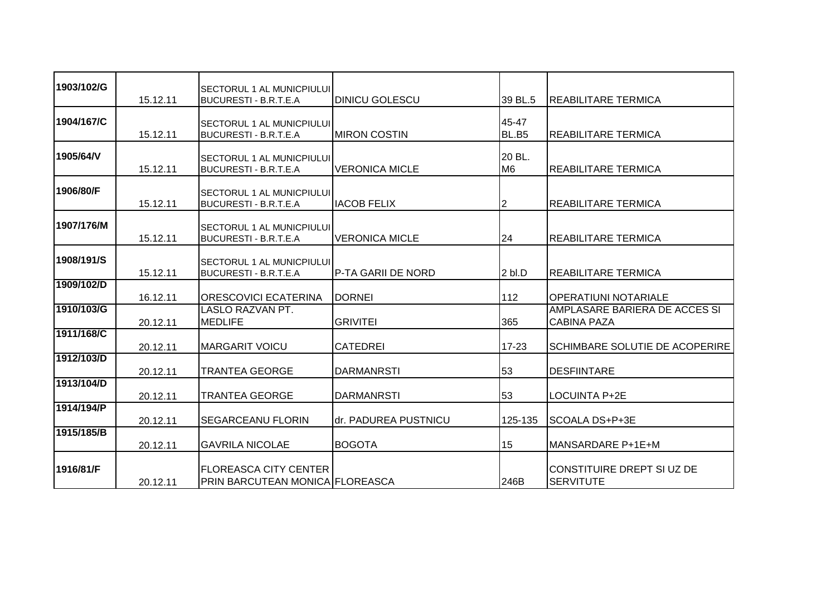| 1903/102/G | 15.12.11 | <b>SECTORUL 1 AL MUNICPIULUI</b><br>BUCURESTI - B.R.T.E.A        | <b>DINICU GOLESCU</b> | 39 BL.5                  | REABILITARE TERMICA                                 |
|------------|----------|------------------------------------------------------------------|-----------------------|--------------------------|-----------------------------------------------------|
| 1904/167/C | 15.12.11 | SECTORUL 1 AL MUNICPIULUI<br><b>BUCURESTI - B.R.T.E.A</b>        | <b>MIRON COSTIN</b>   | 45-47<br>BL.B5           | <b>REABILITARE TERMICA</b>                          |
| 1905/64/V  | 15.12.11 | <b>SECTORUL 1 AL MUNICPIULUI</b><br><b>BUCURESTI - B.R.T.E.A</b> | <b>VERONICA MICLE</b> | 20 BL.<br>M <sub>6</sub> | <b>REABILITARE TERMICA</b>                          |
| 1906/80/F  | 15.12.11 | <b>SECTORUL 1 AL MUNICPIULUI</b><br><b>BUCURESTI - B.R.T.E.A</b> | <b>IACOB FELIX</b>    | 12                       | REABILITARE TERMICA                                 |
| 1907/176/M | 15.12.11 | <b>SECTORUL 1 AL MUNICPIULUI</b><br><b>BUCURESTI - B.R.T.E.A</b> | <b>VERONICA MICLE</b> | 24                       | <b>REABILITARE TERMICA</b>                          |
| 1908/191/S | 15.12.11 | <b>SECTORUL 1 AL MUNICPIULUI</b><br><b>BUCURESTI - B.R.T.E.A</b> | P-TA GARII DE NORD    | $2b$ .D                  | <b>REABILITARE TERMICA</b>                          |
| 1909/102/D | 16.12.11 | <b>ORESCOVICI ECATERINA</b>                                      | <b>DORNEI</b>         | 112                      | <b>OPERATIUNI NOTARIALE</b>                         |
| 1910/103/G | 20.12.11 | <b>LASLO RAZVAN PT.</b><br><b>MEDLIFE</b>                        | <b>GRIVITEI</b>       | 365                      | AMPLASARE BARIERA DE ACCES SI<br><b>CABINA PAZA</b> |
| 1911/168/C | 20.12.11 | <b>MARGARIT VOICU</b>                                            | <b>CATEDREI</b>       | $17 - 23$                | <b>SCHIMBARE SOLUTIE DE ACOPERIRE</b>               |
| 1912/103/D | 20.12.11 | <b>TRANTEA GEORGE</b>                                            | <b>DARMANRSTI</b>     | 53                       | <b>DESFIINTARE</b>                                  |
| 1913/104/D | 20.12.11 | <b>TRANTEA GEORGE</b>                                            | <b>DARMANRSTI</b>     | 53                       | LOCUINTA P+2E                                       |
| 1914/194/P | 20.12.11 | <b>SEGARCEANU FLORIN</b>                                         | dr. PADUREA PUSTNICU  | 125-135                  | SCOALA DS+P+3E                                      |
| 1915/185/B | 20.12.11 | <b>GAVRILA NICOLAE</b>                                           | <b>BOGOTA</b>         | 15                       | MANSARDARE P+1E+M                                   |
| 1916/81/F  | 20.12.11 | <b>FLOREASCA CITY CENTER</b><br>PRIN BARCUTEAN MONICA FLOREASCA  |                       | 246B                     | CONSTITUIRE DREPT SI UZ DE<br><b>SERVITUTE</b>      |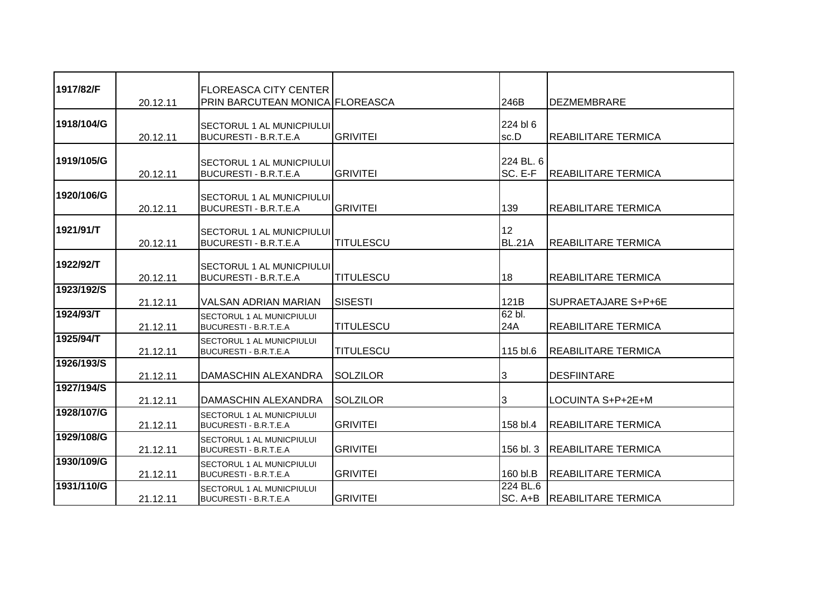| 1917/82/F  | 20.12.11 | <b>FLOREASCA CITY CENTER</b><br>PRIN BARCUTEAN MONICA FLOREASCA  |                  | 246B                 | <b>DEZMEMBRARE</b>            |
|------------|----------|------------------------------------------------------------------|------------------|----------------------|-------------------------------|
| 1918/104/G | 20.12.11 | <b>SECTORUL 1 AL MUNICPIULUI</b><br><b>BUCURESTI - B.R.T.E.A</b> | <b>GRIVITEI</b>  | 224 bl 6<br>sc.D     | <b>REABILITARE TERMICA</b>    |
| 1919/105/G | 20.12.11 | <b>SECTORUL 1 AL MUNICPIULUI</b><br><b>BUCURESTI - B.R.T.E.A</b> | <b>GRIVITEI</b>  | 224 BL. 6<br>SC. E-F | <b>REABILITARE TERMICA</b>    |
| 1920/106/G | 20.12.11 | SECTORUL 1 AL MUNICPIULUI<br><b>BUCURESTI - B.R.T.E.A</b>        | <b>GRIVITEI</b>  | 139                  | REABILITARE TERMICA           |
| 1921/91/T  | 20.12.11 | <b>SECTORUL 1 AL MUNICPIULUI</b><br><b>BUCURESTI - B.R.T.E.A</b> | <b>TITULESCU</b> | 12<br><b>BL.21A</b>  | <b>REABILITARE TERMICA</b>    |
| 1922/92/T  | 20.12.11 | <b>SECTORUL 1 AL MUNICPIULUI</b><br><b>BUCURESTI - B.R.T.E.A</b> | <b>TITULESCU</b> | 18                   | <b>REABILITARE TERMICA</b>    |
| 1923/192/S | 21.12.11 | VALSAN ADRIAN MARIAN                                             | <b>SISESTI</b>   | 121B                 | SUPRAETAJARE S+P+6E           |
| 1924/93/T  | 21.12.11 | SECTORUL 1 AL MUNICPIULUI<br><b>BUCURESTI - B.R.T.E.A</b>        | <b>TITULESCU</b> | 62 bl.<br>24A        | REABILITARE TERMICA           |
| 1925/94/T  | 21.12.11 | SECTORUL 1 AL MUNICPIULUI<br>BUCURESTI - B.R.T.E.A               | <b>TITULESCU</b> | 115 bl.6             | REABILITARE TERMICA           |
| 1926/193/S | 21.12.11 | <b>DAMASCHIN ALEXANDRA</b>                                       | <b>SOLZILOR</b>  | 3                    | <b>DESFIINTARE</b>            |
| 1927/194/S | 21.12.11 | DAMASCHIN ALEXANDRA                                              | <b>SOLZILOR</b>  | 3                    | LOCUINTA S+P+2E+M             |
| 1928/107/G | 21.12.11 | <b>SECTORUL 1 AL MUNICPIULUI</b><br><b>BUCURESTI - B.R.T.E.A</b> | <b>GRIVITEI</b>  | 158 bl.4             | <b>REABILITARE TERMICA</b>    |
| 1929/108/G | 21.12.11 | SECTORUL 1 AL MUNICPIULUI<br><b>BUCURESTI - B.R.T.E.A</b>        | <b>GRIVITEI</b>  | 156 bl. 3            | <b>REABILITARE TERMICA</b>    |
| 1930/109/G | 21.12.11 | <b>SECTORUL 1 AL MUNICPIULUI</b><br><b>BUCURESTI - B.R.T.E.A</b> | <b>GRIVITEI</b>  | 160 bl.B             | <b>REABILITARE TERMICA</b>    |
| 1931/110/G | 21.12.11 | <b>SECTORUL 1 AL MUNICPIULUI</b><br>BUCURESTI - B.R.T.E.A        | <b>GRIVITEI</b>  | 224 BL.6             | SC. A+B   REABILITARE TERMICA |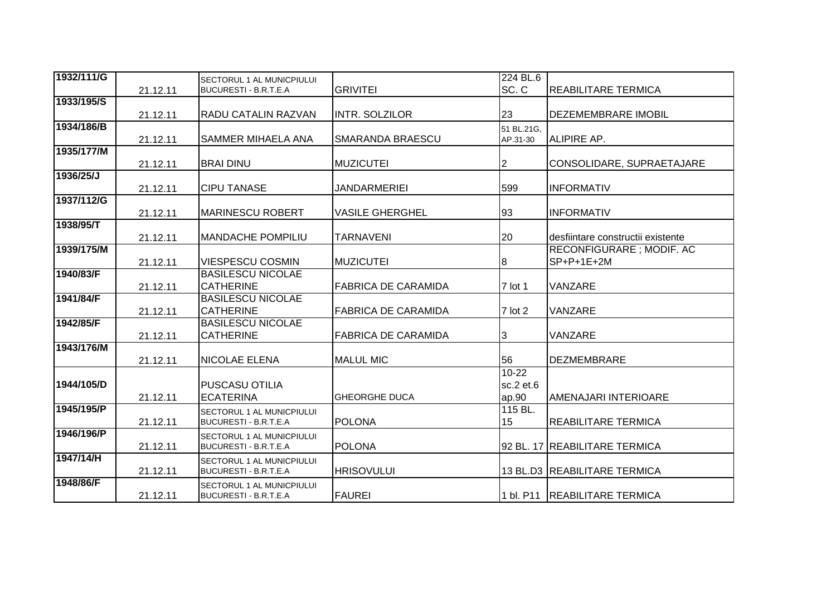| 1932/111/G | 21.12.11 | SECTORUL 1 AL MUNICPIULUI<br>BUCURESTI - B.R.T.E.A | <b>GRIVITEI</b>            | 224 BL.6<br>SC.C | <b>REABILITARE TERMICA</b>        |
|------------|----------|----------------------------------------------------|----------------------------|------------------|-----------------------------------|
| 1933/195/S |          |                                                    |                            |                  |                                   |
|            | 21.12.11 | <b>RADU CATALIN RAZVAN</b>                         | <b>INTR. SOLZILOR</b>      | 23               | <b>DEZEMEMBRARE IMOBIL</b>        |
| 1934/186/B |          |                                                    |                            | 51 BL.21G,       |                                   |
|            | 21.12.11 | <b>SAMMER MIHAELA ANA</b>                          | SMARANDA BRAESCU           | AP.31-30         | <b>ALIPIRE AP.</b>                |
| 1935/177/M |          |                                                    |                            |                  |                                   |
|            | 21.12.11 | <b>BRAI DINU</b>                                   | <b>MUZICUTEI</b>           | 2                | CONSOLIDARE, SUPRAETAJARE         |
| 1936/25/J  |          |                                                    |                            |                  |                                   |
|            | 21.12.11 | <b>CIPU TANASE</b>                                 | <b>JANDARMERIEI</b>        | 599              | <b>INFORMATIV</b>                 |
| 1937/112/G |          |                                                    |                            |                  |                                   |
|            | 21.12.11 | <b>MARINESCU ROBERT</b>                            | <b>VASILE GHERGHEL</b>     | 93               | <b>INFORMATIV</b>                 |
| 1938/95/T  |          |                                                    |                            |                  |                                   |
|            | 21.12.11 | IMANDACHE POMPILIU                                 | <b>TARNAVENI</b>           | 20               | desfiintare constructii existente |
| 1939/175/M |          |                                                    |                            |                  | RECONFIGURARE; MODIF. AC          |
|            | 21.12.11 | <b>VIESPESCU COSMIN</b>                            | <b>MUZICUTEI</b>           | 8                | $SP+P+1E+2M$                      |
| 1940/83/F  |          | <b>BASILESCU NICOLAE</b>                           |                            |                  |                                   |
|            |          |                                                    |                            |                  |                                   |
|            | 21.12.11 | <b>CATHERINE</b>                                   | <b>FABRICA DE CARAMIDA</b> | 7 lot 1          | VANZARE                           |
| 1941/84/F  |          | <b>BASILESCU NICOLAE</b>                           |                            |                  |                                   |
|            | 21.12.11 | <b>CATHERINE</b>                                   | <b>FABRICA DE CARAMIDA</b> | $7$ lot 2        | VANZARE                           |
| 1942/85/F  |          | <b>BASILESCU NICOLAE</b>                           |                            |                  |                                   |
|            | 21.12.11 | <b>CATHERINE</b>                                   | <b>FABRICA DE CARAMIDA</b> | 3                | VANZARE                           |
| 1943/176/M |          |                                                    |                            |                  |                                   |
|            | 21.12.11 | <b>NICOLAE ELENA</b>                               | <b>MALUL MIC</b>           | 56               | <b>DEZMEMBRARE</b>                |
|            |          |                                                    |                            | $10 - 22$        |                                   |
| 1944/105/D |          | <b>PUSCASU OTILIA</b>                              |                            | sc.2 et.6        |                                   |
|            | 21.12.11 | <b>ECATERINA</b>                                   | <b>GHEORGHE DUCA</b>       | ap.90            | AMENAJARI INTERIOARE              |
| 1945/195/P |          | SECTORUL 1 AL MUNICPIULUI                          |                            | 115 BL.          |                                   |
|            | 21.12.11 | BUCURESTI - B.R.T.E.A                              | <b>POLONA</b>              | 15               | <b>REABILITARE TERMICA</b>        |
| 1946/196/P |          | SECTORUL 1 AL MUNICPIULUI                          |                            |                  |                                   |
|            | 21.12.11 | <b>BUCURESTI - B.R.T.E.A</b>                       | <b>POLONA</b>              |                  | 92 BL. 17 REABILITARE TERMICA     |
| 1947/14/H  |          | SECTORUL 1 AL MUNICPIULUI                          |                            |                  |                                   |
|            | 21.12.11 | <b>BUCURESTI - B.R.T.E.A</b>                       | <b>HRISOVULUI</b>          |                  | 13 BL.D3 REABILITARE TERMICA      |
| 1948/86/F  |          | SECTORUL 1 AL MUNICPIULUI                          |                            |                  |                                   |
|            | 21.12.11 | BUCURESTI - B.R.T.E.A                              | <b>FAUREI</b>              |                  | 1 bl. P11   REABILITARE TERMICA   |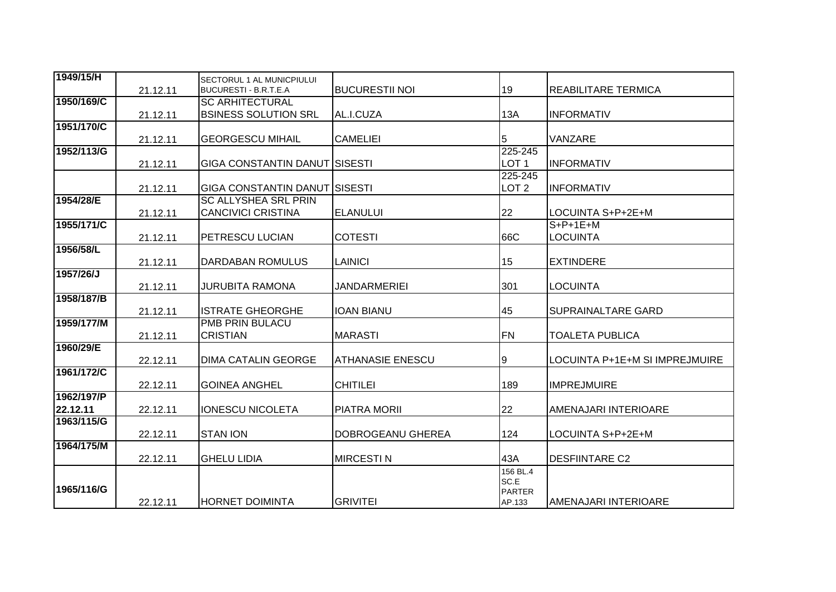| 1949/15/H              | 21.12.11 | SECTORUL 1 AL MUNICPIULUI<br>BUCURESTI - B.R.T.E.A       | <b>BUCURESTII NOI</b>   | 19                                          | <b>REABILITARE TERMICA</b>     |
|------------------------|----------|----------------------------------------------------------|-------------------------|---------------------------------------------|--------------------------------|
| 1950/169/C             | 21.12.11 | <b>SC ARHITECTURAL</b><br><b>BSINESS SOLUTION SRL</b>    | AL.I.CUZA               | 13A                                         | <b>INFORMATIV</b>              |
| 1951/170/C             | 21.12.11 | <b>GEORGESCU MIHAIL</b>                                  | <b>CAMELIEI</b>         | 5                                           | VANZARE                        |
| 1952/113/G             | 21.12.11 | <b>GIGA CONSTANTIN DANUT SISESTI</b>                     |                         | 225-245<br>LOT <sub>1</sub>                 | <b>INFORMATIV</b>              |
|                        | 21.12.11 | <b>GIGA CONSTANTIN DANUT SISESTI</b>                     |                         | 225-245<br>LOT <sub>2</sub>                 | <b>INFORMATIV</b>              |
| 1954/28/E              | 21.12.11 | <b>SC ALLYSHEA SRL PRIN</b><br><b>CANCIVICI CRISTINA</b> | <b>ELANULUI</b>         | 22                                          | LOCUINTA S+P+2E+M              |
| 1955/171/C             | 21.12.11 | <b>PETRESCU LUCIAN</b>                                   | <b>COTESTI</b>          | 66C                                         | $S+P+1E+M$<br>LOCUINTA         |
| 1956/58/L              | 21.12.11 | <b>DARDABAN ROMULUS</b>                                  | LAINICI                 | 15                                          | <b>EXTINDERE</b>               |
| 1957/26/J              | 21.12.11 | <b>JURUBITA RAMONA</b>                                   | <b>JANDARMERIEI</b>     | 301                                         | <b>LOCUINTA</b>                |
| 1958/187/B             | 21.12.11 | <b>ISTRATE GHEORGHE</b>                                  | <b>IOAN BIANU</b>       | 45                                          | <b>SUPRAINALTARE GARD</b>      |
| 1959/177/M             | 21.12.11 | <b>PMB PRIN BULACU</b><br><b>CRISTIAN</b>                | <b>MARASTI</b>          | <b>FN</b>                                   | <b>TOALETA PUBLICA</b>         |
| 1960/29/E              | 22.12.11 | <b>DIMA CATALIN GEORGE</b>                               | <b>ATHANASIE ENESCU</b> | $\overline{9}$                              | LOCUINTA P+1E+M SI IMPREJMUIRE |
| 1961/172/C             | 22.12.11 | <b>GOINEA ANGHEL</b>                                     | <b>CHITILEI</b>         | 189                                         | <b>IMPREJMUIRE</b>             |
| 1962/197/P<br>22.12.11 | 22.12.11 | <b>IONESCU NICOLETA</b>                                  | <b>PIATRA MORII</b>     | 22                                          | AMENAJARI INTERIOARE           |
| 1963/115/G             | 22.12.11 | <b>STAN ION</b>                                          | DOBROGEANU GHEREA       | 124                                         | LOCUINTA S+P+2E+M              |
| 1964/175/M             | 22.12.11 | <b>GHELU LIDIA</b>                                       | <b>MIRCESTIN</b>        | 43A                                         | <b>DESFIINTARE C2</b>          |
| 1965/116/G             | 22.12.11 | <b>HORNET DOIMINTA</b>                                   | <b>GRIVITEI</b>         | 156 BL.4<br>SC.E<br><b>PARTER</b><br>AP.133 | <b>AMENAJARI INTERIOARE</b>    |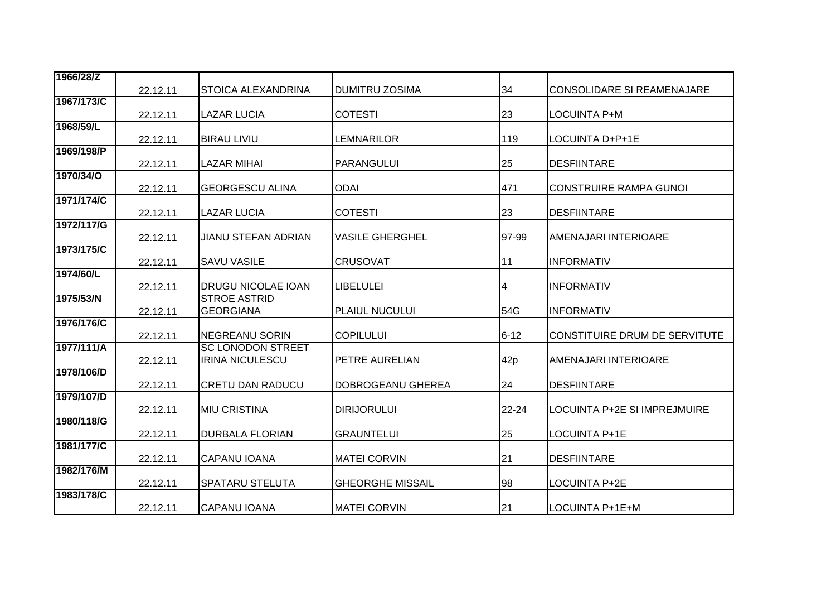| 1966/28/Z  |          |                                                   |                         |           |                                   |
|------------|----------|---------------------------------------------------|-------------------------|-----------|-----------------------------------|
|            | 22.12.11 | <b>STOICA ALEXANDRINA</b>                         | <b>DUMITRU ZOSIMA</b>   | 34        | <b>CONSOLIDARE SI REAMENAJARE</b> |
| 1967/173/C |          |                                                   |                         |           |                                   |
|            | 22.12.11 | <b>LAZAR LUCIA</b>                                | <b>COTESTI</b>          | 23        | <b>LOCUINTA P+M</b>               |
| 1968/59/L  |          |                                                   |                         |           |                                   |
| 1969/198/P | 22.12.11 | <b>BIRAU LIVIU</b>                                | LEMNARILOR              | 119       | LOCUINTA D+P+1E                   |
|            | 22.12.11 | <b>LAZAR MIHAI</b>                                | <b>PARANGULUI</b>       | 25        | <b>DESFIINTARE</b>                |
| 1970/34/0  |          |                                                   |                         |           |                                   |
|            | 22.12.11 | <b>GEORGESCU ALINA</b>                            | <b>ODAI</b>             | 471       | <b>CONSTRUIRE RAMPA GUNOI</b>     |
| 1971/174/C | 22.12.11 | <b>LAZAR LUCIA</b>                                | <b>COTESTI</b>          | 23        | <b>DESFIINTARE</b>                |
| 1972/117/G | 22.12.11 | <b>JIANU STEFAN ADRIAN</b>                        | <b>VASILE GHERGHEL</b>  | 97-99     | AMENAJARI INTERIOARE              |
| 1973/175/C |          |                                                   |                         |           |                                   |
|            | 22.12.11 | <b>SAVU VASILE</b>                                | <b>CRUSOVAT</b>         | 11        | <b>INFORMATIV</b>                 |
| 1974/60/L  |          |                                                   |                         |           |                                   |
|            | 22.12.11 | <b>DRUGU NICOLAE IOAN</b>                         | <b>LIBELULEI</b>        | 4         | <b>INFORMATIV</b>                 |
| 1975/53/N  |          | <b>STROE ASTRID</b>                               |                         |           |                                   |
|            | 22.12.11 | <b>GEORGIANA</b>                                  | <b>PLAIUL NUCULUI</b>   | 54G       | <b>INFORMATIV</b>                 |
| 1976/176/C |          |                                                   |                         |           |                                   |
| 1977/111/A | 22.12.11 | <b>NEGREANU SORIN</b><br><b>SC LONODON STREET</b> | <b>COPILULUI</b>        | $6 - 12$  | CONSTITUIRE DRUM DE SERVITUTE     |
|            | 22.12.11 | <b>IRINA NICULESCU</b>                            | PETRE AURELIAN          | 42p       | AMENAJARI INTERIOARE              |
| 1978/106/D |          |                                                   |                         |           |                                   |
|            | 22.12.11 | <b>CRETU DAN RADUCU</b>                           | DOBROGEANU GHEREA       | 24        | <b>DESFIINTARE</b>                |
| 1979/107/D |          |                                                   |                         |           |                                   |
|            | 22.12.11 | <b>MIU CRISTINA</b>                               | <b>DIRIJORULUI</b>      | $22 - 24$ | LOCUINTA P+2E SI IMPREJMUIRE      |
| 1980/118/G |          |                                                   |                         |           |                                   |
|            | 22.12.11 | <b>DURBALA FLORIAN</b>                            | <b>GRAUNTELUI</b>       | 25        | LOCUINTA P+1E                     |
| 1981/177/C | 22.12.11 | <b>CAPANU IOANA</b>                               | <b>MATEI CORVIN</b>     | 21        | <b>DESFIINTARE</b>                |
| 1982/176/M |          |                                                   |                         |           |                                   |
|            | 22.12.11 | SPATARU STELUTA                                   | <b>GHEORGHE MISSAIL</b> | 98        | LOCUINTA P+2E                     |
| 1983/178/C | 22.12.11 | <b>CAPANU IOANA</b>                               | <b>MATEI CORVIN</b>     | 21        | LOCUINTA P+1E+M                   |
|            |          |                                                   |                         |           |                                   |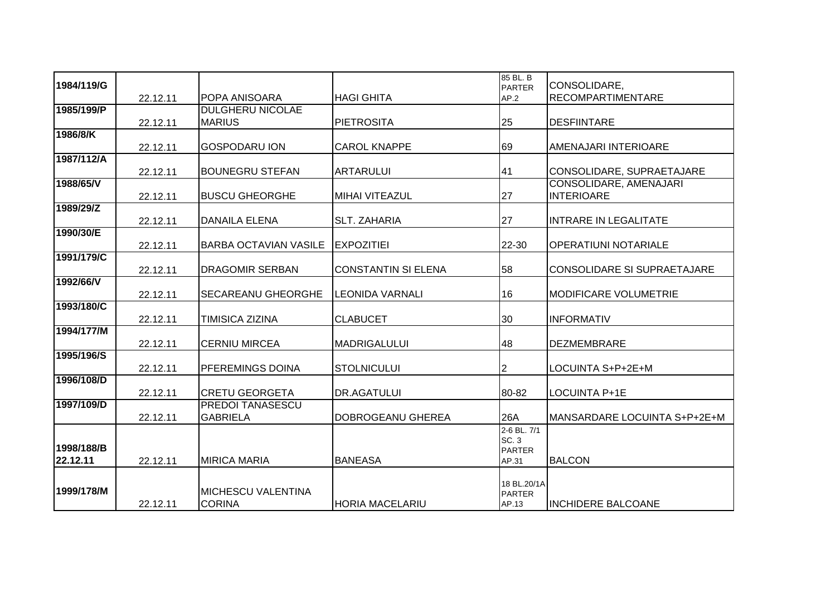| 1984/119/G             |          |                                             |                            | 85 BL. B<br><b>PARTER</b>                            | CONSOLIDARE,                                |
|------------------------|----------|---------------------------------------------|----------------------------|------------------------------------------------------|---------------------------------------------|
|                        | 22.12.11 | <b>POPA ANISOARA</b>                        | <b>HAGI GHITA</b>          | AP.2                                                 | RECOMPARTIMENTARE                           |
| 1985/199/P             | 22.12.11 | <b>DULGHERU NICOLAE</b><br><b>MARIUS</b>    | <b>PIETROSITA</b>          | 25                                                   | <b>DESFIINTARE</b>                          |
| 1986/8/K               | 22.12.11 | <b>GOSPODARU ION</b>                        | <b>CAROL KNAPPE</b>        | 69                                                   | AMENAJARI INTERIOARE                        |
| 1987/112/A             | 22.12.11 | <b>BOUNEGRU STEFAN</b>                      | <b>ARTARULUI</b>           | 41                                                   | CONSOLIDARE, SUPRAETAJARE                   |
| 1988/65/V              | 22.12.11 | <b>BUSCU GHEORGHE</b>                       | <b>MIHAI VITEAZUL</b>      | 27                                                   | CONSOLIDARE, AMENAJARI<br><b>INTERIOARE</b> |
| 1989/29/Z              | 22.12.11 | <b>DANAILA ELENA</b>                        | <b>SLT. ZAHARIA</b>        | 27                                                   | <b>INTRARE IN LEGALITATE</b>                |
| 1990/30/E              | 22.12.11 | <b>BARBA OCTAVIAN VASILE</b>                | <b>EXPOZITIEI</b>          | 22-30                                                | <b>OPERATIUNI NOTARIALE</b>                 |
| 1991/179/C             | 22.12.11 | <b>DRAGOMIR SERBAN</b>                      | <b>CONSTANTIN SI ELENA</b> | 58                                                   | <b>CONSOLIDARE SI SUPRAETAJARE</b>          |
| 1992/66/V              | 22.12.11 | <b>SECAREANU GHEORGHE</b>                   | <b>LEONIDA VARNALI</b>     | 16                                                   | IMODIFICARE VOLUMETRIE                      |
| 1993/180/C             | 22.12.11 | <b>TIMISICA ZIZINA</b>                      | <b>CLABUCET</b>            | 30                                                   | <b>INFORMATIV</b>                           |
| 1994/177/M             | 22.12.11 | <b>CERNIU MIRCEA</b>                        | <b>MADRIGALULUI</b>        | 48                                                   | <b>DEZMEMBRARE</b>                          |
| 1995/196/S             | 22.12.11 | <b>PFEREMINGS DOINA</b>                     | <b>STOLNICULUI</b>         | $\overline{2}$                                       | LOCUINTA S+P+2E+M                           |
| 1996/108/D             | 22.12.11 | <b>CRETU GEORGETA</b>                       | <b>DR.AGATULUI</b>         | 80-82                                                | <b>LOCUINTA P+1E</b>                        |
| 1997/109/D             | 22.12.11 | <b>PREDOI TANASESCU</b><br><b>GABRIELA</b>  | <b>DOBROGEANU GHEREA</b>   | 26A                                                  | MANSARDARE LOCUINTA S+P+2E+M                |
| 1998/188/B<br>22.12.11 | 22.12.11 | <b>MIRICA MARIA</b>                         | <b>BANEASA</b>             | 2-6 BL. 7/1<br><b>SC.3</b><br><b>PARTER</b><br>AP.31 | <b>BALCON</b>                               |
| 1999/178/M             | 22.12.11 | <b>IMICHESCU VALENTINA</b><br><b>CORINA</b> | <b>HORIA MACELARIU</b>     | 18 BL.20/1A<br><b>PARTER</b><br>AP.13                | <b>INCHIDERE BALCOANE</b>                   |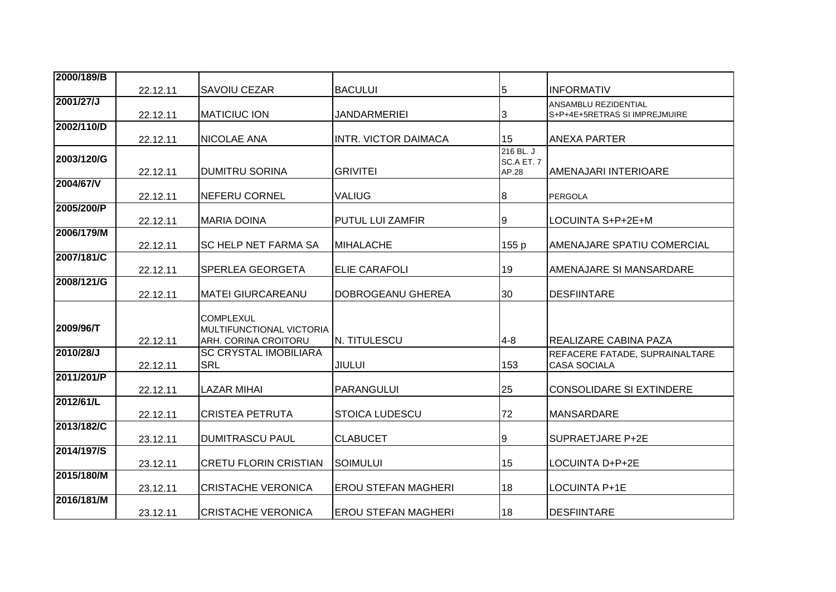| 2000/189/B |          |                                 |                             |            |                                   |
|------------|----------|---------------------------------|-----------------------------|------------|-----------------------------------|
|            | 22.12.11 | ISAVOIU CEZAR                   | <b>BACULUI</b>              | 5          | <b>INFORMATIV</b>                 |
| 2001/27/J  |          |                                 |                             |            | <b>ANSAMBLU REZIDENTIAL</b>       |
|            | 22.12.11 | <b>MATICIUC ION</b>             | <b>JANDARMERIEI</b>         | 3          | S+P+4E+5RETRAS SI IMPREJMUIRE     |
| 2002/110/D | 22.12.11 | <b>NICOLAE ANA</b>              | <b>INTR. VICTOR DAIMACA</b> | 15         | ANEXA PARTER                      |
|            |          |                                 |                             | 216 BL. J  |                                   |
| 2003/120/G |          |                                 |                             | SC.A ET. 7 |                                   |
|            | 22.12.11 | <b>DUMITRU SORINA</b>           | <b>GRIVITEI</b>             | AP.28      | <b>AMENAJARI INTERIOARE</b>       |
| 2004/67/V  |          |                                 |                             |            |                                   |
|            | 22.12.11 | <b>NEFERU CORNEL</b>            | <b>VALIUG</b>               | 8          | <b>PERGOLA</b>                    |
| 2005/200/P |          |                                 |                             |            |                                   |
|            | 22.12.11 | <b>MARIA DOINA</b>              | <b>PUTUL LUI ZAMFIR</b>     | Ι9         | LOCUINTA S+P+2E+M                 |
| 2006/179/M |          |                                 |                             |            |                                   |
|            | 22.12.11 | <b>SC HELP NET FARMA SA</b>     | <b>IMIHALACHE</b>           | 155 p      | <b>AMENAJARE SPATIU COMERCIAL</b> |
| 2007/181/C |          |                                 |                             | 19         | AMENAJARE SI MANSARDARE           |
| 2008/121/G | 22.12.11 | ISPERLEA GEORGETA               | <b>ELIE CARAFOLI</b>        |            |                                   |
|            | 22.12.11 | IMATEI GIURCAREANU              | DOBROGEANU GHEREA           | 30         | <b>DESFIINTARE</b>                |
|            |          |                                 |                             |            |                                   |
|            |          | <b>COMPLEXUL</b>                |                             |            |                                   |
| 2009/96/T  |          | <b>MULTIFUNCTIONAL VICTORIA</b> |                             |            |                                   |
|            | 22.12.11 | ARH. CORINA CROITORU            | N. TITULESCU                | $4 - 8$    | IREALIZARE CABINA PAZA            |
| 2010/28/J  |          | <b>SC CRYSTAL IMOBILIARA</b>    |                             |            | REFACERE FATADE, SUPRAINALTARE    |
|            | 22.12.11 | <b>SRL</b>                      | <b>JIULUI</b>               | 153        | <b>CASA SOCIALA</b>               |
| 2011/201/P |          |                                 |                             |            |                                   |
|            | 22.12.11 | <b>LAZAR MIHAI</b>              | <b>PARANGULUI</b>           | 25         | CONSOLIDARE SI EXTINDERE          |
| 2012/61/L  |          |                                 |                             |            |                                   |
|            | 22.12.11 | <b>CRISTEA PETRUTA</b>          | <b>STOICA LUDESCU</b>       | 72         | <b>MANSARDARE</b>                 |
| 2013/182/C |          |                                 |                             |            |                                   |
|            | 23.12.11 | <b>DUMITRASCU PAUL</b>          | <b>CLABUCET</b>             | 9          | SUPRAETJARE P+2E                  |
| 2014/197/S | 23.12.11 | CRETU FLORIN CRISTIAN           | <b>SOIMULUI</b>             | 15         | LOCUINTA D+P+2E                   |
| 2015/180/M |          |                                 |                             |            |                                   |
|            | 23.12.11 | CRISTACHE VERONICA              | <b>EROU STEFAN MAGHERI</b>  | 18         | ILOCUINTA P+1E                    |
| 2016/181/M |          |                                 |                             |            |                                   |
|            | 23.12.11 | CRISTACHE VERONICA              | <b>EROU STEFAN MAGHERI</b>  | 18         | <b>DESFIINTARE</b>                |
|            |          |                                 |                             |            |                                   |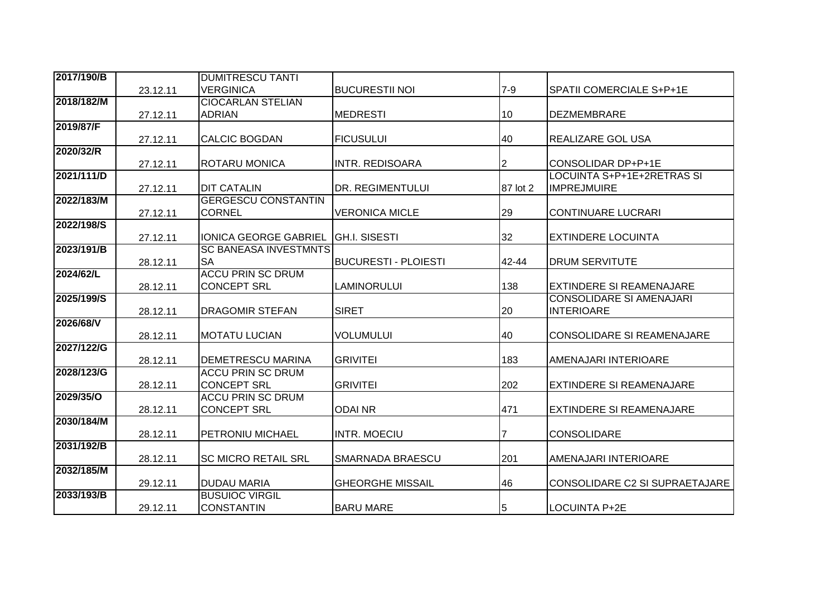| 2017/190/B |          | <b>DUMITRESCU TANTI</b>      |                             |                |                                   |
|------------|----------|------------------------------|-----------------------------|----------------|-----------------------------------|
|            | 23.12.11 | <b>VERGINICA</b>             | <b>BUCURESTII NOI</b>       | $7 - 9$        | SPATII COMERCIALE S+P+1E          |
| 2018/182/M |          | <b>CIOCARLAN STELIAN</b>     |                             |                |                                   |
|            | 27.12.11 | <b>ADRIAN</b>                | <b>MEDRESTI</b>             | 10             | DEZMEMBRARE                       |
| 2019/87/F  |          |                              |                             |                |                                   |
|            | 27.12.11 | <b>CALCIC BOGDAN</b>         | <b>FICUSULUI</b>            | 40             | <b>REALIZARE GOL USA</b>          |
| 2020/32/R  |          |                              |                             |                |                                   |
|            | 27.12.11 | <b>ROTARU MONICA</b>         | <b>INTR. REDISOARA</b>      | $\overline{2}$ | CONSOLIDAR DP+P+1E                |
| 2021/111/D |          |                              |                             |                | LOCUINTA S+P+1E+2RETRAS SI        |
|            | 27.12.11 | <b>DIT CATALIN</b>           | <b>DR. REGIMENTULUI</b>     | 87 lot 2       | <b>IMPREJMUIRE</b>                |
| 2022/183/M |          | <b>GERGESCU CONSTANTIN</b>   |                             |                |                                   |
|            | 27.12.11 | <b>CORNEL</b>                | <b>VERONICA MICLE</b>       | 29             | <b>CONTINUARE LUCRARI</b>         |
| 2022/198/S |          |                              |                             |                |                                   |
|            | 27.12.11 | <b>IONICA GEORGE GABRIEL</b> | <b>GH.I. SISESTI</b>        | 32             | <b>EXTINDERE LOCUINTA</b>         |
| 2023/191/B |          | <b>SC BANEASA INVESTMNTS</b> |                             |                |                                   |
|            | 28.12.11 | <b>SA</b>                    | <b>BUCURESTI - PLOIESTI</b> | 42-44          | DRUM SERVITUTE                    |
| 2024/62/L  |          | <b>ACCU PRIN SC DRUM</b>     |                             |                |                                   |
|            | 28.12.11 | <b>CONCEPT SRL</b>           | <b>LAMINORULUI</b>          | 138            | <b>EXTINDERE SI REAMENAJARE</b>   |
| 2025/199/S |          |                              |                             |                | <b>CONSOLIDARE SI AMENAJARI</b>   |
| 2026/68/V  | 28.12.11 | <b>DRAGOMIR STEFAN</b>       | <b>SIRET</b>                | 20             | <b>INTERIOARE</b>                 |
|            | 28.12.11 | <b>MOTATU LUCIAN</b>         | <b>VOLUMULUI</b>            | 40             | <b>CONSOLIDARE SI REAMENAJARE</b> |
| 2027/122/G |          |                              |                             |                |                                   |
|            | 28.12.11 | <b>DEMETRESCU MARINA</b>     | <b>GRIVITEI</b>             | 183            | AMENAJARI INTERIOARE              |
| 2028/123/G |          | <b>ACCU PRIN SC DRUM</b>     |                             |                |                                   |
|            | 28.12.11 | <b>CONCEPT SRL</b>           | <b>GRIVITEI</b>             | 202            | EXTINDERE SI REAMENAJARE          |
| 2029/35/0  |          | <b>ACCU PRIN SC DRUM</b>     |                             |                |                                   |
|            | 28.12.11 | <b>CONCEPT SRL</b>           | <b>ODAINR</b>               | 471            | <b>EXTINDERE SI REAMENAJARE</b>   |
| 2030/184/M |          |                              |                             |                |                                   |
|            | 28.12.11 | <b>PETRONIU MICHAEL</b>      | <b>INTR. MOECIU</b>         |                | <b>CONSOLIDARE</b>                |
| 2031/192/B |          |                              |                             |                |                                   |
|            | 28.12.11 | <b>SC MICRO RETAIL SRL</b>   | <b>SMARNADA BRAESCU</b>     | 201            | AMENAJARI INTERIOARE              |
| 2032/185/M |          |                              |                             |                |                                   |
|            | 29.12.11 | <b>DUDAU MARIA</b>           | <b>GHEORGHE MISSAIL</b>     | 46             | CONSOLIDARE C2 SI SUPRAETAJARE    |
| 2033/193/B |          | <b>BUSUIOC VIRGIL</b>        |                             |                |                                   |
|            | 29.12.11 | <b>CONSTANTIN</b>            | <b>BARU MARE</b>            | $\overline{5}$ | LOCUINTA P+2E                     |